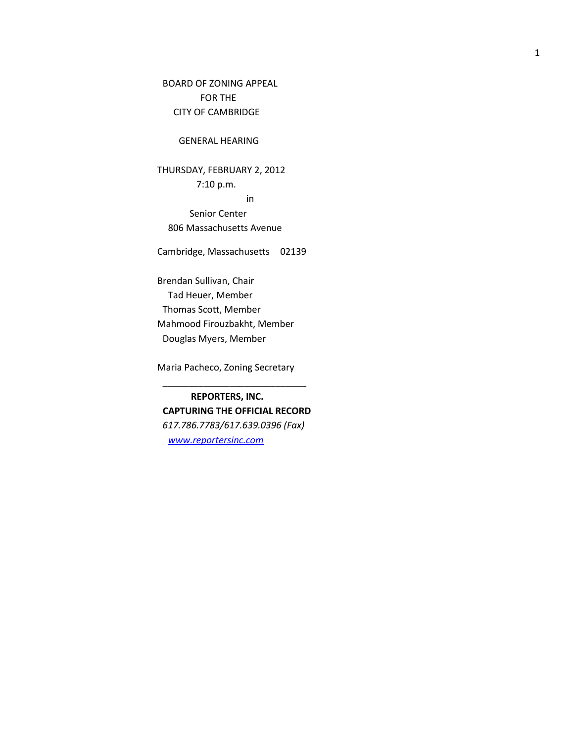BOARD OF ZONING APPEAL FOR THE CITY OF CAMBRIDGE

## GENERAL HEARING

THURSDAY, FEBRUARY 2, 2012 7:10 p.m. in

 Senior Center 806 Massachusetts Avenue

Cambridge, Massachusetts 02139

Brendan Sullivan, Chair Tad Heuer, Member Thomas Scott, Member Mahmood Firouzbakht, Member Douglas Myers, Member

Maria Pacheco, Zoning Secretary

**REPORTERS, INC. CAPTURING THE OFFICIAL RECORD** *617.786.7783/617.639.0396 (Fax) [www.reportersinc.com](http://www.reportersinc.com/)*

\_\_\_\_\_\_\_\_\_\_\_\_\_\_\_\_\_\_\_\_\_\_\_\_\_\_\_\_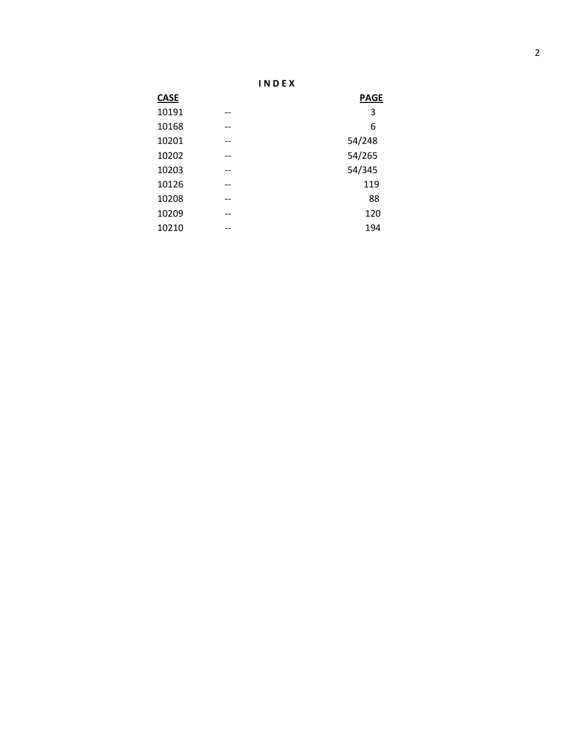| N | л. |
|---|----|
|   |    |

| <b>CASE</b> |                   | <b>PAGE</b> |
|-------------|-------------------|-------------|
| 10191       | $- -$             | 3           |
| 10168       | --                | 6           |
| 10201       | $\qquad \qquad -$ | 54/248      |
| 10202       | --                | 54/265      |
| 10203       | $\qquad \qquad -$ | 54/345      |
| 10126       | $- -$             | 119         |
| 10208       | --                | 88          |
| 10209       | $- -$             | 120         |
| 10210       | --                | 194         |
|             |                   |             |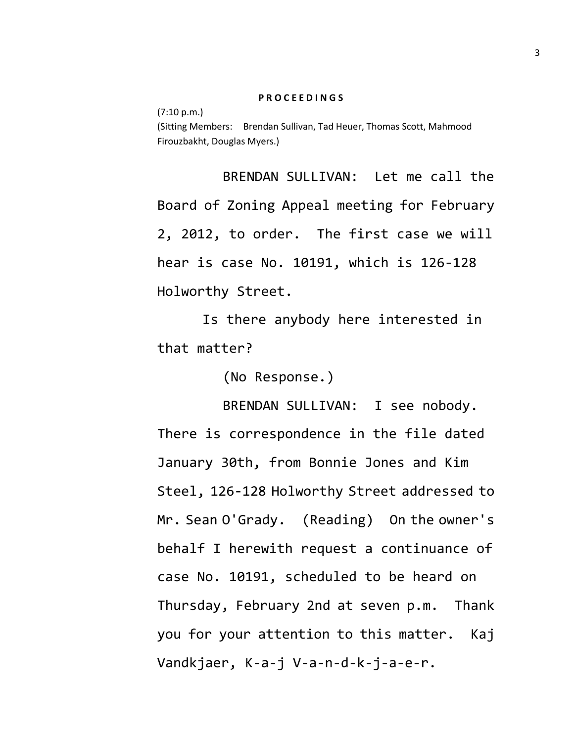## **P R O C E E D I N G S**

(7:10 p.m.) (Sitting Members: Brendan Sullivan, Tad Heuer, Thomas Scott, Mahmood Firouzbakht, Douglas Myers.)

BRENDAN SULLIVAN: Let me call the Board of Zoning Appeal meeting for February 2, 2012, to order. The first case we will hear is case No. 10191, which is 126-128 Holworthy Street.

Is there anybody here interested in that matter?

(No Response.)

BRENDAN SULLIVAN: I see nobody. There is correspondence in the file dated January 30th, from Bonnie Jones and Kim Steel, 126-128 Holworthy Street addressed to Mr. Sean O'Grady. (Reading) On the owner's behalf I herewith request a continuance of case No. 10191, scheduled to be heard on Thursday, February 2nd at seven p.m. Thank you for your attention to this matter. Kaj Vandkjaer, K-a-j V-a-n-d-k-j-a-e-r.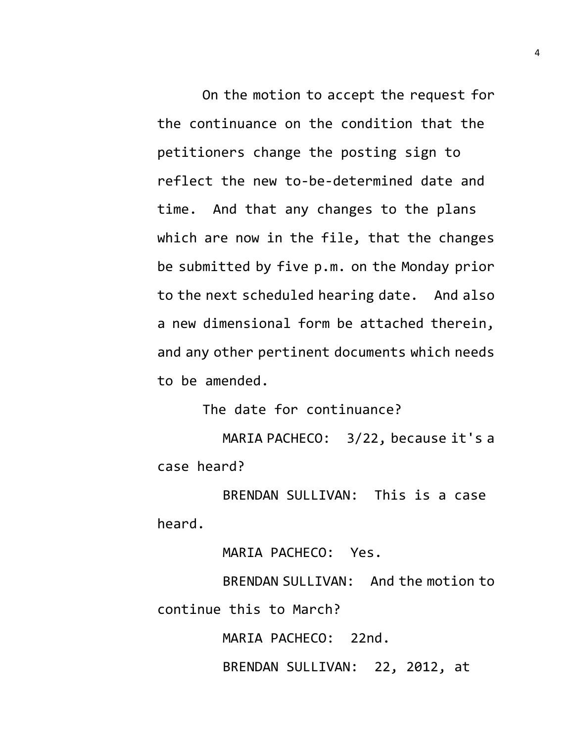On the motion to accept the request for the continuance on the condition that the petitioners change the posting sign to reflect the new to-be-determined date and time. And that any changes to the plans which are now in the file, that the changes be submitted by five p.m. on the Monday prior to the next scheduled hearing date. And also a new dimensional form be attached therein, and any other pertinent documents which needs to be amended.

The date for continuance?

MARIA PACHECO: 3/22, because it's a case heard?

BRENDAN SULLIVAN: This is a case heard.

MARIA PACHECO: Yes.

BRENDAN SULLIVAN: And the motion to continue this to March?

MARIA PACHECO: 22nd.

BRENDAN SULLIVAN: 22, 2012, at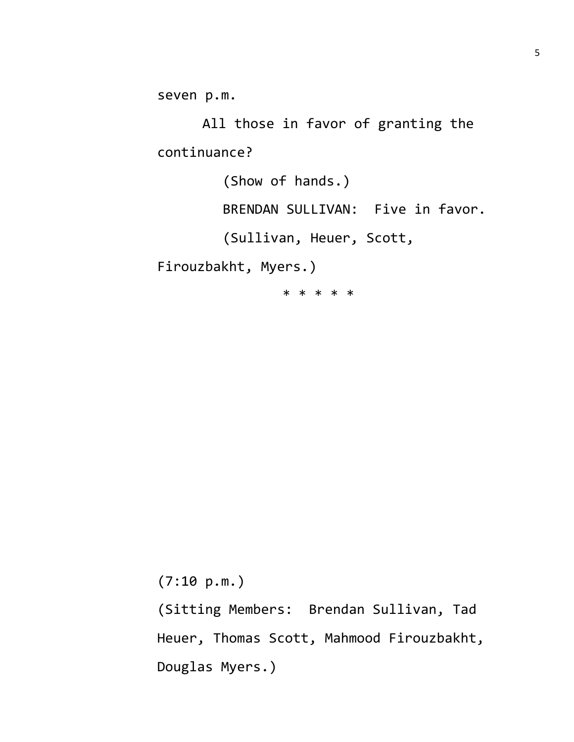seven p.m.

All those in favor of granting the continuance?

(Show of hands.)

BRENDAN SULLIVAN: Five in favor.

(Sullivan, Heuer, Scott,

Firouzbakht, Myers.)

\* \* \* \* \*

(7:10 p.m.)

(Sitting Members: Brendan Sullivan, Tad Heuer, Thomas Scott, Mahmood Firouzbakht, Douglas Myers.)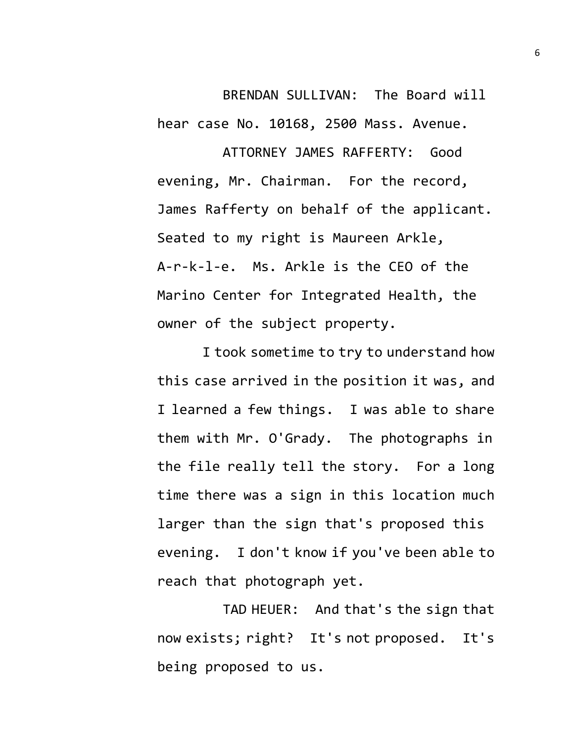BRENDAN SULLIVAN: The Board will hear case No. 10168, 2500 Mass. Avenue.

ATTORNEY JAMES RAFFERTY: Good evening, Mr. Chairman. For the record, James Rafferty on behalf of the applicant. Seated to my right is Maureen Arkle, A-r-k-l-e. Ms. Arkle is the CEO of the Marino Center for Integrated Health, the owner of the subject property.

I took sometime to try to understand how this case arrived in the position it was, and I learned a few things. I was able to share them with Mr. O'Grady. The photographs in the file really tell the story. For a long time there was a sign in this location much larger than the sign that's proposed this evening. I don't know if you've been able to reach that photograph yet.

TAD HEUER: And that's the sign that now exists; right? It's not proposed. It's being proposed to us.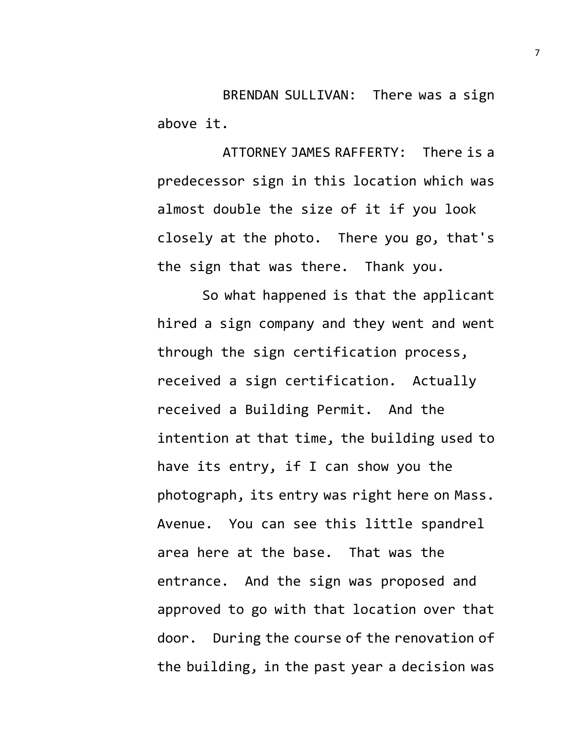BRENDAN SULLIVAN: There was a sign above it.

ATTORNEY JAMES RAFFERTY: There is a predecessor sign in this location which was almost double the size of it if you look closely at the photo. There you go, that's the sign that was there. Thank you.

So what happened is that the applicant hired a sign company and they went and went through the sign certification process, received a sign certification. Actually received a Building Permit. And the intention at that time, the building used to have its entry, if I can show you the photograph, its entry was right here on Mass. Avenue. You can see this little spandrel area here at the base. That was the entrance. And the sign was proposed and approved to go with that location over that door. During the course of the renovation of the building, in the past year a decision was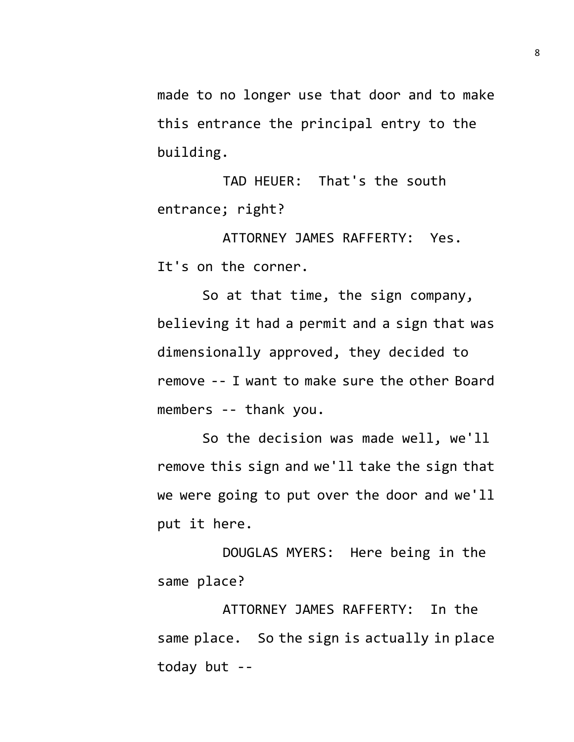made to no longer use that door and to make this entrance the principal entry to the building.

TAD HEUER: That's the south entrance; right?

ATTORNEY JAMES RAFFERTY: Yes. It's on the corner.

So at that time, the sign company, believing it had a permit and a sign that was dimensionally approved, they decided to remove -- I want to make sure the other Board members -- thank you.

So the decision was made well, we'll remove this sign and we'll take the sign that we were going to put over the door and we'll put it here.

DOUGLAS MYERS: Here being in the same place?

ATTORNEY JAMES RAFFERTY: In the same place. So the sign is actually in place today but --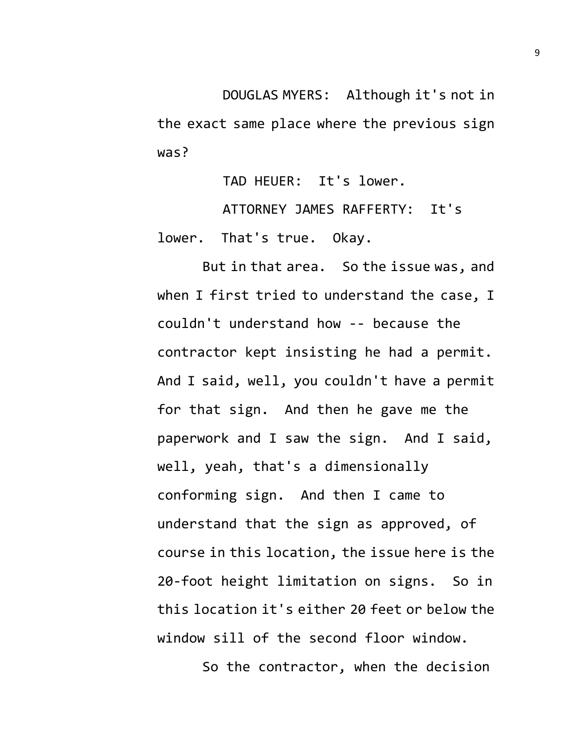DOUGLAS MYERS: Although it's not in the exact same place where the previous sign was?

TAD HEUER: It's lower.

ATTORNEY JAMES RAFFERTY: It's lower. That's true. Okay.

But in that area. So the issue was, and when I first tried to understand the case, I couldn't understand how -- because the contractor kept insisting he had a permit. And I said, well, you couldn't have a permit for that sign. And then he gave me the paperwork and I saw the sign. And I said, well, yeah, that's a dimensionally conforming sign. And then I came to understand that the sign as approved, of course in this location, the issue here is the 20-foot height limitation on signs. So in this location it's either 20 feet or below the window sill of the second floor window.

So the contractor, when the decision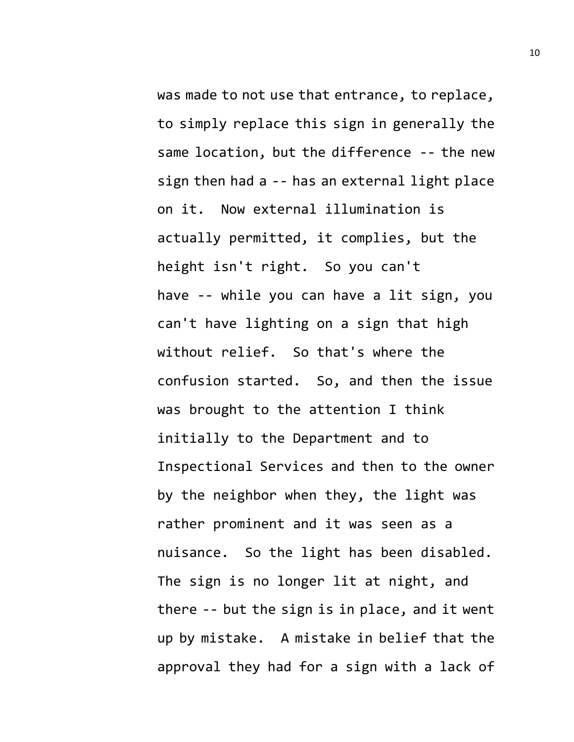was made to not use that entrance, to replace, to simply replace this sign in generally the same location, but the difference -- the new sign then had a -- has an external light place on it. Now external illumination is actually permitted, it complies, but the height isn't right. So you can't have -- while you can have a lit sign, you can't have lighting on a sign that high without relief. So that's where the confusion started. So, and then the issue was brought to the attention I think initially to the Department and to Inspectional Services and then to the owner by the neighbor when they, the light was rather prominent and it was seen as a nuisance. So the light has been disabled. The sign is no longer lit at night, and there -- but the sign is in place, and it went up by mistake. A mistake in belief that the approval they had for a sign with a lack of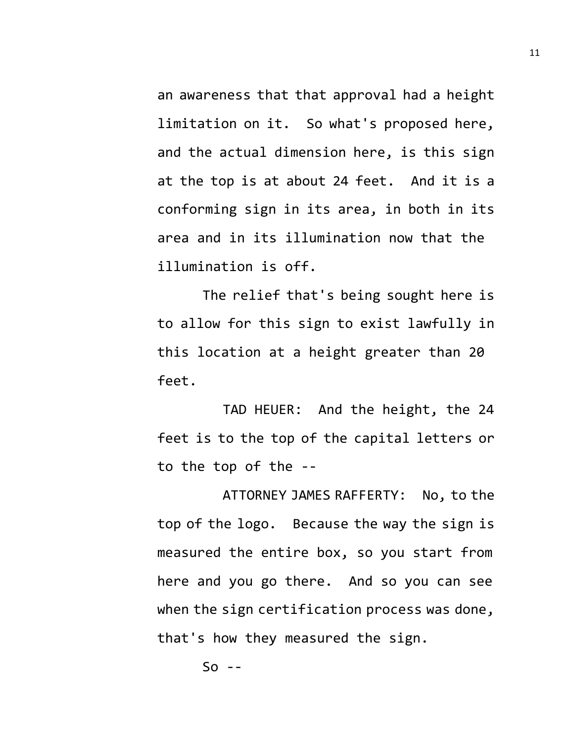an awareness that that approval had a height limitation on it. So what's proposed here, and the actual dimension here, is this sign at the top is at about 24 feet. And it is a conforming sign in its area, in both in its area and in its illumination now that the illumination is off.

The relief that's being sought here is to allow for this sign to exist lawfully in this location at a height greater than 20 feet.

TAD HEUER: And the height, the 24 feet is to the top of the capital letters or to the top of the --

ATTORNEY JAMES RAFFERTY: No, to the top of the logo. Because the way the sign is measured the entire box, so you start from here and you go there. And so you can see when the sign certification process was done, that's how they measured the sign.

 $50 - -$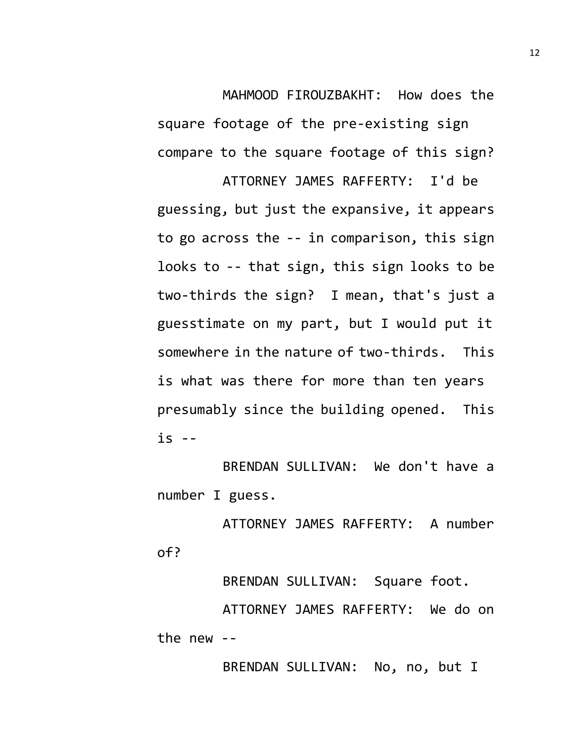MAHMOOD FIROUZBAKHT: How does the

square footage of the pre-existing sign compare to the square footage of this sign?

ATTORNEY JAMES RAFFERTY: I'd be guessing, but just the expansive, it appears to go across the -- in comparison, this sign looks to -- that sign, this sign looks to be two-thirds the sign? I mean, that's just a guesstimate on my part, but I would put it somewhere in the nature of two-thirds. This is what was there for more than ten years presumably since the building opened. This is --

BRENDAN SULLIVAN: We don't have a number I guess.

ATTORNEY JAMES RAFFERTY: A number of?

BRENDAN SULLIVAN: Square foot. ATTORNEY JAMES RAFFERTY: We do on the new --

BRENDAN SULLIVAN: No, no, but I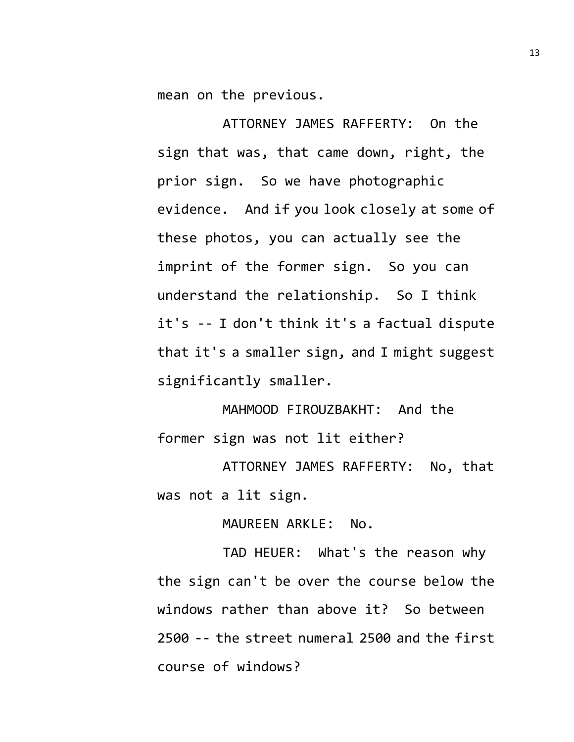mean on the previous.

ATTORNEY JAMES RAFFERTY: On the sign that was, that came down, right, the prior sign. So we have photographic evidence. And if you look closely at some of these photos, you can actually see the imprint of the former sign. So you can understand the relationship. So I think it's -- I don't think it's a factual dispute that it's a smaller sign, and I might suggest significantly smaller.

MAHMOOD FIROUZBAKHT: And the former sign was not lit either?

ATTORNEY JAMES RAFFERTY: No, that was not a lit sign.

MAUREEN ARKLE: No.

TAD HEUER: What's the reason why the sign can't be over the course below the windows rather than above it? So between 2500 -- the street numeral 2500 and the first course of windows?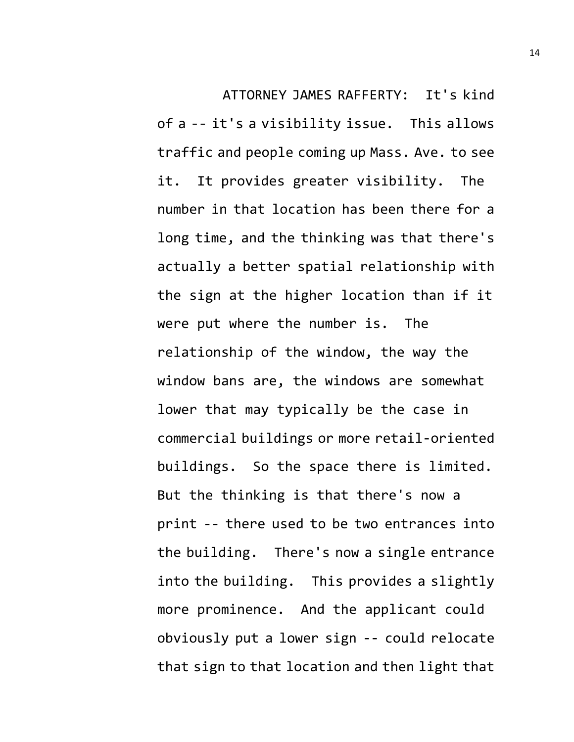ATTORNEY JAMES RAFFERTY: It's kind of a -- it's a visibility issue. This allows traffic and people coming up Mass. Ave. to see it. It provides greater visibility. The number in that location has been there for a long time, and the thinking was that there's actually a better spatial relationship with the sign at the higher location than if it were put where the number is. The relationship of the window, the way the window bans are, the windows are somewhat lower that may typically be the case in commercial buildings or more retail-oriented buildings. So the space there is limited. But the thinking is that there's now a print -- there used to be two entrances into the building. There's now a single entrance into the building. This provides a slightly more prominence. And the applicant could obviously put a lower sign -- could relocate that sign to that location and then light that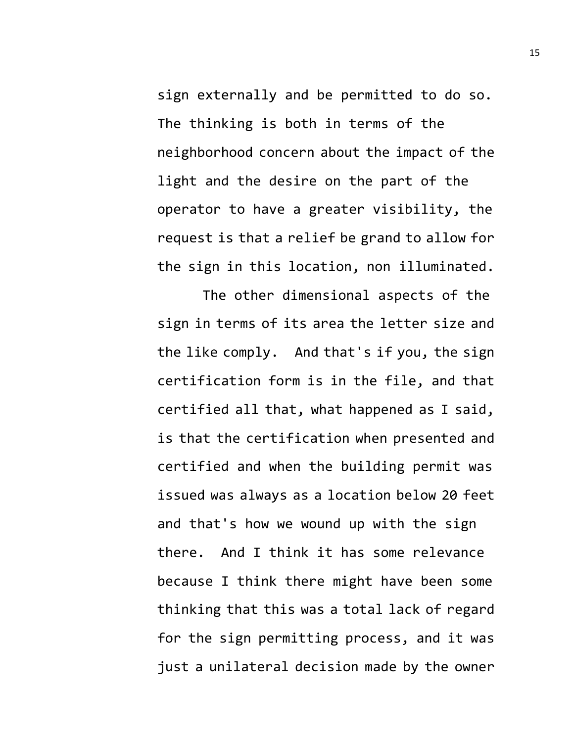sign externally and be permitted to do so. The thinking is both in terms of the neighborhood concern about the impact of the light and the desire on the part of the operator to have a greater visibility, the request is that a relief be grand to allow for the sign in this location, non illuminated.

The other dimensional aspects of the sign in terms of its area the letter size and the like comply. And that's if you, the sign certification form is in the file, and that certified all that, what happened as I said, is that the certification when presented and certified and when the building permit was issued was always as a location below 20 feet and that's how we wound up with the sign there. And I think it has some relevance because I think there might have been some thinking that this was a total lack of regard for the sign permitting process, and it was just a unilateral decision made by the owner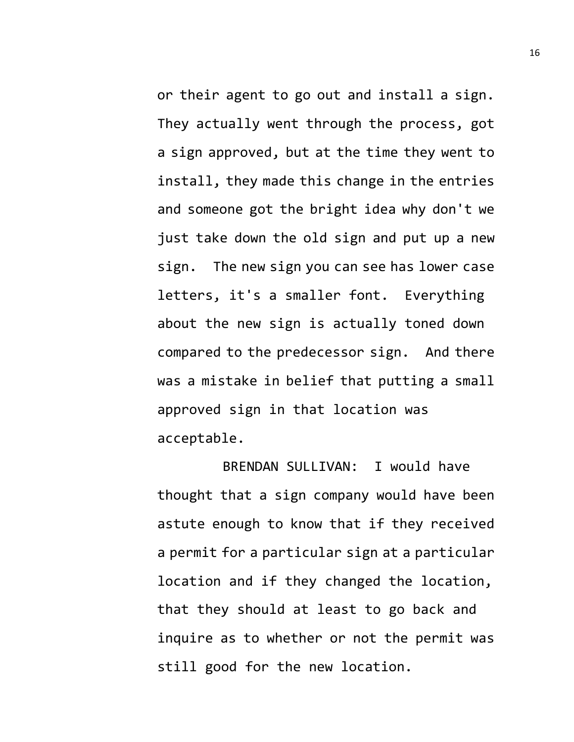or their agent to go out and install a sign. They actually went through the process, got a sign approved, but at the time they went to install, they made this change in the entries and someone got the bright idea why don't we just take down the old sign and put up a new sign. The new sign you can see has lower case letters, it's a smaller font. Everything about the new sign is actually toned down compared to the predecessor sign. And there was a mistake in belief that putting a small approved sign in that location was acceptable.

BRENDAN SULLIVAN: I would have thought that a sign company would have been astute enough to know that if they received a permit for a particular sign at a particular location and if they changed the location, that they should at least to go back and inquire as to whether or not the permit was still good for the new location.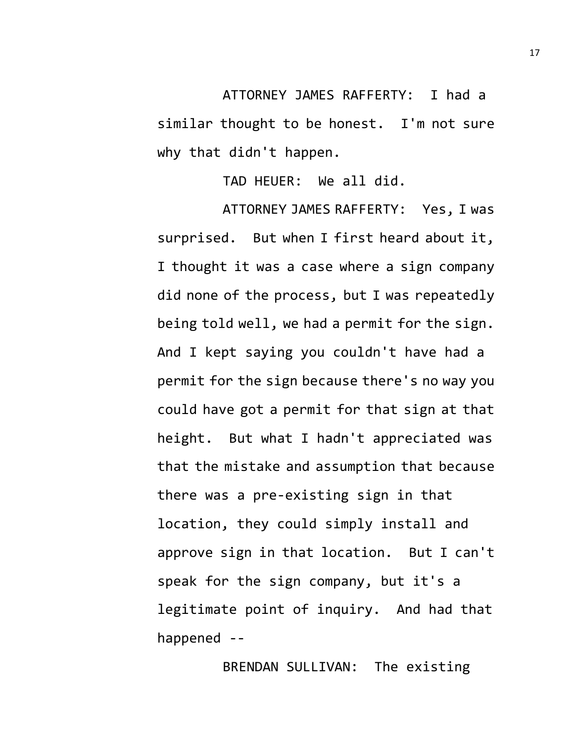ATTORNEY JAMES RAFFERTY: I had a similar thought to be honest. I'm not sure why that didn't happen.

TAD HEUER: We all did.

ATTORNEY JAMES RAFFERTY: Yes, I was surprised. But when I first heard about it, I thought it was a case where a sign company did none of the process, but I was repeatedly being told well, we had a permit for the sign. And I kept saying you couldn't have had a permit for the sign because there's no way you could have got a permit for that sign at that height. But what I hadn't appreciated was that the mistake and assumption that because there was a pre-existing sign in that location, they could simply install and approve sign in that location. But I can't speak for the sign company, but it's a legitimate point of inquiry. And had that happened --

BRENDAN SULLIVAN: The existing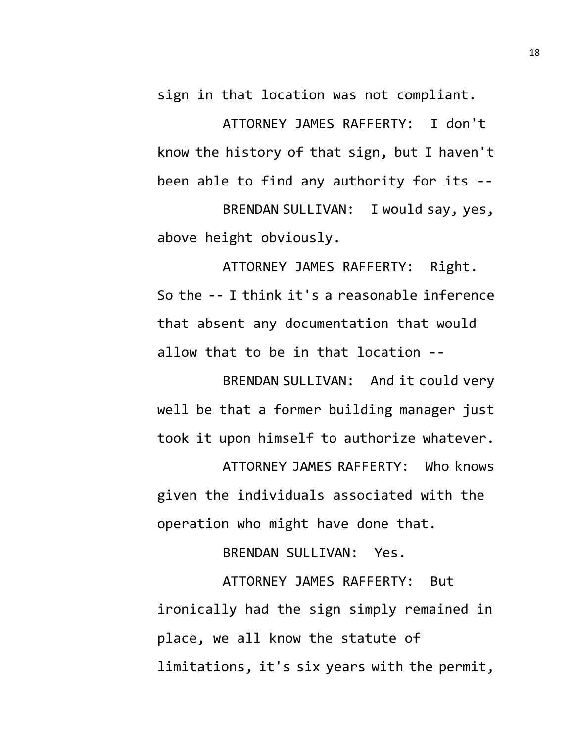sign in that location was not compliant.

ATTORNEY JAMES RAFFERTY: I don't know the history of that sign, but I haven't been able to find any authority for its --

BRENDAN SULLIVAN: I would say, yes, above height obviously.

ATTORNEY JAMES RAFFERTY: Right. So the -- I think it's a reasonable inference that absent any documentation that would allow that to be in that location --

BRENDAN SULLIVAN: And it could very well be that a former building manager just took it upon himself to authorize whatever.

ATTORNEY JAMES RAFFERTY: Who knows given the individuals associated with the operation who might have done that.

BRENDAN SULLIVAN: Yes.

ATTORNEY JAMES RAFFERTY: But ironically had the sign simply remained in place, we all know the statute of limitations, it's six years with the permit,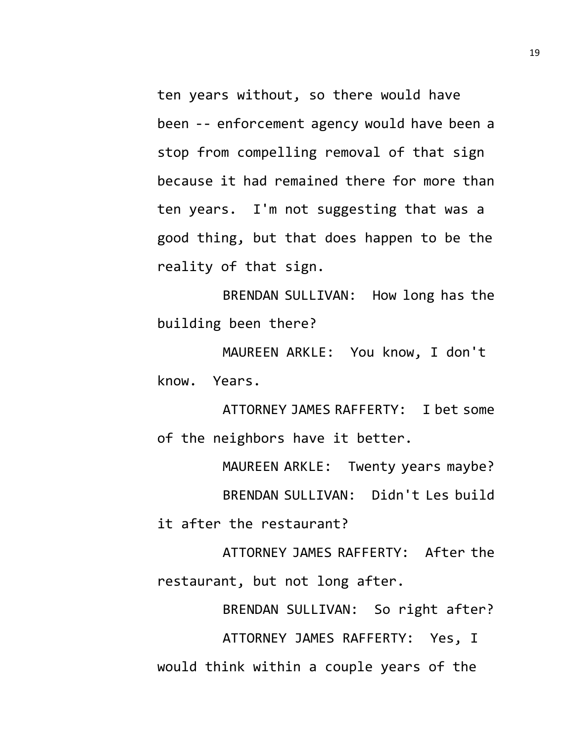ten years without, so there would have been -- enforcement agency would have been a stop from compelling removal of that sign because it had remained there for more than ten years. I'm not suggesting that was a good thing, but that does happen to be the reality of that sign.

BRENDAN SULLIVAN: How long has the building been there?

MAUREEN ARKLE: You know, I don't know. Years.

ATTORNEY JAMES RAFFERTY: I bet some of the neighbors have it better.

MAUREEN ARKLE: Twenty years maybe? BRENDAN SULLIVAN: Didn't Les build it after the restaurant?

ATTORNEY JAMES RAFFERTY: After the restaurant, but not long after.

BRENDAN SULLIVAN: So right after? ATTORNEY JAMES RAFFERTY: Yes, I would think within a couple years of the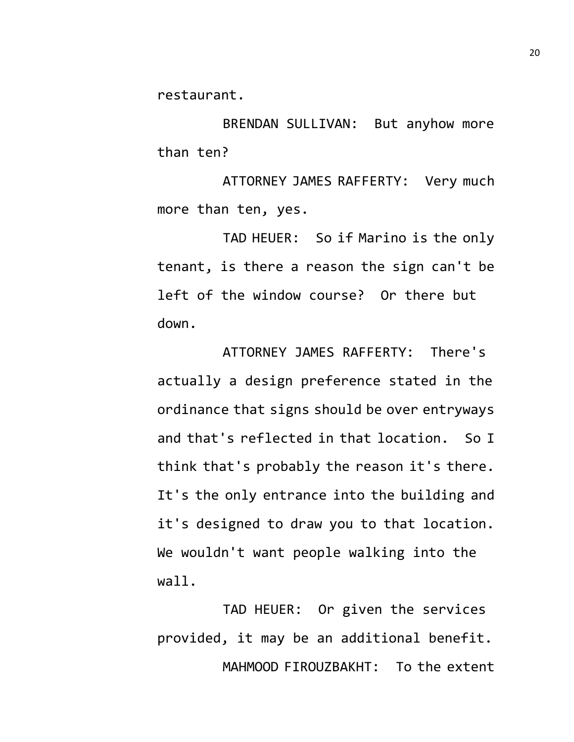restaurant.

BRENDAN SULLIVAN: But anyhow more than ten?

ATTORNEY JAMES RAFFERTY: Very much more than ten, yes.

TAD HEUER: So if Marino is the only tenant, is there a reason the sign can't be left of the window course? Or there but down.

ATTORNEY JAMES RAFFERTY: There's actually a design preference stated in the ordinance that signs should be over entryways and that's reflected in that location. So I think that's probably the reason it's there. It's the only entrance into the building and it's designed to draw you to that location. We wouldn't want people walking into the wall.

TAD HEUER: Or given the services provided, it may be an additional benefit. MAHMOOD FIROUZBAKHT: To the extent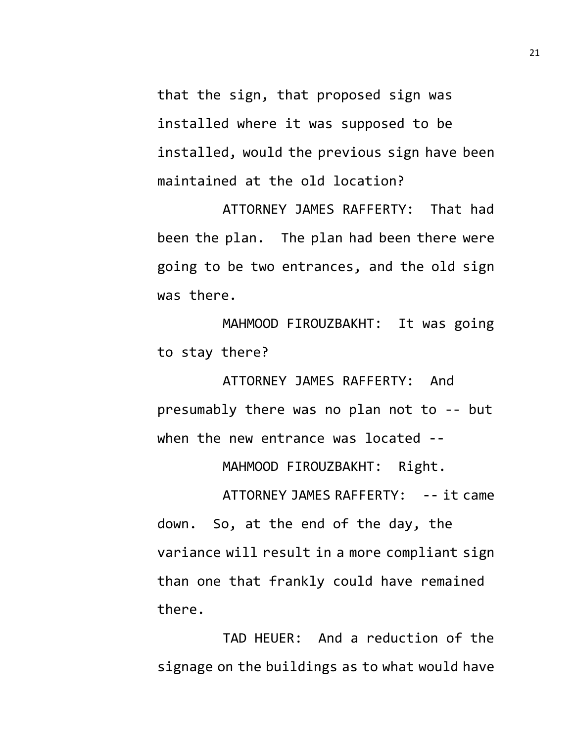that the sign, that proposed sign was installed where it was supposed to be installed, would the previous sign have been maintained at the old location?

ATTORNEY JAMES RAFFERTY: That had been the plan. The plan had been there were going to be two entrances, and the old sign was there.

MAHMOOD FIROUZBAKHT: It was going to stay there?

ATTORNEY JAMES RAFFERTY: And presumably there was no plan not to -- but when the new entrance was located --

MAHMOOD FIROUZBAKHT: Right.

ATTORNEY JAMES RAFFERTY: -- it came down. So, at the end of the day, the variance will result in a more compliant sign than one that frankly could have remained there.

TAD HEUER: And a reduction of the signage on the buildings as to what would have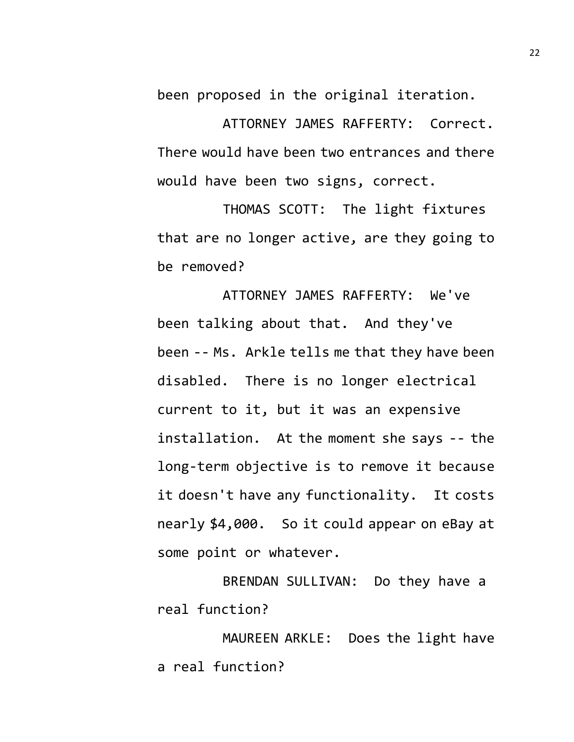been proposed in the original iteration.

ATTORNEY JAMES RAFFERTY: Correct. There would have been two entrances and there would have been two signs, correct.

THOMAS SCOTT: The light fixtures that are no longer active, are they going to be removed?

ATTORNEY JAMES RAFFERTY: We've been talking about that. And they've been -- Ms. Arkle tells me that they have been disabled. There is no longer electrical current to it, but it was an expensive installation. At the moment she says -- the long-term objective is to remove it because it doesn't have any functionality. It costs nearly \$4,000. So it could appear on eBay at some point or whatever.

BRENDAN SULLIVAN: Do they have a real function?

MAUREEN ARKLE: Does the light have a real function?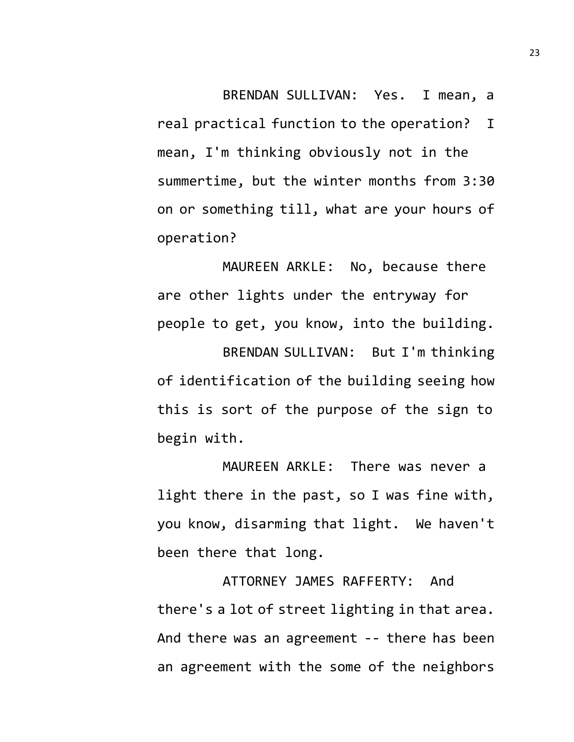BRENDAN SULLIVAN: Yes. I mean, a

real practical function to the operation? I mean, I'm thinking obviously not in the summertime, but the winter months from 3:30 on or something till, what are your hours of operation?

MAUREEN ARKLE: No, because there are other lights under the entryway for people to get, you know, into the building.

BRENDAN SULLIVAN: But I'm thinking of identification of the building seeing how this is sort of the purpose of the sign to begin with.

MAUREEN ARKLE: There was never a light there in the past, so I was fine with, you know, disarming that light. We haven't been there that long.

ATTORNEY JAMES RAFFERTY: And there's a lot of street lighting in that area. And there was an agreement -- there has been an agreement with the some of the neighbors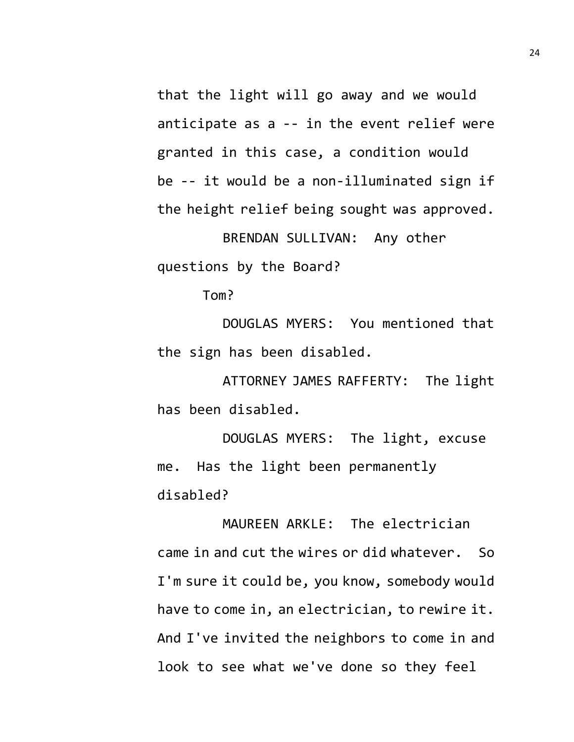that the light will go away and we would anticipate as a -- in the event relief were granted in this case, a condition would be -- it would be a non-illuminated sign if the height relief being sought was approved. BRENDAN SULLIVAN: Any other

questions by the Board?

Tom?

DOUGLAS MYERS: You mentioned that the sign has been disabled.

ATTORNEY JAMES RAFFERTY: The light has been disabled.

DOUGLAS MYERS: The light, excuse me. Has the light been permanently disabled?

MAUREEN ARKLE: The electrician came in and cut the wires or did whatever. So I'm sure it could be, you know, somebody would have to come in, an electrician, to rewire it. And I've invited the neighbors to come in and look to see what we've done so they feel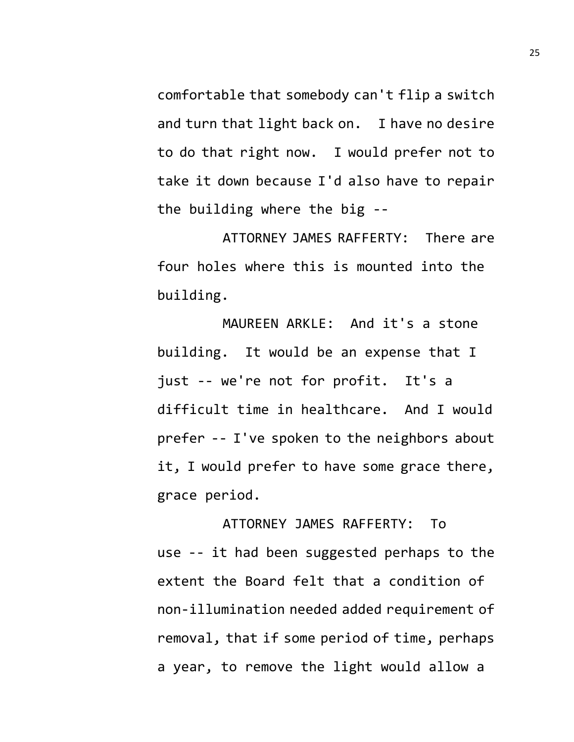comfortable that somebody can't flip a switch and turn that light back on. I have no desire to do that right now. I would prefer not to take it down because I'd also have to repair the building where the big --

ATTORNEY JAMES RAFFERTY: There are four holes where this is mounted into the building.

MAUREEN ARKLE: And it's a stone building. It would be an expense that I just -- we're not for profit. It's a difficult time in healthcare. And I would prefer -- I've spoken to the neighbors about it, I would prefer to have some grace there, grace period.

ATTORNEY JAMES RAFFERTY: To use -- it had been suggested perhaps to the extent the Board felt that a condition of non-illumination needed added requirement of removal, that if some period of time, perhaps a year, to remove the light would allow a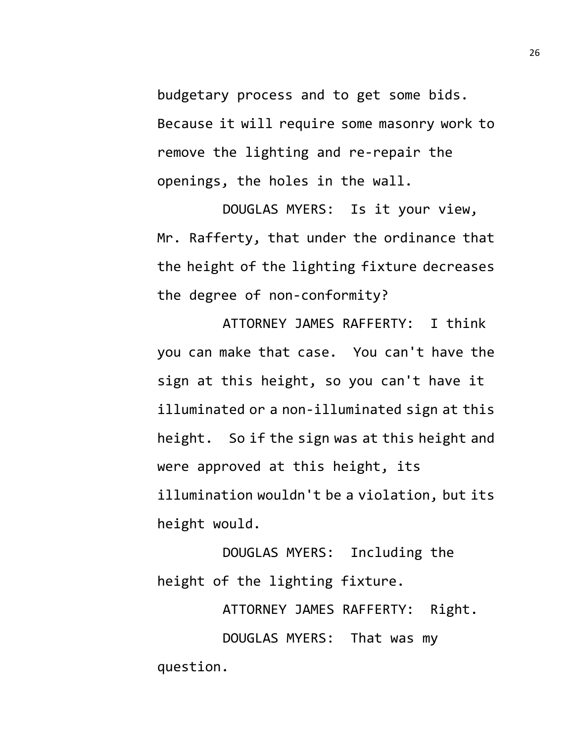budgetary process and to get some bids. Because it will require some masonry work to remove the lighting and re-repair the openings, the holes in the wall.

DOUGLAS MYERS: Is it your view, Mr. Rafferty, that under the ordinance that the height of the lighting fixture decreases the degree of non-conformity?

ATTORNEY JAMES RAFFERTY: I think you can make that case. You can't have the sign at this height, so you can't have it illuminated or a non-illuminated sign at this height. So if the sign was at this height and were approved at this height, its illumination wouldn't be a violation, but its height would.

DOUGLAS MYERS: Including the height of the lighting fixture.

ATTORNEY JAMES RAFFERTY: Right.

DOUGLAS MYERS: That was my question.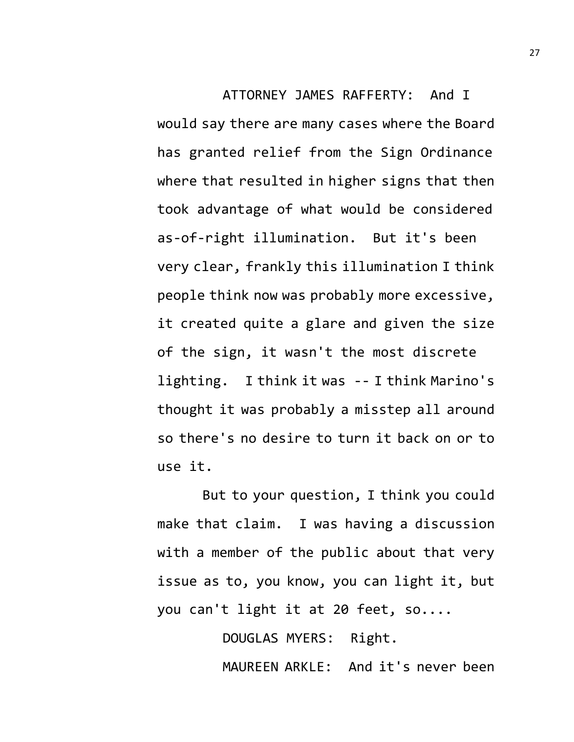ATTORNEY JAMES RAFFERTY: And I would say there are many cases where the Board has granted relief from the Sign Ordinance where that resulted in higher signs that then took advantage of what would be considered as-of-right illumination. But it's been very clear, frankly this illumination I think people think now was probably more excessive, it created quite a glare and given the size of the sign, it wasn't the most discrete lighting. I think it was -- I think Marino's thought it was probably a misstep all around so there's no desire to turn it back on or to use it.

But to your question, I think you could make that claim. I was having a discussion with a member of the public about that very issue as to, you know, you can light it, but you can't light it at 20 feet, so....

DOUGLAS MYERS: Right.

MAUREEN ARKLE: And it's never been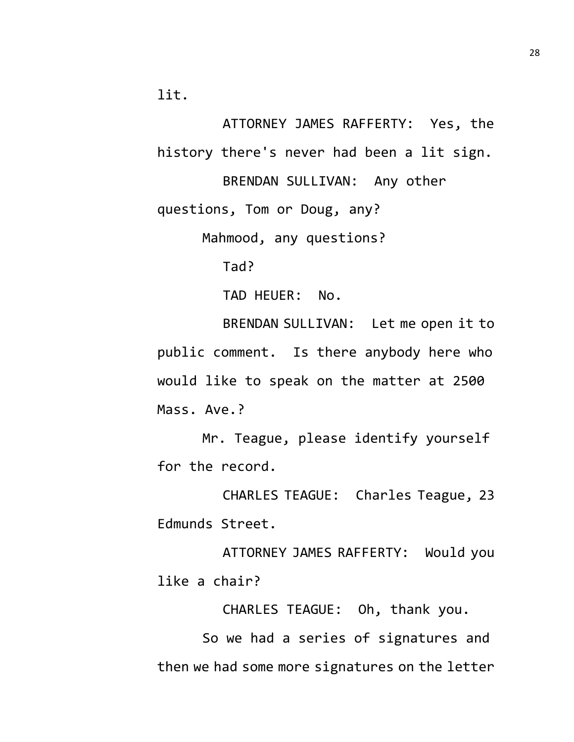lit.

ATTORNEY JAMES RAFFERTY: Yes, the history there's never had been a lit sign.

BRENDAN SULLIVAN: Any other questions, Tom or Doug, any?

Mahmood, any questions?

Tad?

TAD HEUER: No.

BRENDAN SULLIVAN: Let me open it to public comment. Is there anybody here who would like to speak on the matter at 2500 Mass. Ave.?

Mr. Teague, please identify yourself for the record.

CHARLES TEAGUE: Charles Teague, 23 Edmunds Street.

ATTORNEY JAMES RAFFERTY: Would you like a chair?

CHARLES TEAGUE: Oh, thank you.

So we had a series of signatures and then we had some more signatures on the letter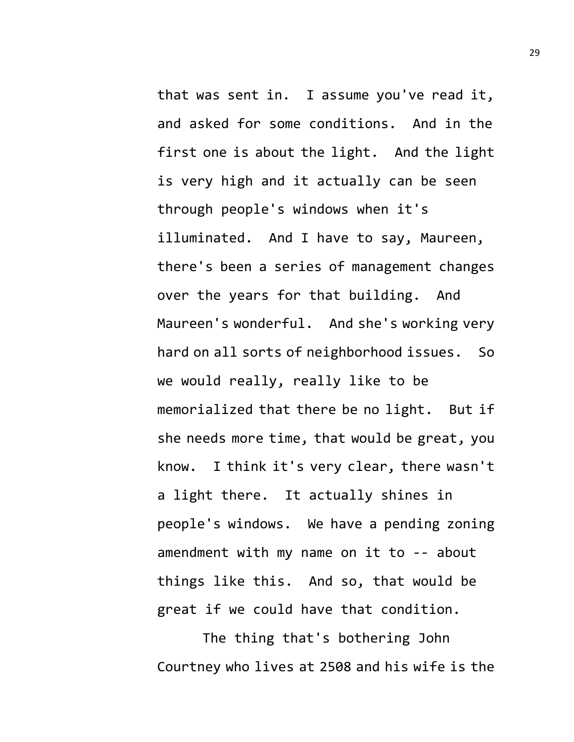that was sent in. I assume you've read it, and asked for some conditions. And in the first one is about the light. And the light is very high and it actually can be seen through people's windows when it's illuminated. And I have to say, Maureen, there's been a series of management changes over the years for that building. And Maureen's wonderful. And she's working very hard on all sorts of neighborhood issues. So we would really, really like to be memorialized that there be no light. But if she needs more time, that would be great, you know. I think it's very clear, there wasn't a light there. It actually shines in people's windows. We have a pending zoning amendment with my name on it to -- about things like this. And so, that would be great if we could have that condition.

The thing that's bothering John Courtney who lives at 2508 and his wife is the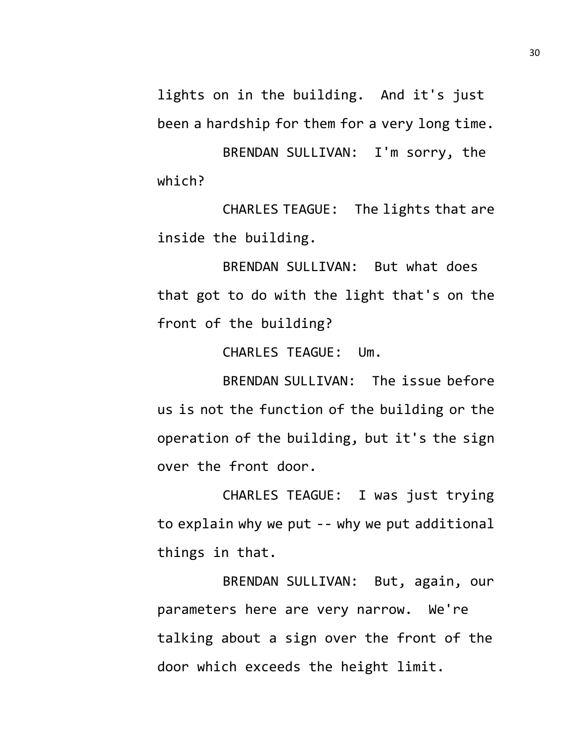lights on in the building. And it's just been a hardship for them for a very long time.

BRENDAN SULLIVAN: I'm sorry, the which?

CHARLES TEAGUE: The lights that are inside the building.

BRENDAN SULLIVAN: But what does that got to do with the light that's on the front of the building?

CHARLES TEAGUE: Um.

BRENDAN SULLIVAN: The issue before us is not the function of the building or the operation of the building, but it's the sign over the front door.

CHARLES TEAGUE: I was just trying to explain why we put -- why we put additional things in that.

BRENDAN SULLIVAN: But, again, our parameters here are very narrow. We're talking about a sign over the front of the door which exceeds the height limit.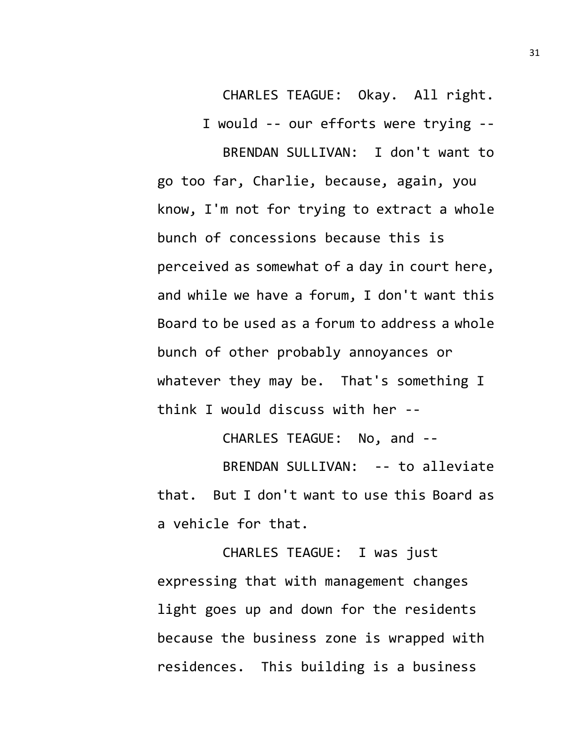CHARLES TEAGUE: Okay. All right.

I would -- our efforts were trying --

BRENDAN SULLIVAN: I don't want to go too far, Charlie, because, again, you know, I'm not for trying to extract a whole bunch of concessions because this is perceived as somewhat of a day in court here, and while we have a forum, I don't want this Board to be used as a forum to address a whole bunch of other probably annoyances or whatever they may be. That's something I think I would discuss with her --

CHARLES TEAGUE: No, and --

BRENDAN SULLIVAN: -- to alleviate that. But I don't want to use this Board as a vehicle for that.

CHARLES TEAGUE: I was just expressing that with management changes light goes up and down for the residents because the business zone is wrapped with residences. This building is a business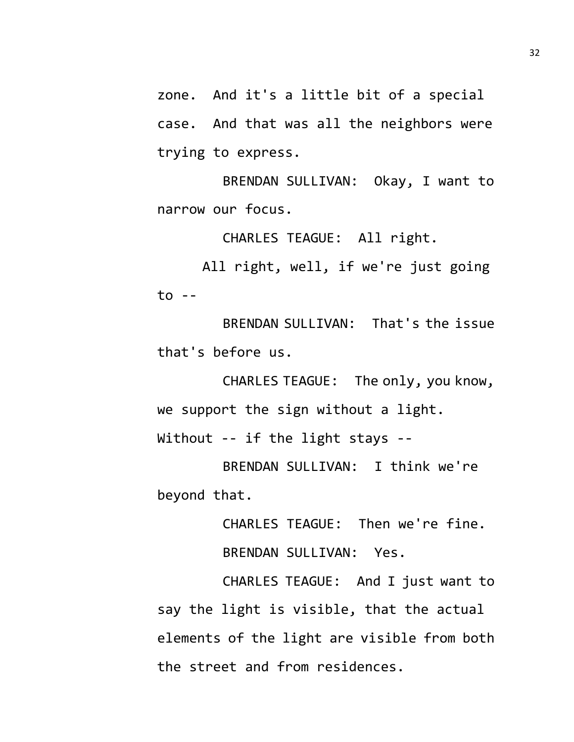zone. And it's a little bit of a special case. And that was all the neighbors were trying to express.

BRENDAN SULLIVAN: Okay, I want to narrow our focus.

CHARLES TEAGUE: All right.

All right, well, if we're just going to --

BRENDAN SULLIVAN: That's the issue that's before us.

CHARLES TEAGUE: The only, you know, we support the sign without a light.

Without -- if the light stays --

BRENDAN SULLIVAN: I think we're beyond that.

> CHARLES TEAGUE: Then we're fine. BRENDAN SULLIVAN: Yes.

CHARLES TEAGUE: And I just want to say the light is visible, that the actual elements of the light are visible from both the street and from residences.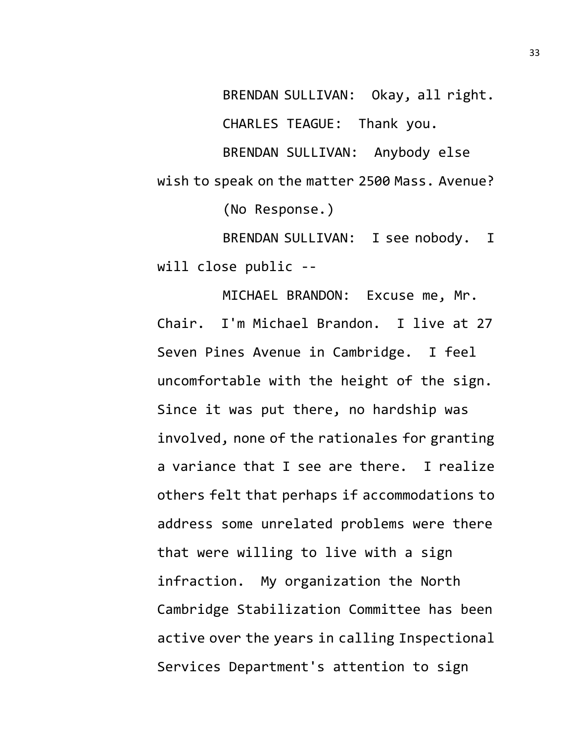BRENDAN SULLIVAN: Okay, all right. CHARLES TEAGUE: Thank you. BRENDAN SULLIVAN: Anybody else wish to speak on the matter 2500 Mass. Avenue? (No Response.) BRENDAN SULLIVAN: I see nobody. I

will close public --

MICHAEL BRANDON: Excuse me, Mr. Chair. I'm Michael Brandon. I live at 27 Seven Pines Avenue in Cambridge. I feel uncomfortable with the height of the sign. Since it was put there, no hardship was involved, none of the rationales for granting a variance that I see are there. I realize others felt that perhaps if accommodations to address some unrelated problems were there that were willing to live with a sign infraction. My organization the North Cambridge Stabilization Committee has been active over the years in calling Inspectional Services Department's attention to sign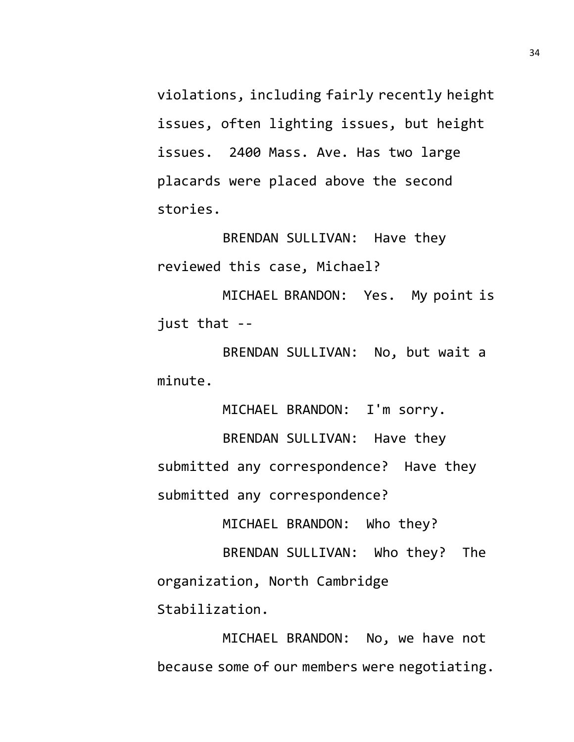violations, including fairly recently height issues, often lighting issues, but height issues. 2400 Mass. Ave. Has two large placards were placed above the second stories.

BRENDAN SULLIVAN: Have they reviewed this case, Michael?

MICHAEL BRANDON: Yes. My point is just that --

BRENDAN SULLIVAN: No, but wait a minute.

MICHAEL BRANDON: I'm sorry.

BRENDAN SULLIVAN: Have they submitted any correspondence? Have they submitted any correspondence?

MICHAEL BRANDON: Who they?

BRENDAN SULLIVAN: Who they? The organization, North Cambridge Stabilization.

MICHAEL BRANDON: No, we have not because some of our members were negotiating.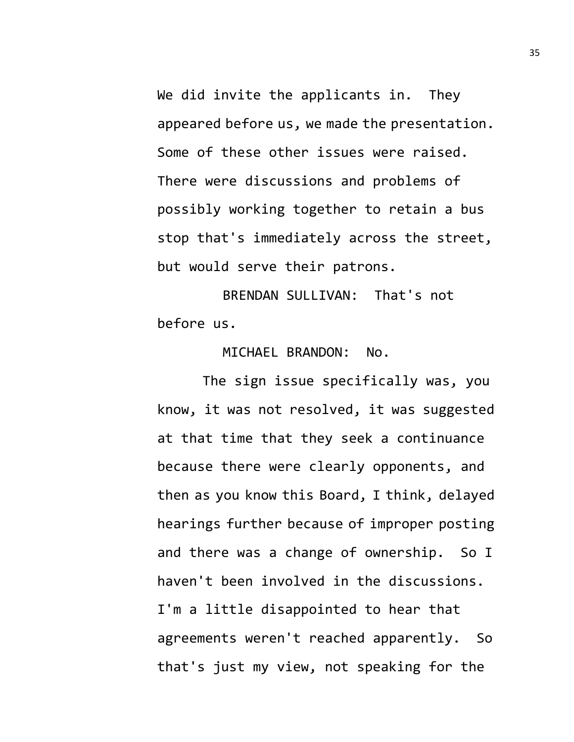We did invite the applicants in. They appeared before us, we made the presentation. Some of these other issues were raised. There were discussions and problems of possibly working together to retain a bus stop that's immediately across the street, but would serve their patrons.

BRENDAN SULLIVAN: That's not before us.

MICHAEL BRANDON: No.

The sign issue specifically was, you know, it was not resolved, it was suggested at that time that they seek a continuance because there were clearly opponents, and then as you know this Board, I think, delayed hearings further because of improper posting and there was a change of ownership. So I haven't been involved in the discussions. I'm a little disappointed to hear that agreements weren't reached apparently. So that's just my view, not speaking for the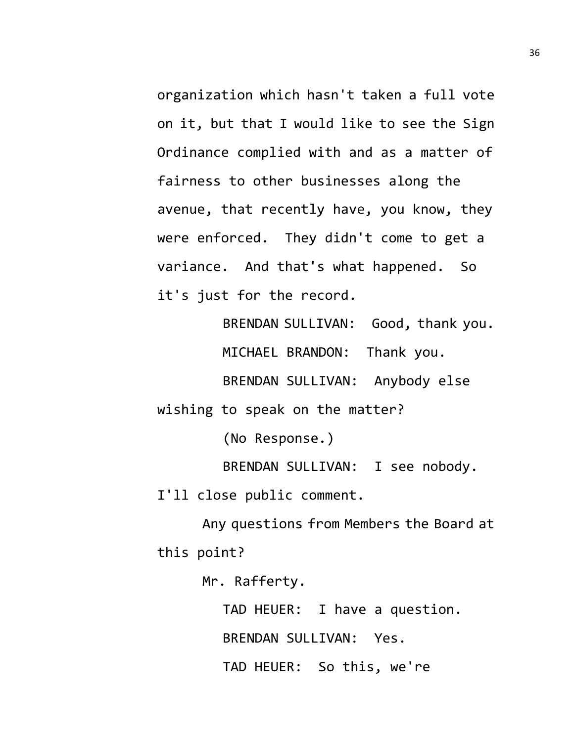organization which hasn't taken a full vote on it, but that I would like to see the Sign Ordinance complied with and as a matter of fairness to other businesses along the avenue, that recently have, you know, they were enforced. They didn't come to get a variance. And that's what happened. So it's just for the record.

> BRENDAN SULLIVAN: Good, thank you. MICHAEL BRANDON: Thank you. BRENDAN SULLIVAN: Anybody else

wishing to speak on the matter?

(No Response.)

BRENDAN SULLIVAN: I see nobody.

I'll close public comment.

Any questions from Members the Board at this point?

Mr. Rafferty.

TAD HEUER: I have a question. BRENDAN SULLIVAN: Yes. TAD HEUER: So this, we're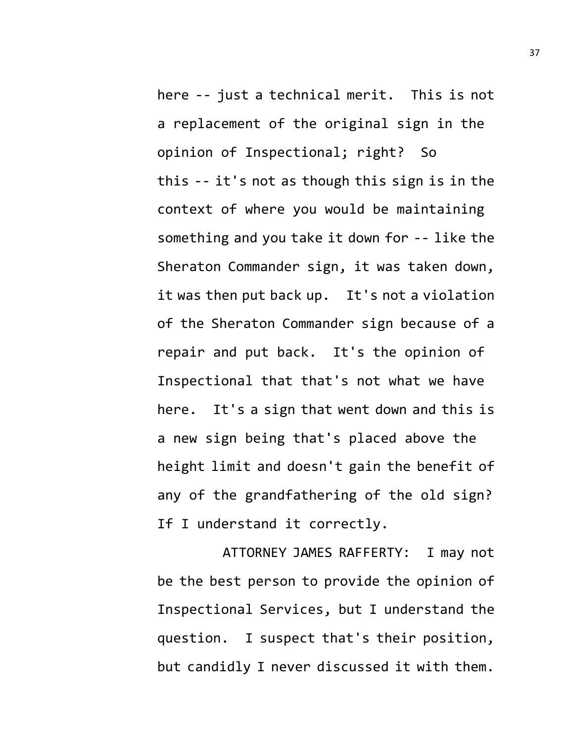here -- just a technical merit. This is not a replacement of the original sign in the opinion of Inspectional; right? So this -- it's not as though this sign is in the context of where you would be maintaining something and you take it down for -- like the Sheraton Commander sign, it was taken down, it was then put back up. It's not a violation of the Sheraton Commander sign because of a repair and put back. It's the opinion of Inspectional that that's not what we have here. It's a sign that went down and this is a new sign being that's placed above the height limit and doesn't gain the benefit of any of the grandfathering of the old sign? If I understand it correctly.

ATTORNEY JAMES RAFFERTY: I may not be the best person to provide the opinion of Inspectional Services, but I understand the question. I suspect that's their position, but candidly I never discussed it with them.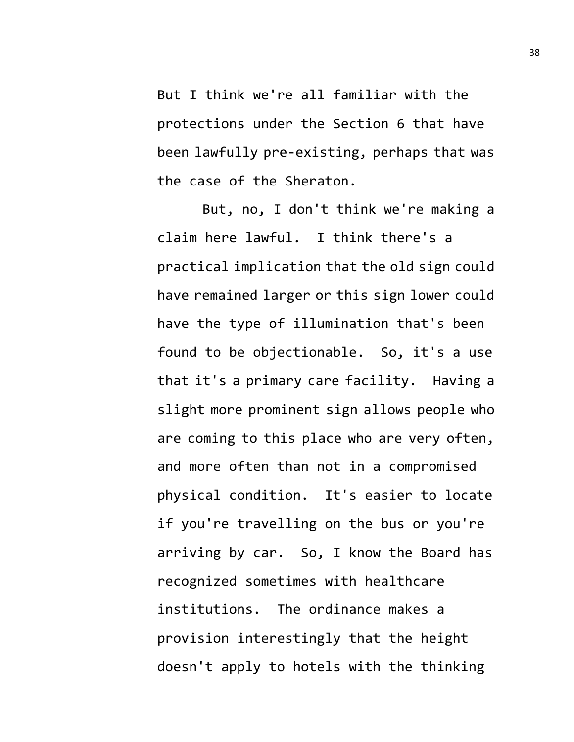But I think we're all familiar with the protections under the Section 6 that have been lawfully pre-existing, perhaps that was the case of the Sheraton.

But, no, I don't think we're making a claim here lawful. I think there's a practical implication that the old sign could have remained larger or this sign lower could have the type of illumination that's been found to be objectionable. So, it's a use that it's a primary care facility. Having a slight more prominent sign allows people who are coming to this place who are very often, and more often than not in a compromised physical condition. It's easier to locate if you're travelling on the bus or you're arriving by car. So, I know the Board has recognized sometimes with healthcare institutions. The ordinance makes a provision interestingly that the height doesn't apply to hotels with the thinking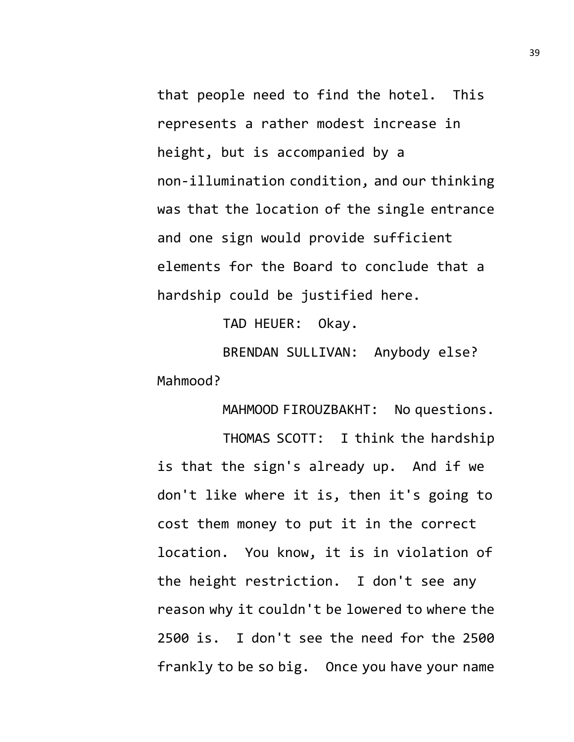that people need to find the hotel. This represents a rather modest increase in height, but is accompanied by a non-illumination condition, and our thinking was that the location of the single entrance and one sign would provide sufficient elements for the Board to conclude that a hardship could be justified here.

TAD HEUER: Okay.

BRENDAN SULLIVAN: Anybody else? Mahmood?

MAHMOOD FIROUZBAKHT: No questions.

THOMAS SCOTT: I think the hardship is that the sign's already up. And if we don't like where it is, then it's going to cost them money to put it in the correct location. You know, it is in violation of the height restriction. I don't see any reason why it couldn't be lowered to where the 2500 is. I don't see the need for the 2500 frankly to be so big. Once you have your name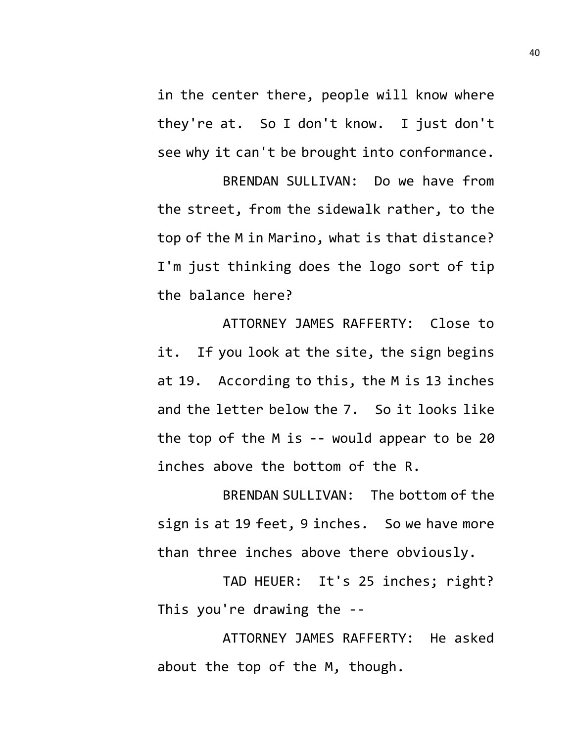in the center there, people will know where they're at. So I don't know. I just don't see why it can't be brought into conformance.

BRENDAN SULLIVAN: Do we have from the street, from the sidewalk rather, to the top of the M in Marino, what is that distance? I'm just thinking does the logo sort of tip the balance here?

ATTORNEY JAMES RAFFERTY: Close to it. If you look at the site, the sign begins at 19. According to this, the M is 13 inches and the letter below the 7. So it looks like the top of the M is -- would appear to be 20 inches above the bottom of the R.

BRENDAN SULLIVAN: The bottom of the sign is at 19 feet, 9 inches. So we have more than three inches above there obviously.

TAD HEUER: It's 25 inches; right? This you're drawing the --

ATTORNEY JAMES RAFFERTY: He asked about the top of the M, though.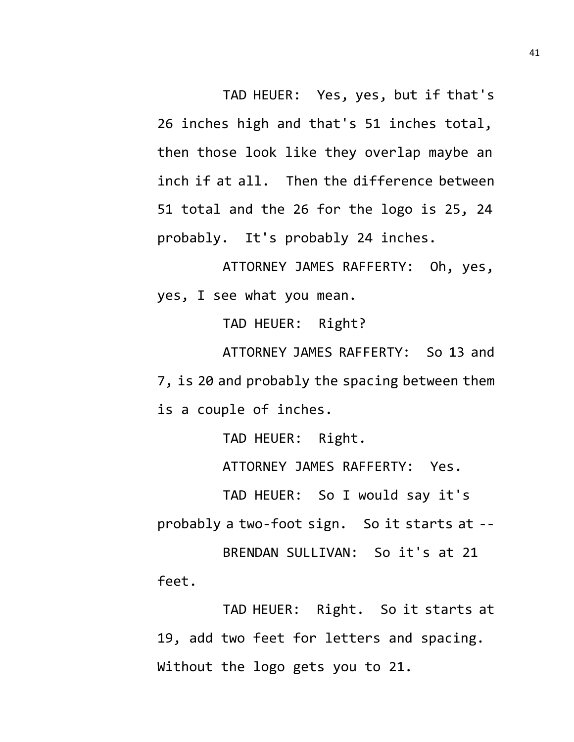TAD HEUER: Yes, yes, but if that's 26 inches high and that's 51 inches total, then those look like they overlap maybe an inch if at all. Then the difference between 51 total and the 26 for the logo is 25, 24 probably. It's probably 24 inches.

ATTORNEY JAMES RAFFERTY: Oh, yes, yes, I see what you mean.

TAD HEUER: Right?

ATTORNEY JAMES RAFFERTY: So 13 and 7, is 20 and probably the spacing between them is a couple of inches.

TAD HEUER: Right.

ATTORNEY JAMES RAFFERTY: Yes.

TAD HEUER: So I would say it's

probably a two-foot sign. So it starts at --

BRENDAN SULLIVAN: So it's at 21 feet.

TAD HEUER: Right. So it starts at 19, add two feet for letters and spacing. Without the logo gets you to 21.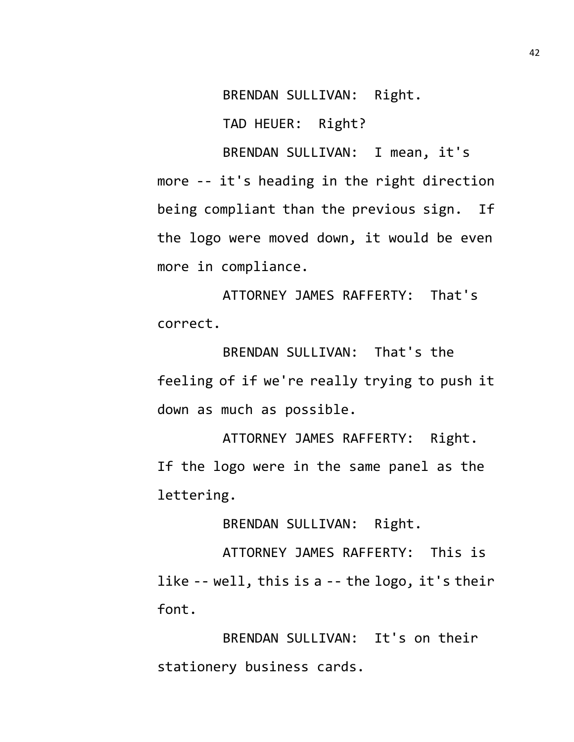BRENDAN SULLIVAN: Right.

TAD HEUER: Right?

BRENDAN SULLIVAN: I mean, it's more -- it's heading in the right direction being compliant than the previous sign. If the logo were moved down, it would be even more in compliance.

ATTORNEY JAMES RAFFERTY: That's correct.

BRENDAN SULLIVAN: That's the feeling of if we're really trying to push it down as much as possible.

ATTORNEY JAMES RAFFERTY: Right. If the logo were in the same panel as the lettering.

BRENDAN SULLIVAN: Right.

ATTORNEY JAMES RAFFERTY: This is like -- well, this is a -- the logo, it's their font.

BRENDAN SULLIVAN: It's on their stationery business cards.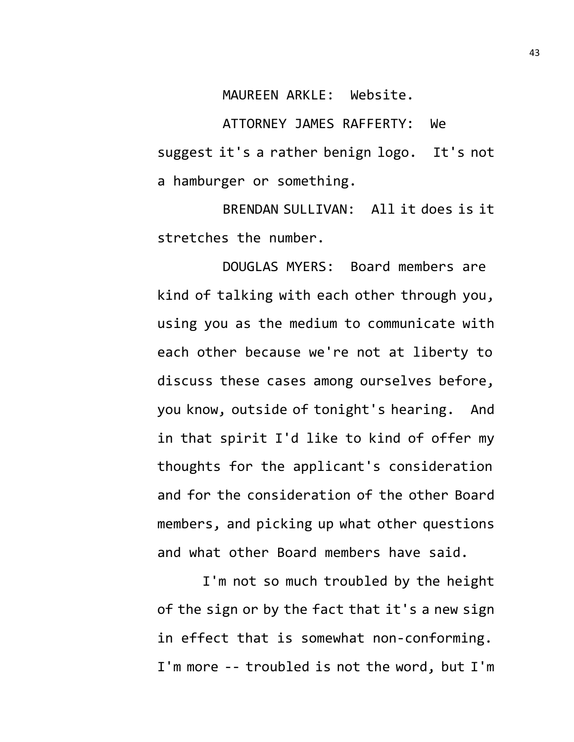MAUREEN ARKLE: Website.

ATTORNEY JAMES RAFFERTY: We suggest it's a rather benign logo. It's not a hamburger or something.

BRENDAN SULLIVAN: All it does is it stretches the number.

DOUGLAS MYERS: Board members are kind of talking with each other through you, using you as the medium to communicate with each other because we're not at liberty to discuss these cases among ourselves before, you know, outside of tonight's hearing. And in that spirit I'd like to kind of offer my thoughts for the applicant's consideration and for the consideration of the other Board members, and picking up what other questions and what other Board members have said.

I'm not so much troubled by the height of the sign or by the fact that it's a new sign in effect that is somewhat non-conforming. I'm more -- troubled is not the word, but I'm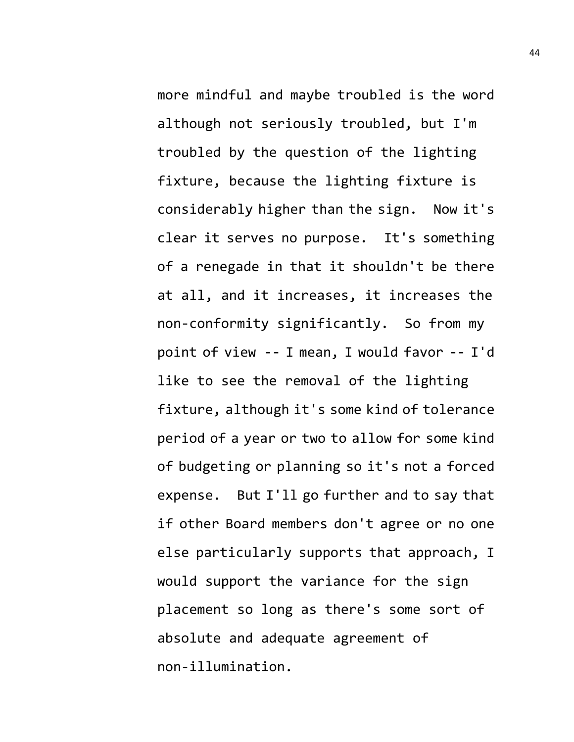more mindful and maybe troubled is the word although not seriously troubled, but I'm troubled by the question of the lighting fixture, because the lighting fixture is considerably higher than the sign. Now it's clear it serves no purpose. It's something of a renegade in that it shouldn't be there at all, and it increases, it increases the non-conformity significantly. So from my point of view -- I mean, I would favor -- I'd like to see the removal of the lighting fixture, although it's some kind of tolerance period of a year or two to allow for some kind of budgeting or planning so it's not a forced expense. But I'll go further and to say that if other Board members don't agree or no one else particularly supports that approach, I would support the variance for the sign placement so long as there's some sort of absolute and adequate agreement of non-illumination.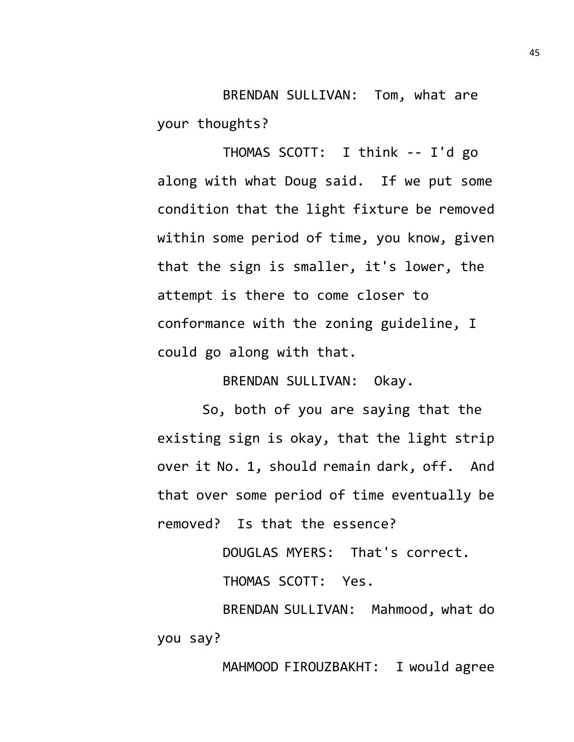BRENDAN SULLIVAN: Tom, what are your thoughts?

THOMAS SCOTT: I think -- I'd go along with what Doug said. If we put some condition that the light fixture be removed within some period of time, you know, given that the sign is smaller, it's lower, the attempt is there to come closer to conformance with the zoning guideline, I could go along with that.

BRENDAN SULLIVAN: Okay.

So, both of you are saying that the existing sign is okay, that the light strip over it No. 1, should remain dark, off. And that over some period of time eventually be removed? Is that the essence?

DOUGLAS MYERS: That's correct.

THOMAS SCOTT: Yes.

BRENDAN SULLIVAN: Mahmood, what do you say?

MAHMOOD FIROUZBAKHT: I would agree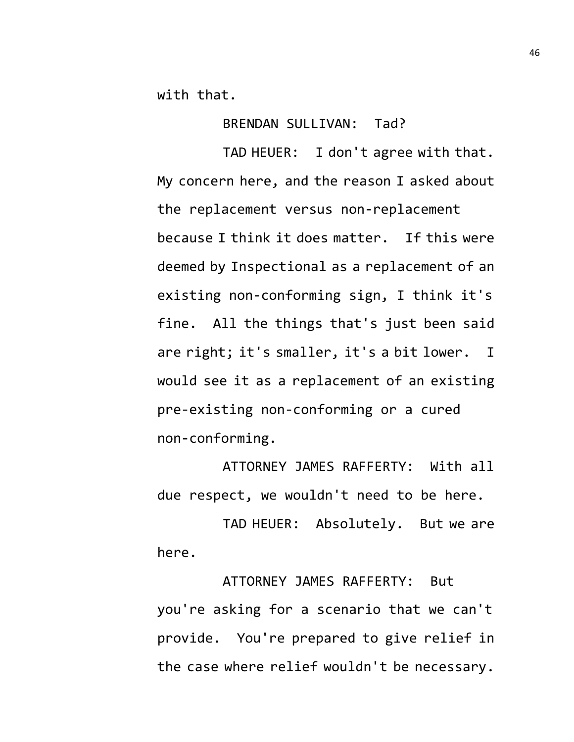with that.

BRENDAN SULLIVAN: Tad?

TAD HEUER: I don't agree with that. My concern here, and the reason I asked about the replacement versus non-replacement because I think it does matter. If this were deemed by Inspectional as a replacement of an existing non-conforming sign, I think it's fine. All the things that's just been said are right; it's smaller, it's a bit lower. I would see it as a replacement of an existing pre-existing non-conforming or a cured non-conforming.

ATTORNEY JAMES RAFFERTY: With all due respect, we wouldn't need to be here.

TAD HEUER: Absolutely. But we are here.

ATTORNEY JAMES RAFFERTY: But you're asking for a scenario that we can't provide. You're prepared to give relief in the case where relief wouldn't be necessary.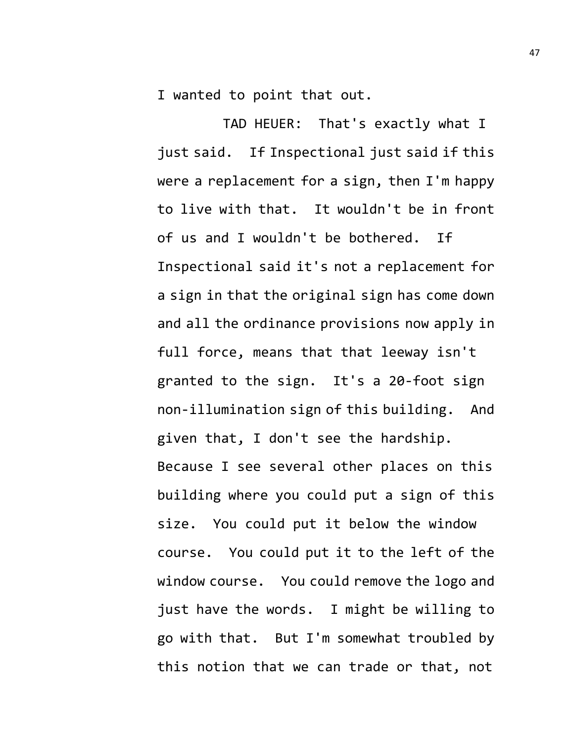I wanted to point that out.

TAD HEUER: That's exactly what I just said. If Inspectional just said if this were a replacement for a sign, then I'm happy to live with that. It wouldn't be in front of us and I wouldn't be bothered. If Inspectional said it's not a replacement for a sign in that the original sign has come down and all the ordinance provisions now apply in full force, means that that leeway isn't granted to the sign. It's a 20-foot sign non-illumination sign of this building. And given that, I don't see the hardship. Because I see several other places on this building where you could put a sign of this size. You could put it below the window course. You could put it to the left of the window course. You could remove the logo and just have the words. I might be willing to go with that. But I'm somewhat troubled by this notion that we can trade or that, not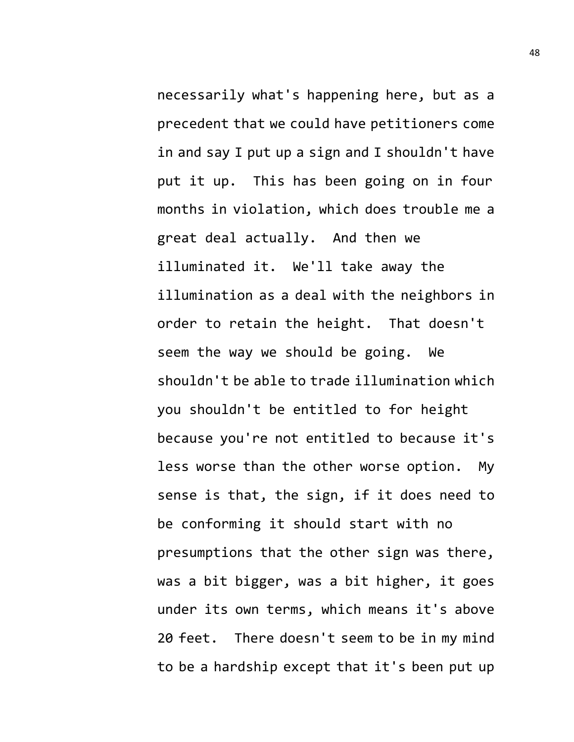necessarily what's happening here, but as a precedent that we could have petitioners come in and say I put up a sign and I shouldn't have put it up. This has been going on in four months in violation, which does trouble me a great deal actually. And then we illuminated it. We'll take away the illumination as a deal with the neighbors in order to retain the height. That doesn't seem the way we should be going. We shouldn't be able to trade illumination which you shouldn't be entitled to for height because you're not entitled to because it's less worse than the other worse option. My sense is that, the sign, if it does need to be conforming it should start with no presumptions that the other sign was there, was a bit bigger, was a bit higher, it goes under its own terms, which means it's above 20 feet. There doesn't seem to be in my mind to be a hardship except that it's been put up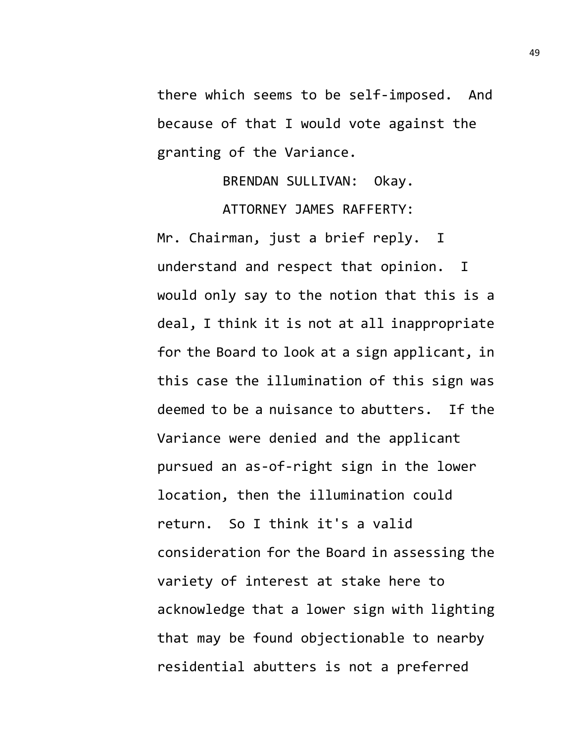there which seems to be self-imposed. And because of that I would vote against the granting of the Variance.

> BRENDAN SULLIVAN: Okay. ATTORNEY JAMES RAFFERTY:

Mr. Chairman, just a brief reply. I understand and respect that opinion. I would only say to the notion that this is a deal, I think it is not at all inappropriate for the Board to look at a sign applicant, in this case the illumination of this sign was deemed to be a nuisance to abutters. If the Variance were denied and the applicant pursued an as-of-right sign in the lower location, then the illumination could return. So I think it's a valid consideration for the Board in assessing the variety of interest at stake here to acknowledge that a lower sign with lighting that may be found objectionable to nearby residential abutters is not a preferred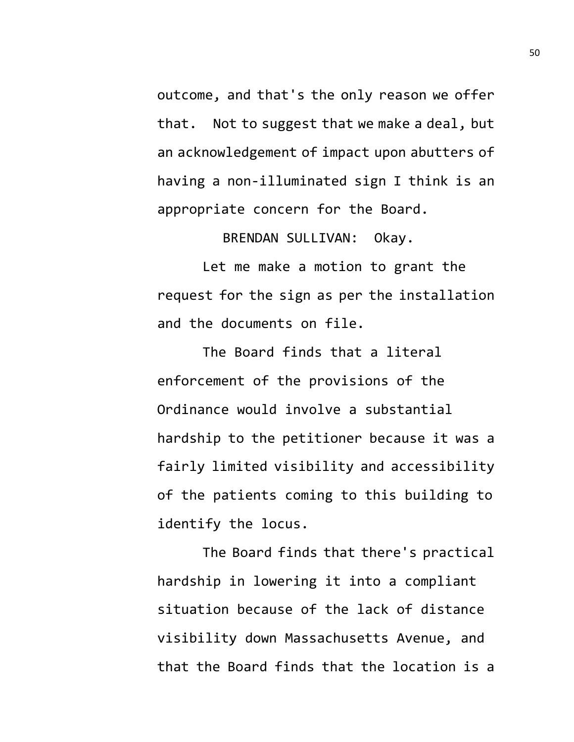outcome, and that's the only reason we offer that. Not to suggest that we make a deal, but an acknowledgement of impact upon abutters of having a non-illuminated sign I think is an appropriate concern for the Board.

BRENDAN SULLIVAN: Okay.

Let me make a motion to grant the request for the sign as per the installation and the documents on file.

The Board finds that a literal enforcement of the provisions of the Ordinance would involve a substantial hardship to the petitioner because it was a fairly limited visibility and accessibility of the patients coming to this building to identify the locus.

The Board finds that there's practical hardship in lowering it into a compliant situation because of the lack of distance visibility down Massachusetts Avenue, and that the Board finds that the location is a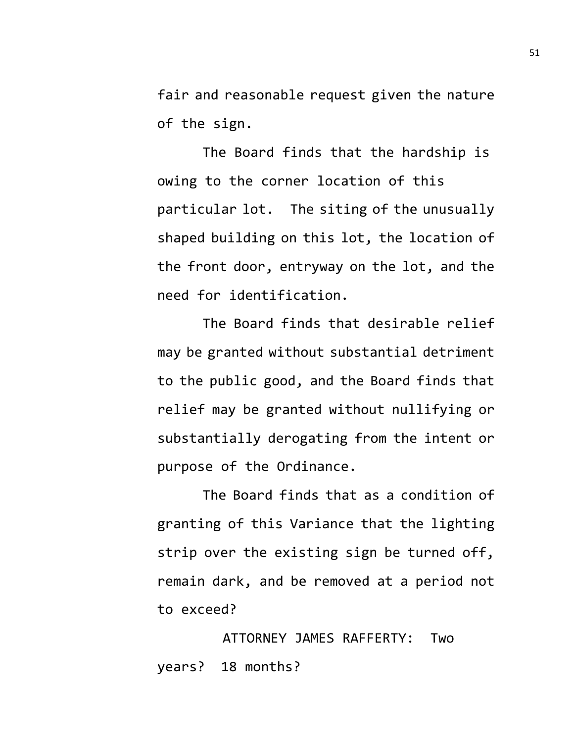fair and reasonable request given the nature of the sign.

The Board finds that the hardship is owing to the corner location of this particular lot. The siting of the unusually shaped building on this lot, the location of the front door, entryway on the lot, and the need for identification.

The Board finds that desirable relief may be granted without substantial detriment to the public good, and the Board finds that relief may be granted without nullifying or substantially derogating from the intent or purpose of the Ordinance.

The Board finds that as a condition of granting of this Variance that the lighting strip over the existing sign be turned off, remain dark, and be removed at a period not to exceed?

ATTORNEY JAMES RAFFERTY: Two years? 18 months?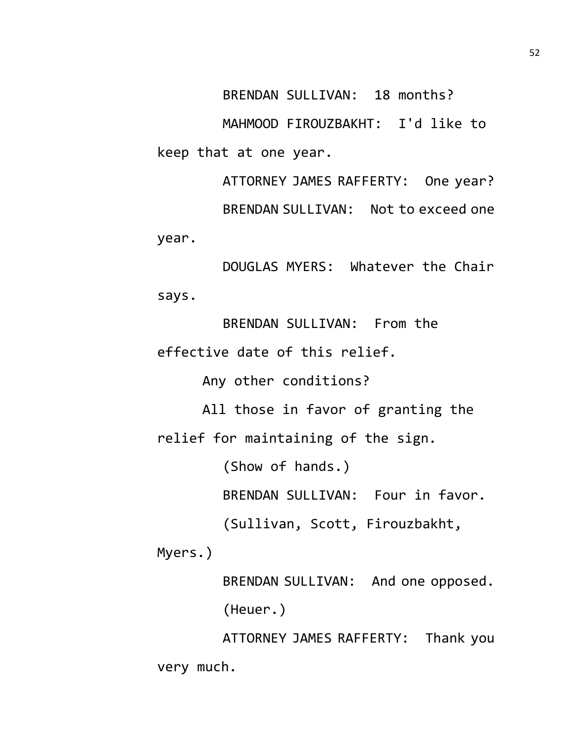BRENDAN SULLIVAN: 18 months?

MAHMOOD FIROUZBAKHT: I'd like to keep that at one year.

ATTORNEY JAMES RAFFERTY: One year? BRENDAN SULLIVAN: Not to exceed one year.

DOUGLAS MYERS: Whatever the Chair says.

BRENDAN SULLIVAN: From the effective date of this relief.

Any other conditions?

All those in favor of granting the relief for maintaining of the sign.

(Show of hands.)

BRENDAN SULLIVAN: Four in favor.

(Sullivan, Scott, Firouzbakht,

Myers.)

BRENDAN SULLIVAN: And one opposed. (Heuer.)

ATTORNEY JAMES RAFFERTY: Thank you very much.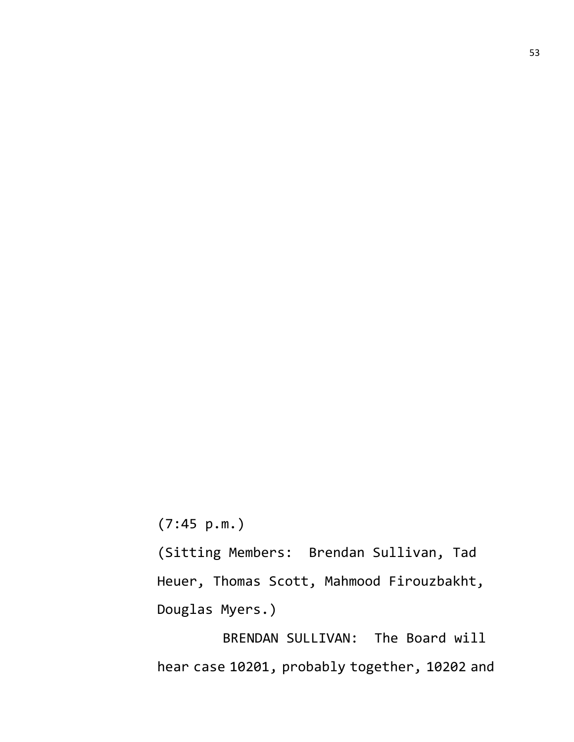(7:45 p.m.)

(Sitting Members: Brendan Sullivan, Tad Heuer, Thomas Scott, Mahmood Firouzbakht, Douglas Myers.)

BRENDAN SULLIVAN: The Board will hear case 10201, probably together, 10202 and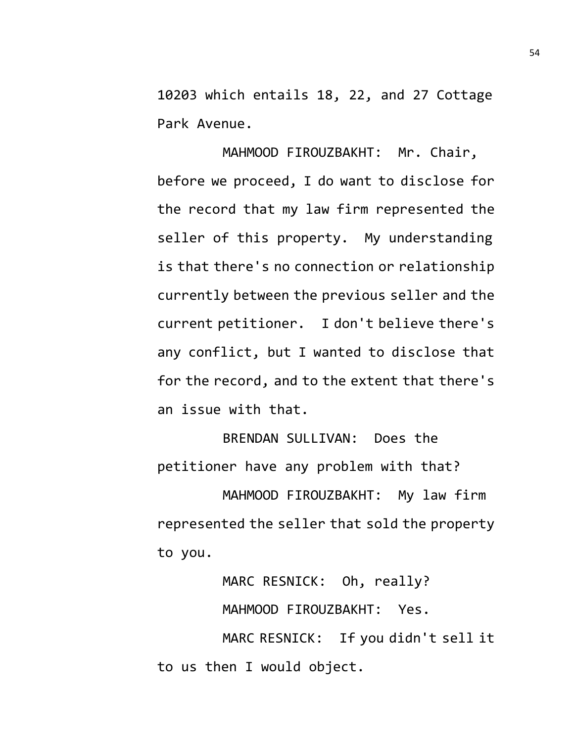10203 which entails 18, 22, and 27 Cottage Park Avenue.

MAHMOOD FIROUZBAKHT: Mr. Chair, before we proceed, I do want to disclose for the record that my law firm represented the seller of this property. My understanding is that there's no connection or relationship currently between the previous seller and the current petitioner. I don't believe there's any conflict, but I wanted to disclose that for the record, and to the extent that there's an issue with that.

BRENDAN SULLIVAN: Does the petitioner have any problem with that? MAHMOOD FIROUZBAKHT: My law firm

represented the seller that sold the property to you.

> MARC RESNICK: Oh, really? MAHMOOD FIROUZBAKHT: Yes.

MARC RESNICK: If you didn't sell it to us then I would object.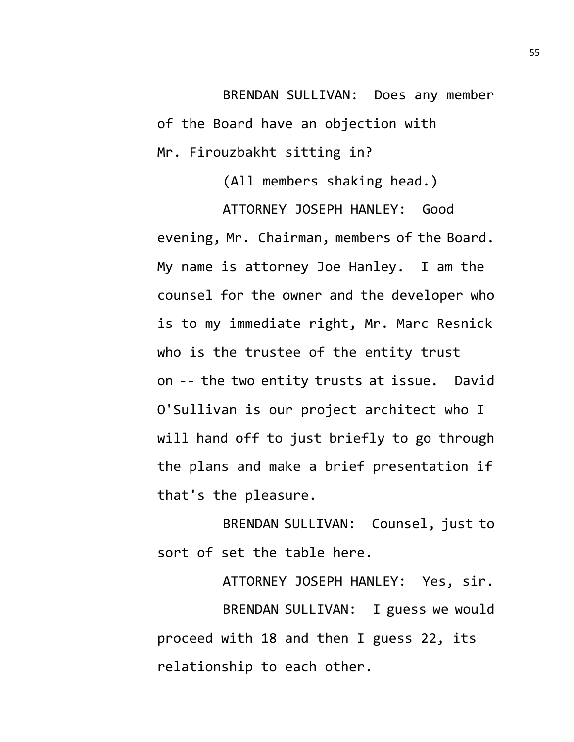BRENDAN SULLIVAN: Does any member of the Board have an objection with Mr. Firouzbakht sitting in?

(All members shaking head.)

ATTORNEY JOSEPH HANLEY: Good evening, Mr. Chairman, members of the Board. My name is attorney Joe Hanley. I am the counsel for the owner and the developer who is to my immediate right, Mr. Marc Resnick who is the trustee of the entity trust on -- the two entity trusts at issue. David O'Sullivan is our project architect who I will hand off to just briefly to go through the plans and make a brief presentation if that's the pleasure.

BRENDAN SULLIVAN: Counsel, just to sort of set the table here.

ATTORNEY JOSEPH HANLEY: Yes, sir. BRENDAN SULLIVAN: I guess we would proceed with 18 and then I guess 22, its relationship to each other.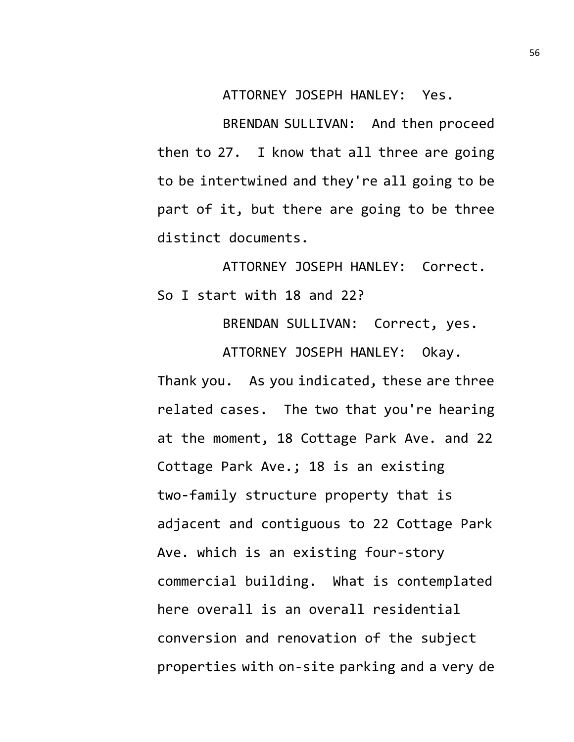ATTORNEY JOSEPH HANLEY: Yes.

BRENDAN SULLIVAN: And then proceed then to 27. I know that all three are going to be intertwined and they're all going to be part of it, but there are going to be three distinct documents.

ATTORNEY JOSEPH HANLEY: Correct. So I start with 18 and 22?

BRENDAN SULLIVAN: Correct, yes.

ATTORNEY JOSEPH HANLEY: Okay. Thank you. As you indicated, these are three related cases. The two that you're hearing at the moment, 18 Cottage Park Ave. and 22 Cottage Park Ave.; 18 is an existing two-family structure property that is adjacent and contiguous to 22 Cottage Park Ave. which is an existing four-story commercial building. What is contemplated here overall is an overall residential conversion and renovation of the subject properties with on-site parking and a very de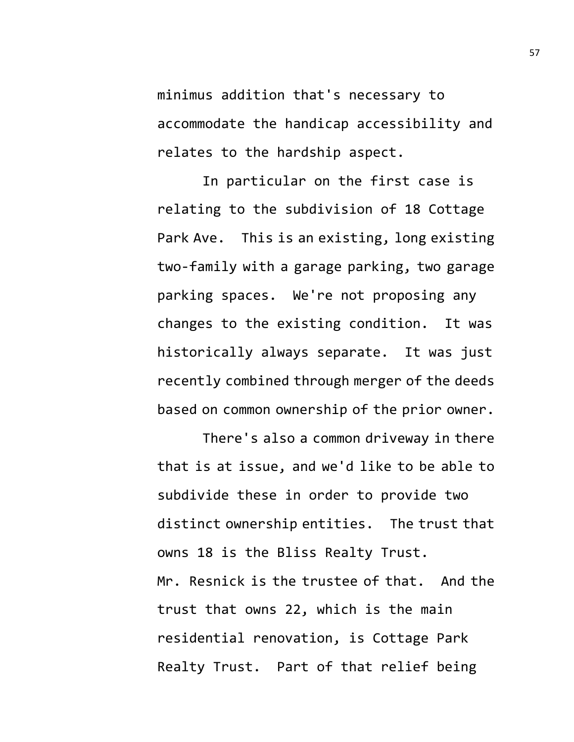minimus addition that's necessary to accommodate the handicap accessibility and relates to the hardship aspect.

In particular on the first case is relating to the subdivision of 18 Cottage Park Ave. This is an existing, long existing two-family with a garage parking, two garage parking spaces. We're not proposing any changes to the existing condition. It was historically always separate. It was just recently combined through merger of the deeds based on common ownership of the prior owner.

There's also a common driveway in there that is at issue, and we'd like to be able to subdivide these in order to provide two distinct ownership entities. The trust that owns 18 is the Bliss Realty Trust. Mr. Resnick is the trustee of that. And the trust that owns 22, which is the main residential renovation, is Cottage Park Realty Trust. Part of that relief being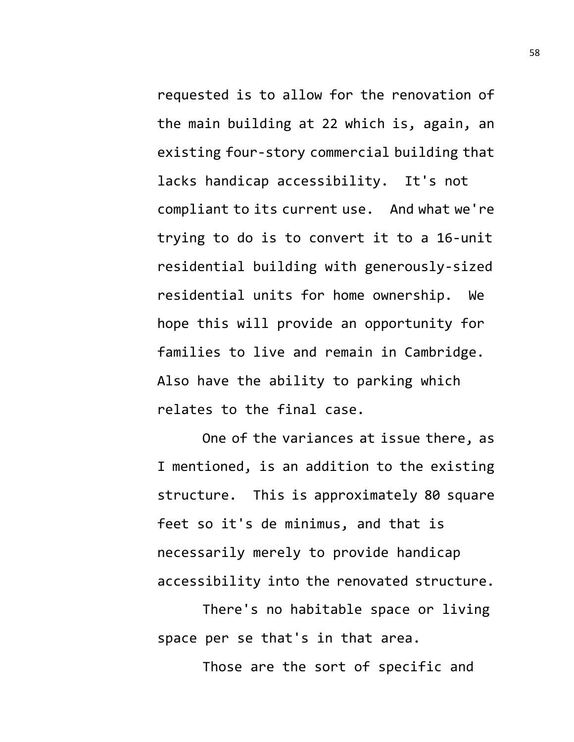requested is to allow for the renovation of the main building at 22 which is, again, an existing four-story commercial building that lacks handicap accessibility. It's not compliant to its current use. And what we're trying to do is to convert it to a 16-unit residential building with generously-sized residential units for home ownership. We hope this will provide an opportunity for families to live and remain in Cambridge. Also have the ability to parking which relates to the final case.

One of the variances at issue there, as I mentioned, is an addition to the existing structure. This is approximately 80 square feet so it's de minimus, and that is necessarily merely to provide handicap accessibility into the renovated structure.

There's no habitable space or living space per se that's in that area.

Those are the sort of specific and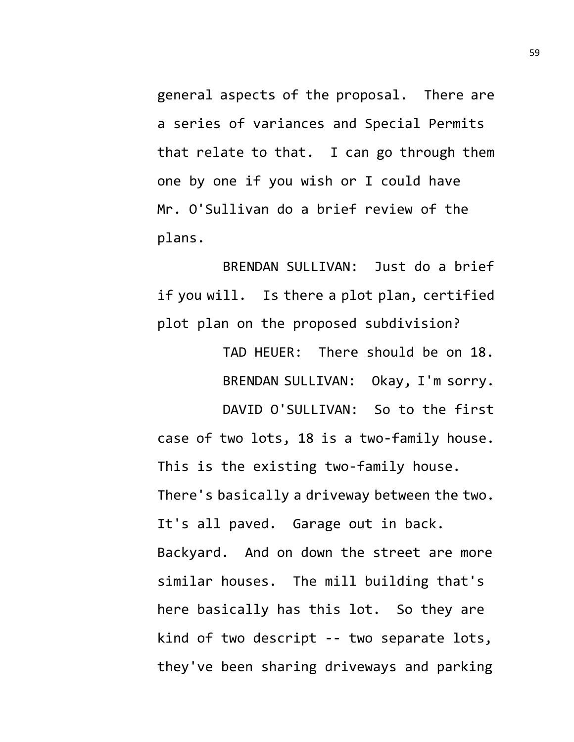general aspects of the proposal. There are a series of variances and Special Permits that relate to that. I can go through them one by one if you wish or I could have Mr. O'Sullivan do a brief review of the plans.

BRENDAN SULLIVAN: Just do a brief if you will. Is there a plot plan, certified plot plan on the proposed subdivision?

> TAD HEUER: There should be on 18. BRENDAN SULLIVAN: Okay, I'm sorry.

DAVID O'SULLIVAN: So to the first case of two lots, 18 is a two-family house. This is the existing two-family house. There's basically a driveway between the two. It's all paved. Garage out in back. Backyard. And on down the street are more similar houses. The mill building that's here basically has this lot. So they are kind of two descript -- two separate lots, they've been sharing driveways and parking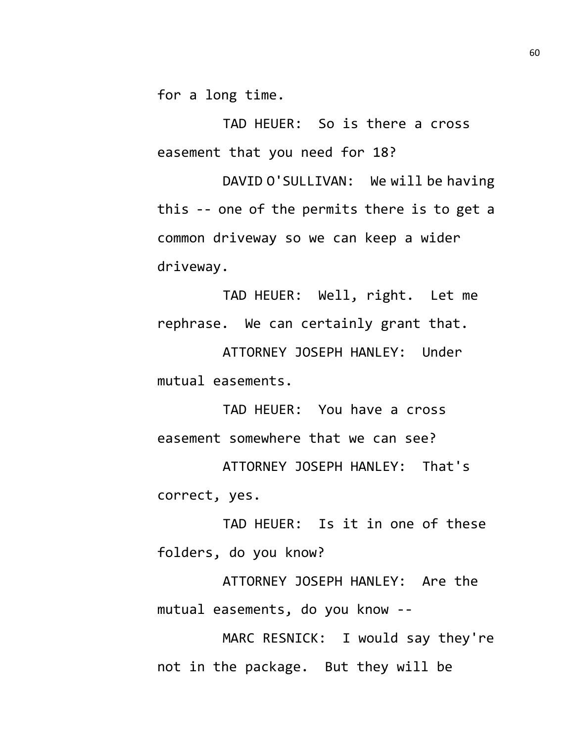for a long time.

TAD HEUER: So is there a cross easement that you need for 18?

DAVID O'SULLIVAN: We will be having this -- one of the permits there is to get a common driveway so we can keep a wider driveway.

TAD HEUER: Well, right. Let me rephrase. We can certainly grant that.

ATTORNEY JOSEPH HANLEY: Under mutual easements.

TAD HEUER: You have a cross easement somewhere that we can see?

ATTORNEY JOSEPH HANLEY: That's correct, yes.

TAD HEUER: Is it in one of these folders, do you know?

ATTORNEY JOSEPH HANLEY: Are the mutual easements, do you know --

MARC RESNICK: I would say they're not in the package. But they will be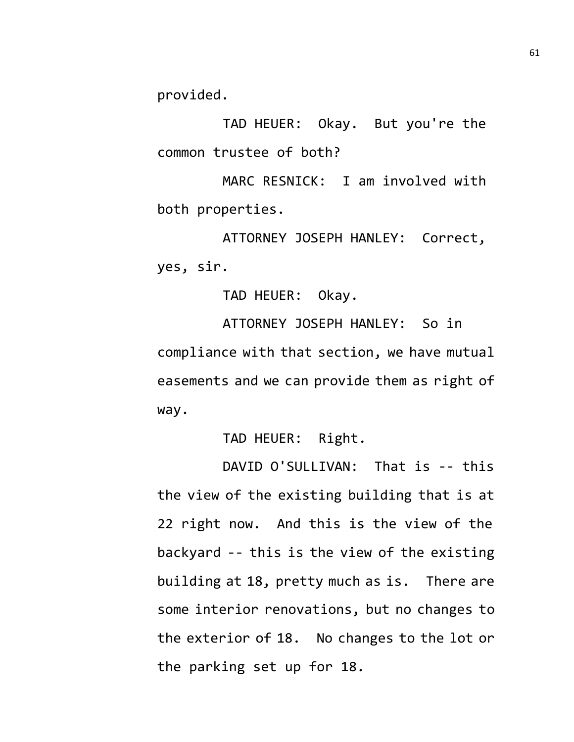provided.

TAD HEUER: Okay. But you're the common trustee of both?

MARC RESNICK: I am involved with both properties.

ATTORNEY JOSEPH HANLEY: Correct, yes, sir.

TAD HEUER: Okay.

ATTORNEY JOSEPH HANLEY: So in compliance with that section, we have mutual easements and we can provide them as right of way.

TAD HEUER: Right.

DAVID O'SULLIVAN: That is -- this the view of the existing building that is at 22 right now. And this is the view of the backyard -- this is the view of the existing building at 18, pretty much as is. There are some interior renovations, but no changes to the exterior of 18. No changes to the lot or the parking set up for 18.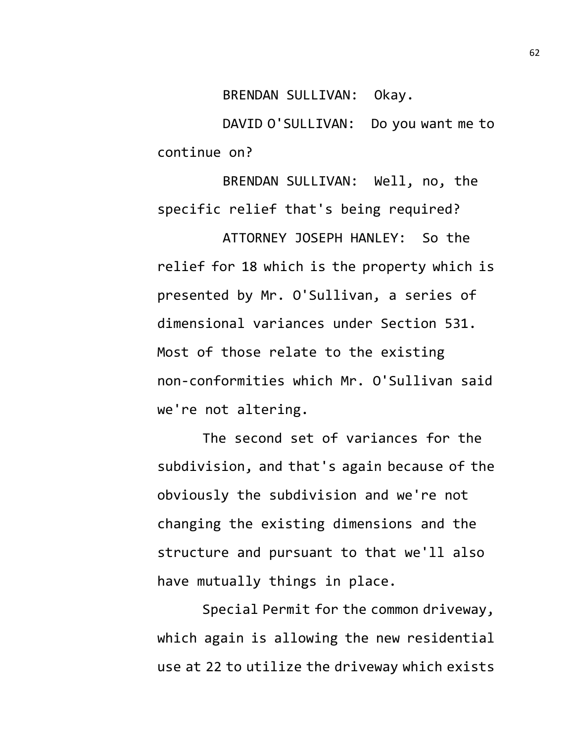BRENDAN SULLIVAN: Okay.

DAVID O'SULLIVAN: Do you want me to continue on?

BRENDAN SULLIVAN: Well, no, the specific relief that's being required? ATTORNEY JOSEPH HANLEY: So the relief for 18 which is the property which is presented by Mr. O'Sullivan, a series of dimensional variances under Section 531. Most of those relate to the existing non-conformities which Mr. O'Sullivan said we're not altering.

The second set of variances for the subdivision, and that's again because of the obviously the subdivision and we're not changing the existing dimensions and the structure and pursuant to that we'll also have mutually things in place.

Special Permit for the common driveway, which again is allowing the new residential use at 22 to utilize the driveway which exists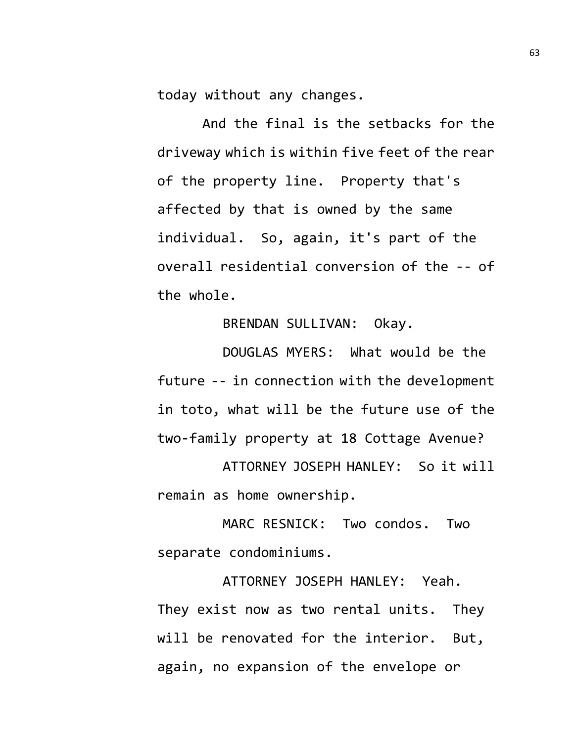today without any changes.

And the final is the setbacks for the driveway which is within five feet of the rear of the property line. Property that's affected by that is owned by the same individual. So, again, it's part of the overall residential conversion of the -- of the whole.

## BRENDAN SULLIVAN: Okay.

DOUGLAS MYERS: What would be the future -- in connection with the development in toto, what will be the future use of the two-family property at 18 Cottage Avenue?

ATTORNEY JOSEPH HANLEY: So it will remain as home ownership.

MARC RESNICK: Two condos. Two separate condominiums.

ATTORNEY JOSEPH HANLEY: Yeah. They exist now as two rental units. They will be renovated for the interior. But, again, no expansion of the envelope or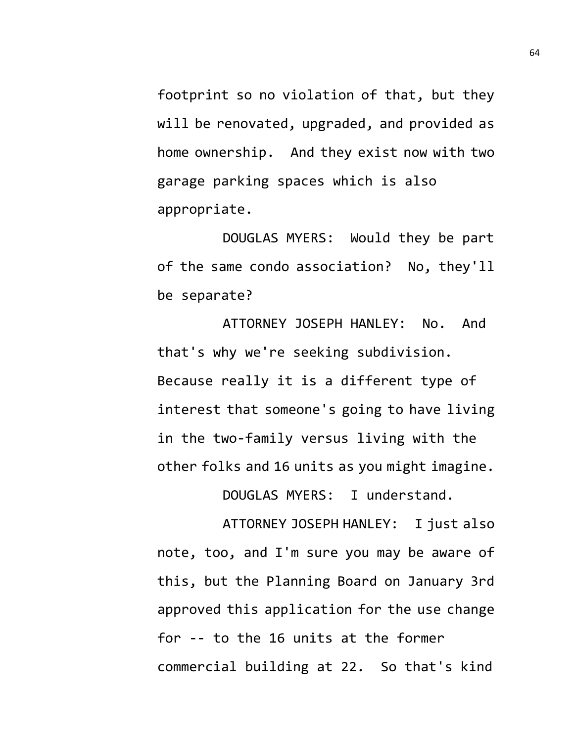footprint so no violation of that, but they will be renovated, upgraded, and provided as home ownership. And they exist now with two garage parking spaces which is also appropriate.

DOUGLAS MYERS: Would they be part of the same condo association? No, they'll be separate?

ATTORNEY JOSEPH HANLEY: No. And that's why we're seeking subdivision. Because really it is a different type of interest that someone's going to have living in the two-family versus living with the other folks and 16 units as you might imagine.

DOUGLAS MYERS: I understand.

ATTORNEY JOSEPH HANLEY: I just also note, too, and I'm sure you may be aware of this, but the Planning Board on January 3rd approved this application for the use change for -- to the 16 units at the former commercial building at 22. So that's kind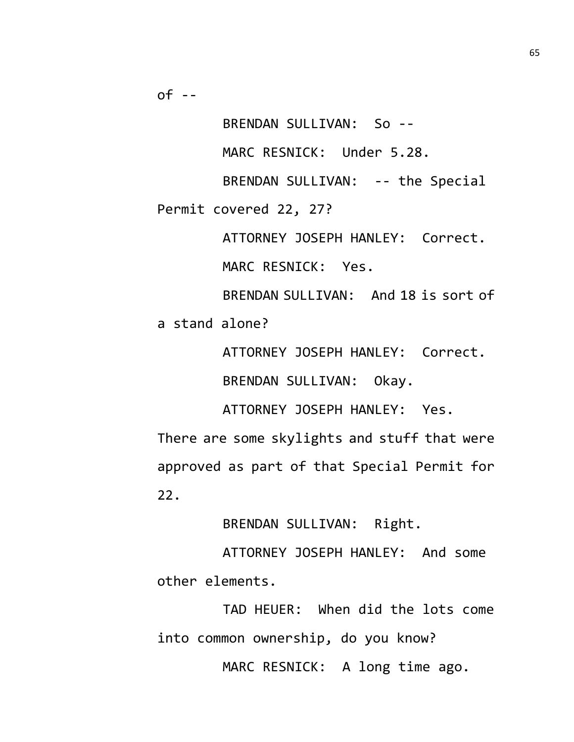BRENDAN SULLIVAN: So --

MARC RESNICK: Under 5.28.

BRENDAN SULLIVAN: -- the Special Permit covered 22, 27?

ATTORNEY JOSEPH HANLEY: Correct.

MARC RESNICK: Yes.

BRENDAN SULLIVAN: And 18 is sort of a stand alone?

ATTORNEY JOSEPH HANLEY: Correct.

BRENDAN SULLIVAN: Okay.

ATTORNEY JOSEPH HANLEY: Yes.

There are some skylights and stuff that were approved as part of that Special Permit for 22.

BRENDAN SULLIVAN: Right.

ATTORNEY JOSEPH HANLEY: And some other elements.

TAD HEUER: When did the lots come into common ownership, do you know?

MARC RESNICK: A long time ago.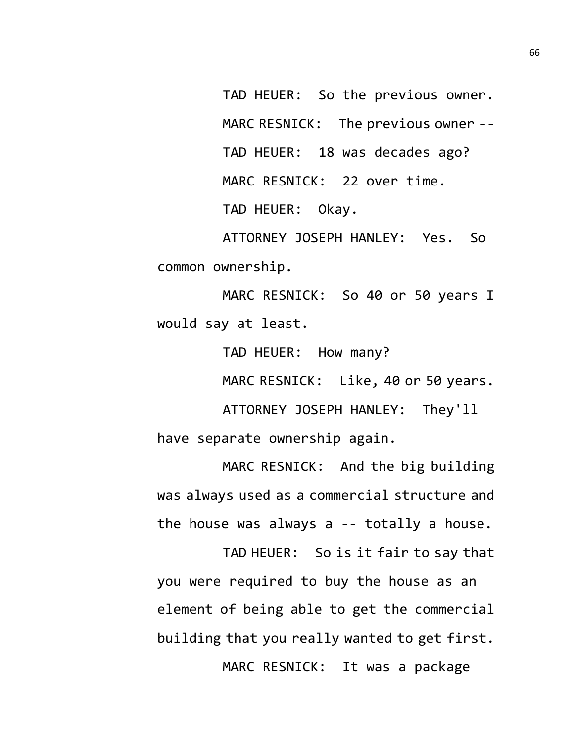TAD HEUER: So the previous owner. MARC RESNICK: The previous owner -- TAD HEUER: 18 was decades ago? MARC RESNICK: 22 over time. TAD HEUER: Okay.

ATTORNEY JOSEPH HANLEY: Yes. So common ownership.

MARC RESNICK: So 40 or 50 years I would say at least.

TAD HEUER: How many?

MARC RESNICK: Like, 40 or 50 years.

ATTORNEY JOSEPH HANLEY: They'll have separate ownership again.

MARC RESNICK: And the big building was always used as a commercial structure and the house was always a -- totally a house.

TAD HEUER: So is it fair to say that you were required to buy the house as an element of being able to get the commercial building that you really wanted to get first. MARC RESNICK: It was a package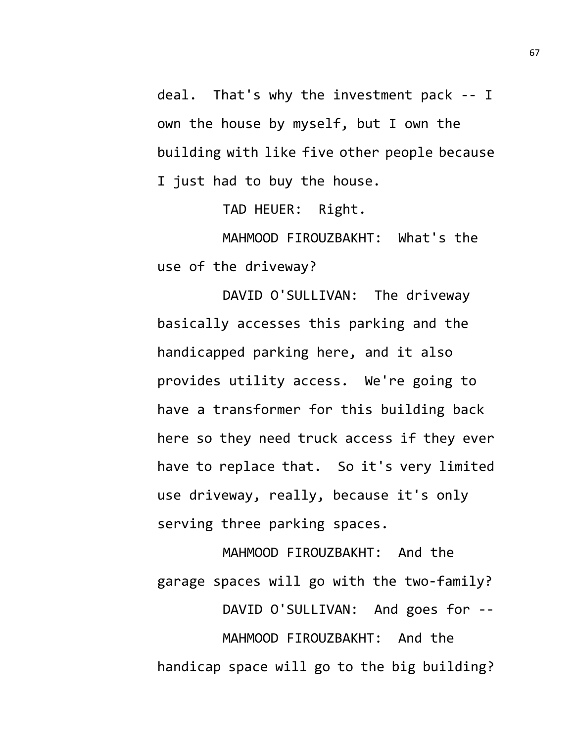deal. That's why the investment pack -- I own the house by myself, but I own the building with like five other people because I just had to buy the house.

TAD HEUER: Right.

MAHMOOD FIROUZBAKHT: What's the use of the driveway?

DAVID O'SULLIVAN: The driveway basically accesses this parking and the handicapped parking here, and it also provides utility access. We're going to have a transformer for this building back here so they need truck access if they ever have to replace that. So it's very limited use driveway, really, because it's only serving three parking spaces.

MAHMOOD FIROUZBAKHT: And the garage spaces will go with the two-family? DAVID O'SULLIVAN: And goes for -- MAHMOOD FIROUZBAKHT: And the handicap space will go to the big building?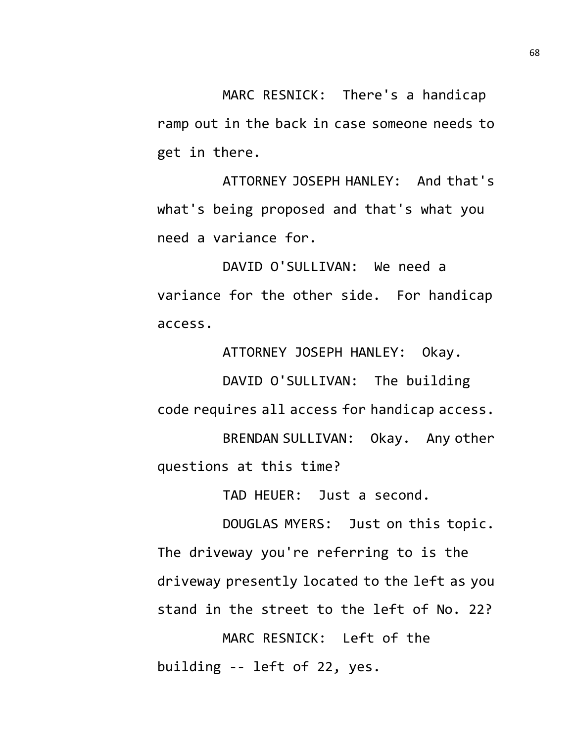MARC RESNICK: There's a handicap ramp out in the back in case someone needs to get in there.

ATTORNEY JOSEPH HANLEY: And that's what's being proposed and that's what you need a variance for.

DAVID O'SULLIVAN: We need a variance for the other side. For handicap access.

ATTORNEY JOSEPH HANLEY: Okay. DAVID O'SULLIVAN: The building code requires all access for handicap access. BRENDAN SULLIVAN: Okay. Any other questions at this time?

TAD HEUER: Just a second.

DOUGLAS MYERS: Just on this topic. The driveway you're referring to is the driveway presently located to the left as you stand in the street to the left of No. 22?

MARC RESNICK: Left of the building -- left of 22, yes.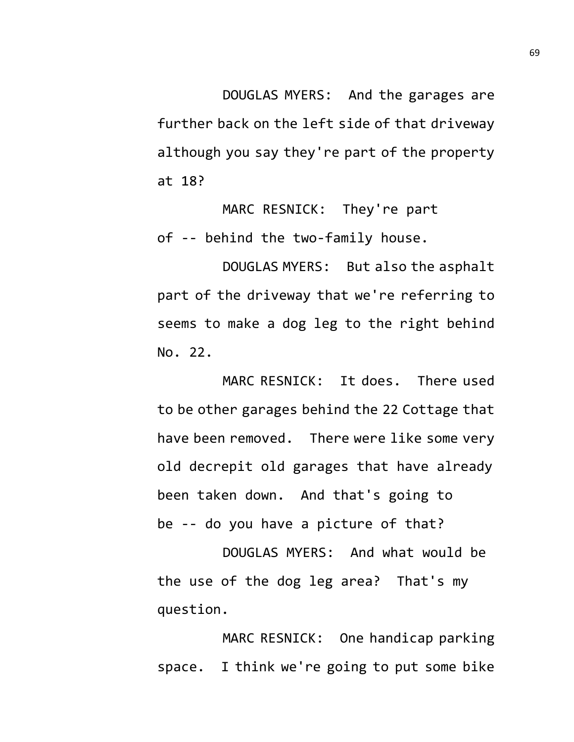DOUGLAS MYERS: And the garages are further back on the left side of that driveway although you say they're part of the property at 18?

MARC RESNICK: They're part of -- behind the two-family house.

DOUGLAS MYERS: But also the asphalt part of the driveway that we're referring to seems to make a dog leg to the right behind No. 22.

MARC RESNICK: It does. There used to be other garages behind the 22 Cottage that have been removed. There were like some very old decrepit old garages that have already been taken down. And that's going to be -- do you have a picture of that?

DOUGLAS MYERS: And what would be the use of the dog leg area? That's my question.

MARC RESNICK: One handicap parking space. I think we're going to put some bike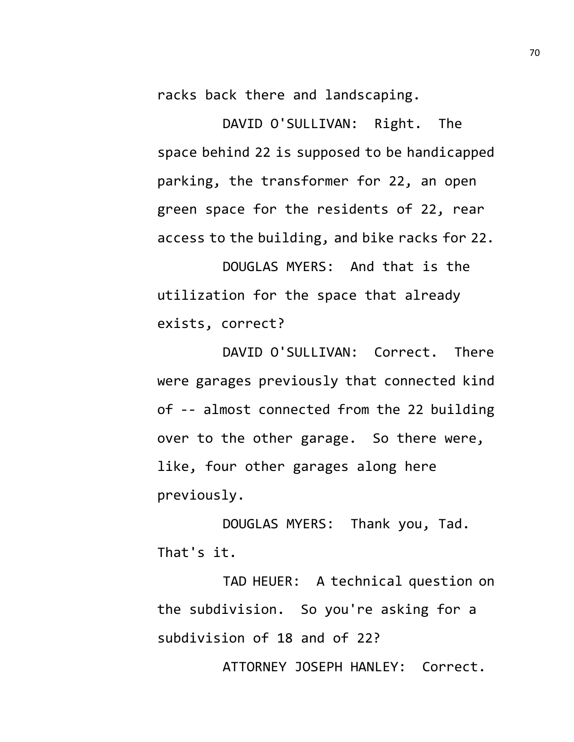racks back there and landscaping.

DAVID O'SULLIVAN: Right. The space behind 22 is supposed to be handicapped parking, the transformer for 22, an open green space for the residents of 22, rear access to the building, and bike racks for 22.

DOUGLAS MYERS: And that is the utilization for the space that already exists, correct?

DAVID O'SULLIVAN: Correct. There were garages previously that connected kind of -- almost connected from the 22 building over to the other garage. So there were, like, four other garages along here previously.

DOUGLAS MYERS: Thank you, Tad. That's it.

TAD HEUER: A technical question on the subdivision. So you're asking for a subdivision of 18 and of 22?

ATTORNEY JOSEPH HANLEY: Correct.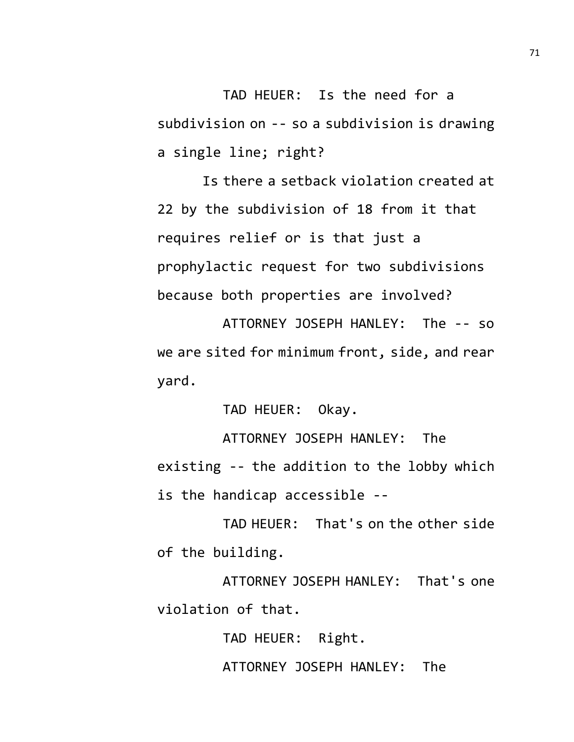TAD HEUER: Is the need for a subdivision on -- so a subdivision is drawing a single line; right?

Is there a setback violation created at 22 by the subdivision of 18 from it that requires relief or is that just a prophylactic request for two subdivisions because both properties are involved?

ATTORNEY JOSEPH HANLEY: The -- so we are sited for minimum front, side, and rear yard.

TAD HEUER: Okay.

ATTORNEY JOSEPH HANLEY: The existing -- the addition to the lobby which is the handicap accessible --

TAD HEUER: That's on the other side of the building.

ATTORNEY JOSEPH HANLEY: That's one violation of that.

TAD HEUER: Right.

ATTORNEY JOSEPH HANLEY: The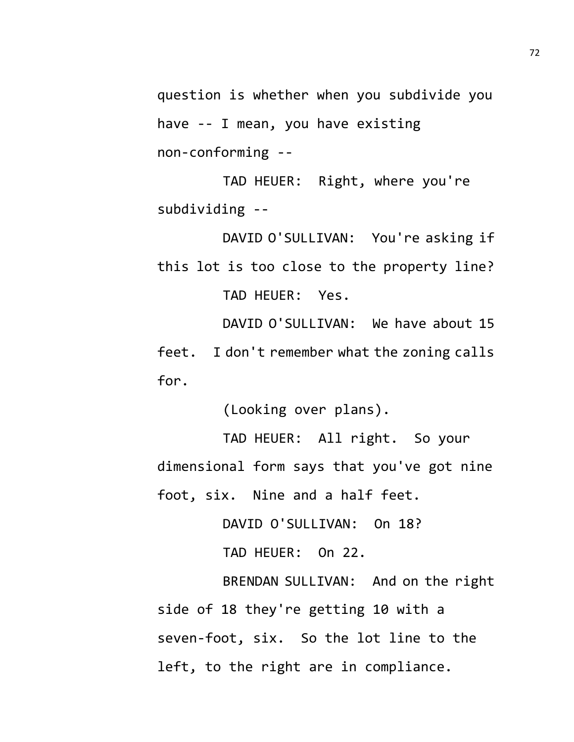question is whether when you subdivide you have -- I mean, you have existing non-conforming --

TAD HEUER: Right, where you're subdividing --

DAVID O'SULLIVAN: You're asking if this lot is too close to the property line? TAD HEUER: Yes.

DAVID O'SULLIVAN: We have about 15

feet. I don't remember what the zoning calls for.

(Looking over plans).

TAD HEUER: All right. So your dimensional form says that you've got nine foot, six. Nine and a half feet.

DAVID O'SULLIVAN: On 18?

TAD HEUER: On 22.

BRENDAN SULLIVAN: And on the right side of 18 they're getting 10 with a seven-foot, six. So the lot line to the left, to the right are in compliance.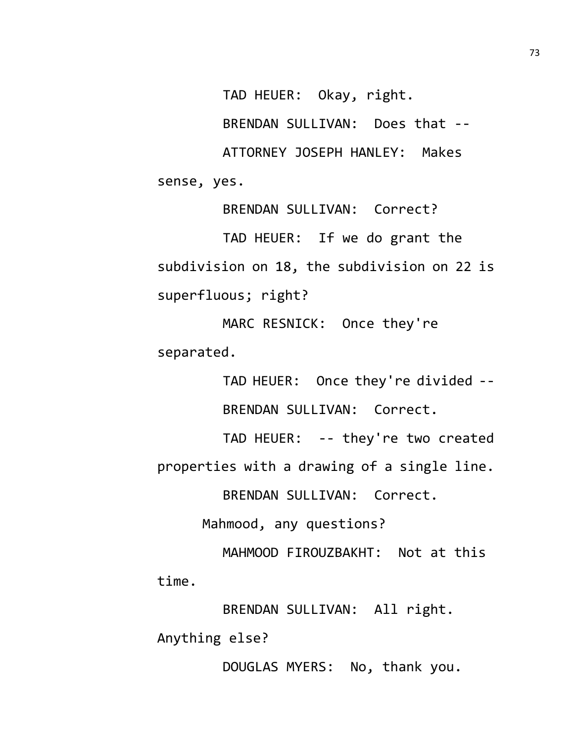TAD HEUER: Okay, right.

BRENDAN SULLIVAN: Does that --

ATTORNEY JOSEPH HANLEY: Makes sense, yes.

BRENDAN SULLIVAN: Correct? TAD HEUER: If we do grant the subdivision on 18, the subdivision on 22 is superfluous; right?

MARC RESNICK: Once they're separated.

> TAD HEUER: Once they're divided -- BRENDAN SULLIVAN: Correct.

TAD HEUER: -- they're two created properties with a drawing of a single line.

BRENDAN SULLIVAN: Correct.

Mahmood, any questions?

MAHMOOD FIROUZBAKHT: Not at this time.

BRENDAN SULLIVAN: All right.

Anything else?

DOUGLAS MYERS: No, thank you.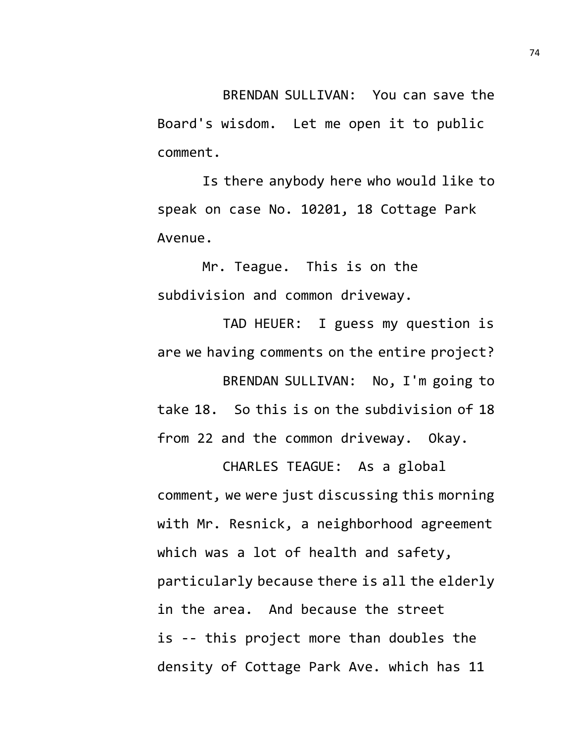BRENDAN SULLIVAN: You can save the Board's wisdom. Let me open it to public comment.

Is there anybody here who would like to speak on case No. 10201, 18 Cottage Park Avenue.

Mr. Teague. This is on the subdivision and common driveway.

TAD HEUER: I guess my question is are we having comments on the entire project? BRENDAN SULLIVAN: No, I'm going to take 18. So this is on the subdivision of 18 from 22 and the common driveway. Okay.

CHARLES TEAGUE: As a global comment, we were just discussing this morning with Mr. Resnick, a neighborhood agreement which was a lot of health and safety, particularly because there is all the elderly in the area. And because the street is -- this project more than doubles the density of Cottage Park Ave. which has 11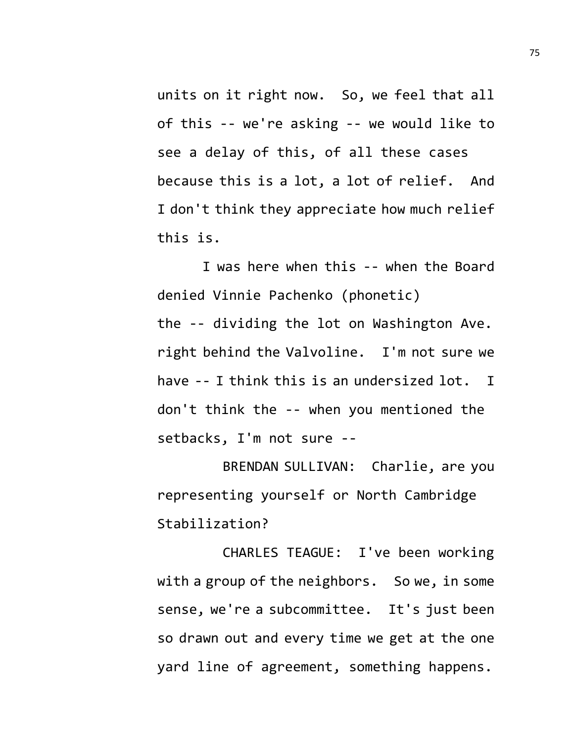units on it right now. So, we feel that all of this -- we're asking -- we would like to see a delay of this, of all these cases because this is a lot, a lot of relief. And I don't think they appreciate how much relief this is.

I was here when this -- when the Board denied Vinnie Pachenko (phonetic) the -- dividing the lot on Washington Ave. right behind the Valvoline. I'm not sure we have -- I think this is an undersized lot. I don't think the -- when you mentioned the setbacks, I'm not sure --

BRENDAN SULLIVAN: Charlie, are you representing yourself or North Cambridge Stabilization?

CHARLES TEAGUE: I've been working with a group of the neighbors. So we, in some sense, we're a subcommittee. It's just been so drawn out and every time we get at the one yard line of agreement, something happens.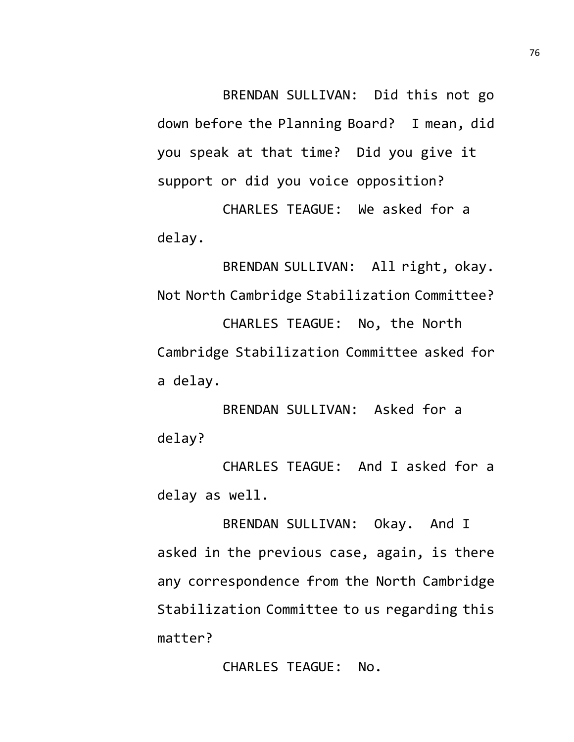BRENDAN SULLIVAN: Did this not go down before the Planning Board? I mean, did you speak at that time? Did you give it support or did you voice opposition?

CHARLES TEAGUE: We asked for a delay.

BRENDAN SULLIVAN: All right, okay. Not North Cambridge Stabilization Committee? CHARLES TEAGUE: No, the North Cambridge Stabilization Committee asked for a delay.

BRENDAN SULLIVAN: Asked for a delay?

CHARLES TEAGUE: And I asked for a delay as well.

BRENDAN SULLIVAN: Okay. And I asked in the previous case, again, is there any correspondence from the North Cambridge Stabilization Committee to us regarding this matter?

CHARLES TEAGUE: No.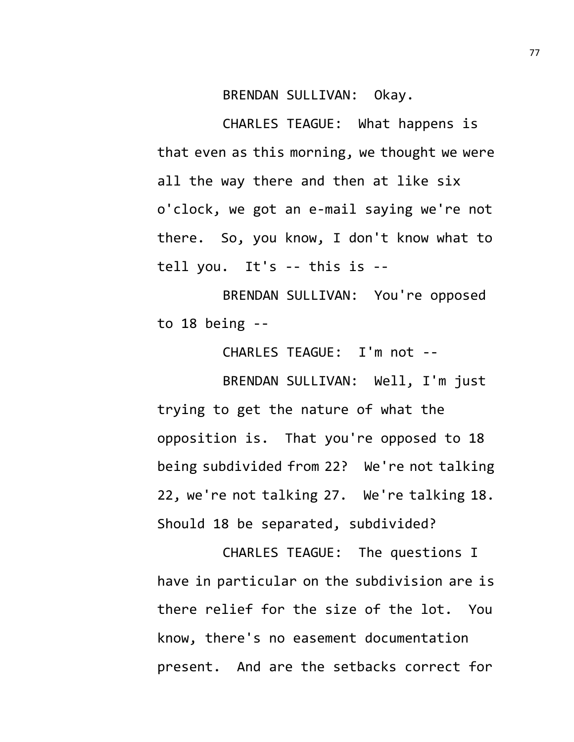BRENDAN SULLIVAN: Okay.

CHARLES TEAGUE: What happens is that even as this morning, we thought we were all the way there and then at like six o'clock, we got an e-mail saying we're not there. So, you know, I don't know what to tell you. It's -- this is --

BRENDAN SULLIVAN: You're opposed to 18 being --

CHARLES TEAGUE: I'm not --

BRENDAN SULLIVAN: Well, I'm just trying to get the nature of what the opposition is. That you're opposed to 18 being subdivided from 22? We're not talking 22, we're not talking 27. We're talking 18. Should 18 be separated, subdivided?

CHARLES TEAGUE: The questions I have in particular on the subdivision are is there relief for the size of the lot. You know, there's no easement documentation present. And are the setbacks correct for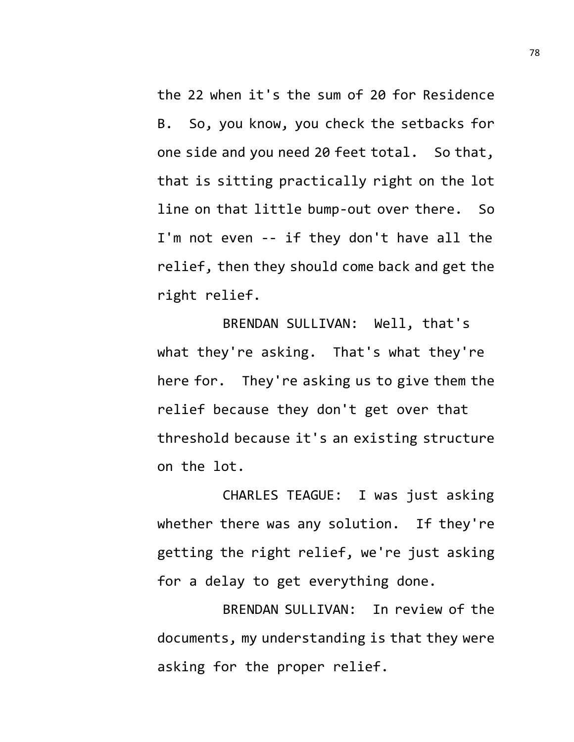the 22 when it's the sum of 20 for Residence B. So, you know, you check the setbacks for one side and you need 20 feet total. So that, that is sitting practically right on the lot line on that little bump-out over there. So I'm not even -- if they don't have all the relief, then they should come back and get the right relief.

BRENDAN SULLIVAN: Well, that's what they're asking. That's what they're here for. They're asking us to give them the relief because they don't get over that threshold because it's an existing structure on the lot.

CHARLES TEAGUE: I was just asking whether there was any solution. If they're getting the right relief, we're just asking for a delay to get everything done.

BRENDAN SULLIVAN: In review of the documents, my understanding is that they were asking for the proper relief.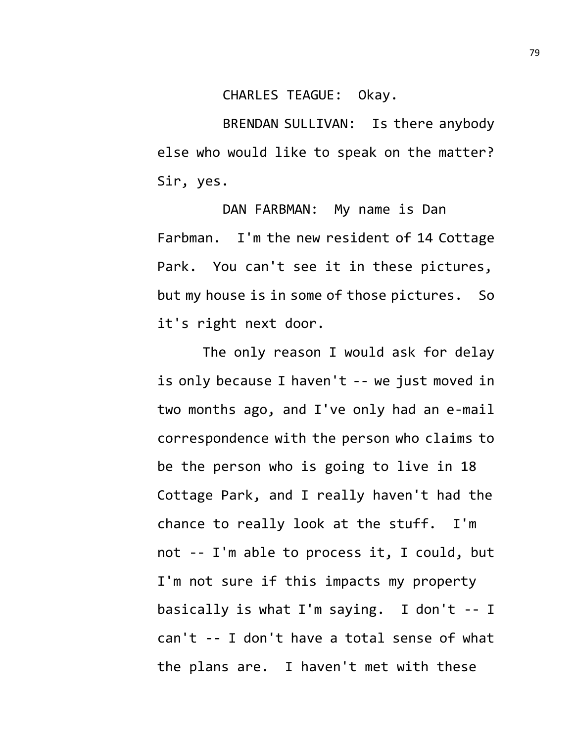CHARLES TEAGUE: Okay.

BRENDAN SULLIVAN: Is there anybody else who would like to speak on the matter? Sir, yes.

DAN FARBMAN: My name is Dan Farbman. I'm the new resident of 14 Cottage Park. You can't see it in these pictures, but my house is in some of those pictures. So it's right next door.

The only reason I would ask for delay is only because I haven't -- we just moved in two months ago, and I've only had an e-mail correspondence with the person who claims to be the person who is going to live in 18 Cottage Park, and I really haven't had the chance to really look at the stuff. I'm not -- I'm able to process it, I could, but I'm not sure if this impacts my property basically is what I'm saying. I don't -- I can't -- I don't have a total sense of what the plans are. I haven't met with these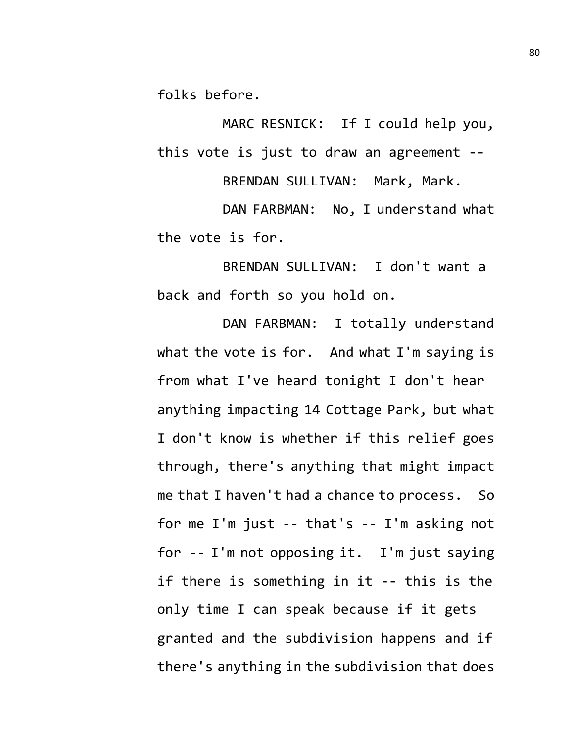folks before.

MARC RESNICK: If I could help you, this vote is just to draw an agreement --

BRENDAN SULLIVAN: Mark, Mark.

DAN FARBMAN: No, I understand what the vote is for.

BRENDAN SULLIVAN: I don't want a back and forth so you hold on.

DAN FARBMAN: I totally understand what the vote is for. And what I'm saying is from what I've heard tonight I don't hear anything impacting 14 Cottage Park, but what I don't know is whether if this relief goes through, there's anything that might impact me that I haven't had a chance to process. So for me I'm just -- that's -- I'm asking not for -- I'm not opposing it. I'm just saying if there is something in it -- this is the only time I can speak because if it gets granted and the subdivision happens and if there's anything in the subdivision that does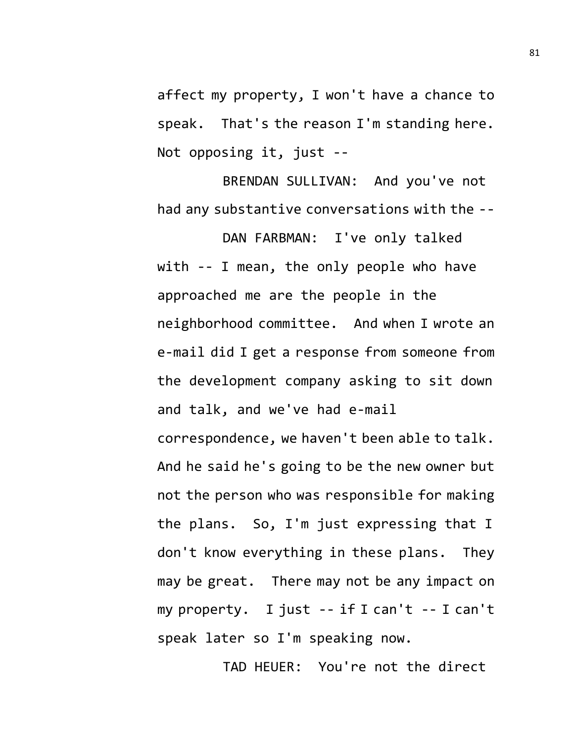affect my property, I won't have a chance to speak. That's the reason I'm standing here. Not opposing it, just --

BRENDAN SULLIVAN: And you've not had any substantive conversations with the --

DAN FARBMAN: I've only talked with -- I mean, the only people who have approached me are the people in the neighborhood committee. And when I wrote an e-mail did I get a response from someone from the development company asking to sit down and talk, and we've had e-mail

correspondence, we haven't been able to talk. And he said he's going to be the new owner but not the person who was responsible for making the plans. So, I'm just expressing that I don't know everything in these plans. They may be great. There may not be any impact on my property. I just -- if I can't -- I can't speak later so I'm speaking now.

TAD HEUER: You're not the direct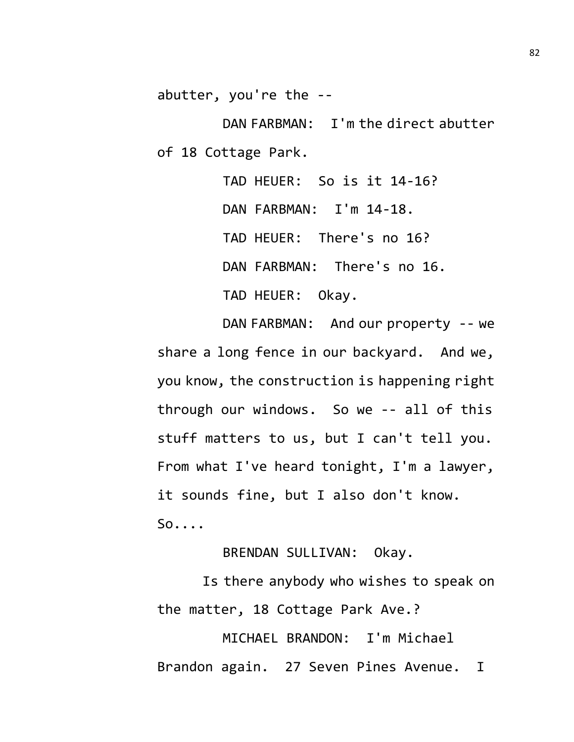abutter, you're the --

DAN FARBMAN: I'm the direct abutter of 18 Cottage Park.

> TAD HEUER: So is it 14-16? DAN FARBMAN: I'm 14-18. TAD HEUER: There's no 16? DAN FARBMAN: There's no 16. TAD HEUER: Okay.

DAN FARBMAN: And our property -- we share a long fence in our backyard. And we, you know, the construction is happening right through our windows. So we -- all of this stuff matters to us, but I can't tell you. From what I've heard tonight, I'm a lawyer, it sounds fine, but I also don't know. So....

BRENDAN SULLIVAN: Okay.

Is there anybody who wishes to speak on the matter, 18 Cottage Park Ave.?

MICHAEL BRANDON: I'm Michael Brandon again. 27 Seven Pines Avenue. I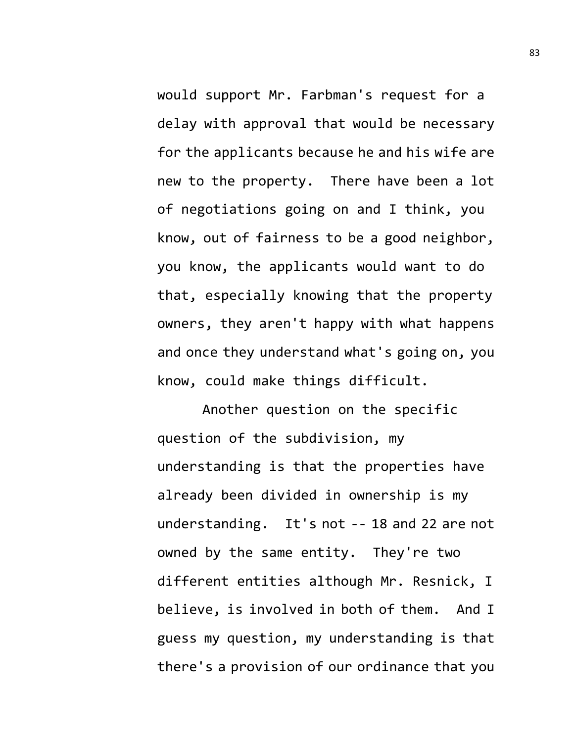would support Mr. Farbman's request for a delay with approval that would be necessary for the applicants because he and his wife are new to the property. There have been a lot of negotiations going on and I think, you know, out of fairness to be a good neighbor, you know, the applicants would want to do that, especially knowing that the property owners, they aren't happy with what happens and once they understand what's going on, you know, could make things difficult.

Another question on the specific question of the subdivision, my understanding is that the properties have already been divided in ownership is my understanding. It's not -- 18 and 22 are not owned by the same entity. They're two different entities although Mr. Resnick, I believe, is involved in both of them. And I guess my question, my understanding is that there's a provision of our ordinance that you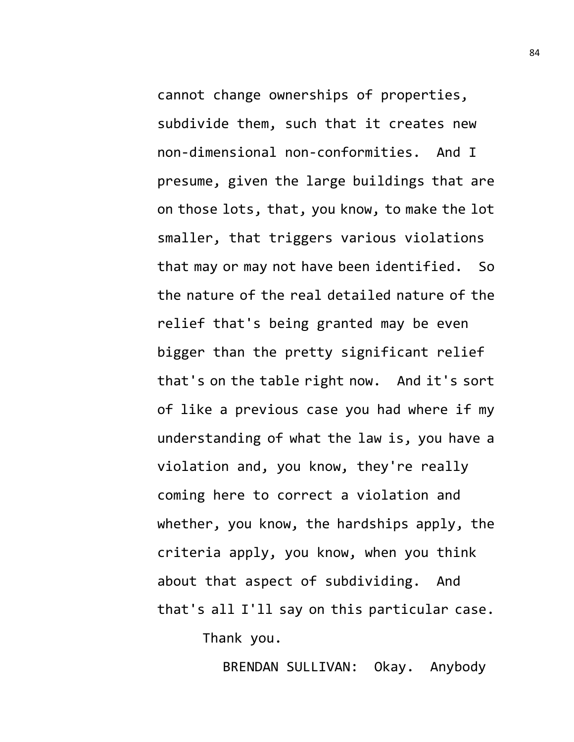cannot change ownerships of properties, subdivide them, such that it creates new non-dimensional non-conformities. And I presume, given the large buildings that are on those lots, that, you know, to make the lot smaller, that triggers various violations that may or may not have been identified. So the nature of the real detailed nature of the relief that's being granted may be even bigger than the pretty significant relief that's on the table right now. And it's sort of like a previous case you had where if my understanding of what the law is, you have a violation and, you know, they're really coming here to correct a violation and whether, you know, the hardships apply, the criteria apply, you know, when you think about that aspect of subdividing. And that's all I'll say on this particular case. Thank you.

BRENDAN SULLIVAN: Okay. Anybody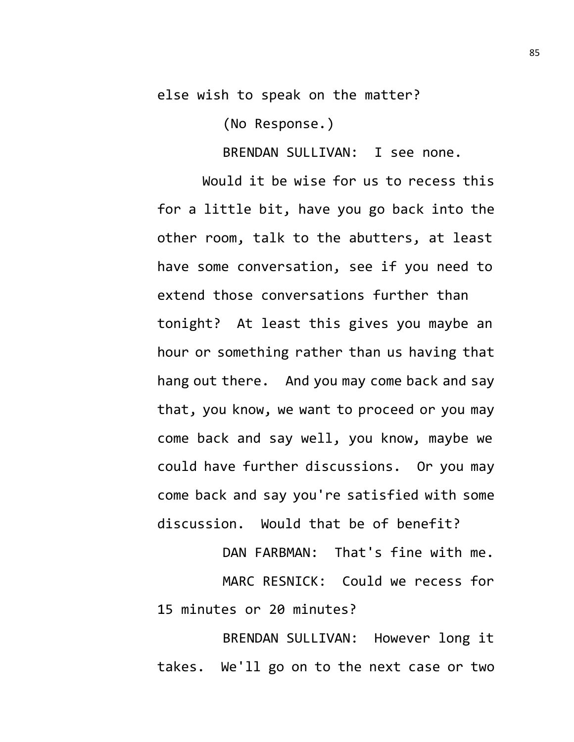else wish to speak on the matter?

(No Response.)

BRENDAN SULLIVAN: I see none.

Would it be wise for us to recess this for a little bit, have you go back into the other room, talk to the abutters, at least have some conversation, see if you need to extend those conversations further than tonight? At least this gives you maybe an hour or something rather than us having that hang out there. And you may come back and say that, you know, we want to proceed or you may come back and say well, you know, maybe we could have further discussions. Or you may come back and say you're satisfied with some discussion. Would that be of benefit?

DAN FARBMAN: That's fine with me. MARC RESNICK: Could we recess for 15 minutes or 20 minutes?

BRENDAN SULLIVAN: However long it takes. We'll go on to the next case or two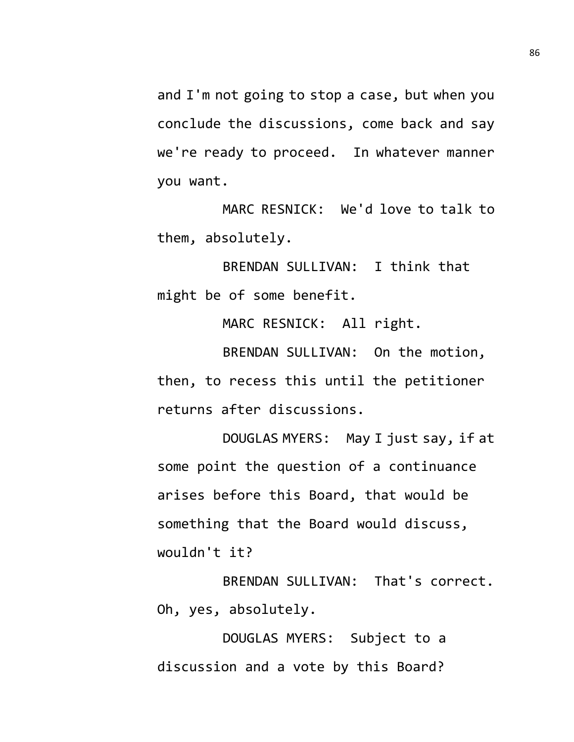and I'm not going to stop a case, but when you conclude the discussions, come back and say we're ready to proceed. In whatever manner you want.

MARC RESNICK: We'd love to talk to them, absolutely.

BRENDAN SULLIVAN: I think that might be of some benefit.

MARC RESNICK: All right.

BRENDAN SULLIVAN: On the motion, then, to recess this until the petitioner returns after discussions.

DOUGLAS MYERS: May I just say, if at some point the question of a continuance arises before this Board, that would be something that the Board would discuss, wouldn't it?

BRENDAN SULLIVAN: That's correct. Oh, yes, absolutely.

DOUGLAS MYERS: Subject to a discussion and a vote by this Board?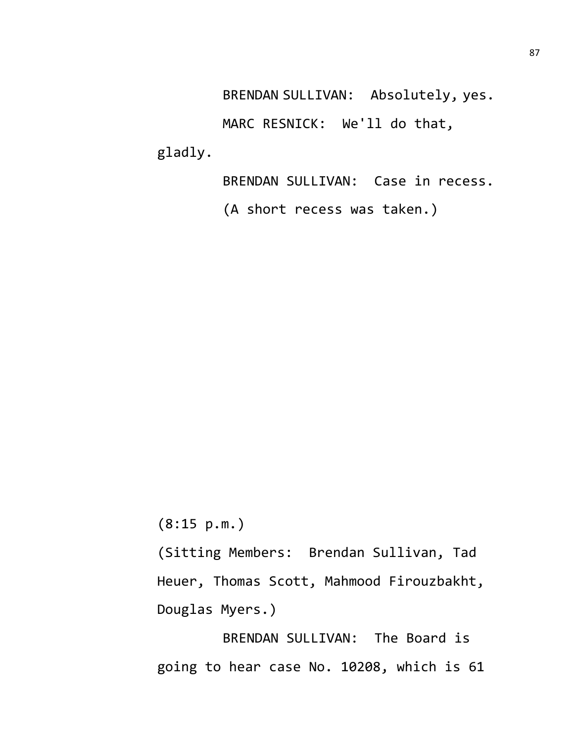BRENDAN SULLIVAN: Absolutely, yes.

MARC RESNICK: We'll do that, gladly.

BRENDAN SULLIVAN: Case in recess.

(A short recess was taken.)

(8:15 p.m.)

(Sitting Members: Brendan Sullivan, Tad Heuer, Thomas Scott, Mahmood Firouzbakht, Douglas Myers.)

BRENDAN SULLIVAN: The Board is going to hear case No. 10208, which is 61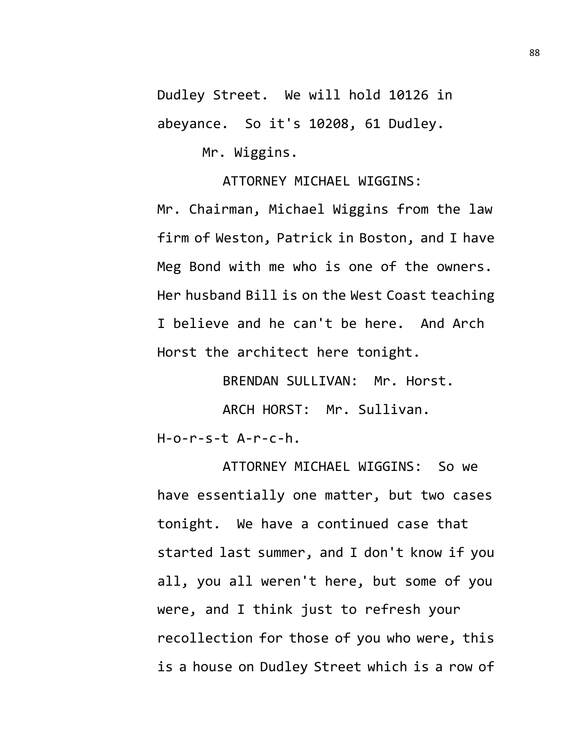Dudley Street. We will hold 10126 in abeyance. So it's 10208, 61 Dudley.

Mr. Wiggins.

ATTORNEY MICHAEL WIGGINS:

Mr. Chairman, Michael Wiggins from the law firm of Weston, Patrick in Boston, and I have Meg Bond with me who is one of the owners. Her husband Bill is on the West Coast teaching I believe and he can't be here. And Arch Horst the architect here tonight.

BRENDAN SULLIVAN: Mr. Horst.

ARCH HORST: Mr. Sullivan.

 $H$ -o-r-s-t  $A$ -r-c-h.

ATTORNEY MICHAEL WIGGINS: So we have essentially one matter, but two cases tonight. We have a continued case that started last summer, and I don't know if you all, you all weren't here, but some of you were, and I think just to refresh your recollection for those of you who were, this is a house on Dudley Street which is a row of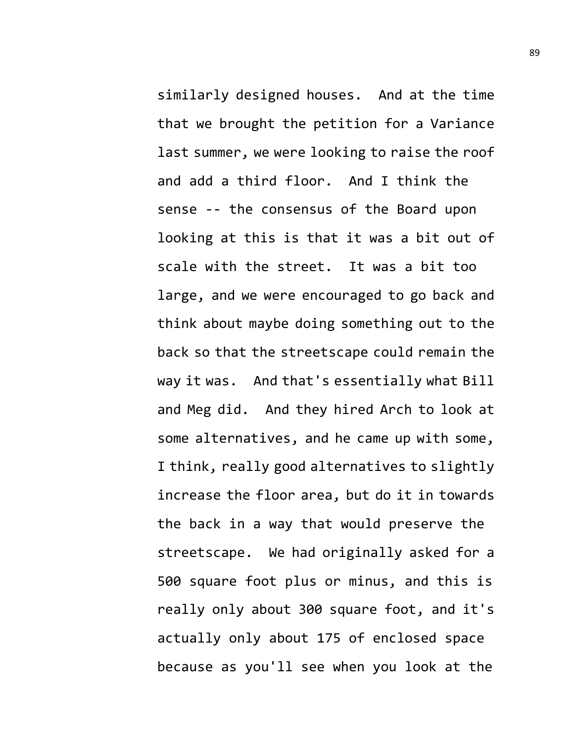similarly designed houses. And at the time that we brought the petition for a Variance last summer, we were looking to raise the roof and add a third floor. And I think the sense -- the consensus of the Board upon looking at this is that it was a bit out of scale with the street. It was a bit too large, and we were encouraged to go back and think about maybe doing something out to the back so that the streetscape could remain the way it was. And that's essentially what Bill and Meg did. And they hired Arch to look at some alternatives, and he came up with some, I think, really good alternatives to slightly increase the floor area, but do it in towards the back in a way that would preserve the streetscape. We had originally asked for a 500 square foot plus or minus, and this is really only about 300 square foot, and it's actually only about 175 of enclosed space because as you'll see when you look at the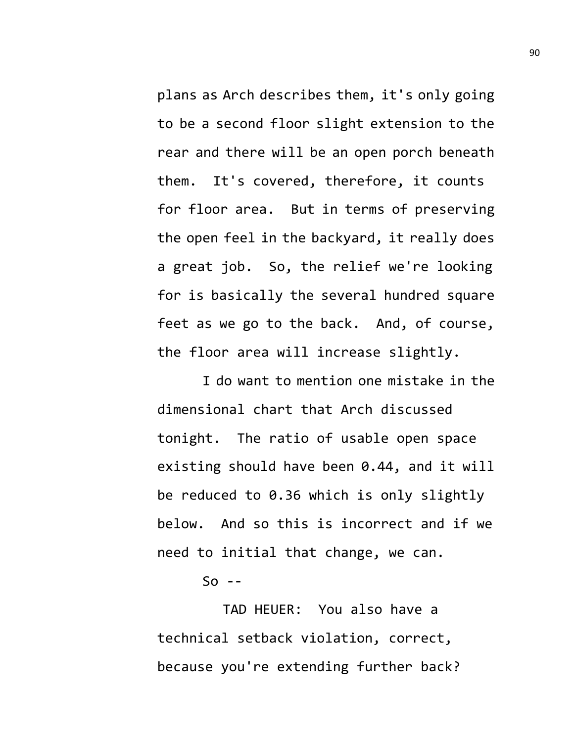plans as Arch describes them, it's only going to be a second floor slight extension to the rear and there will be an open porch beneath them. It's covered, therefore, it counts for floor area. But in terms of preserving the open feel in the backyard, it really does a great job. So, the relief we're looking for is basically the several hundred square feet as we go to the back. And, of course, the floor area will increase slightly.

I do want to mention one mistake in the dimensional chart that Arch discussed tonight. The ratio of usable open space existing should have been 0.44, and it will be reduced to 0.36 which is only slightly below. And so this is incorrect and if we need to initial that change, we can.

 $So - -$ 

TAD HEUER: You also have a technical setback violation, correct, because you're extending further back?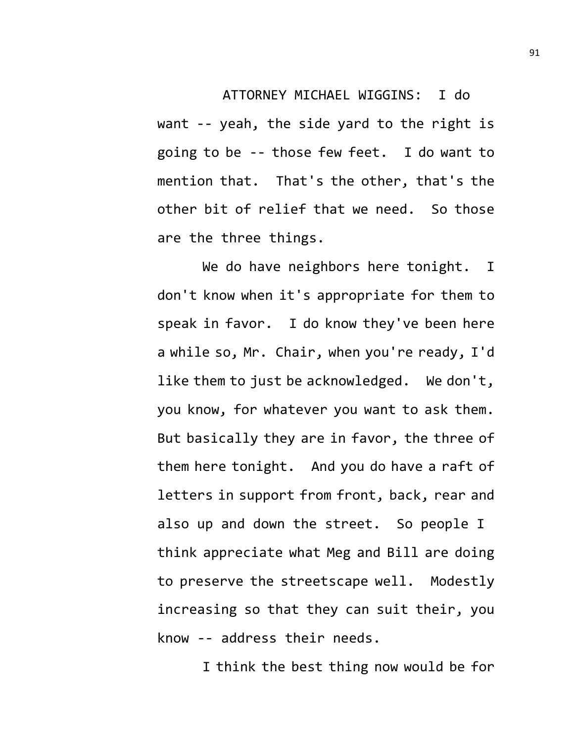## ATTORNEY MICHAEL WIGGINS: I do

want -- yeah, the side yard to the right is going to be -- those few feet. I do want to mention that. That's the other, that's the other bit of relief that we need. So those are the three things.

We do have neighbors here tonight. I don't know when it's appropriate for them to speak in favor. I do know they've been here a while so, Mr. Chair, when you're ready, I'd like them to just be acknowledged. We don't, you know, for whatever you want to ask them. But basically they are in favor, the three of them here tonight. And you do have a raft of letters in support from front, back, rear and also up and down the street. So people I think appreciate what Meg and Bill are doing to preserve the streetscape well. Modestly increasing so that they can suit their, you know -- address their needs.

I think the best thing now would be for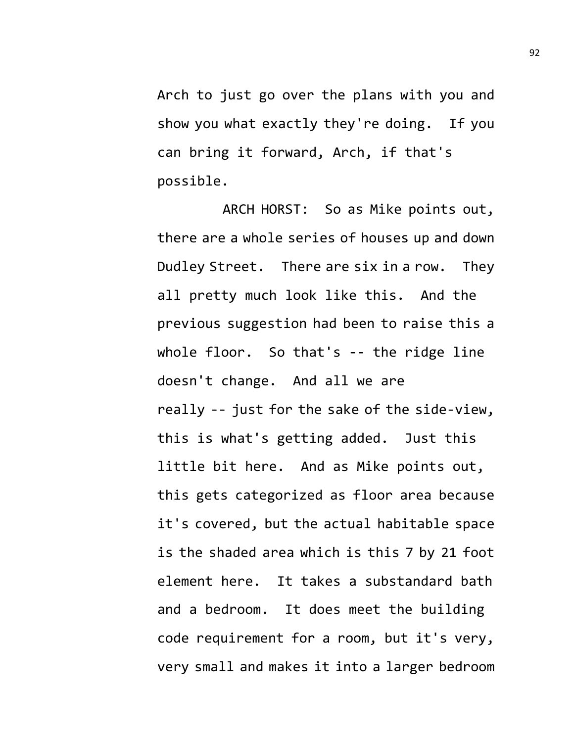Arch to just go over the plans with you and show you what exactly they're doing. If you can bring it forward, Arch, if that's possible.

ARCH HORST: So as Mike points out, there are a whole series of houses up and down Dudley Street. There are six in a row. They all pretty much look like this. And the previous suggestion had been to raise this a whole floor. So that's -- the ridge line doesn't change. And all we are really -- just for the sake of the side-view, this is what's getting added. Just this little bit here. And as Mike points out, this gets categorized as floor area because it's covered, but the actual habitable space is the shaded area which is this 7 by 21 foot element here. It takes a substandard bath and a bedroom. It does meet the building code requirement for a room, but it's very, very small and makes it into a larger bedroom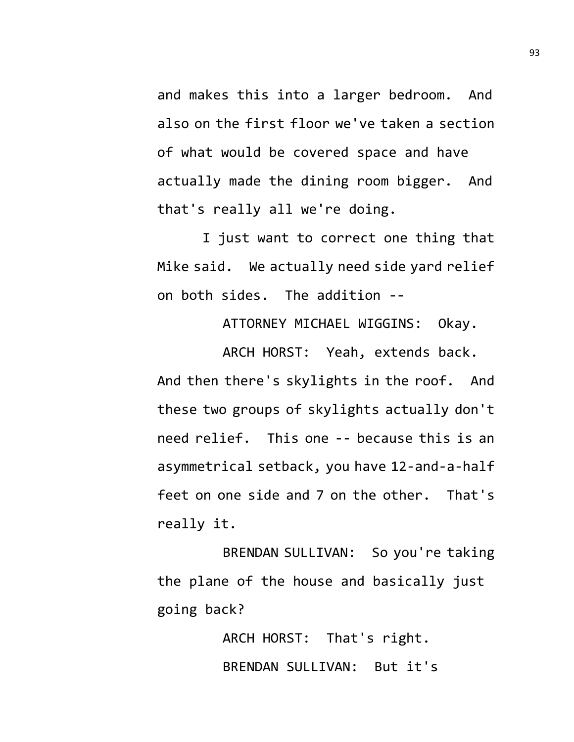and makes this into a larger bedroom. And also on the first floor we've taken a section of what would be covered space and have actually made the dining room bigger. And that's really all we're doing.

I just want to correct one thing that Mike said. We actually need side yard relief on both sides. The addition --

ATTORNEY MICHAEL WIGGINS: Okay.

ARCH HORST: Yeah, extends back. And then there's skylights in the roof. And these two groups of skylights actually don't need relief. This one -- because this is an asymmetrical setback, you have 12-and-a-half feet on one side and 7 on the other. That's really it.

BRENDAN SULLIVAN: So you're taking the plane of the house and basically just going back?

> ARCH HORST: That's right. BRENDAN SULLIVAN: But it's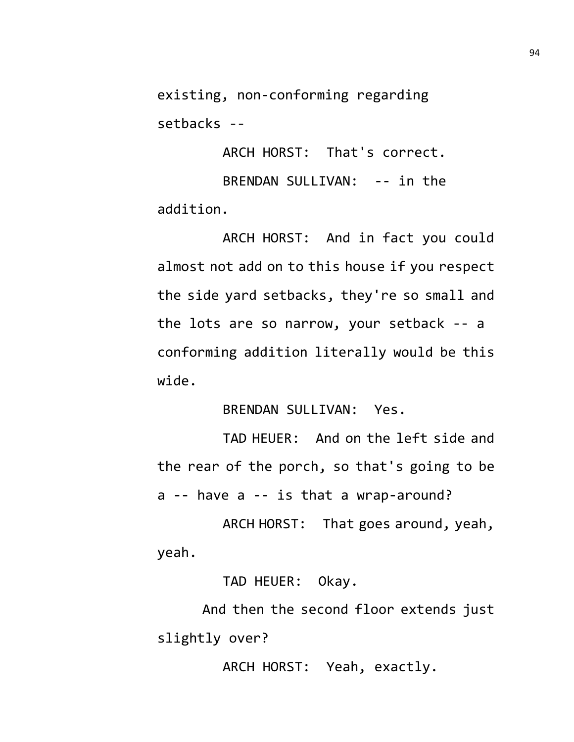existing, non-conforming regarding setbacks --

ARCH HORST: That's correct.

BRENDAN SULLIVAN: -- in the addition.

ARCH HORST: And in fact you could almost not add on to this house if you respect the side yard setbacks, they're so small and the lots are so narrow, your setback -- a conforming addition literally would be this wide.

BRENDAN SULLIVAN: Yes.

TAD HEUER: And on the left side and the rear of the porch, so that's going to be a -- have a -- is that a wrap-around?

ARCH HORST: That goes around, yeah, yeah.

TAD HEUER: Okay.

And then the second floor extends just slightly over?

ARCH HORST: Yeah, exactly.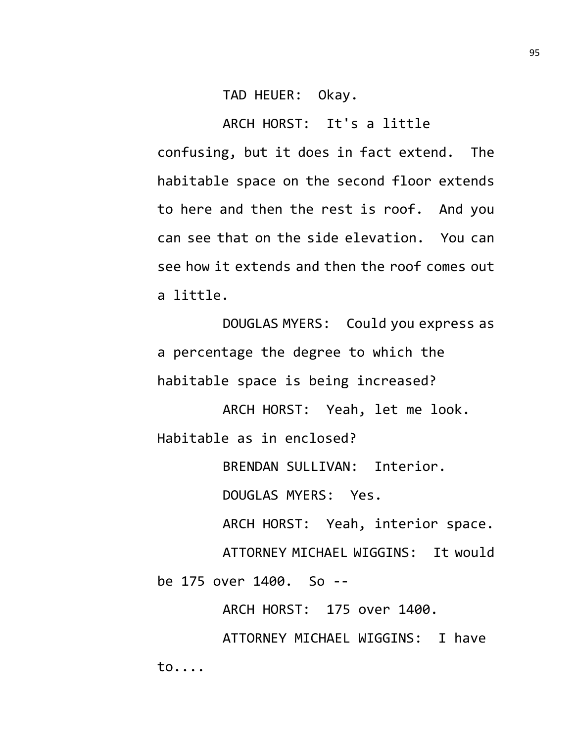TAD HEUER: Okay.

ARCH HORST: It's a little confusing, but it does in fact extend. The habitable space on the second floor extends to here and then the rest is roof. And you can see that on the side elevation. You can see how it extends and then the roof comes out a little.

DOUGLAS MYERS: Could you express as a percentage the degree to which the habitable space is being increased?

ARCH HORST: Yeah, let me look. Habitable as in enclosed?

BRENDAN SULLIVAN: Interior.

DOUGLAS MYERS: Yes.

ARCH HORST: Yeah, interior space.

ATTORNEY MICHAEL WIGGINS: It would

be 175 over 1400. So --

ARCH HORST: 175 over 1400.

ATTORNEY MICHAEL WIGGINS: I have to....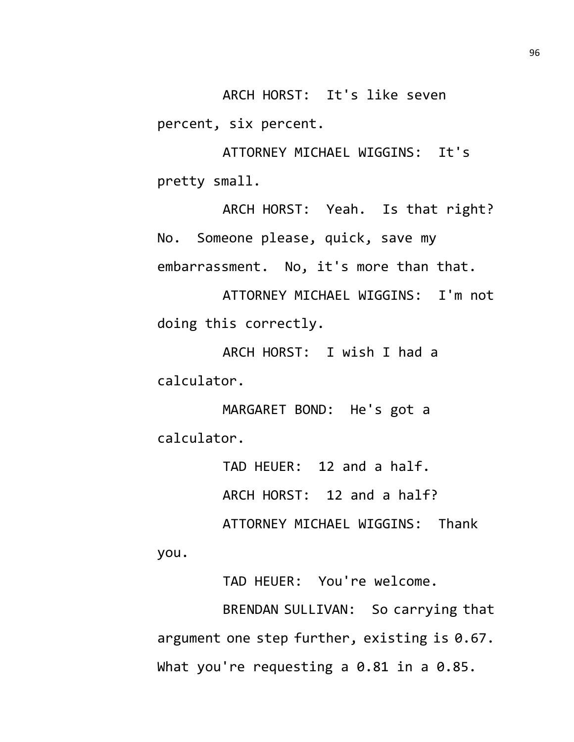ARCH HORST: It's like seven percent, six percent.

ATTORNEY MICHAEL WIGGINS: It's pretty small.

ARCH HORST: Yeah. Is that right? No. Someone please, quick, save my embarrassment. No, it's more than that.

ATTORNEY MICHAEL WIGGINS: I'm not doing this correctly.

ARCH HORST: I wish I had a calculator.

MARGARET BOND: He's got a calculator.

you.

TAD HEUER: 12 and a half. ARCH HORST: 12 and a half? ATTORNEY MICHAEL WIGGINS: Thank

TAD HEUER: You're welcome.

BRENDAN SULLIVAN: So carrying that argument one step further, existing is 0.67. What you're requesting a 0.81 in a 0.85.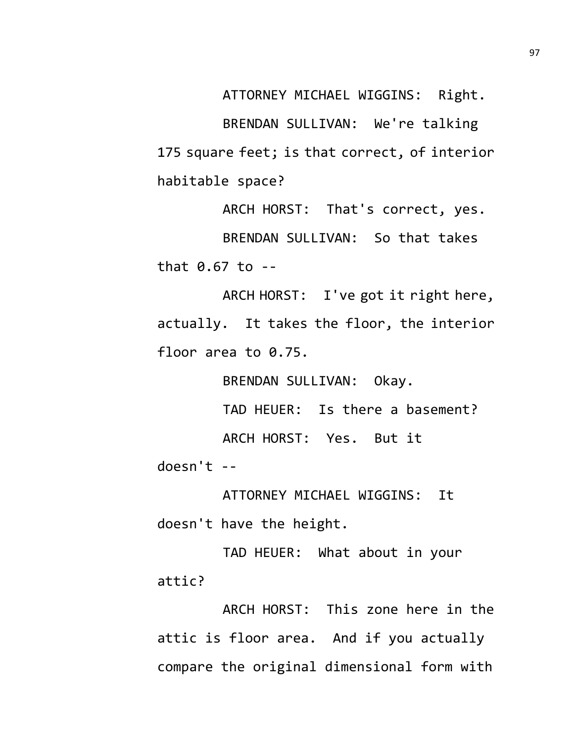ATTORNEY MICHAEL WIGGINS: Right.

BRENDAN SULLIVAN: We're talking 175 square feet; is that correct, of interior habitable space?

ARCH HORST: That's correct, yes. BRENDAN SULLIVAN: So that takes that 0.67 to --

ARCH HORST: I've got it right here, actually. It takes the floor, the interior floor area to 0.75.

BRENDAN SULLIVAN: Okay.

TAD HEUER: Is there a basement? ARCH HORST: Yes. But it

doesn't --

ATTORNEY MICHAEL WIGGINS: It

doesn't have the height.

TAD HEUER: What about in your attic?

ARCH HORST: This zone here in the attic is floor area. And if you actually compare the original dimensional form with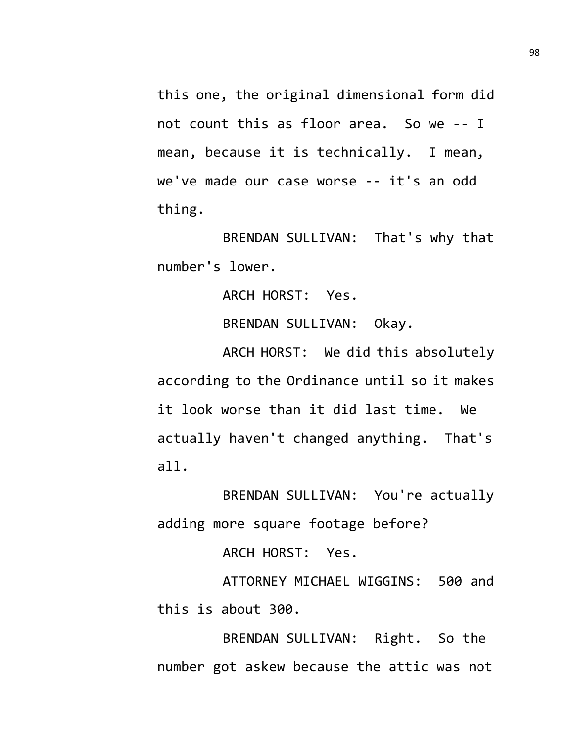this one, the original dimensional form did not count this as floor area. So we -- I mean, because it is technically. I mean, we've made our case worse -- it's an odd thing.

BRENDAN SULLIVAN: That's why that number's lower.

ARCH HORST: Yes.

BRENDAN SULLIVAN: Okay.

ARCH HORST: We did this absolutely according to the Ordinance until so it makes it look worse than it did last time. We actually haven't changed anything. That's all.

BRENDAN SULLIVAN: You're actually adding more square footage before?

ARCH HORST: Yes.

ATTORNEY MICHAEL WIGGINS: 500 and this is about 300.

BRENDAN SULLIVAN: Right. So the number got askew because the attic was not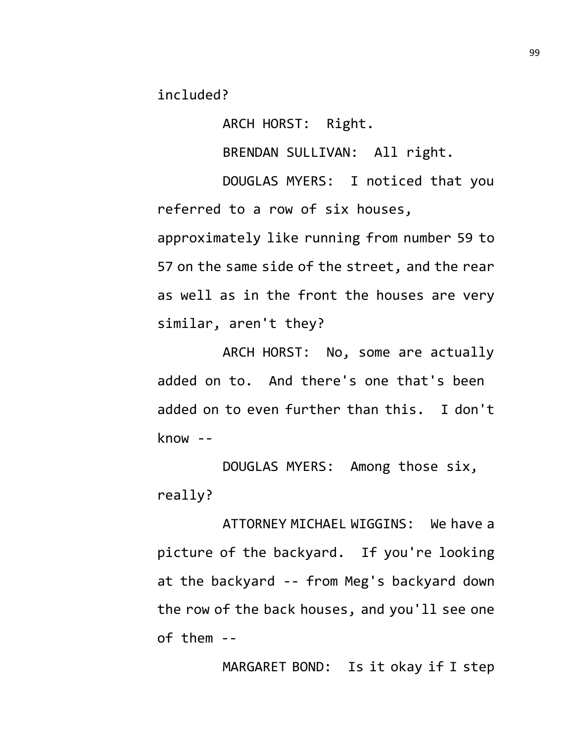included?

ARCH HORST: Right.

BRENDAN SULLIVAN: All right.

DOUGLAS MYERS: I noticed that you referred to a row of six houses, approximately like running from number 59 to 57 on the same side of the street, and the rear as well as in the front the houses are very similar, aren't they?

ARCH HORST: No, some are actually added on to. And there's one that's been added on to even further than this. I don't know --

DOUGLAS MYERS: Among those six, really?

ATTORNEY MICHAEL WIGGINS: We have a picture of the backyard. If you're looking at the backyard -- from Meg's backyard down the row of the back houses, and you'll see one of them --

MARGARET BOND: Is it okay if I step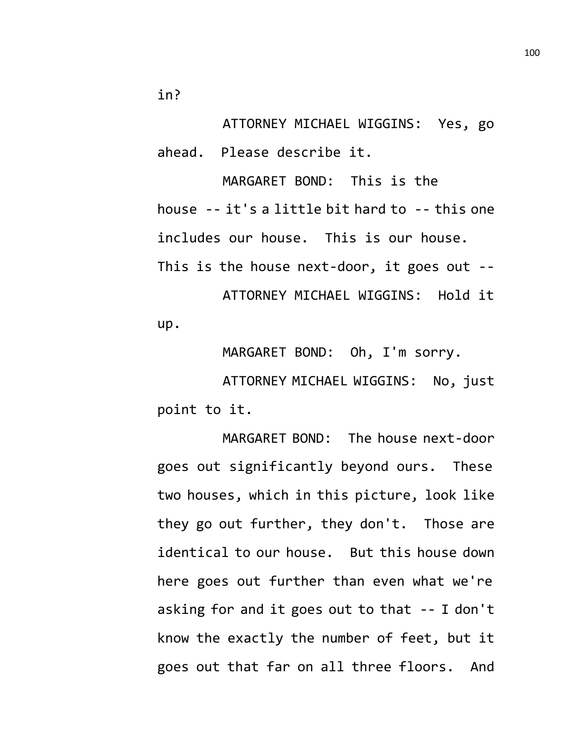in?

ATTORNEY MICHAEL WIGGINS: Yes, go ahead. Please describe it.

MARGARET BOND: This is the house -- it's a little bit hard to -- this one includes our house. This is our house. This is the house next-door, it goes out -- ATTORNEY MICHAEL WIGGINS: Hold it up.

MARGARET BOND: Oh, I'm sorry.

ATTORNEY MICHAEL WIGGINS: No, just point to it.

MARGARET BOND: The house next-door goes out significantly beyond ours. These two houses, which in this picture, look like they go out further, they don't. Those are identical to our house. But this house down here goes out further than even what we're asking for and it goes out to that -- I don't know the exactly the number of feet, but it goes out that far on all three floors. And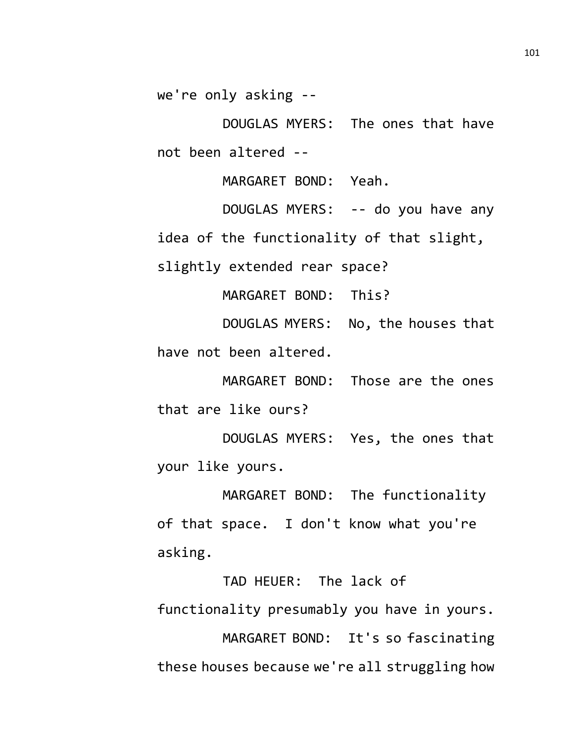we're only asking --

DOUGLAS MYERS: The ones that have not been altered --

MARGARET BOND: Yeah.

DOUGLAS MYERS: -- do you have any idea of the functionality of that slight, slightly extended rear space?

MARGARET BOND: This?

DOUGLAS MYERS: No, the houses that have not been altered.

MARGARET BOND: Those are the ones that are like ours?

DOUGLAS MYERS: Yes, the ones that your like yours.

MARGARET BOND: The functionality of that space. I don't know what you're asking.

TAD HEUER: The lack of functionality presumably you have in yours. MARGARET BOND: It's so fascinating these houses because we're all struggling how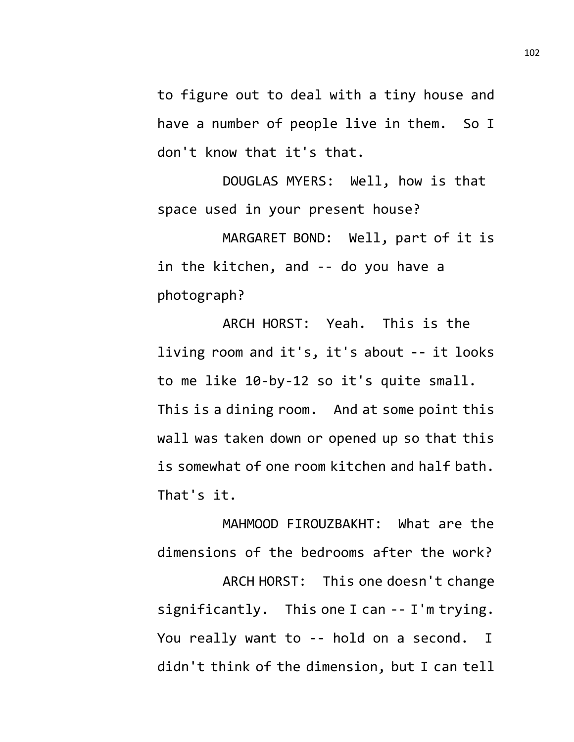to figure out to deal with a tiny house and have a number of people live in them. So I don't know that it's that.

DOUGLAS MYERS: Well, how is that space used in your present house?

MARGARET BOND: Well, part of it is in the kitchen, and -- do you have a photograph?

ARCH HORST: Yeah. This is the living room and it's, it's about -- it looks to me like 10-by-12 so it's quite small. This is a dining room. And at some point this wall was taken down or opened up so that this is somewhat of one room kitchen and half bath. That's it.

MAHMOOD FIROUZBAKHT: What are the dimensions of the bedrooms after the work? ARCH HORST: This one doesn't change significantly. This one I can -- I'm trying. You really want to -- hold on a second. I didn't think of the dimension, but I can tell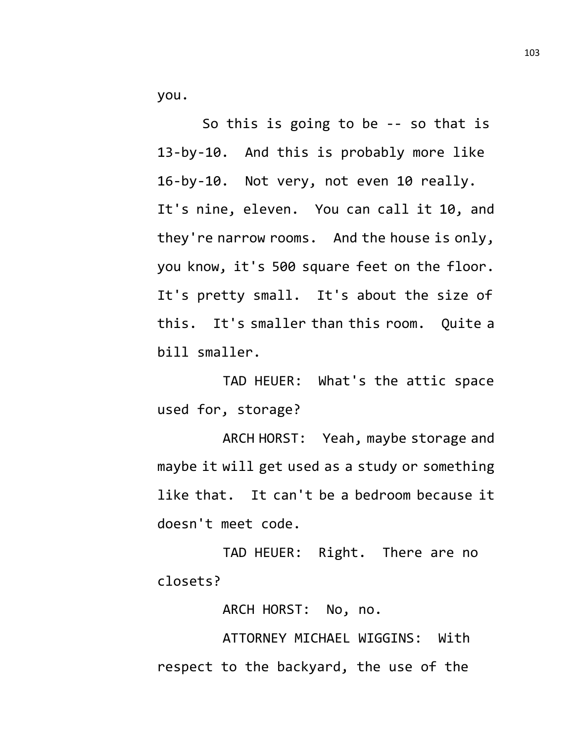you.

So this is going to be -- so that is 13-by-10. And this is probably more like 16-by-10. Not very, not even 10 really. It's nine, eleven. You can call it 10, and they're narrow rooms. And the house is only, you know, it's 500 square feet on the floor. It's pretty small. It's about the size of this. It's smaller than this room. Quite a bill smaller.

TAD HEUER: What's the attic space used for, storage?

ARCH HORST: Yeah, maybe storage and maybe it will get used as a study or something like that. It can't be a bedroom because it doesn't meet code.

TAD HEUER: Right. There are no closets?

ARCH HORST: No, no.

ATTORNEY MICHAEL WIGGINS: With respect to the backyard, the use of the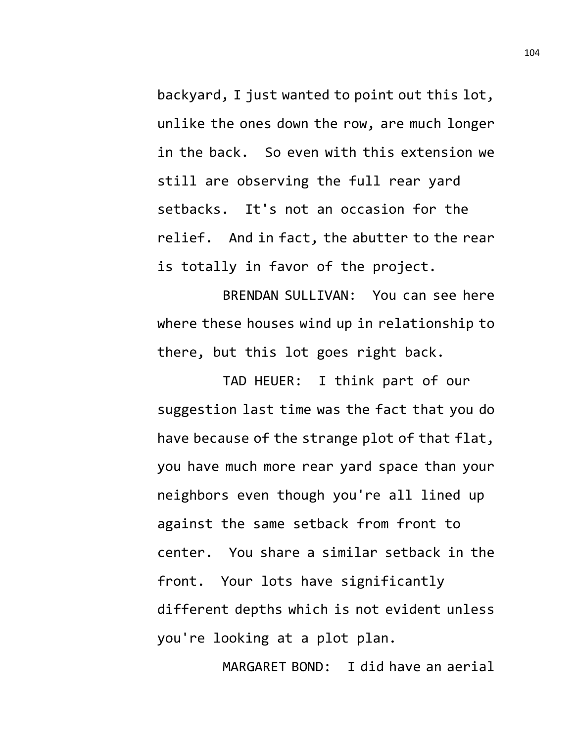backyard, I just wanted to point out this lot, unlike the ones down the row, are much longer in the back. So even with this extension we still are observing the full rear yard setbacks. It's not an occasion for the relief. And in fact, the abutter to the rear is totally in favor of the project.

BRENDAN SULLIVAN: You can see here where these houses wind up in relationship to there, but this lot goes right back.

TAD HEUER: I think part of our suggestion last time was the fact that you do have because of the strange plot of that flat, you have much more rear yard space than your neighbors even though you're all lined up against the same setback from front to center. You share a similar setback in the front. Your lots have significantly different depths which is not evident unless you're looking at a plot plan.

MARGARET BOND: I did have an aerial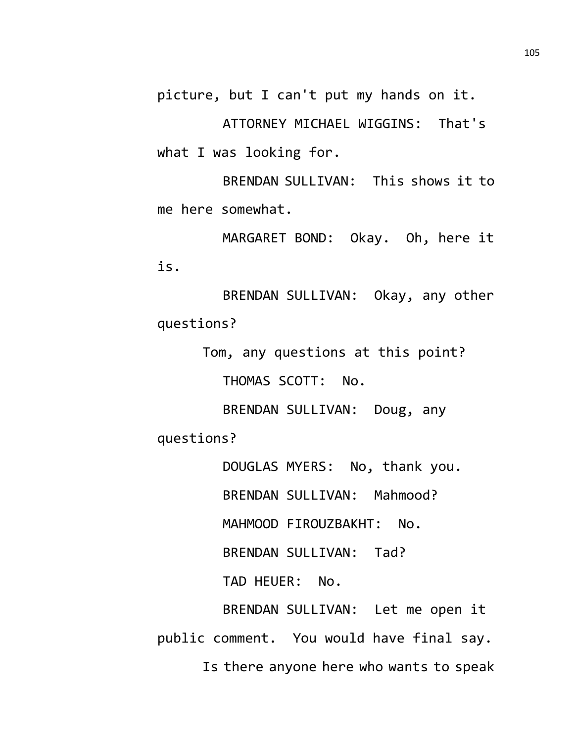picture, but I can't put my hands on it.

ATTORNEY MICHAEL WIGGINS: That's what I was looking for.

BRENDAN SULLIVAN: This shows it to me here somewhat.

MARGARET BOND: Okay. Oh, here it is.

BRENDAN SULLIVAN: Okay, any other questions?

Tom, any questions at this point?

THOMAS SCOTT: No.

BRENDAN SULLIVAN: Doug, any questions?

DOUGLAS MYERS: No, thank you. BRENDAN SULLIVAN: Mahmood? MAHMOOD FIROUZBAKHT: No. BRENDAN SULLIVAN: Tad? TAD HEUER: No. BRENDAN SULLIVAN: Let me open it public comment. You would have final say. Is there anyone here who wants to speak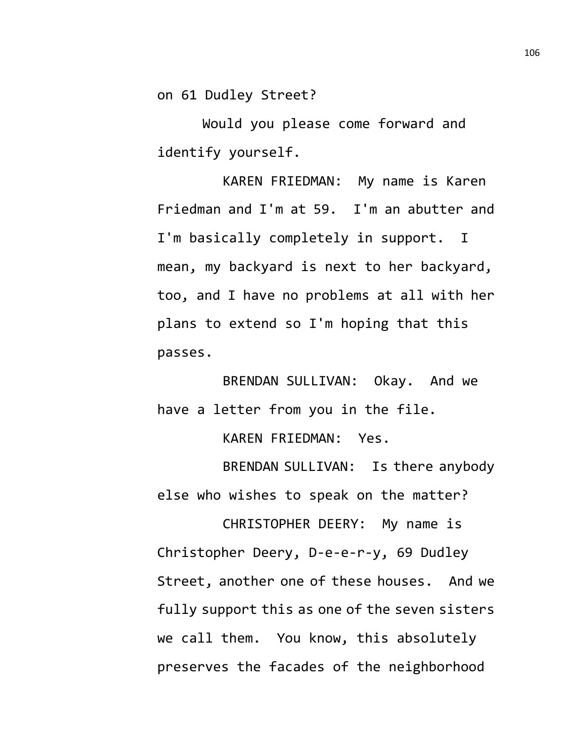on 61 Dudley Street?

Would you please come forward and identify yourself.

KAREN FRIEDMAN: My name is Karen Friedman and I'm at 59. I'm an abutter and I'm basically completely in support. I mean, my backyard is next to her backyard, too, and I have no problems at all with her plans to extend so I'm hoping that this passes.

BRENDAN SULLIVAN: Okay. And we have a letter from you in the file.

KAREN FRIEDMAN: Yes.

BRENDAN SULLIVAN: Is there anybody else who wishes to speak on the matter?

CHRISTOPHER DEERY: My name is Christopher Deery, D-e-e-r-y, 69 Dudley Street, another one of these houses. And we fully support this as one of the seven sisters we call them. You know, this absolutely preserves the facades of the neighborhood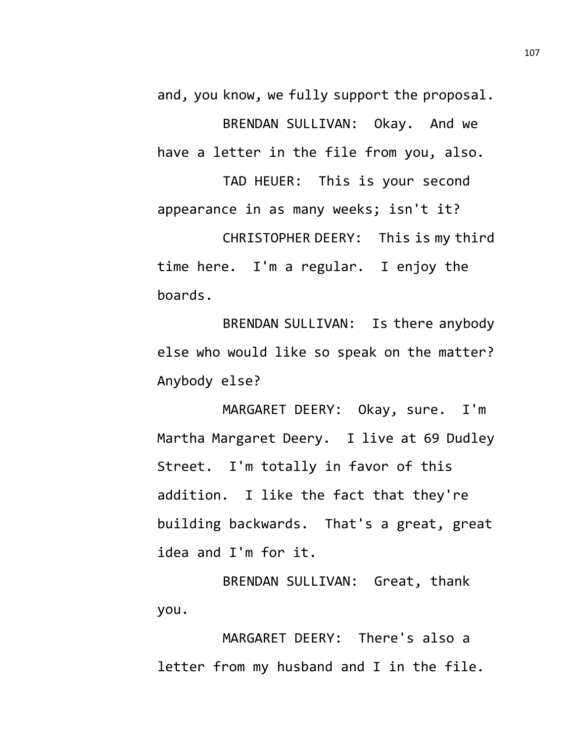and, you know, we fully support the proposal. BRENDAN SULLIVAN: Okay. And we have a letter in the file from you, also.

TAD HEUER: This is your second appearance in as many weeks; isn't it? CHRISTOPHER DEERY: This is my third time here. I'm a regular. I enjoy the boards.

BRENDAN SULLIVAN: Is there anybody else who would like so speak on the matter? Anybody else?

MARGARET DEERY: Okay, sure. I'm Martha Margaret Deery. I live at 69 Dudley Street. I'm totally in favor of this addition. I like the fact that they're building backwards. That's a great, great idea and I'm for it.

BRENDAN SULLIVAN: Great, thank you.

MARGARET DEERY: There's also a letter from my husband and I in the file.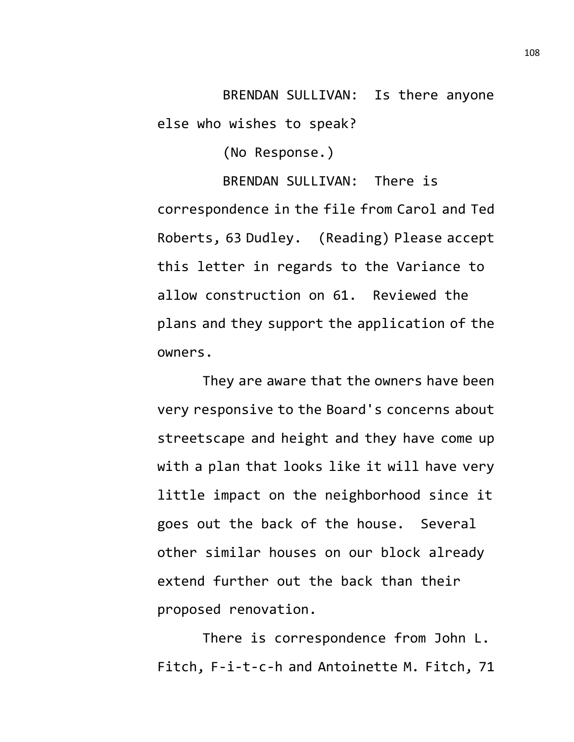BRENDAN SULLIVAN: Is there anyone else who wishes to speak?

(No Response.)

BRENDAN SULLIVAN: There is correspondence in the file from Carol and Ted Roberts, 63 Dudley. (Reading) Please accept this letter in regards to the Variance to allow construction on 61. Reviewed the plans and they support the application of the owners.

They are aware that the owners have been very responsive to the Board's concerns about streetscape and height and they have come up with a plan that looks like it will have very little impact on the neighborhood since it goes out the back of the house. Several other similar houses on our block already extend further out the back than their proposed renovation.

There is correspondence from John L. Fitch, F-i-t-c-h and Antoinette M. Fitch, 71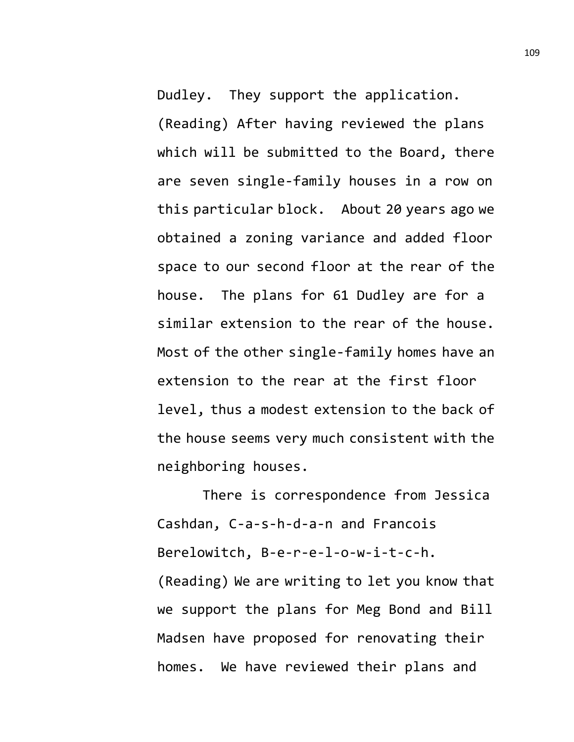Dudley. They support the application.

(Reading) After having reviewed the plans which will be submitted to the Board, there are seven single-family houses in a row on this particular block. About 20 years ago we obtained a zoning variance and added floor space to our second floor at the rear of the house. The plans for 61 Dudley are for a similar extension to the rear of the house. Most of the other single-family homes have an extension to the rear at the first floor level, thus a modest extension to the back of the house seems very much consistent with the neighboring houses.

There is correspondence from Jessica Cashdan, C-a-s-h-d-a-n and Francois Berelowitch, B-e-r-e-l-o-w-i-t-c-h. (Reading) We are writing to let you know that we support the plans for Meg Bond and Bill Madsen have proposed for renovating their homes. We have reviewed their plans and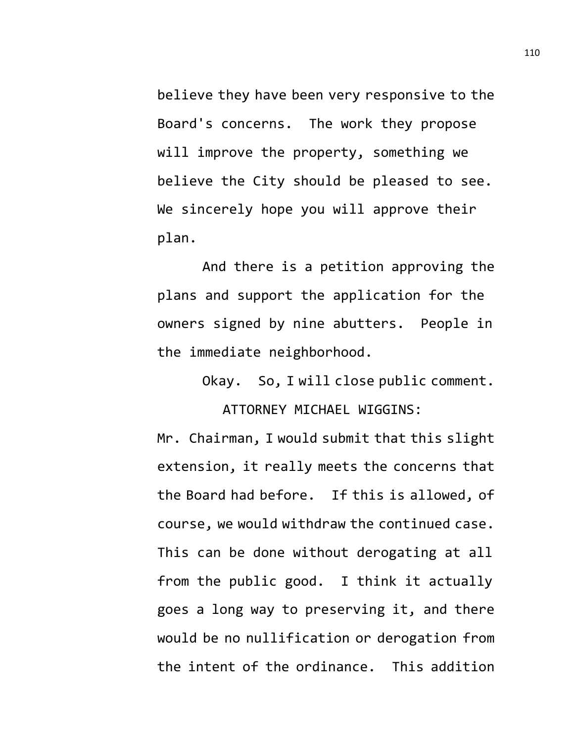believe they have been very responsive to the Board's concerns. The work they propose will improve the property, something we believe the City should be pleased to see. We sincerely hope you will approve their plan.

And there is a petition approving the plans and support the application for the owners signed by nine abutters. People in the immediate neighborhood.

> Okay. So, I will close public comment. ATTORNEY MICHAEL WIGGINS:

Mr. Chairman, I would submit that this slight extension, it really meets the concerns that the Board had before. If this is allowed, of course, we would withdraw the continued case. This can be done without derogating at all from the public good. I think it actually goes a long way to preserving it, and there would be no nullification or derogation from the intent of the ordinance. This addition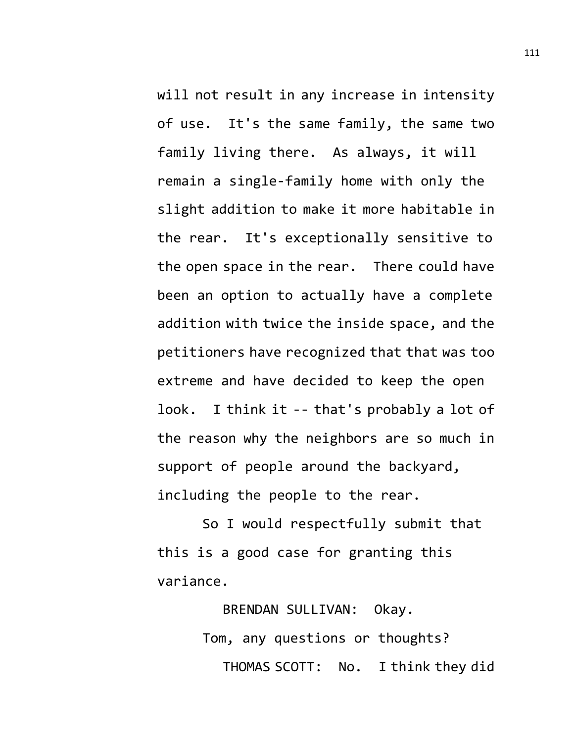will not result in any increase in intensity of use. It's the same family, the same two family living there. As always, it will remain a single-family home with only the slight addition to make it more habitable in the rear. It's exceptionally sensitive to the open space in the rear. There could have been an option to actually have a complete addition with twice the inside space, and the petitioners have recognized that that was too extreme and have decided to keep the open look. I think it -- that's probably a lot of the reason why the neighbors are so much in support of people around the backyard, including the people to the rear.

So I would respectfully submit that this is a good case for granting this variance.

> BRENDAN SULLIVAN: Okay. Tom, any questions or thoughts? THOMAS SCOTT: No. I think they did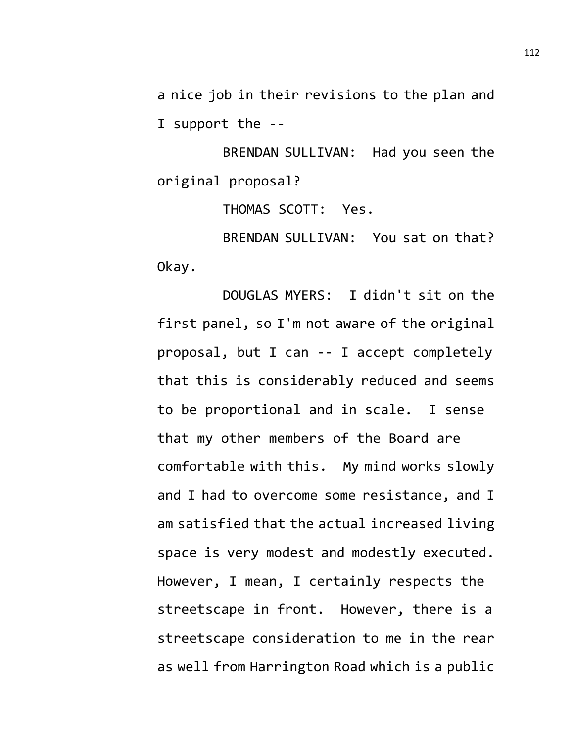a nice job in their revisions to the plan and I support the --

BRENDAN SULLIVAN: Had you seen the original proposal?

THOMAS SCOTT: Yes.

BRENDAN SULLIVAN: You sat on that? Okay.

DOUGLAS MYERS: I didn't sit on the first panel, so I'm not aware of the original proposal, but I can -- I accept completely that this is considerably reduced and seems to be proportional and in scale. I sense that my other members of the Board are comfortable with this. My mind works slowly and I had to overcome some resistance, and I am satisfied that the actual increased living space is very modest and modestly executed. However, I mean, I certainly respects the streetscape in front. However, there is a streetscape consideration to me in the rear as well from Harrington Road which is a public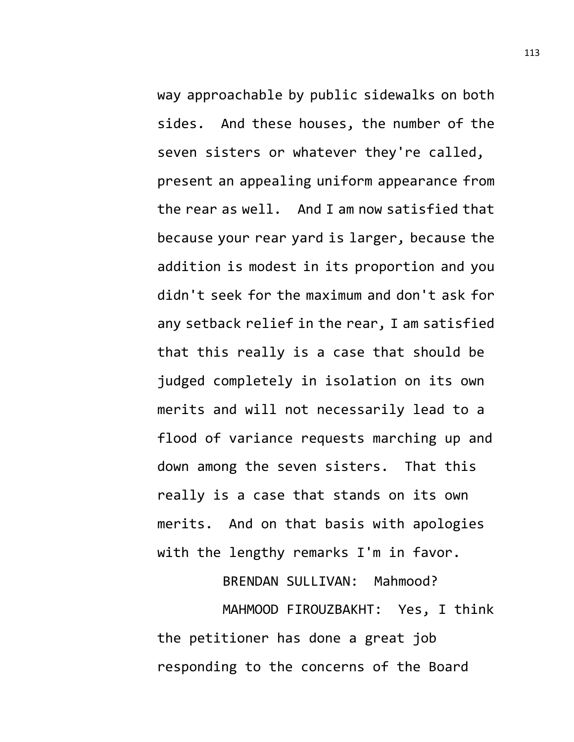way approachable by public sidewalks on both sides. And these houses, the number of the seven sisters or whatever they're called, present an appealing uniform appearance from the rear as well. And I am now satisfied that because your rear yard is larger, because the addition is modest in its proportion and you didn't seek for the maximum and don't ask for any setback relief in the rear, I am satisfied that this really is a case that should be judged completely in isolation on its own merits and will not necessarily lead to a flood of variance requests marching up and down among the seven sisters. That this really is a case that stands on its own merits. And on that basis with apologies with the lengthy remarks I'm in favor.

BRENDAN SULLIVAN: Mahmood?

MAHMOOD FIROUZBAKHT: Yes, I think the petitioner has done a great job responding to the concerns of the Board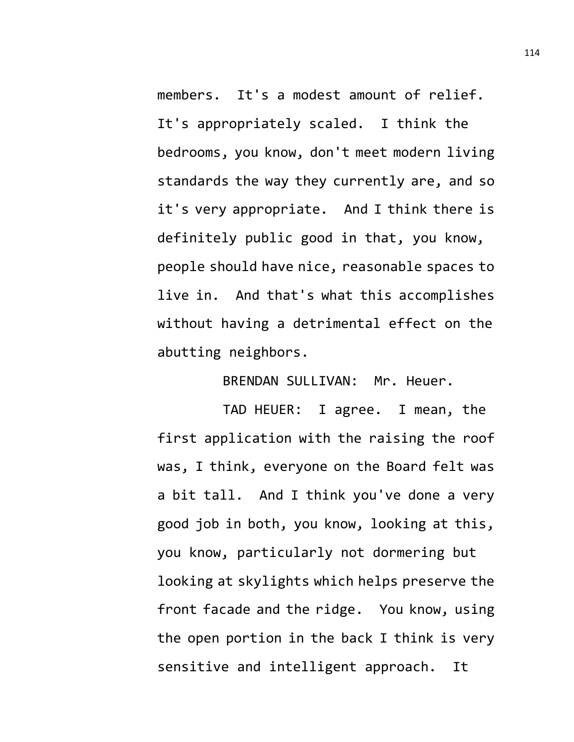members. It's a modest amount of relief. It's appropriately scaled. I think the bedrooms, you know, don't meet modern living standards the way they currently are, and so it's very appropriate. And I think there is definitely public good in that, you know, people should have nice, reasonable spaces to live in. And that's what this accomplishes without having a detrimental effect on the abutting neighbors.

BRENDAN SULLIVAN: Mr. Heuer.

TAD HEUER: I agree. I mean, the first application with the raising the roof was, I think, everyone on the Board felt was a bit tall. And I think you've done a very good job in both, you know, looking at this, you know, particularly not dormering but looking at skylights which helps preserve the front facade and the ridge. You know, using the open portion in the back I think is very sensitive and intelligent approach. It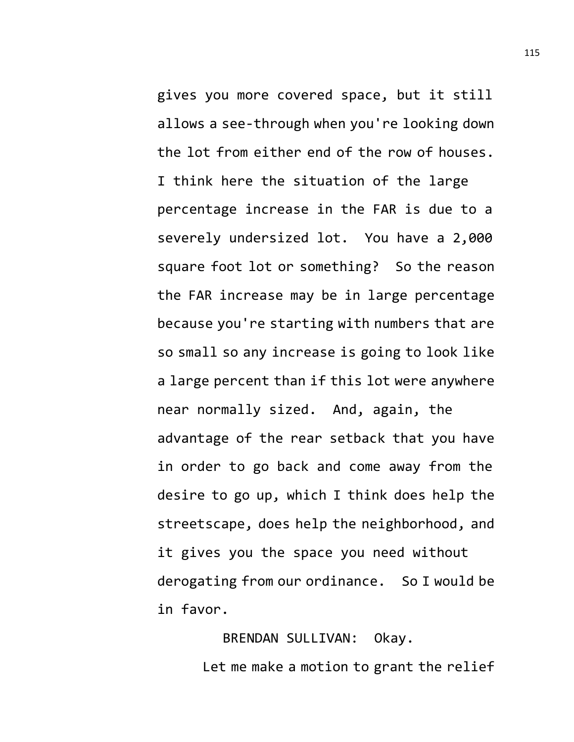gives you more covered space, but it still allows a see-through when you're looking down the lot from either end of the row of houses. I think here the situation of the large percentage increase in the FAR is due to a severely undersized lot. You have a 2,000 square foot lot or something? So the reason the FAR increase may be in large percentage because you're starting with numbers that are so small so any increase is going to look like a large percent than if this lot were anywhere near normally sized. And, again, the advantage of the rear setback that you have in order to go back and come away from the desire to go up, which I think does help the streetscape, does help the neighborhood, and it gives you the space you need without derogating from our ordinance. So I would be in favor.

> BRENDAN SULLIVAN: Okay. Let me make a motion to grant the relief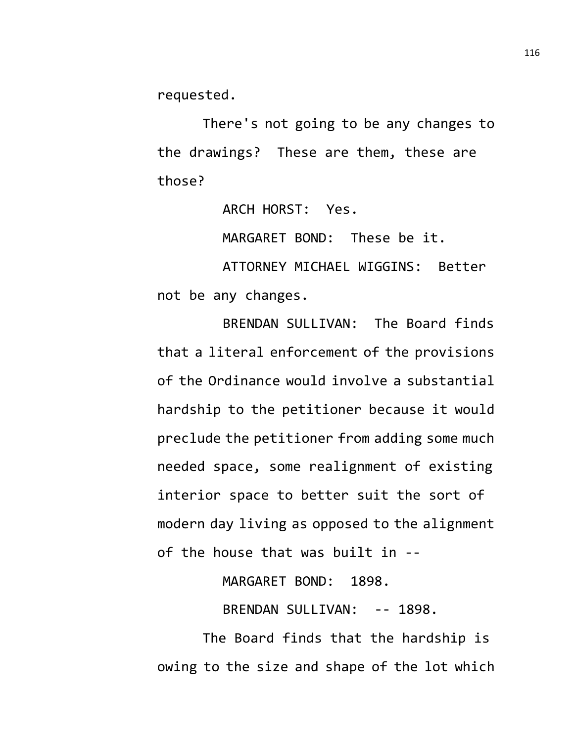requested.

There's not going to be any changes to the drawings? These are them, these are those?

ARCH HORST: Yes.

MARGARET BOND: These be it.

ATTORNEY MICHAEL WIGGINS: Better not be any changes.

BRENDAN SULLIVAN: The Board finds that a literal enforcement of the provisions of the Ordinance would involve a substantial hardship to the petitioner because it would preclude the petitioner from adding some much needed space, some realignment of existing interior space to better suit the sort of modern day living as opposed to the alignment of the house that was built in --

MARGARET BOND: 1898.

BRENDAN SULLIVAN: -- 1898.

The Board finds that the hardship is owing to the size and shape of the lot which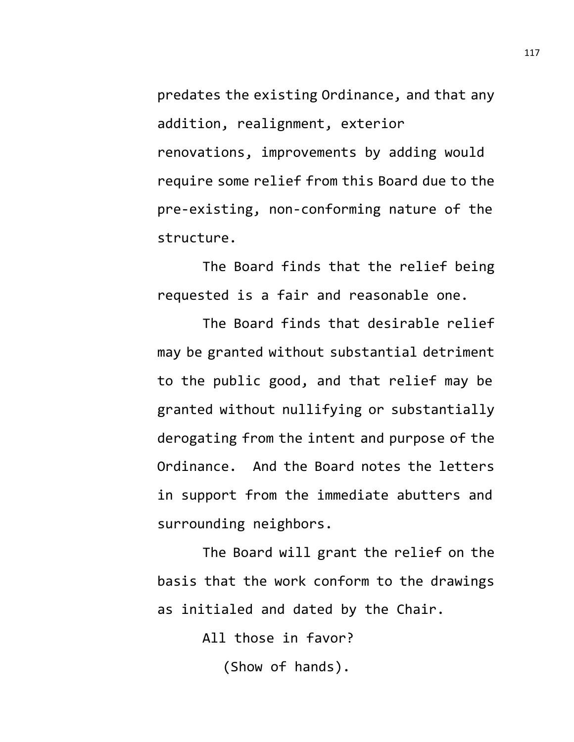predates the existing Ordinance, and that any addition, realignment, exterior renovations, improvements by adding would require some relief from this Board due to the pre-existing, non-conforming nature of the structure.

The Board finds that the relief being requested is a fair and reasonable one.

The Board finds that desirable relief may be granted without substantial detriment to the public good, and that relief may be granted without nullifying or substantially derogating from the intent and purpose of the Ordinance. And the Board notes the letters in support from the immediate abutters and surrounding neighbors.

The Board will grant the relief on the basis that the work conform to the drawings as initialed and dated by the Chair.

All those in favor?

(Show of hands).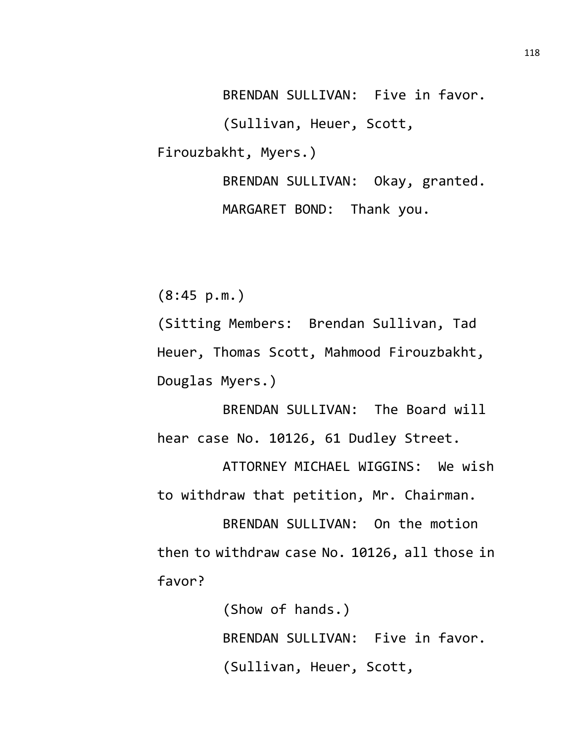BRENDAN SULLIVAN: Five in favor. (Sullivan, Heuer, Scott, Firouzbakht, Myers.) BRENDAN SULLIVAN: Okay, granted.

MARGARET BOND: Thank you.

(8:45 p.m.)

(Sitting Members: Brendan Sullivan, Tad Heuer, Thomas Scott, Mahmood Firouzbakht, Douglas Myers.)

BRENDAN SULLIVAN: The Board will hear case No. 10126, 61 Dudley Street.

ATTORNEY MICHAEL WIGGINS: We wish to withdraw that petition, Mr. Chairman.

BRENDAN SULLIVAN: On the motion then to withdraw case No. 10126, all those in favor?

> (Show of hands.) BRENDAN SULLIVAN: Five in favor. (Sullivan, Heuer, Scott,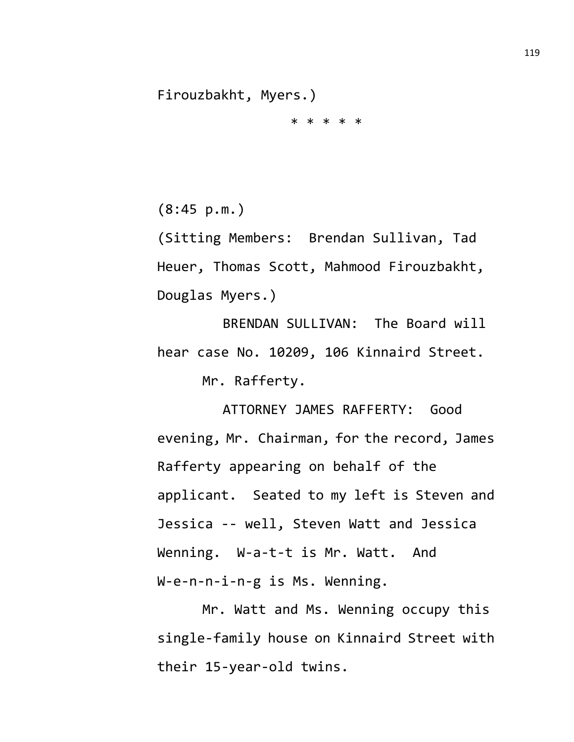Firouzbakht, Myers.) \* \* \* \* \*

(8:45 p.m.)

(Sitting Members: Brendan Sullivan, Tad Heuer, Thomas Scott, Mahmood Firouzbakht, Douglas Myers.)

BRENDAN SULLIVAN: The Board will hear case No. 10209, 106 Kinnaird Street. Mr. Rafferty.

ATTORNEY JAMES RAFFERTY: Good evening, Mr. Chairman, for the record, James Rafferty appearing on behalf of the applicant. Seated to my left is Steven and Jessica -- well, Steven Watt and Jessica Wenning. W-a-t-t is Mr. Watt. And W-e-n-n-i-n-g is Ms. Wenning.

Mr. Watt and Ms. Wenning occupy this single-family house on Kinnaird Street with their 15-year-old twins.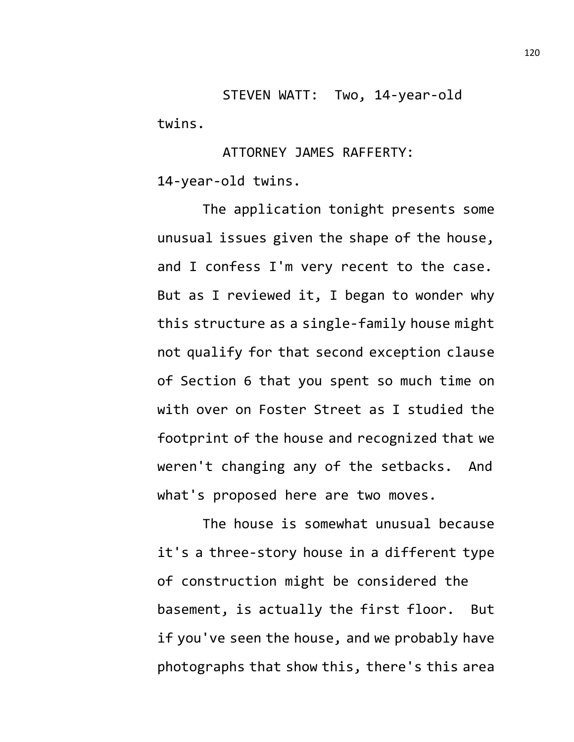STEVEN WATT: Two, 14-year-old twins.

ATTORNEY JAMES RAFFERTY: 14-year-old twins.

The application tonight presents some unusual issues given the shape of the house, and I confess I'm very recent to the case. But as I reviewed it, I began to wonder why this structure as a single-family house might not qualify for that second exception clause of Section 6 that you spent so much time on with over on Foster Street as I studied the footprint of the house and recognized that we weren't changing any of the setbacks. And what's proposed here are two moves.

The house is somewhat unusual because it's a three-story house in a different type of construction might be considered the basement, is actually the first floor. But if you've seen the house, and we probably have photographs that show this, there's this area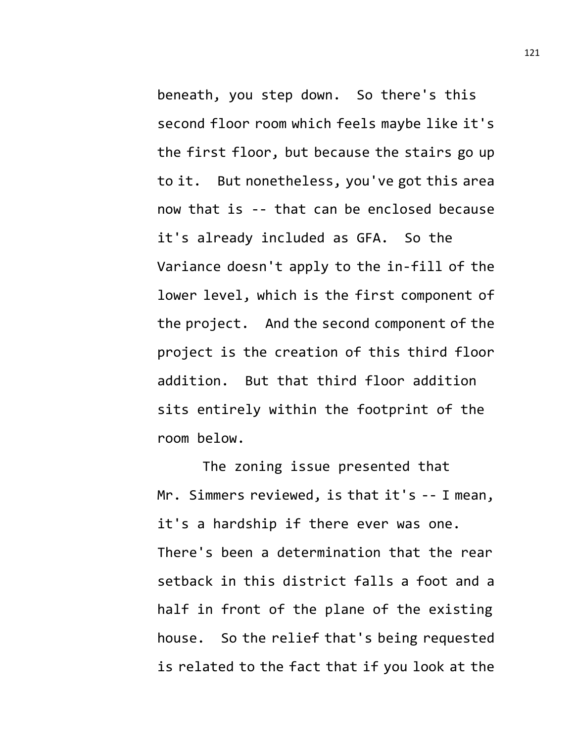beneath, you step down. So there's this second floor room which feels maybe like it's the first floor, but because the stairs go up to it. But nonetheless, you've got this area now that is -- that can be enclosed because it's already included as GFA. So the Variance doesn't apply to the in-fill of the lower level, which is the first component of the project. And the second component of the project is the creation of this third floor addition. But that third floor addition sits entirely within the footprint of the room below.

The zoning issue presented that Mr. Simmers reviewed, is that it's -- I mean, it's a hardship if there ever was one. There's been a determination that the rear setback in this district falls a foot and a half in front of the plane of the existing house. So the relief that's being requested is related to the fact that if you look at the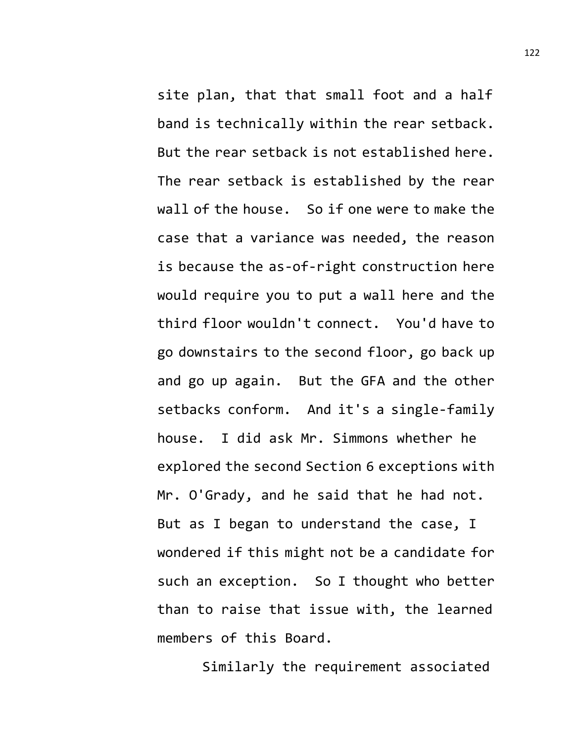site plan, that that small foot and a half band is technically within the rear setback. But the rear setback is not established here. The rear setback is established by the rear wall of the house. So if one were to make the case that a variance was needed, the reason is because the as-of-right construction here would require you to put a wall here and the third floor wouldn't connect. You'd have to go downstairs to the second floor, go back up and go up again. But the GFA and the other setbacks conform. And it's a single-family house. I did ask Mr. Simmons whether he explored the second Section 6 exceptions with Mr. O'Grady, and he said that he had not. But as I began to understand the case, I wondered if this might not be a candidate for such an exception. So I thought who better than to raise that issue with, the learned members of this Board.

Similarly the requirement associated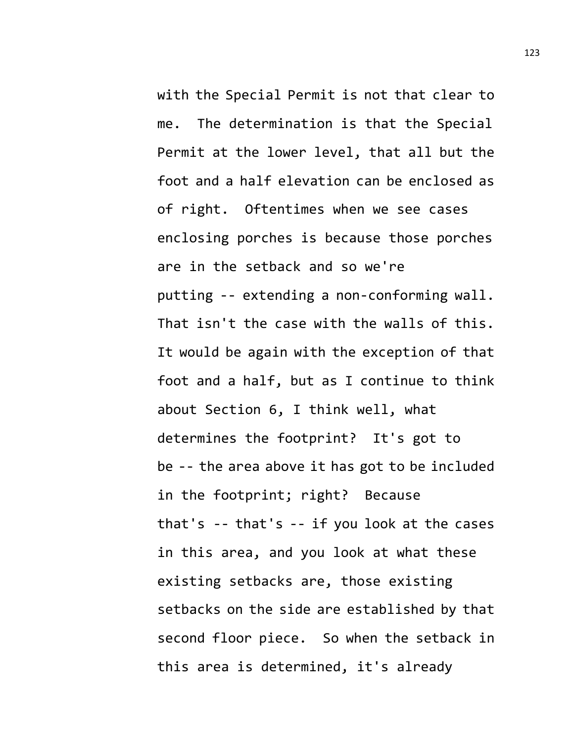with the Special Permit is not that clear to me. The determination is that the Special Permit at the lower level, that all but the foot and a half elevation can be enclosed as of right. Oftentimes when we see cases enclosing porches is because those porches are in the setback and so we're putting -- extending a non-conforming wall. That isn't the case with the walls of this. It would be again with the exception of that foot and a half, but as I continue to think about Section 6, I think well, what determines the footprint? It's got to be -- the area above it has got to be included in the footprint; right? Because that's -- that's -- if you look at the cases in this area, and you look at what these existing setbacks are, those existing setbacks on the side are established by that second floor piece. So when the setback in this area is determined, it's already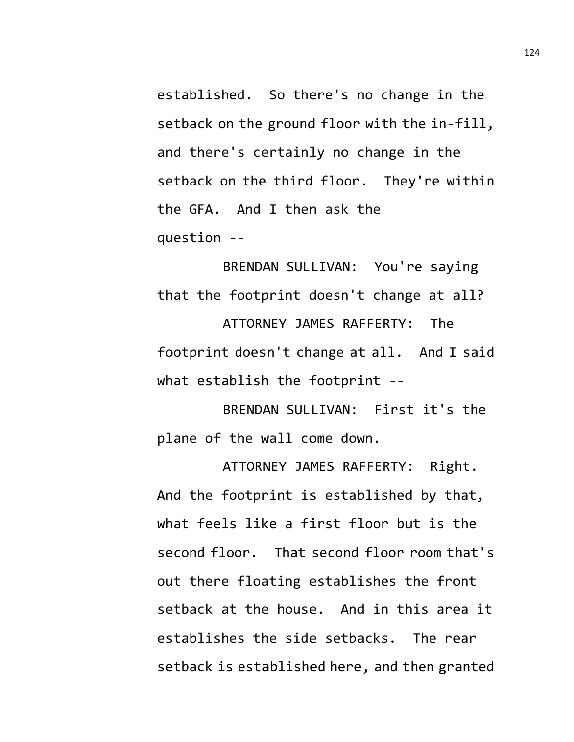established. So there's no change in the setback on the ground floor with the in-fill, and there's certainly no change in the setback on the third floor. They're within the GFA. And I then ask the question --

BRENDAN SULLIVAN: You're saying that the footprint doesn't change at all? ATTORNEY JAMES RAFFERTY: The footprint doesn't change at all. And I said what establish the footprint --

BRENDAN SULLIVAN: First it's the plane of the wall come down.

ATTORNEY JAMES RAFFERTY: Right. And the footprint is established by that, what feels like a first floor but is the second floor. That second floor room that's out there floating establishes the front setback at the house. And in this area it establishes the side setbacks. The rear setback is established here, and then granted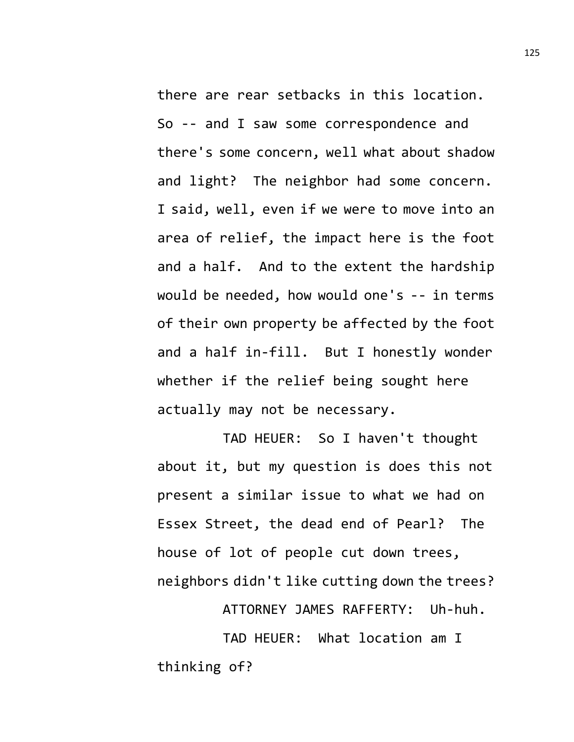there are rear setbacks in this location. So -- and I saw some correspondence and there's some concern, well what about shadow and light? The neighbor had some concern. I said, well, even if we were to move into an area of relief, the impact here is the foot and a half. And to the extent the hardship would be needed, how would one's -- in terms of their own property be affected by the foot and a half in-fill. But I honestly wonder whether if the relief being sought here actually may not be necessary.

TAD HEUER: So I haven't thought about it, but my question is does this not present a similar issue to what we had on Essex Street, the dead end of Pearl? The house of lot of people cut down trees, neighbors didn't like cutting down the trees?

ATTORNEY JAMES RAFFERTY: Uh-huh.

TAD HEUER: What location am I thinking of?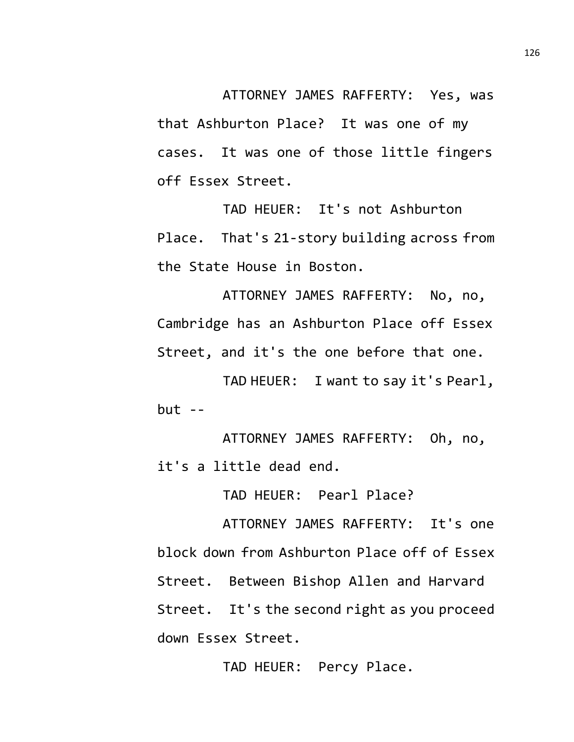ATTORNEY JAMES RAFFERTY: Yes, was that Ashburton Place? It was one of my cases. It was one of those little fingers off Essex Street.

TAD HEUER: It's not Ashburton Place. That's 21-story building across from the State House in Boston.

ATTORNEY JAMES RAFFERTY: No, no, Cambridge has an Ashburton Place off Essex Street, and it's the one before that one.

TAD HEUER: I want to say it's Pearl,  $but --$ 

ATTORNEY JAMES RAFFERTY: Oh, no, it's a little dead end.

TAD HEUER: Pearl Place?

ATTORNEY JAMES RAFFERTY: It's one block down from Ashburton Place off of Essex Street. Between Bishop Allen and Harvard Street. It's the second right as you proceed down Essex Street.

TAD HEUER: Percy Place.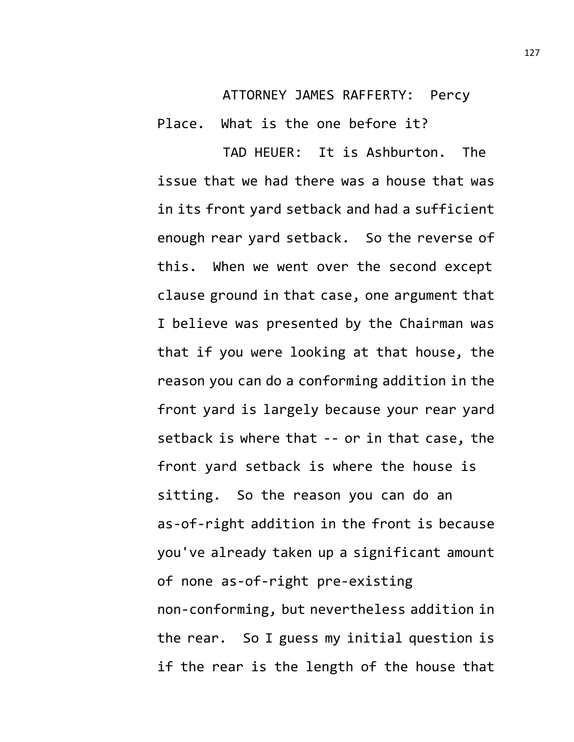ATTORNEY JAMES RAFFERTY: Percy

Place. What is the one before it?

TAD HEUER: It is Ashburton. The issue that we had there was a house that was in its front yard setback and had a sufficient enough rear yard setback. So the reverse of this. When we went over the second except clause ground in that case, one argument that I believe was presented by the Chairman was that if you were looking at that house, the reason you can do a conforming addition in the front yard is largely because your rear yard setback is where that -- or in that case, the front yard setback is where the house is sitting. So the reason you can do an as-of-right addition in the front is because you've already taken up a significant amount of none as-of-right pre-existing non-conforming, but nevertheless addition in the rear. So I guess my initial question is if the rear is the length of the house that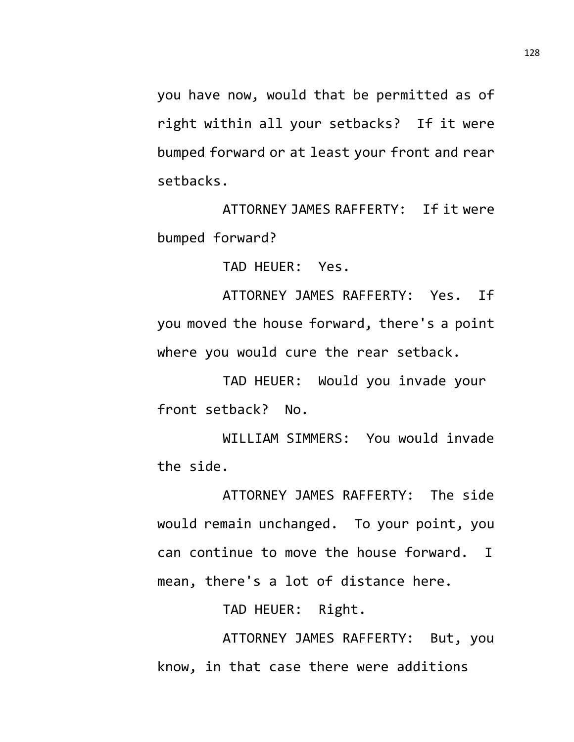you have now, would that be permitted as of right within all your setbacks? If it were bumped forward or at least your front and rear setbacks.

ATTORNEY JAMES RAFFERTY: If it were bumped forward?

TAD HEUER: Yes.

ATTORNEY JAMES RAFFERTY: Yes. If you moved the house forward, there's a point where you would cure the rear setback.

TAD HEUER: Would you invade your front setback? No.

WILLIAM SIMMERS: You would invade the side.

ATTORNEY JAMES RAFFERTY: The side would remain unchanged. To your point, you can continue to move the house forward. I mean, there's a lot of distance here.

TAD HEUER: Right.

ATTORNEY JAMES RAFFERTY: But, you know, in that case there were additions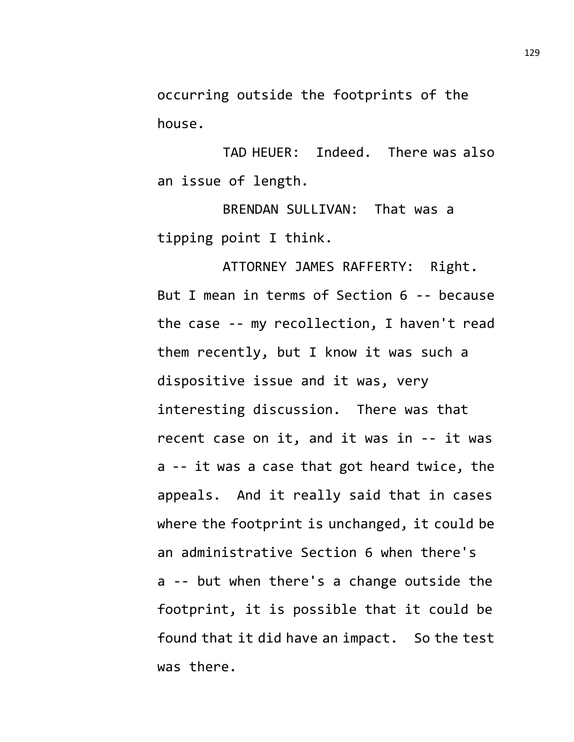occurring outside the footprints of the house.

TAD HEUER: Indeed. There was also an issue of length.

BRENDAN SULLIVAN: That was a tipping point I think.

ATTORNEY JAMES RAFFERTY: Right. But I mean in terms of Section 6 -- because the case -- my recollection, I haven't read them recently, but I know it was such a dispositive issue and it was, very interesting discussion. There was that recent case on it, and it was in -- it was a -- it was a case that got heard twice, the appeals. And it really said that in cases where the footprint is unchanged, it could be an administrative Section 6 when there's a -- but when there's a change outside the footprint, it is possible that it could be found that it did have an impact. So the test was there.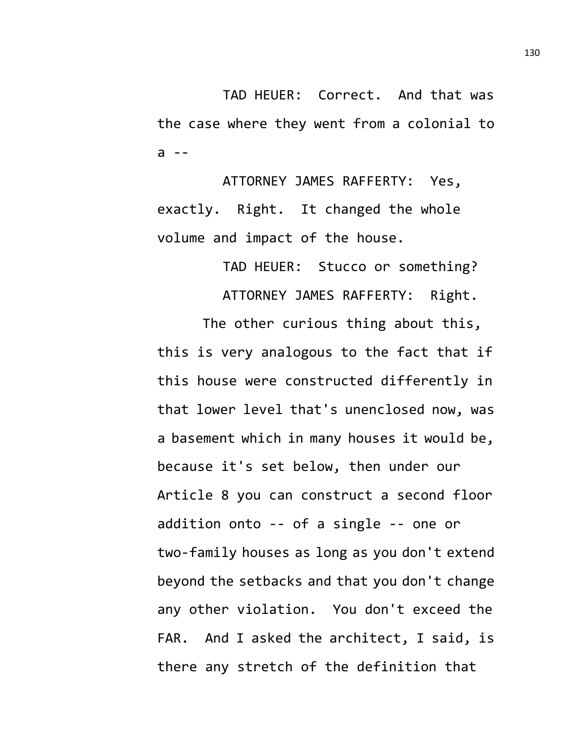TAD HEUER: Correct. And that was the case where they went from a colonial to  $a -$ 

ATTORNEY JAMES RAFFERTY: Yes, exactly. Right. It changed the whole volume and impact of the house.

TAD HEUER: Stucco or something?

ATTORNEY JAMES RAFFERTY: Right.

The other curious thing about this, this is very analogous to the fact that if this house were constructed differently in that lower level that's unenclosed now, was a basement which in many houses it would be, because it's set below, then under our Article 8 you can construct a second floor addition onto -- of a single -- one or two-family houses as long as you don't extend beyond the setbacks and that you don't change any other violation. You don't exceed the FAR. And I asked the architect, I said, is there any stretch of the definition that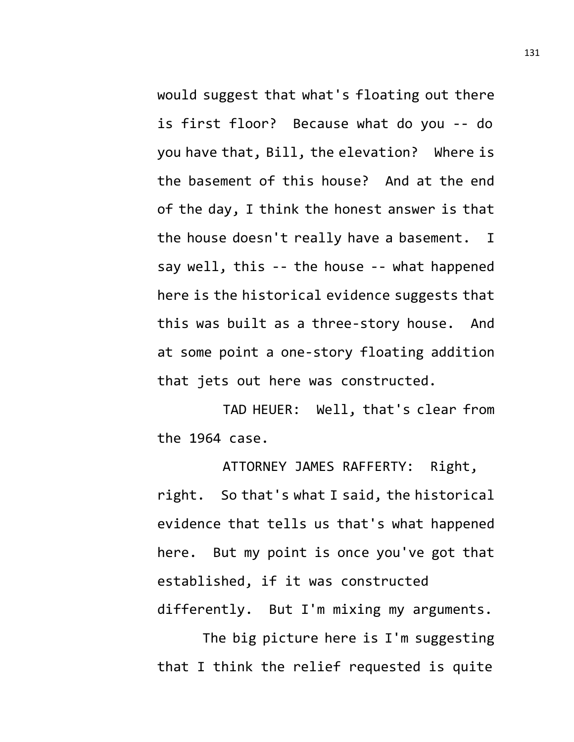would suggest that what's floating out there is first floor? Because what do you -- do you have that, Bill, the elevation? Where is the basement of this house? And at the end of the day, I think the honest answer is that the house doesn't really have a basement. I say well, this -- the house -- what happened here is the historical evidence suggests that this was built as a three-story house. And at some point a one-story floating addition that jets out here was constructed.

TAD HEUER: Well, that's clear from the 1964 case.

ATTORNEY JAMES RAFFERTY: Right, right. So that's what I said, the historical evidence that tells us that's what happened here. But my point is once you've got that established, if it was constructed differently. But I'm mixing my arguments.

The big picture here is I'm suggesting that I think the relief requested is quite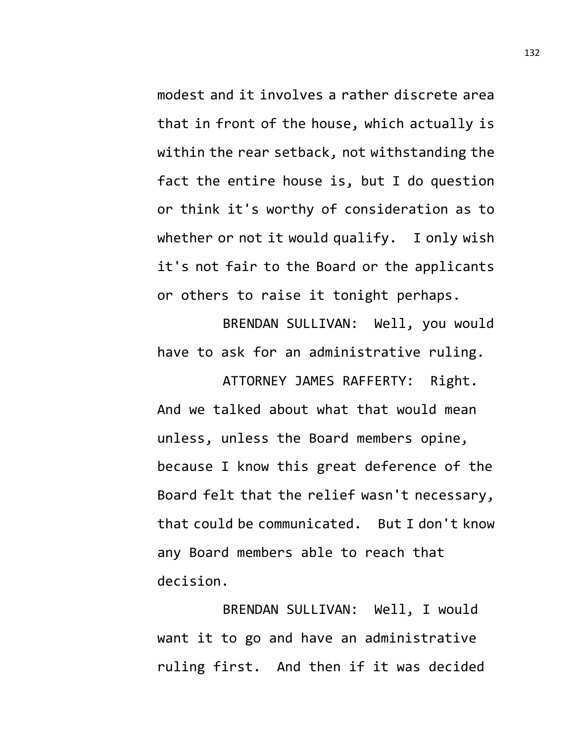modest and it involves a rather discrete area that in front of the house, which actually is within the rear setback, not withstanding the fact the entire house is, but I do question or think it's worthy of consideration as to whether or not it would qualify. I only wish it's not fair to the Board or the applicants or others to raise it tonight perhaps.

BRENDAN SULLIVAN: Well, you would have to ask for an administrative ruling.

ATTORNEY JAMES RAFFERTY: Right. And we talked about what that would mean unless, unless the Board members opine, because I know this great deference of the Board felt that the relief wasn't necessary, that could be communicated. But I don't know any Board members able to reach that decision.

BRENDAN SULLIVAN: Well, I would want it to go and have an administrative ruling first. And then if it was decided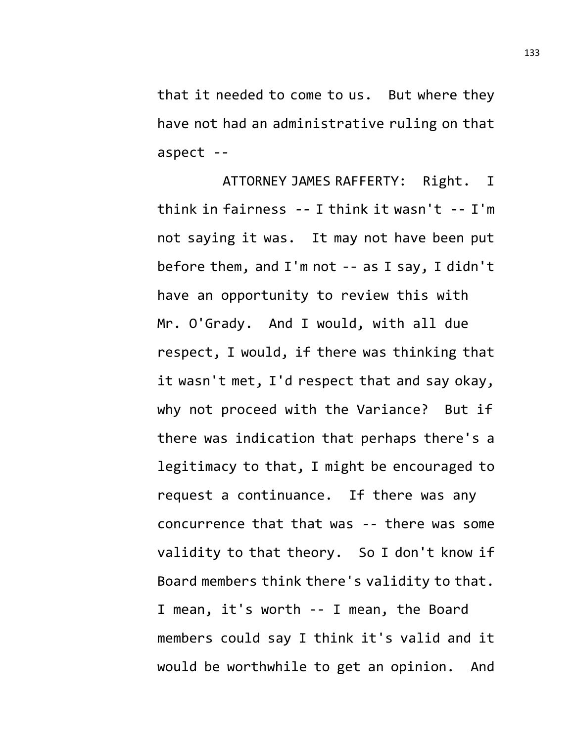that it needed to come to us. But where they have not had an administrative ruling on that aspect --

ATTORNEY JAMES RAFFERTY: Right. I think in fairness -- I think it wasn't -- I'm not saying it was. It may not have been put before them, and I'm not -- as I say, I didn't have an opportunity to review this with Mr. O'Grady. And I would, with all due respect, I would, if there was thinking that it wasn't met, I'd respect that and say okay, why not proceed with the Variance? But if there was indication that perhaps there's a legitimacy to that, I might be encouraged to request a continuance. If there was any concurrence that that was -- there was some validity to that theory. So I don't know if Board members think there's validity to that. I mean, it's worth -- I mean, the Board members could say I think it's valid and it would be worthwhile to get an opinion. And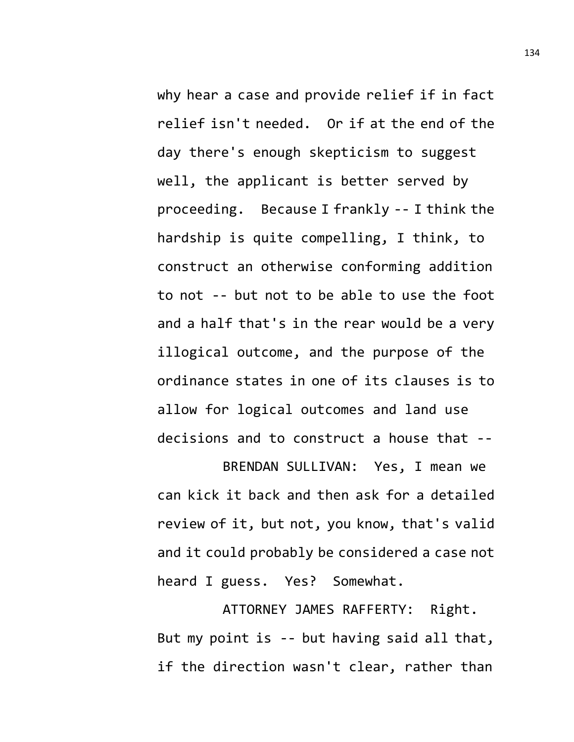why hear a case and provide relief if in fact relief isn't needed. Or if at the end of the day there's enough skepticism to suggest well, the applicant is better served by proceeding. Because I frankly -- I think the hardship is quite compelling, I think, to construct an otherwise conforming addition to not -- but not to be able to use the foot and a half that's in the rear would be a very illogical outcome, and the purpose of the ordinance states in one of its clauses is to allow for logical outcomes and land use decisions and to construct a house that --

BRENDAN SULLIVAN: Yes, I mean we can kick it back and then ask for a detailed review of it, but not, you know, that's valid and it could probably be considered a case not heard I guess. Yes? Somewhat.

ATTORNEY JAMES RAFFERTY: Right. But my point is -- but having said all that, if the direction wasn't clear, rather than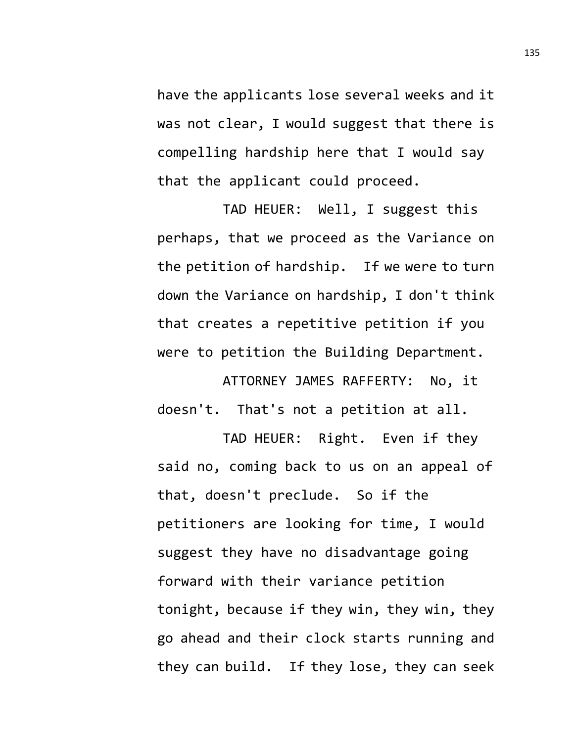have the applicants lose several weeks and it was not clear, I would suggest that there is compelling hardship here that I would say that the applicant could proceed.

TAD HEUER: Well, I suggest this perhaps, that we proceed as the Variance on the petition of hardship. If we were to turn down the Variance on hardship, I don't think that creates a repetitive petition if you were to petition the Building Department.

ATTORNEY JAMES RAFFERTY: No, it doesn't. That's not a petition at all.

TAD HEUER: Right. Even if they said no, coming back to us on an appeal of that, doesn't preclude. So if the petitioners are looking for time, I would suggest they have no disadvantage going forward with their variance petition tonight, because if they win, they win, they go ahead and their clock starts running and they can build. If they lose, they can seek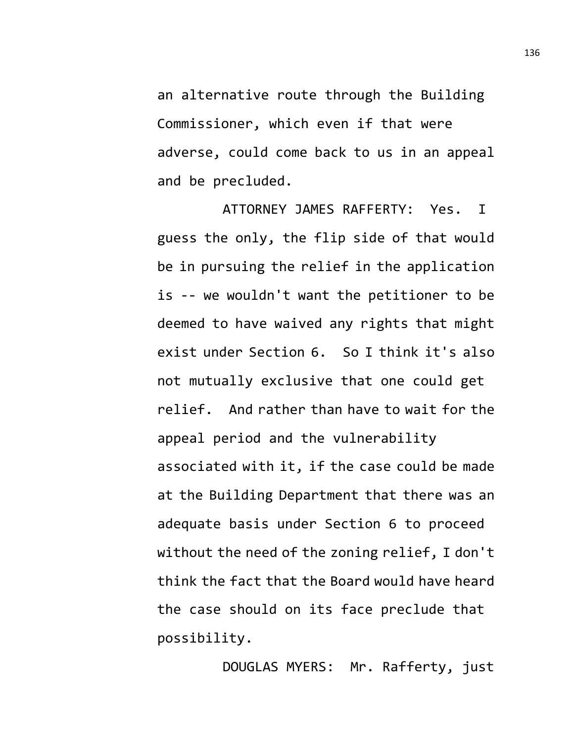an alternative route through the Building Commissioner, which even if that were adverse, could come back to us in an appeal and be precluded.

ATTORNEY JAMES RAFFERTY: Yes. I guess the only, the flip side of that would be in pursuing the relief in the application is -- we wouldn't want the petitioner to be deemed to have waived any rights that might exist under Section 6. So I think it's also not mutually exclusive that one could get relief. And rather than have to wait for the appeal period and the vulnerability associated with it, if the case could be made at the Building Department that there was an adequate basis under Section 6 to proceed without the need of the zoning relief, I don't think the fact that the Board would have heard the case should on its face preclude that possibility.

DOUGLAS MYERS: Mr. Rafferty, just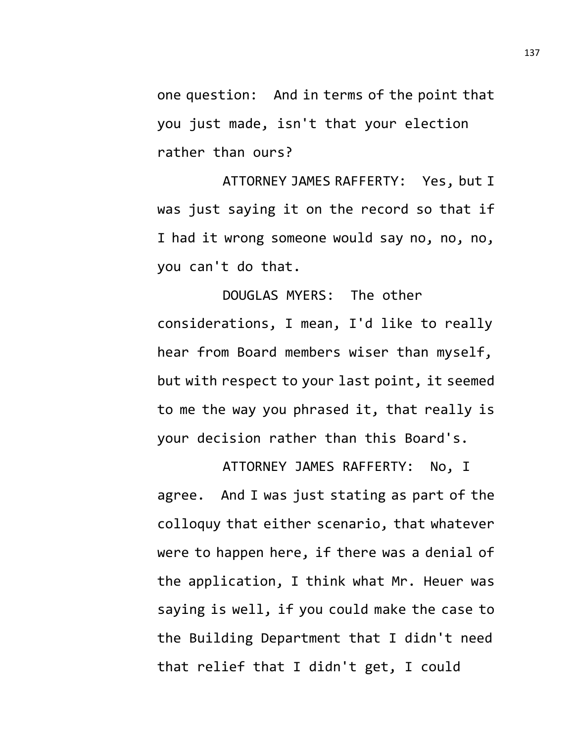one question: And in terms of the point that you just made, isn't that your election rather than ours?

ATTORNEY JAMES RAFFERTY: Yes, but I was just saying it on the record so that if I had it wrong someone would say no, no, no, you can't do that.

DOUGLAS MYERS: The other considerations, I mean, I'd like to really hear from Board members wiser than myself, but with respect to your last point, it seemed to me the way you phrased it, that really is your decision rather than this Board's.

ATTORNEY JAMES RAFFERTY: No, I agree. And I was just stating as part of the colloquy that either scenario, that whatever were to happen here, if there was a denial of the application, I think what Mr. Heuer was saying is well, if you could make the case to the Building Department that I didn't need that relief that I didn't get, I could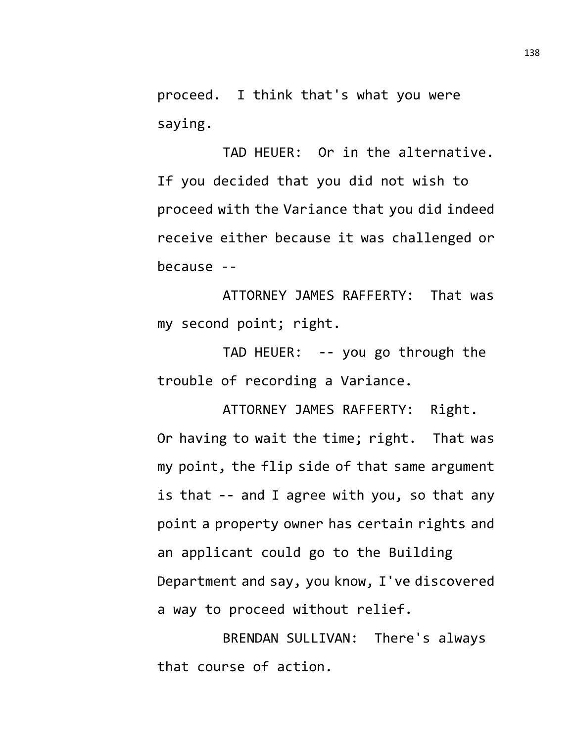proceed. I think that's what you were saying.

TAD HEUER: Or in the alternative. If you decided that you did not wish to proceed with the Variance that you did indeed receive either because it was challenged or because --

ATTORNEY JAMES RAFFERTY: That was my second point; right.

TAD HEUER: -- you go through the trouble of recording a Variance.

ATTORNEY JAMES RAFFERTY: Right. Or having to wait the time; right. That was my point, the flip side of that same argument is that -- and I agree with you, so that any point a property owner has certain rights and an applicant could go to the Building Department and say, you know, I've discovered a way to proceed without relief.

BRENDAN SULLIVAN: There's always that course of action.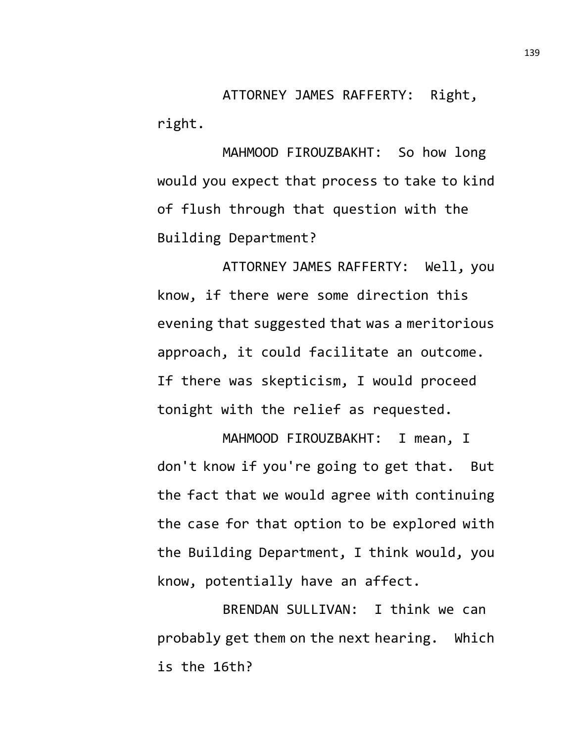ATTORNEY JAMES RAFFERTY: Right, right.

MAHMOOD FIROUZBAKHT: So how long would you expect that process to take to kind of flush through that question with the Building Department?

ATTORNEY JAMES RAFFERTY: Well, you know, if there were some direction this evening that suggested that was a meritorious approach, it could facilitate an outcome. If there was skepticism, I would proceed tonight with the relief as requested.

MAHMOOD FIROUZBAKHT: I mean, I don't know if you're going to get that. But the fact that we would agree with continuing the case for that option to be explored with the Building Department, I think would, you know, potentially have an affect.

BRENDAN SULLIVAN: I think we can probably get them on the next hearing. Which is the 16th?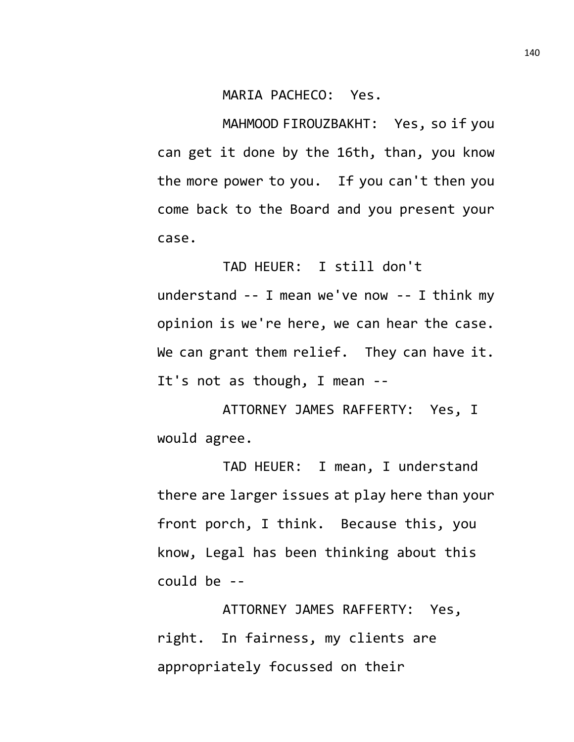MARIA PACHECO: Yes.

MAHMOOD FIROUZBAKHT: Yes, so if you can get it done by the 16th, than, you know the more power to you. If you can't then you come back to the Board and you present your case.

TAD HEUER: I still don't understand -- I mean we've now -- I think my opinion is we're here, we can hear the case. We can grant them relief. They can have it. It's not as though, I mean --

ATTORNEY JAMES RAFFERTY: Yes, I would agree.

TAD HEUER: I mean, I understand there are larger issues at play here than your front porch, I think. Because this, you know, Legal has been thinking about this could be --

ATTORNEY JAMES RAFFERTY: Yes, right. In fairness, my clients are appropriately focussed on their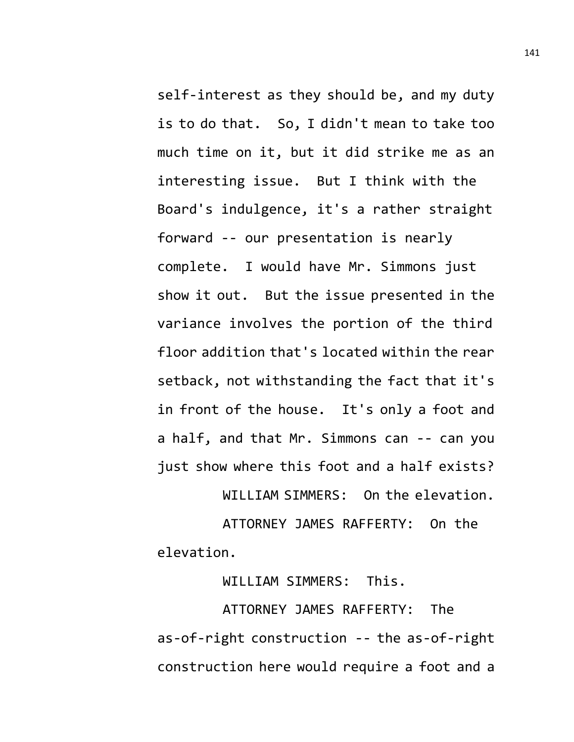self-interest as they should be, and my duty is to do that. So, I didn't mean to take too much time on it, but it did strike me as an interesting issue. But I think with the Board's indulgence, it's a rather straight forward -- our presentation is nearly complete. I would have Mr. Simmons just show it out. But the issue presented in the variance involves the portion of the third floor addition that's located within the rear setback, not withstanding the fact that it's in front of the house. It's only a foot and a half, and that Mr. Simmons can -- can you just show where this foot and a half exists?

WILLIAM SIMMERS: On the elevation.

ATTORNEY JAMES RAFFERTY: On the elevation.

WILLIAM SIMMERS: This.

ATTORNEY JAMES RAFFERTY: The as-of-right construction -- the as-of-right construction here would require a foot and a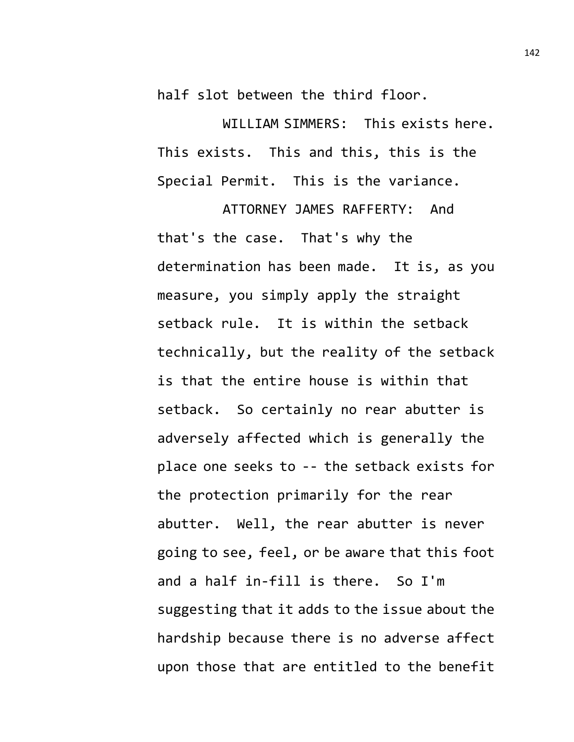half slot between the third floor.

WILLIAM SIMMERS: This exists here. This exists. This and this, this is the Special Permit. This is the variance.

ATTORNEY JAMES RAFFERTY: And that's the case. That's why the determination has been made. It is, as you measure, you simply apply the straight setback rule. It is within the setback technically, but the reality of the setback is that the entire house is within that setback. So certainly no rear abutter is adversely affected which is generally the place one seeks to -- the setback exists for the protection primarily for the rear abutter. Well, the rear abutter is never going to see, feel, or be aware that this foot and a half in-fill is there. So I'm suggesting that it adds to the issue about the hardship because there is no adverse affect upon those that are entitled to the benefit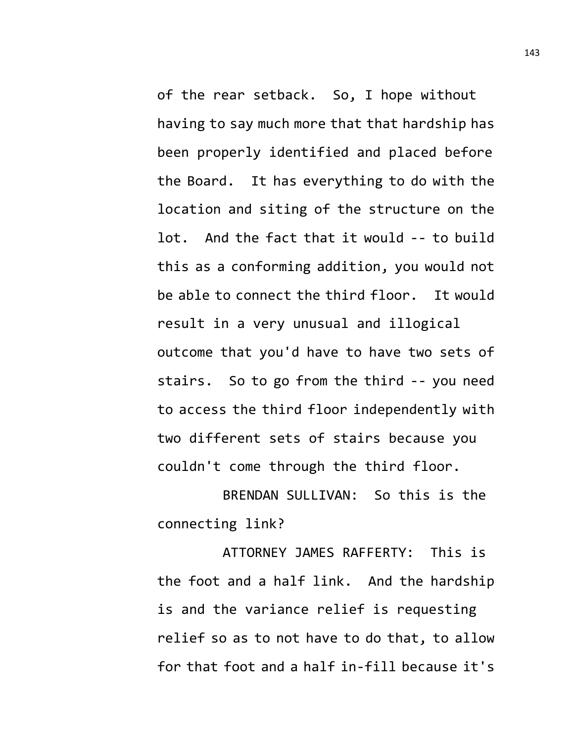of the rear setback. So, I hope without having to say much more that that hardship has been properly identified and placed before the Board. It has everything to do with the location and siting of the structure on the lot. And the fact that it would -- to build this as a conforming addition, you would not be able to connect the third floor. It would result in a very unusual and illogical outcome that you'd have to have two sets of stairs. So to go from the third -- you need to access the third floor independently with two different sets of stairs because you couldn't come through the third floor.

BRENDAN SULLIVAN: So this is the connecting link?

ATTORNEY JAMES RAFFERTY: This is the foot and a half link. And the hardship is and the variance relief is requesting relief so as to not have to do that, to allow for that foot and a half in-fill because it's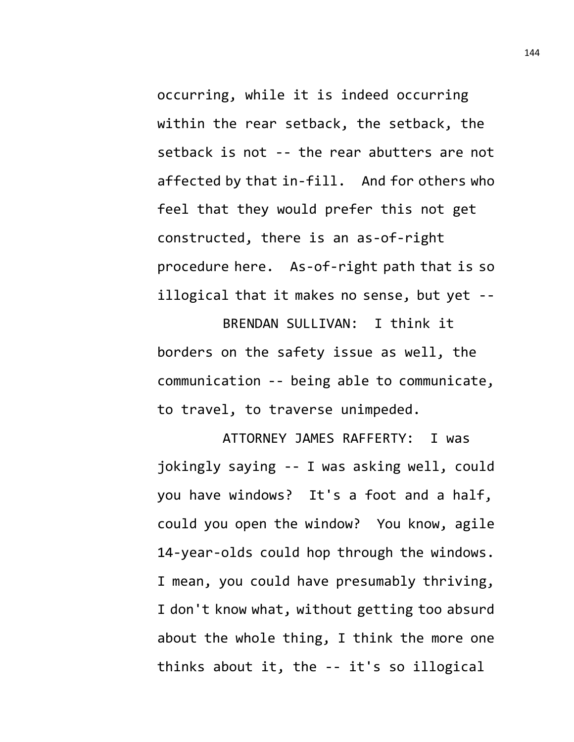occurring, while it is indeed occurring within the rear setback, the setback, the setback is not -- the rear abutters are not affected by that in-fill. And for others who feel that they would prefer this not get constructed, there is an as-of-right procedure here. As-of-right path that is so illogical that it makes no sense, but yet --

BRENDAN SULLIVAN: I think it borders on the safety issue as well, the communication -- being able to communicate, to travel, to traverse unimpeded.

ATTORNEY JAMES RAFFERTY: I was jokingly saying -- I was asking well, could you have windows? It's a foot and a half, could you open the window? You know, agile 14-year-olds could hop through the windows. I mean, you could have presumably thriving, I don't know what, without getting too absurd about the whole thing, I think the more one thinks about it, the -- it's so illogical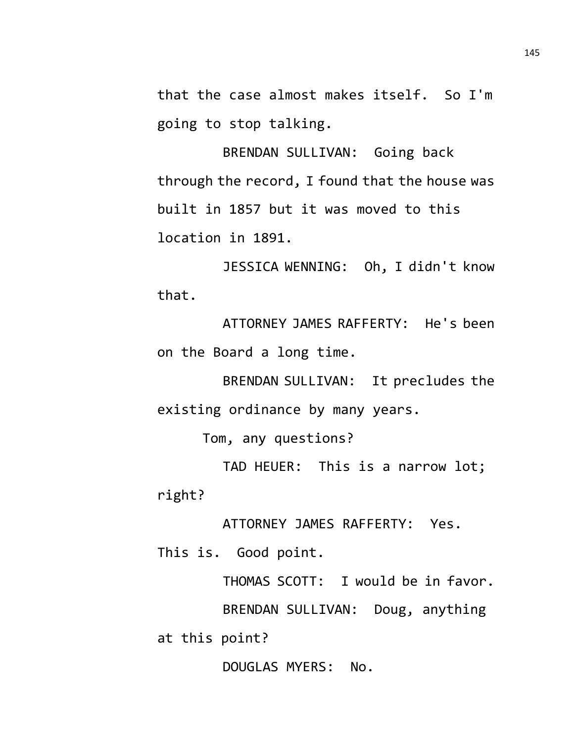that the case almost makes itself. So I'm going to stop talking.

BRENDAN SULLIVAN: Going back through the record, I found that the house was built in 1857 but it was moved to this location in 1891.

JESSICA WENNING: Oh, I didn't know that.

ATTORNEY JAMES RAFFERTY: He's been on the Board a long time.

BRENDAN SULLIVAN: It precludes the existing ordinance by many years.

Tom, any questions?

TAD HEUER: This is a narrow lot; right?

ATTORNEY JAMES RAFFERTY: Yes.

This is. Good point.

THOMAS SCOTT: I would be in favor. BRENDAN SULLIVAN: Doug, anything at this point?

DOUGLAS MYERS: No.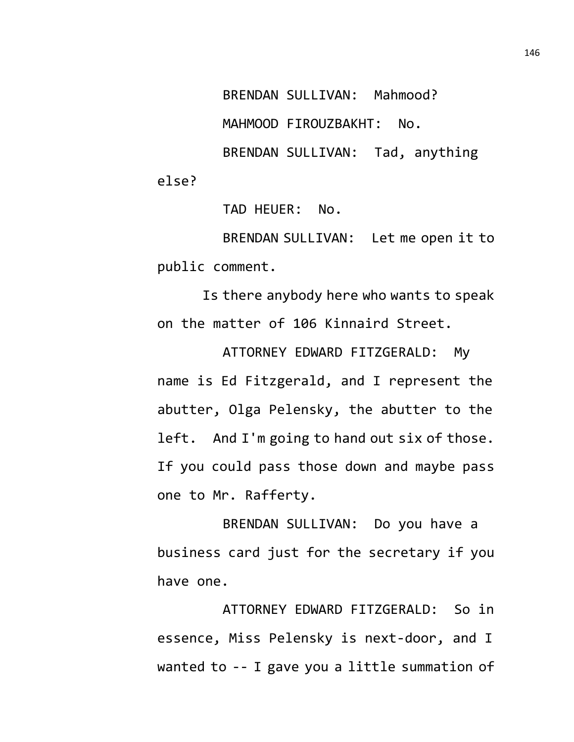BRENDAN SULLIVAN: Mahmood? MAHMOOD FIROUZBAKHT: No. BRENDAN SULLIVAN: Tad, anything

else?

TAD HEUER: No.

BRENDAN SULLIVAN: Let me open it to public comment.

Is there anybody here who wants to speak on the matter of 106 Kinnaird Street.

ATTORNEY EDWARD FITZGERALD: My name is Ed Fitzgerald, and I represent the abutter, Olga Pelensky, the abutter to the left. And I'm going to hand out six of those. If you could pass those down and maybe pass one to Mr. Rafferty.

BRENDAN SULLIVAN: Do you have a business card just for the secretary if you have one.

ATTORNEY EDWARD FITZGERALD: So in essence, Miss Pelensky is next-door, and I wanted to -- I gave you a little summation of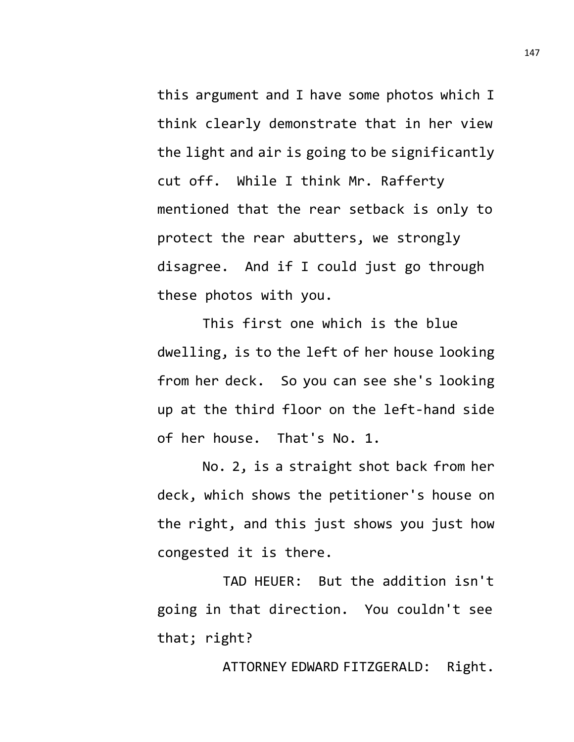this argument and I have some photos which I think clearly demonstrate that in her view the light and air is going to be significantly cut off. While I think Mr. Rafferty mentioned that the rear setback is only to protect the rear abutters, we strongly disagree. And if I could just go through these photos with you.

This first one which is the blue dwelling, is to the left of her house looking from her deck. So you can see she's looking up at the third floor on the left-hand side of her house. That's No. 1.

No. 2, is a straight shot back from her deck, which shows the petitioner's house on the right, and this just shows you just how congested it is there.

TAD HEUER: But the addition isn't going in that direction. You couldn't see that; right?

ATTORNEY EDWARD FITZGERALD: Right.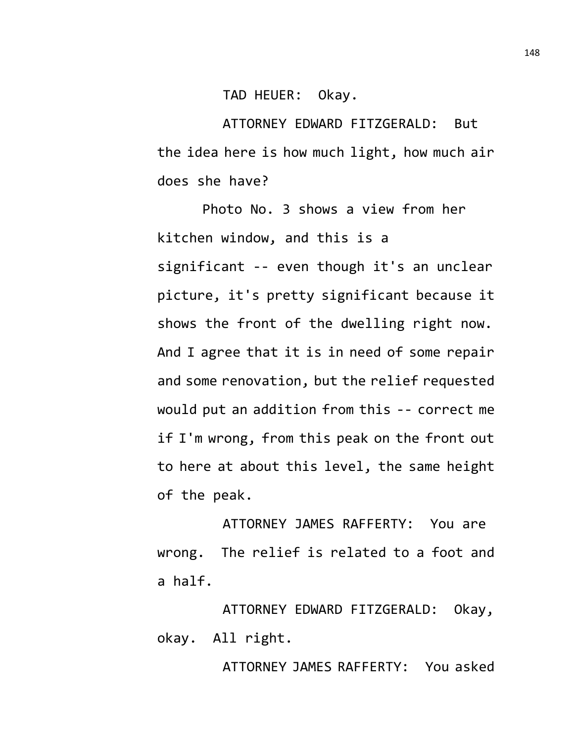TAD HEUER: Okay.

ATTORNEY EDWARD FITZGERALD: But the idea here is how much light, how much air does she have?

Photo No. 3 shows a view from her kitchen window, and this is a significant -- even though it's an unclear picture, it's pretty significant because it shows the front of the dwelling right now. And I agree that it is in need of some repair and some renovation, but the relief requested would put an addition from this -- correct me if I'm wrong, from this peak on the front out to here at about this level, the same height of the peak.

ATTORNEY JAMES RAFFERTY: You are wrong. The relief is related to a foot and a half.

ATTORNEY EDWARD FITZGERALD: Okay, okay. All right.

ATTORNEY JAMES RAFFERTY: You asked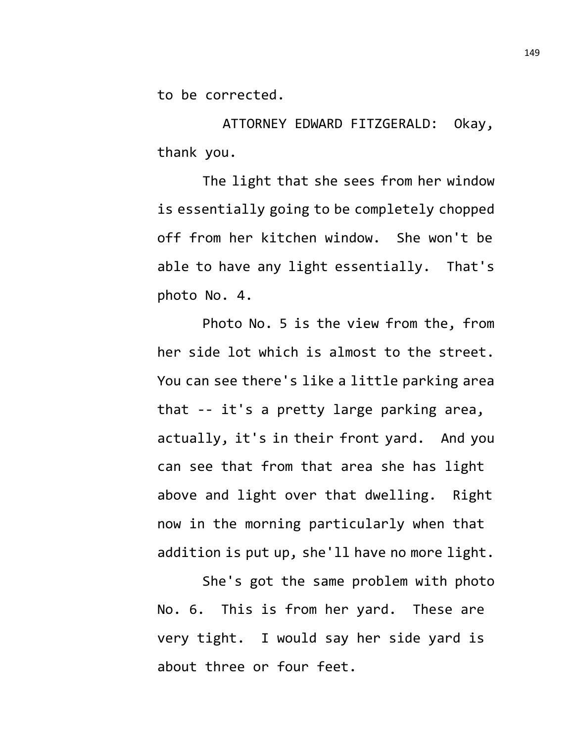to be corrected.

ATTORNEY EDWARD FITZGERALD: Okay, thank you.

The light that she sees from her window is essentially going to be completely chopped off from her kitchen window. She won't be able to have any light essentially. That's photo No. 4.

Photo No. 5 is the view from the, from her side lot which is almost to the street. You can see there's like a little parking area that -- it's a pretty large parking area, actually, it's in their front yard. And you can see that from that area she has light above and light over that dwelling. Right now in the morning particularly when that addition is put up, she'll have no more light.

She's got the same problem with photo No. 6. This is from her yard. These are very tight. I would say her side yard is about three or four feet.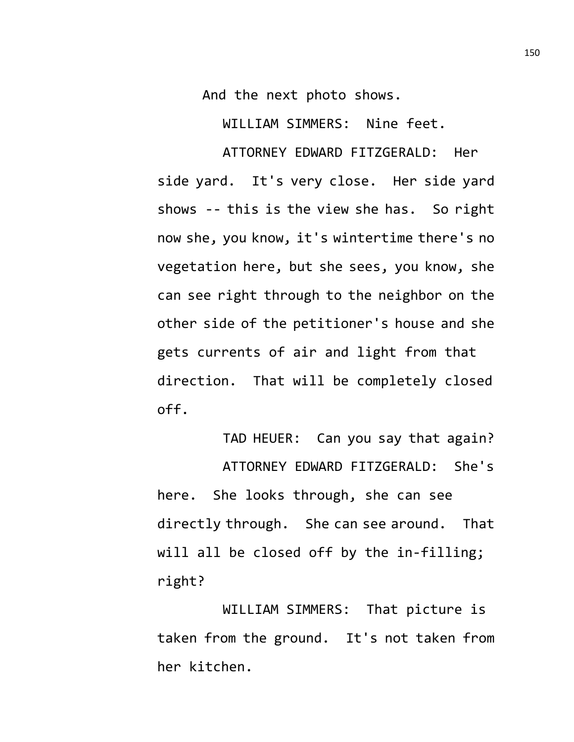And the next photo shows.

WILLIAM SIMMERS: Nine feet.

ATTORNEY EDWARD FITZGERALD: Her side yard. It's very close. Her side yard shows -- this is the view she has. So right now she, you know, it's wintertime there's no vegetation here, but she sees, you know, she can see right through to the neighbor on the other side of the petitioner's house and she gets currents of air and light from that direction. That will be completely closed off.

TAD HEUER: Can you say that again? ATTORNEY EDWARD FITZGERALD: She's here. She looks through, she can see directly through. She can see around. That will all be closed off by the in-filling; right?

WILLIAM SIMMERS: That picture is taken from the ground. It's not taken from her kitchen.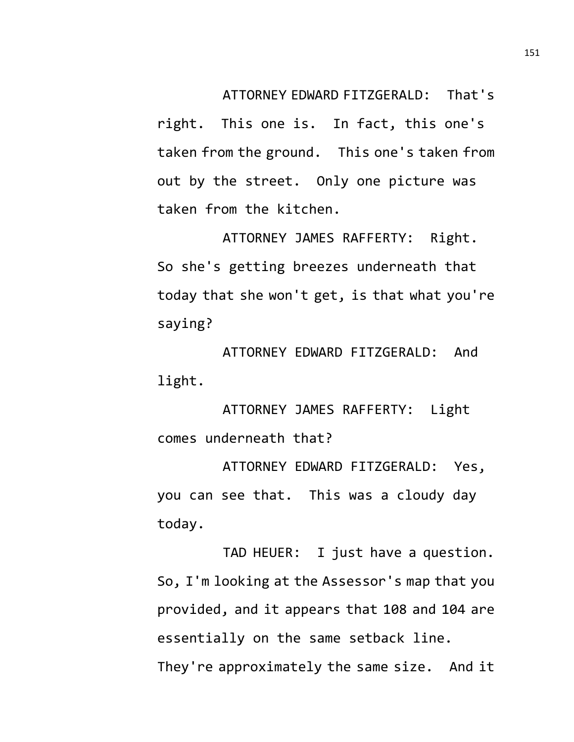ATTORNEY EDWARD FITZGERALD: That's

right. This one is. In fact, this one's taken from the ground. This one's taken from out by the street. Only one picture was taken from the kitchen.

ATTORNEY JAMES RAFFERTY: Right. So she's getting breezes underneath that today that she won't get, is that what you're saying?

ATTORNEY EDWARD FITZGERALD: And light.

ATTORNEY JAMES RAFFERTY: Light comes underneath that?

ATTORNEY EDWARD FITZGERALD: Yes, you can see that. This was a cloudy day today.

TAD HEUER: I just have a question. So, I'm looking at the Assessor's map that you provided, and it appears that 108 and 104 are essentially on the same setback line. They're approximately the same size. And it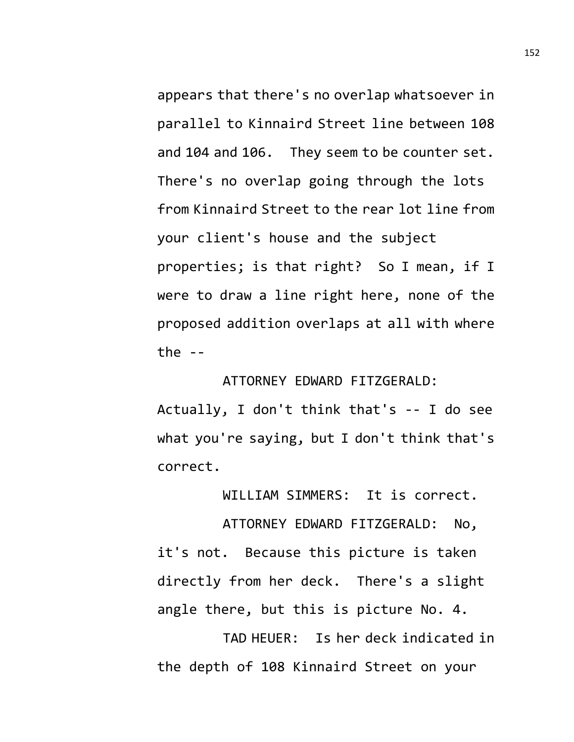appears that there's no overlap whatsoever in parallel to Kinnaird Street line between 108 and 104 and 106. They seem to be counter set. There's no overlap going through the lots from Kinnaird Street to the rear lot line from your client's house and the subject properties; is that right? So I mean, if I were to draw a line right here, none of the proposed addition overlaps at all with where the  $-$ 

ATTORNEY EDWARD FITZGERALD:

Actually, I don't think that's -- I do see what you're saying, but I don't think that's correct.

WILLIAM SIMMERS: It is correct.

ATTORNEY EDWARD FITZGERALD: No, it's not. Because this picture is taken directly from her deck. There's a slight angle there, but this is picture No. 4.

TAD HEUER: Is her deck indicated in the depth of 108 Kinnaird Street on your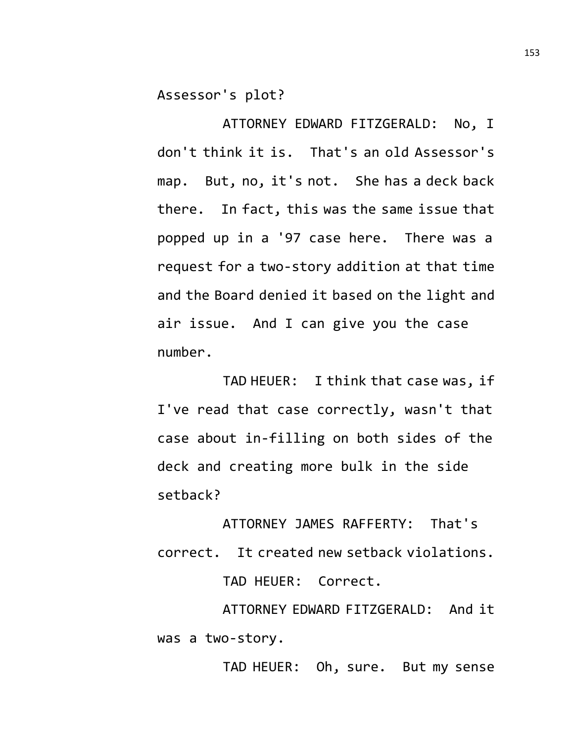Assessor's plot?

ATTORNEY EDWARD FITZGERALD: No, I don't think it is. That's an old Assessor's map. But, no, it's not. She has a deck back there. In fact, this was the same issue that popped up in a '97 case here. There was a request for a two-story addition at that time and the Board denied it based on the light and air issue. And I can give you the case number.

TAD HEUER: I think that case was, if I've read that case correctly, wasn't that case about in-filling on both sides of the deck and creating more bulk in the side setback?

ATTORNEY JAMES RAFFERTY: That's correct. It created new setback violations.

TAD HEUER: Correct.

ATTORNEY EDWARD FITZGERALD: And it was a two-story.

TAD HEUER: Oh, sure. But my sense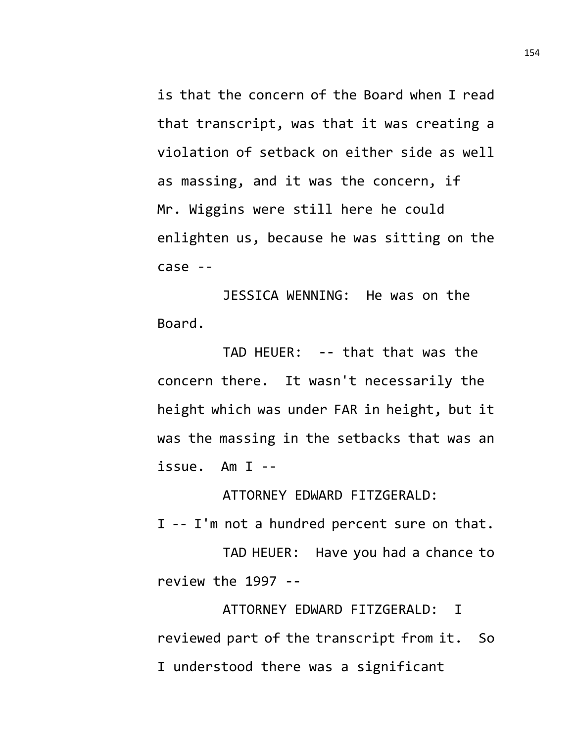is that the concern of the Board when I read that transcript, was that it was creating a violation of setback on either side as well as massing, and it was the concern, if Mr. Wiggins were still here he could enlighten us, because he was sitting on the case --

JESSICA WENNING: He was on the Board.

TAD HEUER: -- that that was the concern there. It wasn't necessarily the height which was under FAR in height, but it was the massing in the setbacks that was an issue. Am I --

ATTORNEY EDWARD FITZGERALD:

I -- I'm not a hundred percent sure on that.

TAD HEUER: Have you had a chance to review the 1997 --

ATTORNEY EDWARD FITZGERALD: I reviewed part of the transcript from it. So I understood there was a significant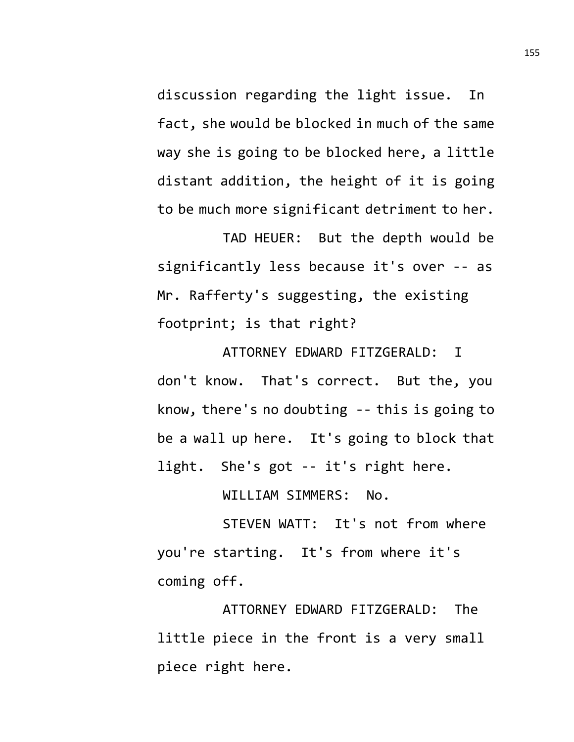discussion regarding the light issue. In fact, she would be blocked in much of the same way she is going to be blocked here, a little distant addition, the height of it is going to be much more significant detriment to her.

TAD HEUER: But the depth would be significantly less because it's over -- as Mr. Rafferty's suggesting, the existing footprint; is that right?

ATTORNEY EDWARD FITZGERALD: I don't know. That's correct. But the, you know, there's no doubting -- this is going to be a wall up here. It's going to block that light. She's got -- it's right here.

WILLIAM SIMMERS: No.

STEVEN WATT: It's not from where you're starting. It's from where it's coming off.

ATTORNEY EDWARD FITZGERALD: The little piece in the front is a very small piece right here.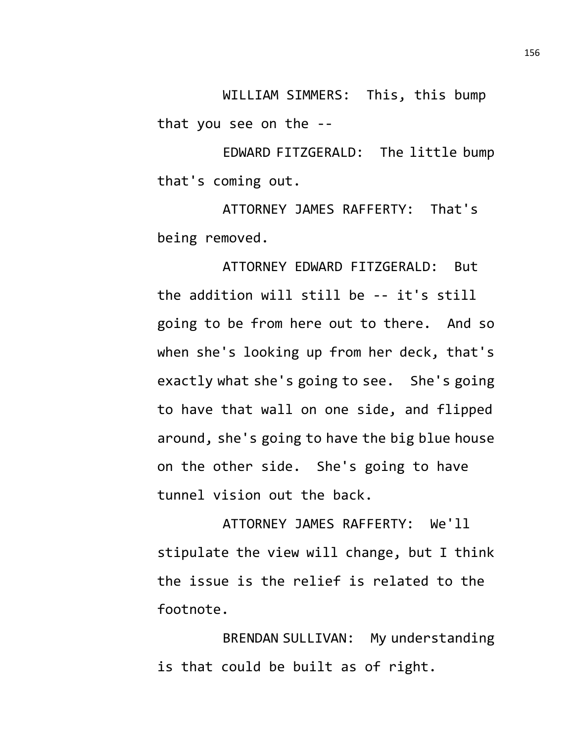WILLIAM SIMMERS: This, this bump that you see on the --

EDWARD FITZGERALD: The little bump that's coming out.

ATTORNEY JAMES RAFFERTY: That's being removed.

ATTORNEY EDWARD FITZGERALD: But the addition will still be -- it's still going to be from here out to there. And so when she's looking up from her deck, that's exactly what she's going to see. She's going to have that wall on one side, and flipped around, she's going to have the big blue house on the other side. She's going to have tunnel vision out the back.

ATTORNEY JAMES RAFFERTY: We'll stipulate the view will change, but I think the issue is the relief is related to the footnote.

BRENDAN SULLIVAN: My understanding is that could be built as of right.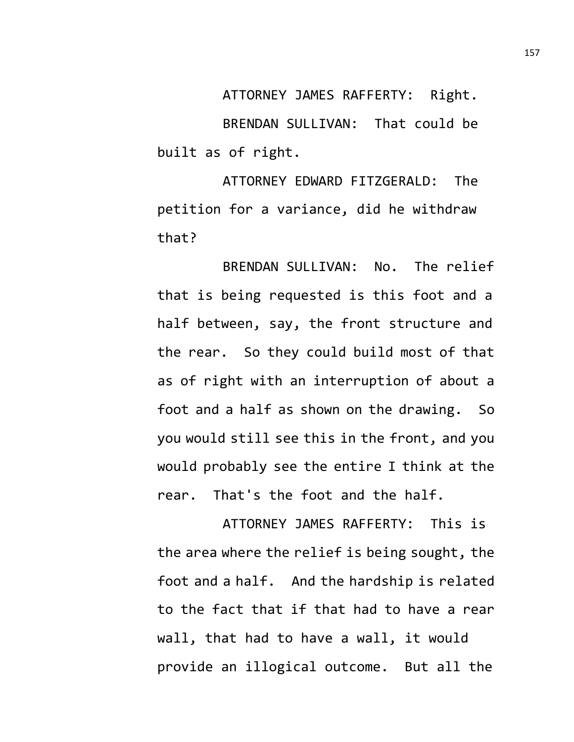ATTORNEY JAMES RAFFERTY: Right. BRENDAN SULLIVAN: That could be built as of right.

ATTORNEY EDWARD FITZGERALD: The petition for a variance, did he withdraw that?

BRENDAN SULLIVAN: No. The relief that is being requested is this foot and a half between, say, the front structure and the rear. So they could build most of that as of right with an interruption of about a foot and a half as shown on the drawing. So you would still see this in the front, and you would probably see the entire I think at the rear. That's the foot and the half.

ATTORNEY JAMES RAFFERTY: This is the area where the relief is being sought, the foot and a half. And the hardship is related to the fact that if that had to have a rear wall, that had to have a wall, it would provide an illogical outcome. But all the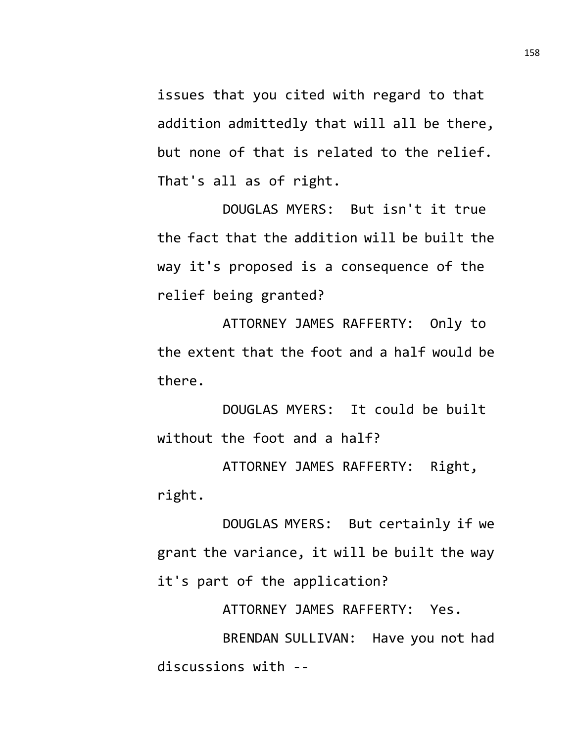issues that you cited with regard to that addition admittedly that will all be there, but none of that is related to the relief. That's all as of right.

DOUGLAS MYERS: But isn't it true the fact that the addition will be built the way it's proposed is a consequence of the relief being granted?

ATTORNEY JAMES RAFFERTY: Only to the extent that the foot and a half would be there.

DOUGLAS MYERS: It could be built without the foot and a half?

ATTORNEY JAMES RAFFERTY: Right, right.

DOUGLAS MYERS: But certainly if we grant the variance, it will be built the way it's part of the application?

ATTORNEY JAMES RAFFERTY: Yes.

BRENDAN SULLIVAN: Have you not had discussions with --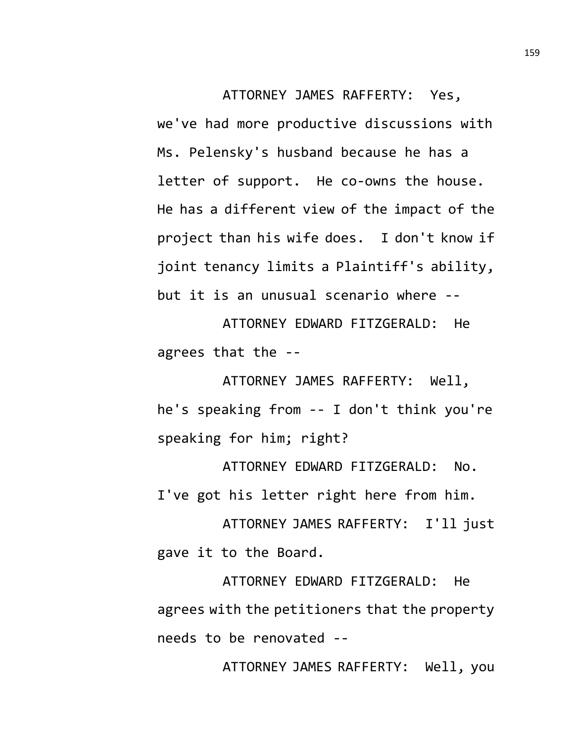ATTORNEY JAMES RAFFERTY: Yes, we've had more productive discussions with Ms. Pelensky's husband because he has a letter of support. He co-owns the house. He has a different view of the impact of the project than his wife does. I don't know if joint tenancy limits a Plaintiff's ability, but it is an unusual scenario where --

ATTORNEY EDWARD FITZGERALD: He agrees that the --

ATTORNEY JAMES RAFFERTY: Well, he's speaking from -- I don't think you're speaking for him; right?

ATTORNEY EDWARD FITZGERALD: No. I've got his letter right here from him.

ATTORNEY JAMES RAFFERTY: I'll just gave it to the Board.

ATTORNEY EDWARD FITZGERALD: He agrees with the petitioners that the property needs to be renovated --

ATTORNEY JAMES RAFFERTY: Well, you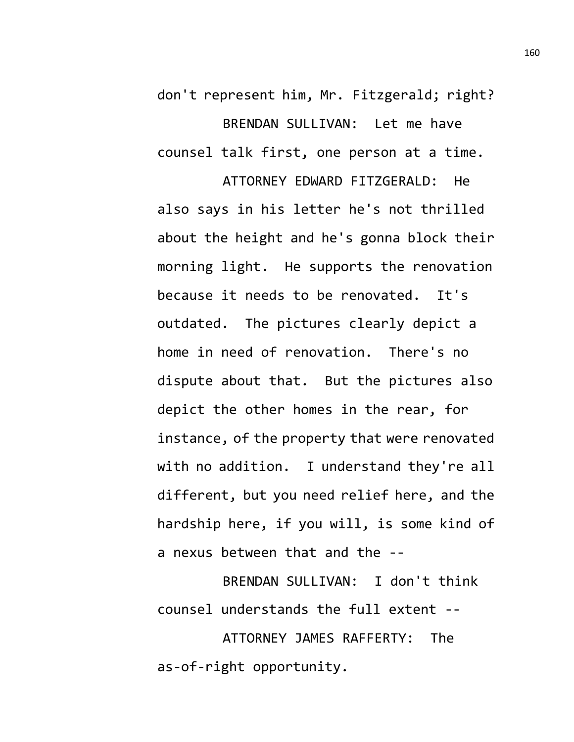don't represent him, Mr. Fitzgerald; right? BRENDAN SULLIVAN: Let me have counsel talk first, one person at a time.

ATTORNEY EDWARD FITZGERALD: He also says in his letter he's not thrilled about the height and he's gonna block their morning light. He supports the renovation because it needs to be renovated. It's outdated. The pictures clearly depict a home in need of renovation. There's no dispute about that. But the pictures also depict the other homes in the rear, for instance, of the property that were renovated with no addition. I understand they're all different, but you need relief here, and the hardship here, if you will, is some kind of a nexus between that and the --

BRENDAN SULLIVAN: I don't think counsel understands the full extent --

ATTORNEY JAMES RAFFERTY: The as-of-right opportunity.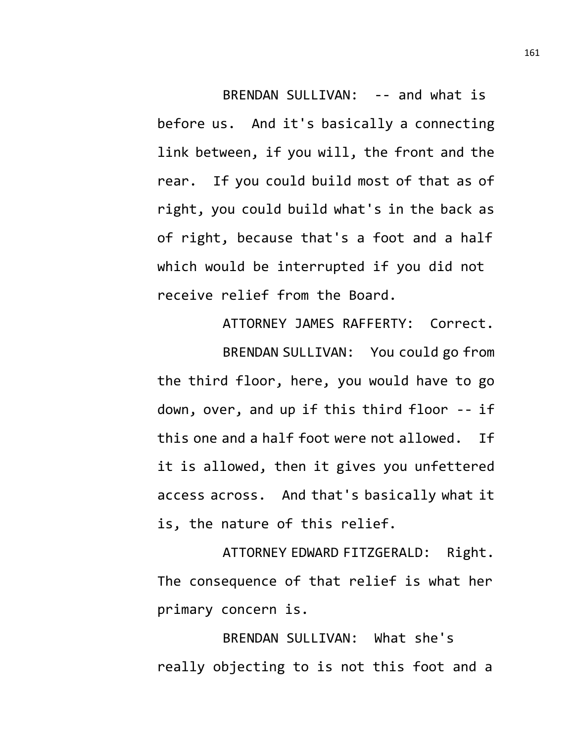BRENDAN SULLIVAN: -- and what is before us. And it's basically a connecting link between, if you will, the front and the rear. If you could build most of that as of right, you could build what's in the back as of right, because that's a foot and a half which would be interrupted if you did not receive relief from the Board.

ATTORNEY JAMES RAFFERTY: Correct. BRENDAN SULLIVAN: You could go from the third floor, here, you would have to go down, over, and up if this third floor -- if this one and a half foot were not allowed. If it is allowed, then it gives you unfettered access across. And that's basically what it is, the nature of this relief.

ATTORNEY EDWARD FITZGERALD: Right. The consequence of that relief is what her primary concern is.

BRENDAN SULLIVAN: What she's really objecting to is not this foot and a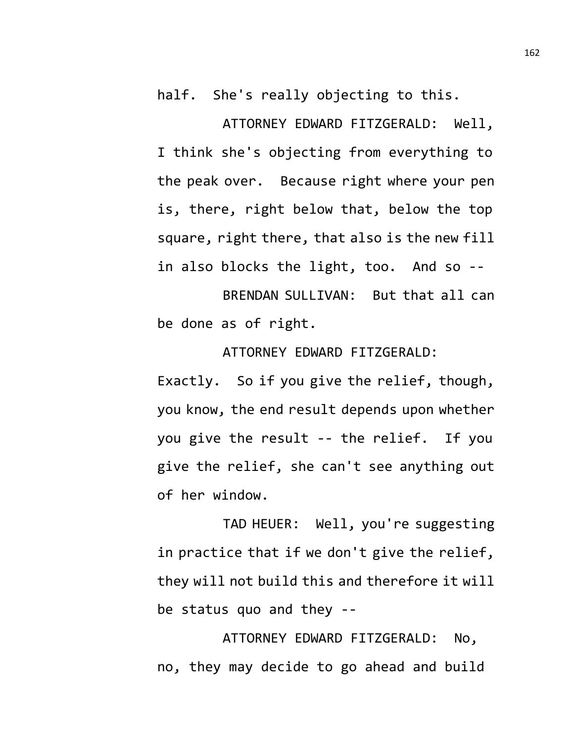half. She's really objecting to this.

ATTORNEY EDWARD FITZGERALD: Well, I think she's objecting from everything to the peak over. Because right where your pen is, there, right below that, below the top square, right there, that also is the new fill in also blocks the light, too. And so --

BRENDAN SULLIVAN: But that all can be done as of right.

ATTORNEY EDWARD FITZGERALD: Exactly. So if you give the relief, though, you know, the end result depends upon whether you give the result -- the relief. If you give the relief, she can't see anything out of her window.

TAD HEUER: Well, you're suggesting in practice that if we don't give the relief, they will not build this and therefore it will be status quo and they --

ATTORNEY EDWARD FITZGERALD: No, no, they may decide to go ahead and build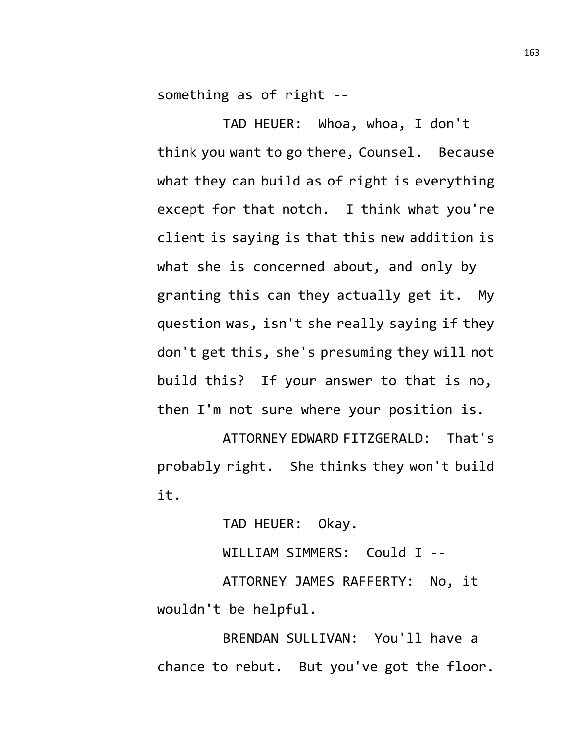something as of right --

TAD HEUER: Whoa, whoa, I don't think you want to go there, Counsel. Because what they can build as of right is everything except for that notch. I think what you're client is saying is that this new addition is what she is concerned about, and only by granting this can they actually get it. My question was, isn't she really saying if they don't get this, she's presuming they will not build this? If your answer to that is no, then I'm not sure where your position is.

ATTORNEY EDWARD FITZGERALD: That's probably right. She thinks they won't build it.

TAD HEUER: Okay.

WILLIAM SIMMERS: Could I --

ATTORNEY JAMES RAFFERTY: No, it wouldn't be helpful.

BRENDAN SULLIVAN: You'll have a chance to rebut. But you've got the floor.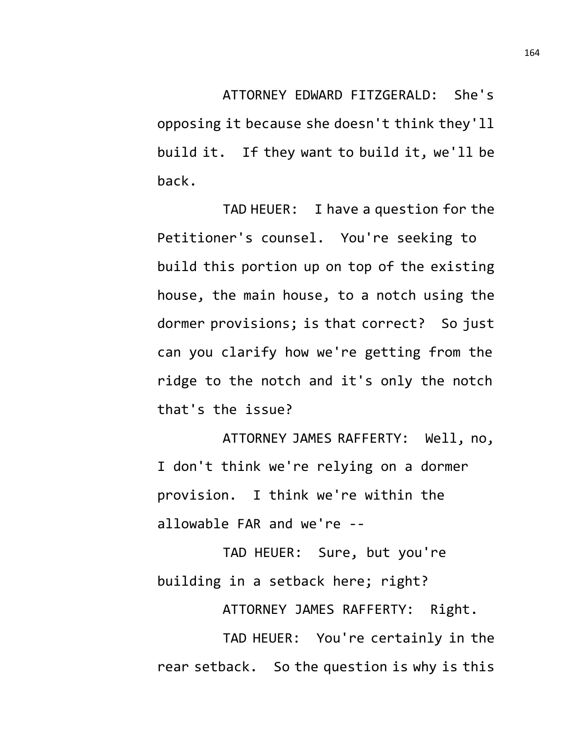ATTORNEY EDWARD FITZGERALD: She's opposing it because she doesn't think they'll build it. If they want to build it, we'll be back.

TAD HEUER: I have a question for the Petitioner's counsel. You're seeking to build this portion up on top of the existing house, the main house, to a notch using the dormer provisions; is that correct? So just can you clarify how we're getting from the ridge to the notch and it's only the notch that's the issue?

ATTORNEY JAMES RAFFERTY: Well, no, I don't think we're relying on a dormer provision. I think we're within the allowable FAR and we're --

TAD HEUER: Sure, but you're building in a setback here; right?

ATTORNEY JAMES RAFFERTY: Right.

TAD HEUER: You're certainly in the rear setback. So the question is why is this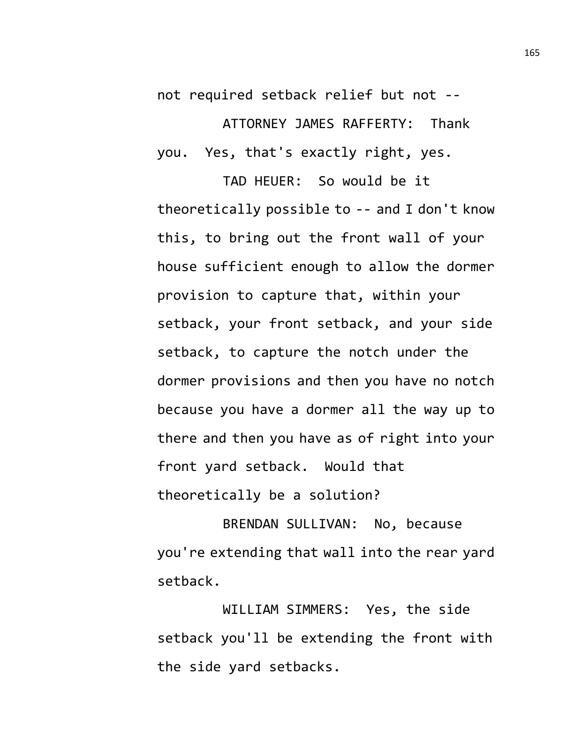not required setback relief but not -- ATTORNEY JAMES RAFFERTY: Thank you. Yes, that's exactly right, yes.

TAD HEUER: So would be it theoretically possible to -- and I don't know this, to bring out the front wall of your house sufficient enough to allow the dormer provision to capture that, within your setback, your front setback, and your side setback, to capture the notch under the dormer provisions and then you have no notch because you have a dormer all the way up to there and then you have as of right into your front yard setback. Would that theoretically be a solution?

BRENDAN SULLIVAN: No, because you're extending that wall into the rear yard setback.

WILLIAM SIMMERS: Yes, the side setback you'll be extending the front with the side yard setbacks.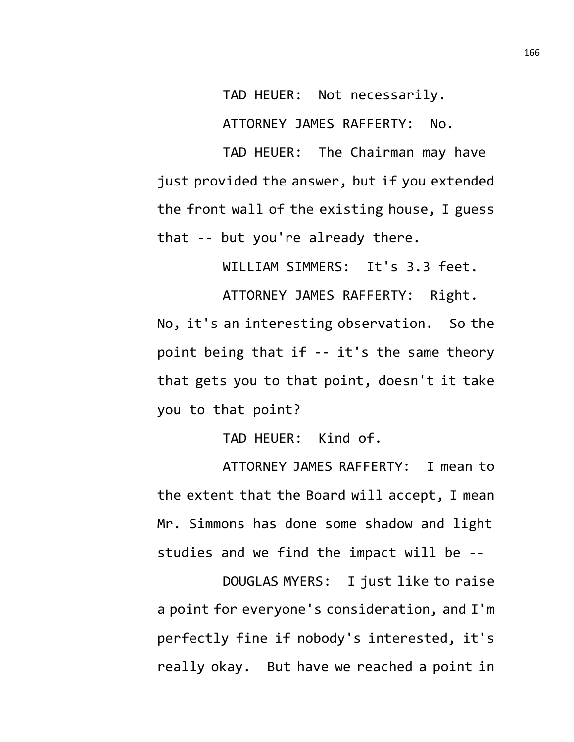TAD HEUER: Not necessarily.

ATTORNEY JAMES RAFFERTY: No.

TAD HEUER: The Chairman may have just provided the answer, but if you extended the front wall of the existing house, I guess that -- but you're already there.

WILLIAM SIMMERS: It's 3.3 feet.

ATTORNEY JAMES RAFFERTY: Right. No, it's an interesting observation. So the point being that if -- it's the same theory that gets you to that point, doesn't it take you to that point?

TAD HEUER: Kind of.

ATTORNEY JAMES RAFFERTY: I mean to the extent that the Board will accept, I mean Mr. Simmons has done some shadow and light studies and we find the impact will be --

DOUGLAS MYERS: I just like to raise a point for everyone's consideration, and I'm perfectly fine if nobody's interested, it's really okay. But have we reached a point in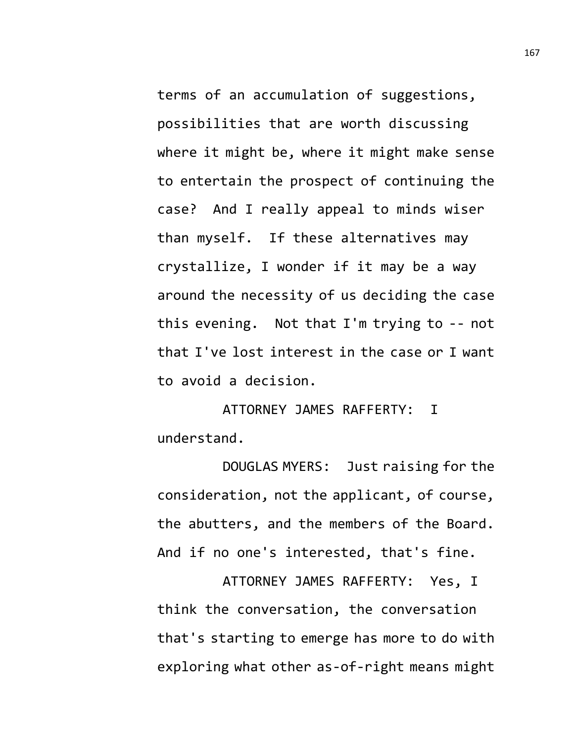terms of an accumulation of suggestions, possibilities that are worth discussing where it might be, where it might make sense to entertain the prospect of continuing the case? And I really appeal to minds wiser than myself. If these alternatives may crystallize, I wonder if it may be a way around the necessity of us deciding the case this evening. Not that I'm trying to -- not that I've lost interest in the case or I want to avoid a decision.

ATTORNEY JAMES RAFFERTY: I understand.

DOUGLAS MYERS: Just raising for the consideration, not the applicant, of course, the abutters, and the members of the Board. And if no one's interested, that's fine.

ATTORNEY JAMES RAFFERTY: Yes, I think the conversation, the conversation that's starting to emerge has more to do with exploring what other as-of-right means might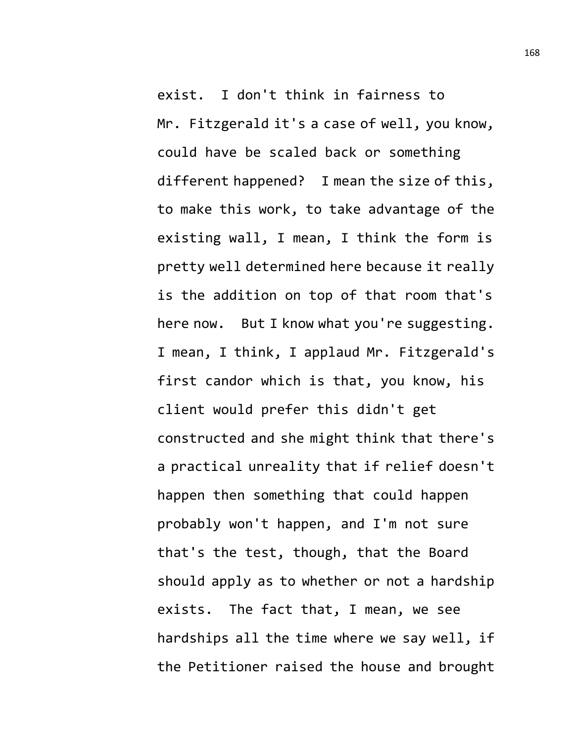exist. I don't think in fairness to Mr. Fitzgerald it's a case of well, you know, could have be scaled back or something different happened? I mean the size of this, to make this work, to take advantage of the existing wall, I mean, I think the form is pretty well determined here because it really is the addition on top of that room that's here now. But I know what you're suggesting. I mean, I think, I applaud Mr. Fitzgerald's first candor which is that, you know, his client would prefer this didn't get constructed and she might think that there's a practical unreality that if relief doesn't happen then something that could happen probably won't happen, and I'm not sure that's the test, though, that the Board should apply as to whether or not a hardship exists. The fact that, I mean, we see hardships all the time where we say well, if the Petitioner raised the house and brought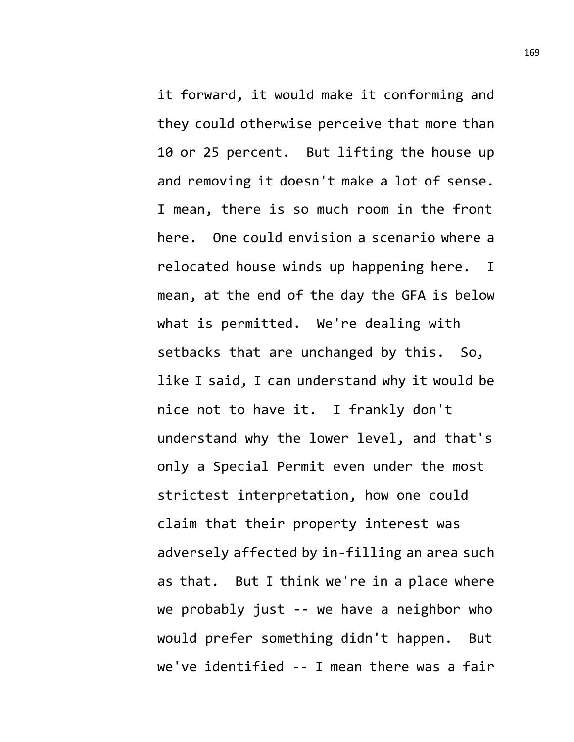it forward, it would make it conforming and they could otherwise perceive that more than 10 or 25 percent. But lifting the house up and removing it doesn't make a lot of sense. I mean, there is so much room in the front here. One could envision a scenario where a relocated house winds up happening here. I mean, at the end of the day the GFA is below what is permitted. We're dealing with setbacks that are unchanged by this. So, like I said, I can understand why it would be nice not to have it. I frankly don't understand why the lower level, and that's only a Special Permit even under the most strictest interpretation, how one could claim that their property interest was adversely affected by in-filling an area such as that. But I think we're in a place where we probably just -- we have a neighbor who would prefer something didn't happen. But we've identified -- I mean there was a fair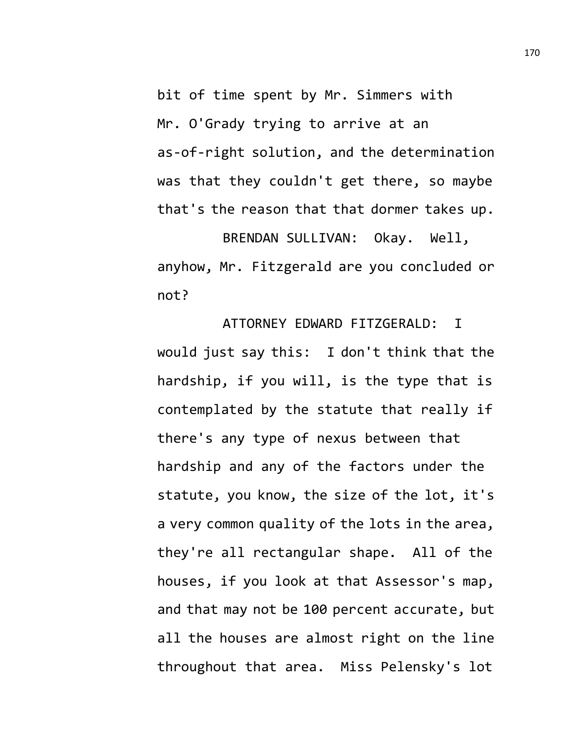bit of time spent by Mr. Simmers with Mr. O'Grady trying to arrive at an as-of-right solution, and the determination was that they couldn't get there, so maybe that's the reason that that dormer takes up.

BRENDAN SULLIVAN: Okay. Well, anyhow, Mr. Fitzgerald are you concluded or not?

ATTORNEY EDWARD FITZGERALD: I would just say this: I don't think that the hardship, if you will, is the type that is contemplated by the statute that really if there's any type of nexus between that hardship and any of the factors under the statute, you know, the size of the lot, it's a very common quality of the lots in the area, they're all rectangular shape. All of the houses, if you look at that Assessor's map, and that may not be 100 percent accurate, but all the houses are almost right on the line throughout that area. Miss Pelensky's lot

170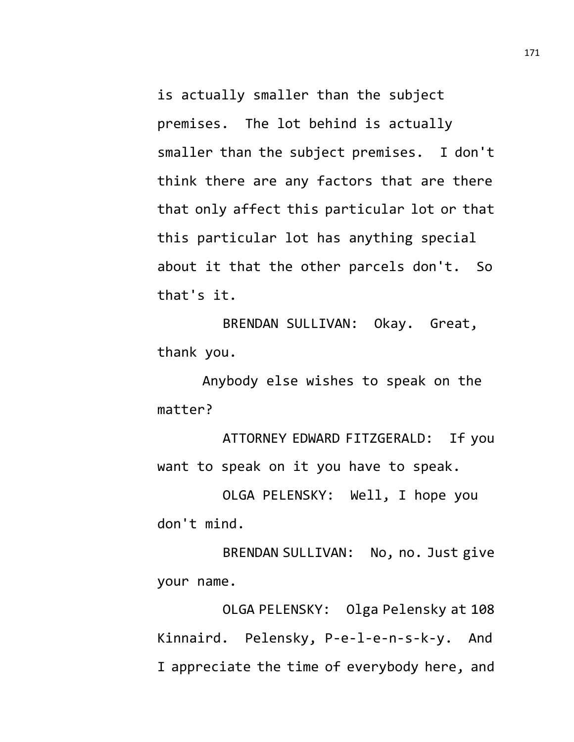is actually smaller than the subject premises. The lot behind is actually smaller than the subject premises. I don't think there are any factors that are there that only affect this particular lot or that this particular lot has anything special about it that the other parcels don't. So that's it.

BRENDAN SULLIVAN: Okay. Great, thank you.

Anybody else wishes to speak on the matter?

ATTORNEY EDWARD FITZGERALD: If you want to speak on it you have to speak.

OLGA PELENSKY: Well, I hope you don't mind.

BRENDAN SULLIVAN: No, no. Just give your name.

OLGA PELENSKY: Olga Pelensky at 108 Kinnaird. Pelensky, P-e-l-e-n-s-k-y. And I appreciate the time of everybody here, and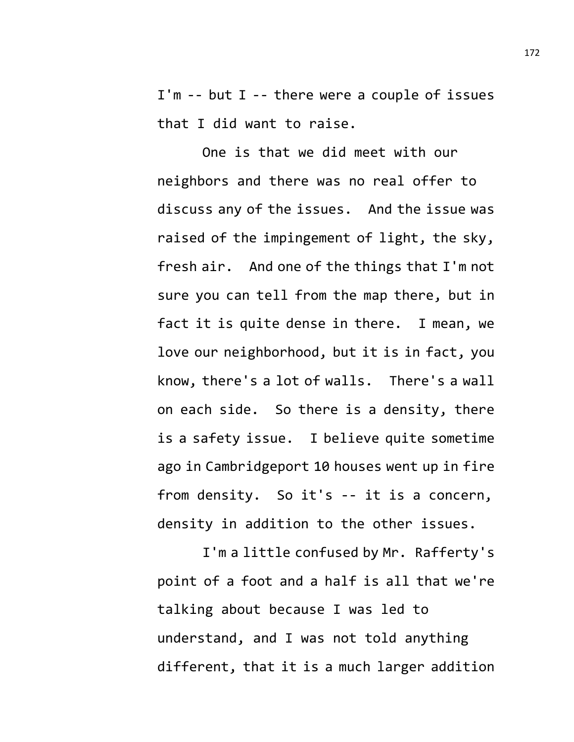I'm -- but I -- there were a couple of issues that I did want to raise.

One is that we did meet with our neighbors and there was no real offer to discuss any of the issues. And the issue was raised of the impingement of light, the sky, fresh air. And one of the things that I'm not sure you can tell from the map there, but in fact it is quite dense in there. I mean, we love our neighborhood, but it is in fact, you know, there's a lot of walls. There's a wall on each side. So there is a density, there is a safety issue. I believe quite sometime ago in Cambridgeport 10 houses went up in fire from density. So it's -- it is a concern, density in addition to the other issues.

I'm a little confused by Mr. Rafferty's point of a foot and a half is all that we're talking about because I was led to understand, and I was not told anything different, that it is a much larger addition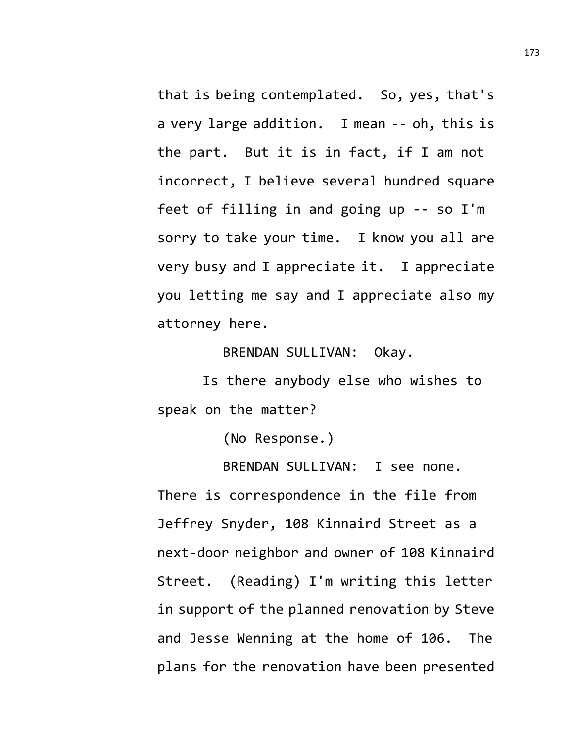that is being contemplated. So, yes, that's a very large addition. I mean -- oh, this is the part. But it is in fact, if I am not incorrect, I believe several hundred square feet of filling in and going up -- so I'm sorry to take your time. I know you all are very busy and I appreciate it. I appreciate you letting me say and I appreciate also my attorney here.

BRENDAN SULLIVAN: Okay.

Is there anybody else who wishes to speak on the matter?

(No Response.)

BRENDAN SULLIVAN: I see none. There is correspondence in the file from Jeffrey Snyder, 108 Kinnaird Street as a next-door neighbor and owner of 108 Kinnaird Street. (Reading) I'm writing this letter in support of the planned renovation by Steve and Jesse Wenning at the home of 106. The plans for the renovation have been presented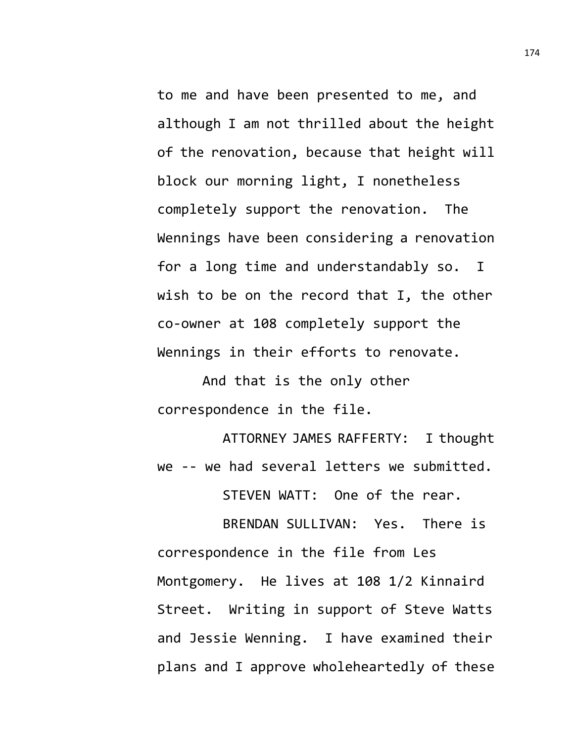to me and have been presented to me, and although I am not thrilled about the height of the renovation, because that height will block our morning light, I nonetheless completely support the renovation. The Wennings have been considering a renovation for a long time and understandably so. I wish to be on the record that I, the other co-owner at 108 completely support the Wennings in their efforts to renovate.

And that is the only other correspondence in the file.

ATTORNEY JAMES RAFFERTY: I thought we -- we had several letters we submitted.

STEVEN WATT: One of the rear.

BRENDAN SULLIVAN: Yes. There is correspondence in the file from Les Montgomery. He lives at 108 1/2 Kinnaird Street. Writing in support of Steve Watts and Jessie Wenning. I have examined their plans and I approve wholeheartedly of these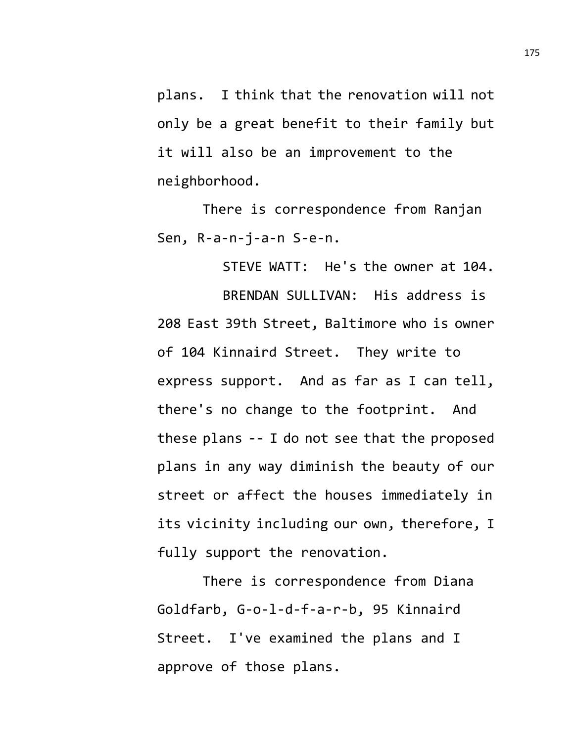plans. I think that the renovation will not only be a great benefit to their family but it will also be an improvement to the neighborhood.

There is correspondence from Ranjan Sen, R-a-n-j-a-n S-e-n.

STEVE WATT: He's the owner at 104.

BRENDAN SULLIVAN: His address is 208 East 39th Street, Baltimore who is owner of 104 Kinnaird Street. They write to express support. And as far as I can tell, there's no change to the footprint. And these plans -- I do not see that the proposed plans in any way diminish the beauty of our street or affect the houses immediately in its vicinity including our own, therefore, I fully support the renovation.

There is correspondence from Diana Goldfarb, G-o-l-d-f-a-r-b, 95 Kinnaird Street. I've examined the plans and I approve of those plans.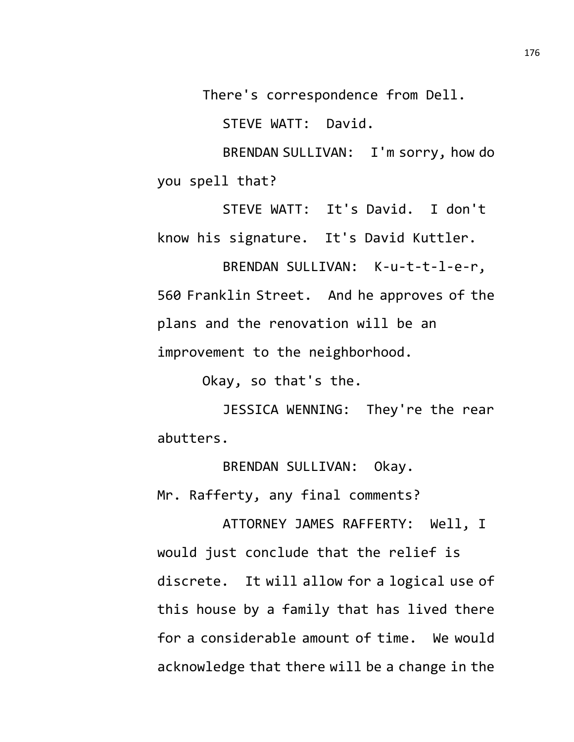There's correspondence from Dell.

STEVE WATT: David.

BRENDAN SULLIVAN: I'm sorry, how do you spell that?

STEVE WATT: It's David. I don't know his signature. It's David Kuttler.

BRENDAN SULLIVAN: K-u-t-t-l-e-r, 560 Franklin Street. And he approves of the plans and the renovation will be an improvement to the neighborhood.

Okay, so that's the.

JESSICA WENNING: They're the rear abutters.

BRENDAN SULLIVAN: Okay. Mr. Rafferty, any final comments?

ATTORNEY JAMES RAFFERTY: Well, I would just conclude that the relief is discrete. It will allow for a logical use of this house by a family that has lived there for a considerable amount of time. We would acknowledge that there will be a change in the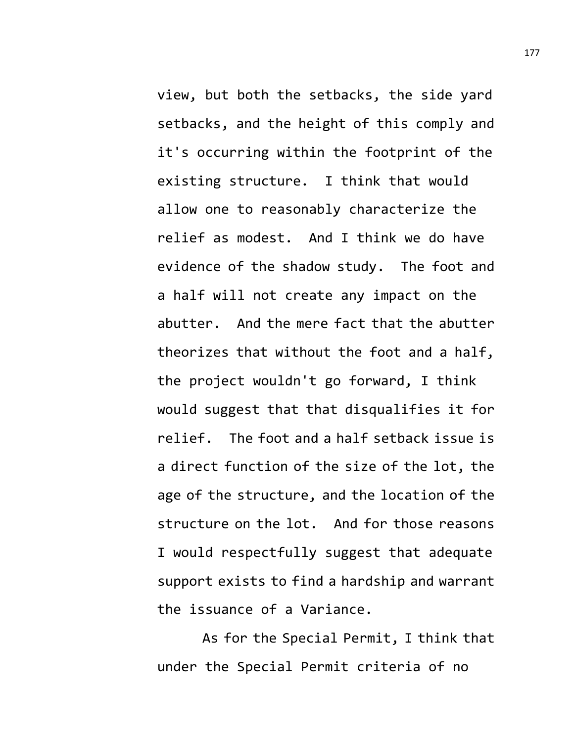view, but both the setbacks, the side yard setbacks, and the height of this comply and it's occurring within the footprint of the existing structure. I think that would allow one to reasonably characterize the relief as modest. And I think we do have evidence of the shadow study. The foot and a half will not create any impact on the abutter. And the mere fact that the abutter theorizes that without the foot and a half, the project wouldn't go forward, I think would suggest that that disqualifies it for relief. The foot and a half setback issue is a direct function of the size of the lot, the age of the structure, and the location of the structure on the lot. And for those reasons I would respectfully suggest that adequate support exists to find a hardship and warrant the issuance of a Variance.

As for the Special Permit, I think that under the Special Permit criteria of no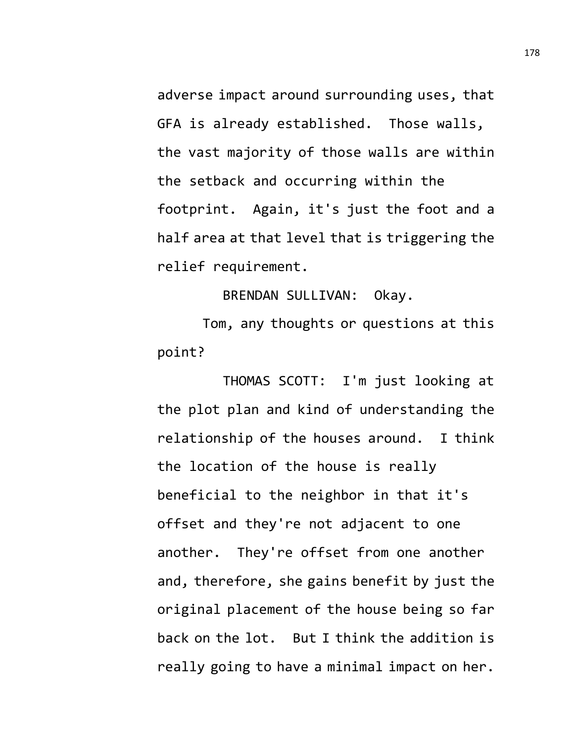adverse impact around surrounding uses, that GFA is already established. Those walls, the vast majority of those walls are within the setback and occurring within the footprint. Again, it's just the foot and a half area at that level that is triggering the relief requirement.

BRENDAN SULLIVAN: Okay.

Tom, any thoughts or questions at this point?

THOMAS SCOTT: I'm just looking at the plot plan and kind of understanding the relationship of the houses around. I think the location of the house is really beneficial to the neighbor in that it's offset and they're not adjacent to one another. They're offset from one another and, therefore, she gains benefit by just the original placement of the house being so far back on the lot. But I think the addition is really going to have a minimal impact on her.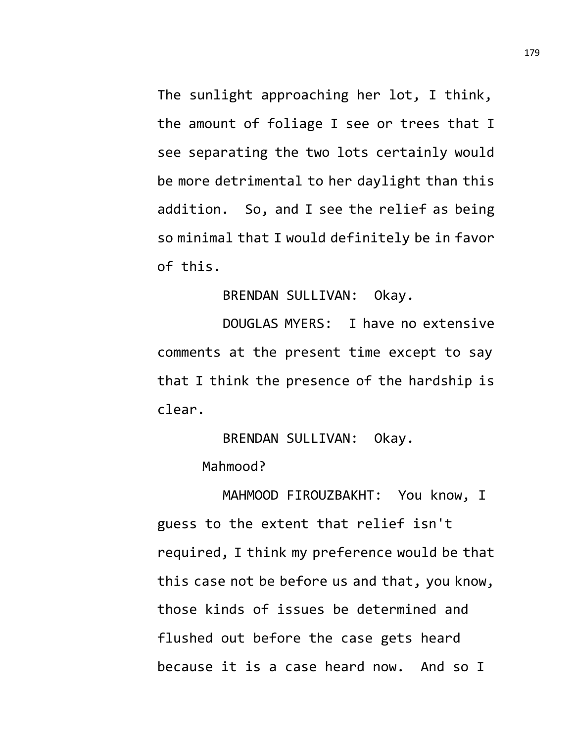The sunlight approaching her lot, I think, the amount of foliage I see or trees that I see separating the two lots certainly would be more detrimental to her daylight than this addition. So, and I see the relief as being so minimal that I would definitely be in favor of this.

## BRENDAN SULLIVAN: Okay.

DOUGLAS MYERS: I have no extensive comments at the present time except to say that I think the presence of the hardship is clear.

## BRENDAN SULLIVAN: Okay.

## Mahmood?

MAHMOOD FIROUZBAKHT: You know, I guess to the extent that relief isn't required, I think my preference would be that this case not be before us and that, you know, those kinds of issues be determined and flushed out before the case gets heard because it is a case heard now. And so I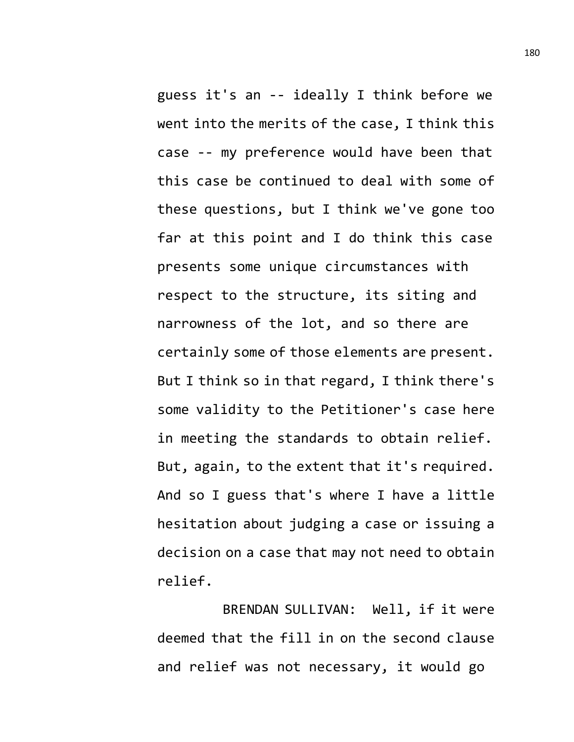guess it's an -- ideally I think before we went into the merits of the case, I think this case -- my preference would have been that this case be continued to deal with some of these questions, but I think we've gone too far at this point and I do think this case presents some unique circumstances with respect to the structure, its siting and narrowness of the lot, and so there are certainly some of those elements are present. But I think so in that regard, I think there's some validity to the Petitioner's case here in meeting the standards to obtain relief. But, again, to the extent that it's required. And so I guess that's where I have a little hesitation about judging a case or issuing a decision on a case that may not need to obtain relief.

BRENDAN SULLIVAN: Well, if it were deemed that the fill in on the second clause and relief was not necessary, it would go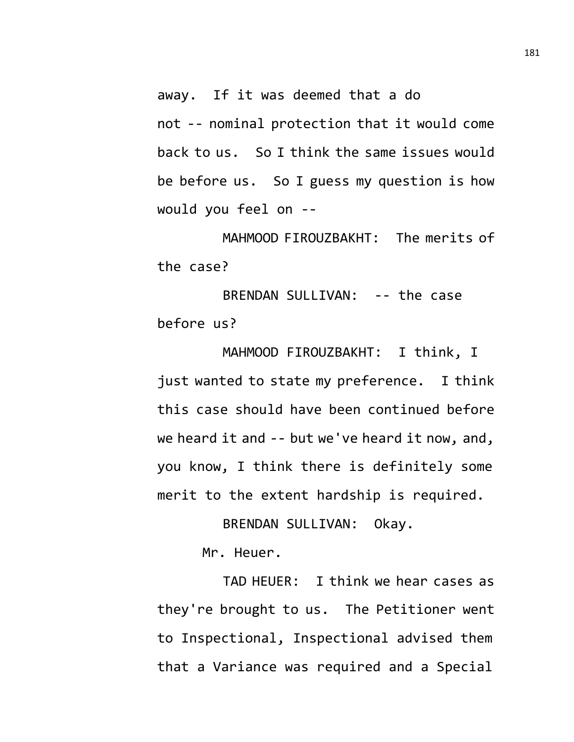away. If it was deemed that a do not -- nominal protection that it would come back to us. So I think the same issues would be before us. So I guess my question is how would you feel on --

MAHMOOD FIROUZBAKHT: The merits of the case?

BRENDAN SULLIVAN: -- the case before us?

MAHMOOD FIROUZBAKHT: I think, I just wanted to state my preference. I think this case should have been continued before we heard it and -- but we've heard it now, and, you know, I think there is definitely some merit to the extent hardship is required.

BRENDAN SULLIVAN: Okay.

Mr. Heuer.

TAD HEUER: I think we hear cases as they're brought to us. The Petitioner went to Inspectional, Inspectional advised them that a Variance was required and a Special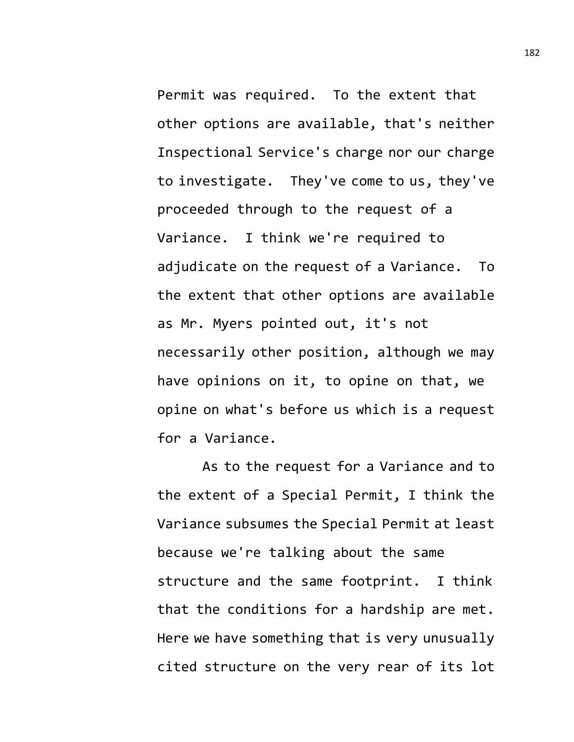Permit was required. To the extent that other options are available, that's neither Inspectional Service's charge nor our charge to investigate. They've come to us, they've proceeded through to the request of a Variance. I think we're required to adjudicate on the request of a Variance. To the extent that other options are available as Mr. Myers pointed out, it's not necessarily other position, although we may have opinions on it, to opine on that, we opine on what's before us which is a request for a Variance.

As to the request for a Variance and to the extent of a Special Permit, I think the Variance subsumes the Special Permit at least because we're talking about the same structure and the same footprint. I think that the conditions for a hardship are met. Here we have something that is very unusually cited structure on the very rear of its lot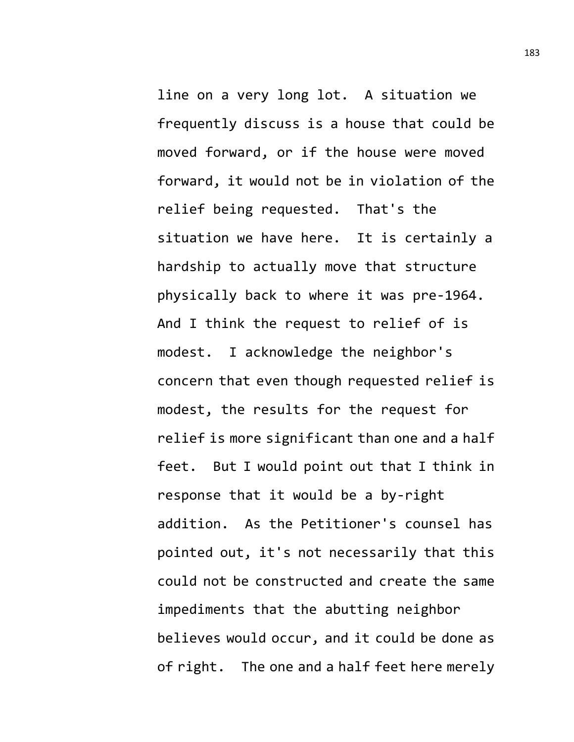line on a very long lot. A situation we frequently discuss is a house that could be moved forward, or if the house were moved forward, it would not be in violation of the relief being requested. That's the situation we have here. It is certainly a hardship to actually move that structure physically back to where it was pre-1964. And I think the request to relief of is modest. I acknowledge the neighbor's concern that even though requested relief is modest, the results for the request for relief is more significant than one and a half feet. But I would point out that I think in response that it would be a by-right addition. As the Petitioner's counsel has pointed out, it's not necessarily that this could not be constructed and create the same impediments that the abutting neighbor believes would occur, and it could be done as of right. The one and a half feet here merely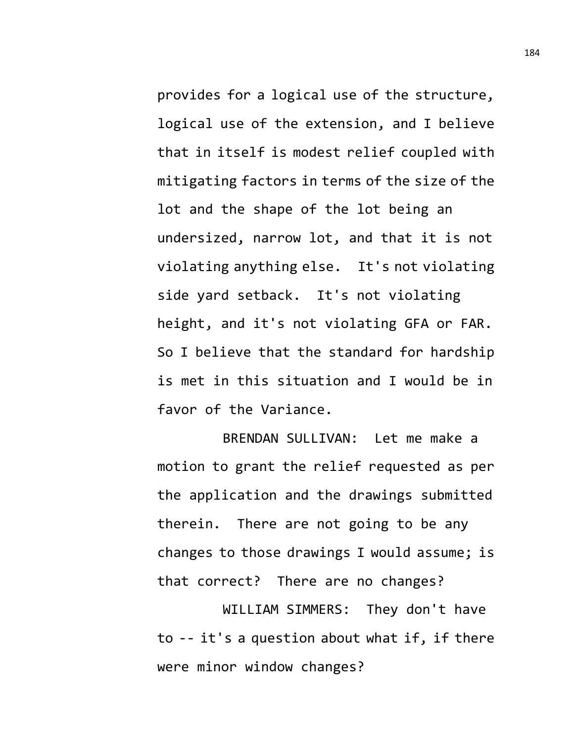provides for a logical use of the structure, logical use of the extension, and I believe that in itself is modest relief coupled with mitigating factors in terms of the size of the lot and the shape of the lot being an undersized, narrow lot, and that it is not violating anything else. It's not violating side yard setback. It's not violating height, and it's not violating GFA or FAR. So I believe that the standard for hardship is met in this situation and I would be in favor of the Variance.

BRENDAN SULLIVAN: Let me make a motion to grant the relief requested as per the application and the drawings submitted therein. There are not going to be any changes to those drawings I would assume; is that correct? There are no changes?

WILLIAM SIMMERS: They don't have to -- it's a question about what if, if there were minor window changes?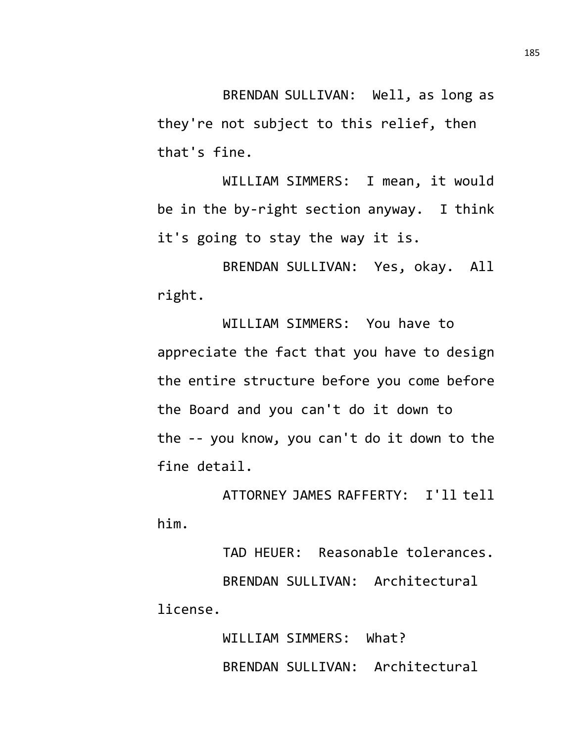BRENDAN SULLIVAN: Well, as long as they're not subject to this relief, then that's fine.

WILLIAM SIMMERS: I mean, it would be in the by-right section anyway. I think it's going to stay the way it is.

BRENDAN SULLIVAN: Yes, okay. All right.

WILLIAM SIMMERS: You have to appreciate the fact that you have to design the entire structure before you come before the Board and you can't do it down to the -- you know, you can't do it down to the fine detail.

ATTORNEY JAMES RAFFERTY: I'll tell him.

TAD HEUER: Reasonable tolerances. BRENDAN SULLIVAN: Architectural license.

> WILLIAM SIMMERS: What? BRENDAN SULLIVAN: Architectural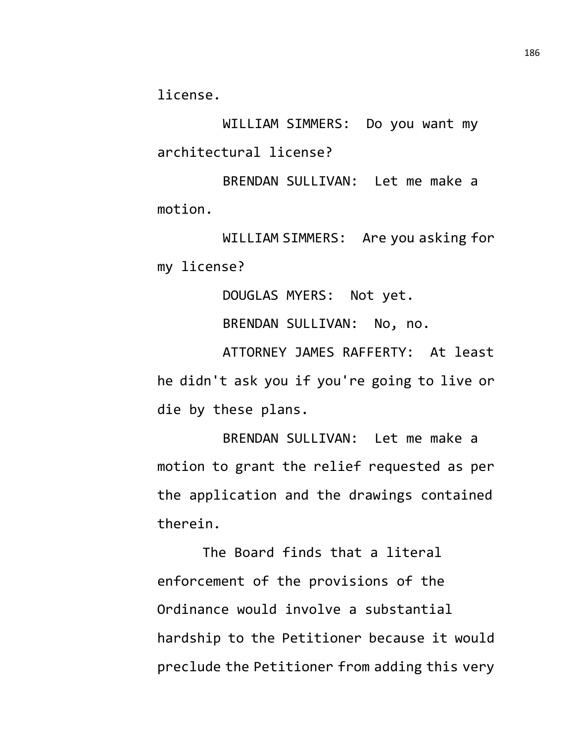license.

WILLIAM SIMMERS: Do you want my architectural license?

BRENDAN SULLIVAN: Let me make a motion.

WILLIAM SIMMERS: Are you asking for my license?

DOUGLAS MYERS: Not yet.

BRENDAN SULLIVAN: No, no.

ATTORNEY JAMES RAFFERTY: At least he didn't ask you if you're going to live or die by these plans.

BRENDAN SULLIVAN: Let me make a motion to grant the relief requested as per the application and the drawings contained therein.

The Board finds that a literal enforcement of the provisions of the Ordinance would involve a substantial hardship to the Petitioner because it would preclude the Petitioner from adding this very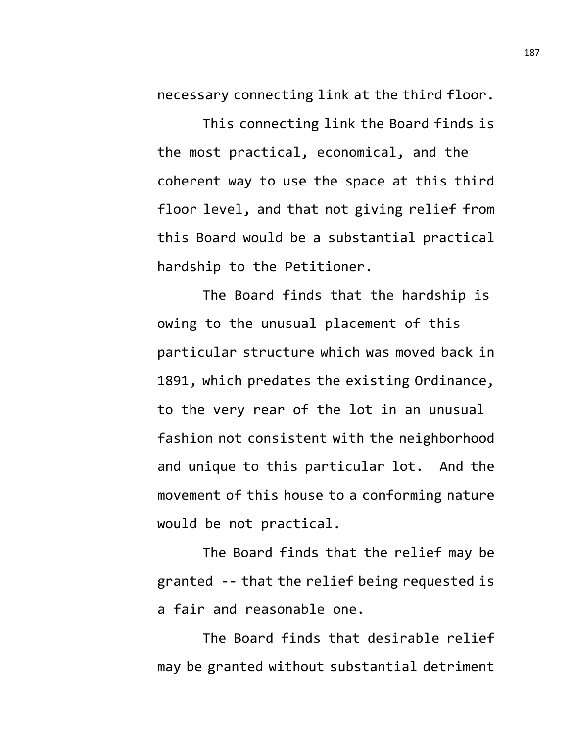necessary connecting link at the third floor.

This connecting link the Board finds is the most practical, economical, and the coherent way to use the space at this third floor level, and that not giving relief from this Board would be a substantial practical hardship to the Petitioner.

The Board finds that the hardship is owing to the unusual placement of this particular structure which was moved back in 1891, which predates the existing Ordinance, to the very rear of the lot in an unusual fashion not consistent with the neighborhood and unique to this particular lot. And the movement of this house to a conforming nature would be not practical.

The Board finds that the relief may be granted -- that the relief being requested is a fair and reasonable one.

The Board finds that desirable relief may be granted without substantial detriment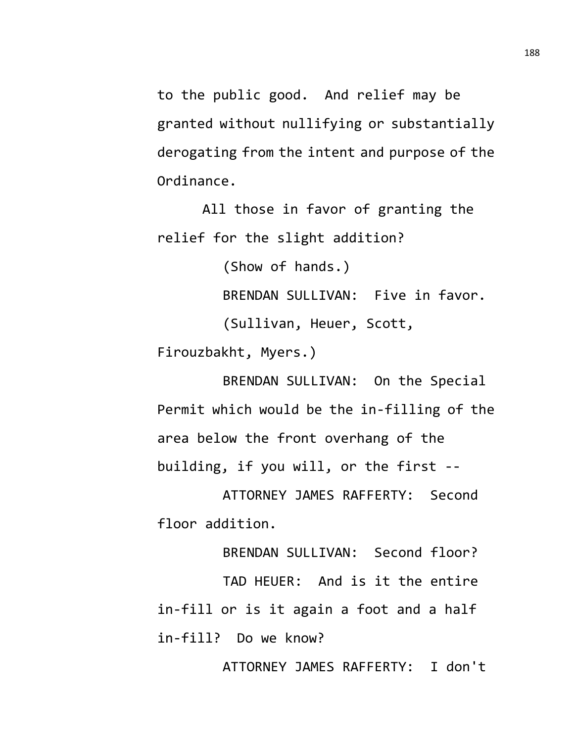to the public good. And relief may be granted without nullifying or substantially derogating from the intent and purpose of the Ordinance.

All those in favor of granting the relief for the slight addition?

(Show of hands.)

BRENDAN SULLIVAN: Five in favor.

(Sullivan, Heuer, Scott,

Firouzbakht, Myers.)

BRENDAN SULLIVAN: On the Special Permit which would be the in-filling of the area below the front overhang of the building, if you will, or the first --

ATTORNEY JAMES RAFFERTY: Second floor addition.

BRENDAN SULLIVAN: Second floor?

TAD HEUER: And is it the entire in-fill or is it again a foot and a half in-fill? Do we know?

ATTORNEY JAMES RAFFERTY: I don't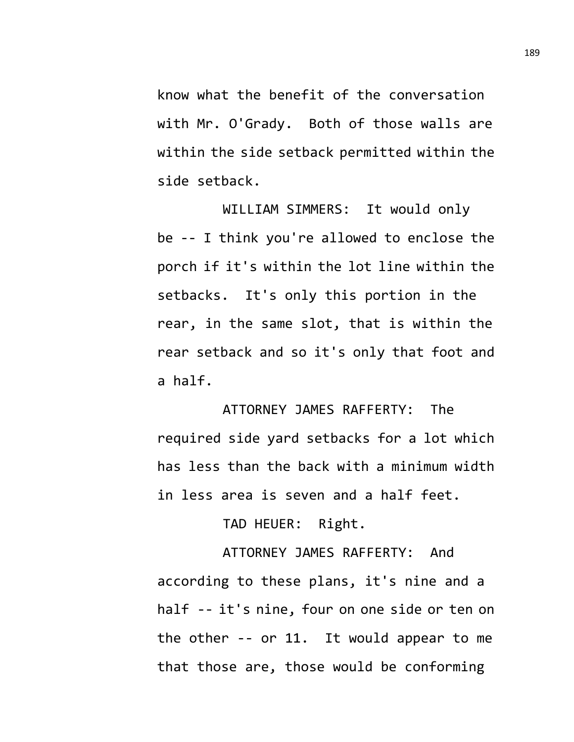know what the benefit of the conversation with Mr. O'Grady. Both of those walls are within the side setback permitted within the side setback.

WILLIAM SIMMERS: It would only be -- I think you're allowed to enclose the porch if it's within the lot line within the setbacks. It's only this portion in the rear, in the same slot, that is within the rear setback and so it's only that foot and a half.

ATTORNEY JAMES RAFFERTY: The required side yard setbacks for a lot which has less than the back with a minimum width in less area is seven and a half feet.

TAD HEUER: Right.

ATTORNEY JAMES RAFFERTY: And according to these plans, it's nine and a half -- it's nine, four on one side or ten on the other -- or 11. It would appear to me that those are, those would be conforming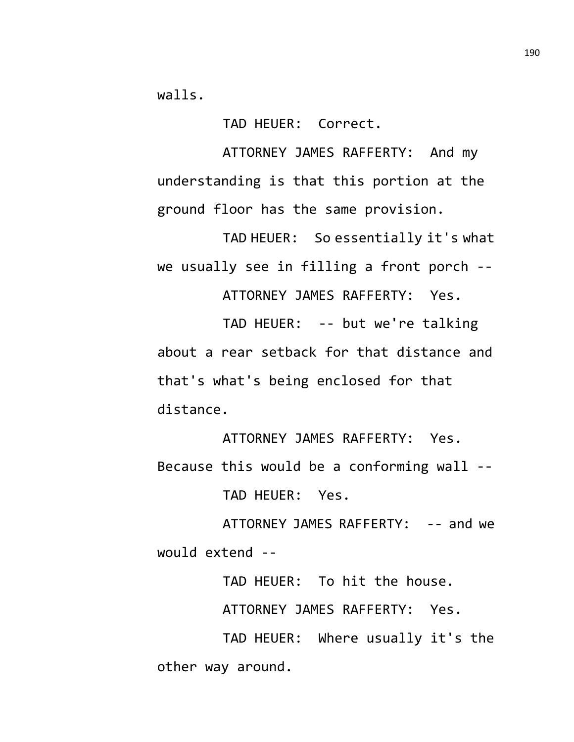walls.

TAD HEUER: Correct.

ATTORNEY JAMES RAFFERTY: And my understanding is that this portion at the ground floor has the same provision.

TAD HEUER: So essentially it's what we usually see in filling a front porch --

ATTORNEY JAMES RAFFERTY: Yes.

TAD HEUER: -- but we're talking about a rear setback for that distance and that's what's being enclosed for that distance.

ATTORNEY JAMES RAFFERTY: Yes. Because this would be a conforming wall -- TAD HEUER: Yes.

ATTORNEY JAMES RAFFERTY: -- and we would extend --

TAD HEUER: To hit the house.

ATTORNEY JAMES RAFFERTY: Yes.

TAD HEUER: Where usually it's the other way around.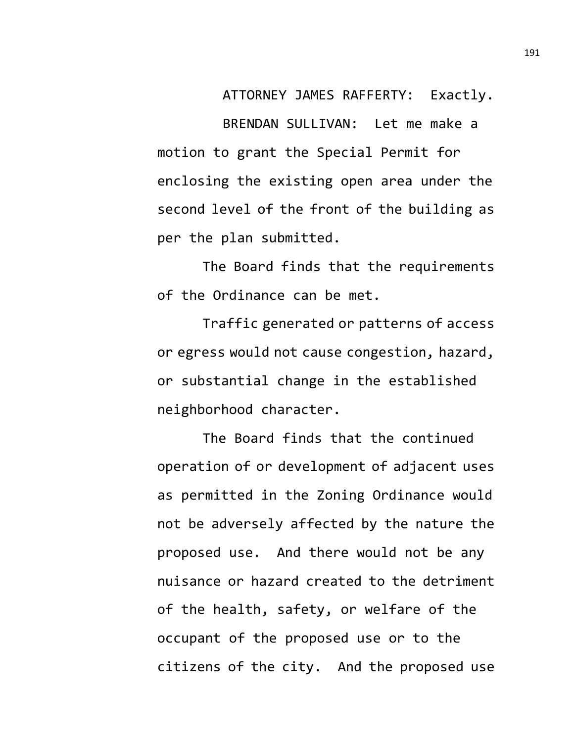ATTORNEY JAMES RAFFERTY: Exactly.

BRENDAN SULLIVAN: Let me make a motion to grant the Special Permit for enclosing the existing open area under the second level of the front of the building as per the plan submitted.

The Board finds that the requirements of the Ordinance can be met.

Traffic generated or patterns of access or egress would not cause congestion, hazard, or substantial change in the established neighborhood character.

The Board finds that the continued operation of or development of adjacent uses as permitted in the Zoning Ordinance would not be adversely affected by the nature the proposed use. And there would not be any nuisance or hazard created to the detriment of the health, safety, or welfare of the occupant of the proposed use or to the citizens of the city. And the proposed use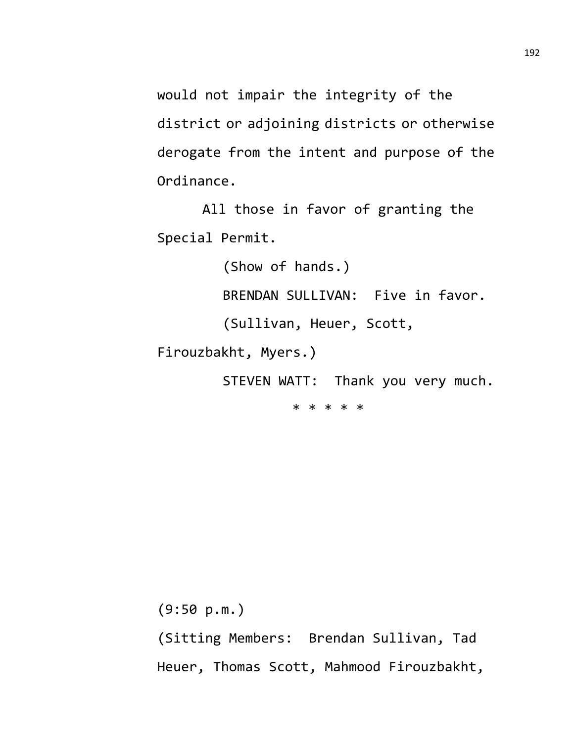would not impair the integrity of the district or adjoining districts or otherwise derogate from the intent and purpose of the Ordinance.

All those in favor of granting the Special Permit.

(Show of hands.)

BRENDAN SULLIVAN: Five in favor.

(Sullivan, Heuer, Scott,

Firouzbakht, Myers.)

STEVEN WATT: Thank you very much.

\* \* \* \* \*

(9:50 p.m.)

(Sitting Members: Brendan Sullivan, Tad Heuer, Thomas Scott, Mahmood Firouzbakht,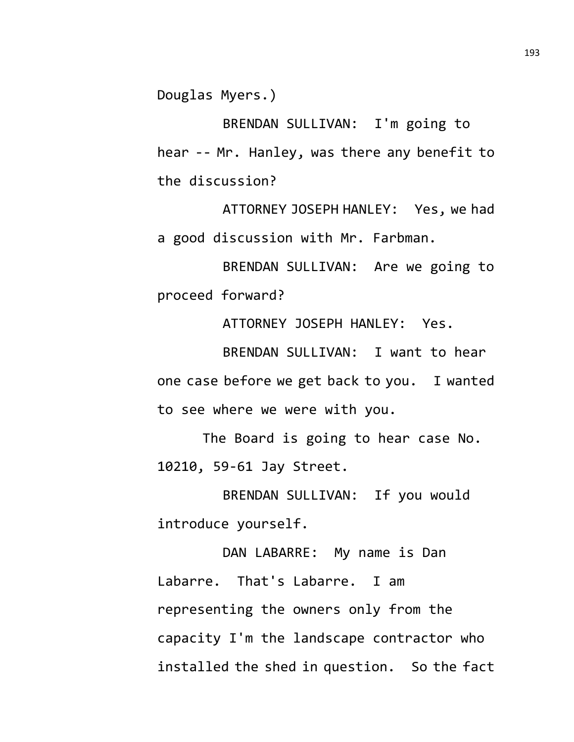Douglas Myers.)

BRENDAN SULLIVAN: I'm going to hear -- Mr. Hanley, was there any benefit to the discussion?

ATTORNEY JOSEPH HANLEY: Yes, we had a good discussion with Mr. Farbman.

BRENDAN SULLIVAN: Are we going to proceed forward?

ATTORNEY JOSEPH HANLEY: Yes.

BRENDAN SULLIVAN: I want to hear one case before we get back to you. I wanted to see where we were with you.

The Board is going to hear case No. 10210, 59-61 Jay Street.

BRENDAN SULLIVAN: If you would introduce yourself.

DAN LABARRE: My name is Dan Labarre. That's Labarre. I am representing the owners only from the capacity I'm the landscape contractor who installed the shed in question. So the fact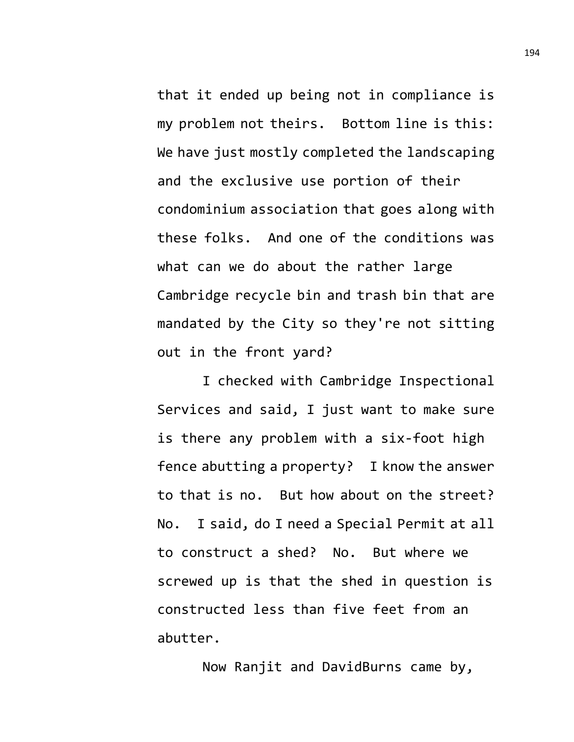that it ended up being not in compliance is my problem not theirs. Bottom line is this: We have just mostly completed the landscaping and the exclusive use portion of their condominium association that goes along with these folks. And one of the conditions was what can we do about the rather large Cambridge recycle bin and trash bin that are mandated by the City so they're not sitting out in the front yard?

I checked with Cambridge Inspectional Services and said, I just want to make sure is there any problem with a six-foot high fence abutting a property? I know the answer to that is no. But how about on the street? No. I said, do I need a Special Permit at all to construct a shed? No. But where we screwed up is that the shed in question is constructed less than five feet from an abutter.

Now Ranjit and DavidBurns came by,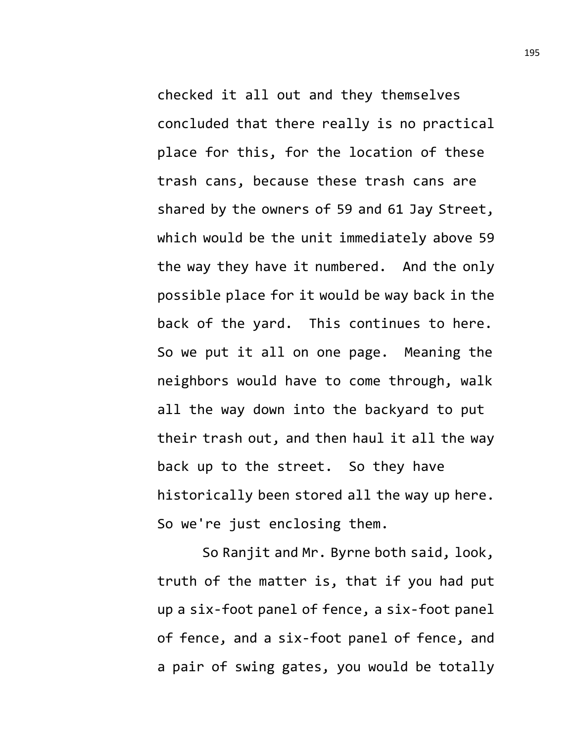checked it all out and they themselves concluded that there really is no practical place for this, for the location of these trash cans, because these trash cans are shared by the owners of 59 and 61 Jay Street, which would be the unit immediately above 59 the way they have it numbered. And the only possible place for it would be way back in the back of the yard. This continues to here. So we put it all on one page. Meaning the neighbors would have to come through, walk all the way down into the backyard to put their trash out, and then haul it all the way back up to the street. So they have historically been stored all the way up here. So we're just enclosing them.

So Ranjit and Mr. Byrne both said, look, truth of the matter is, that if you had put up a six-foot panel of fence, a six-foot panel of fence, and a six-foot panel of fence, and a pair of swing gates, you would be totally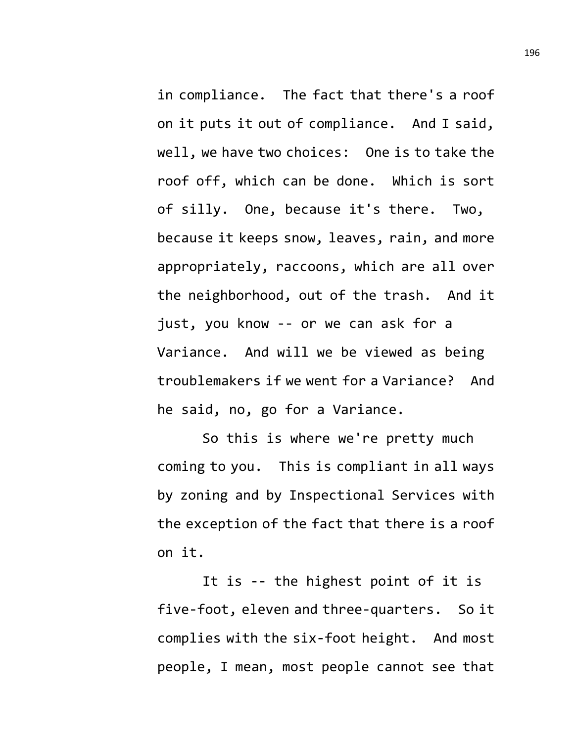in compliance. The fact that there's a roof on it puts it out of compliance. And I said, well, we have two choices: One is to take the roof off, which can be done. Which is sort of silly. One, because it's there. Two, because it keeps snow, leaves, rain, and more appropriately, raccoons, which are all over the neighborhood, out of the trash. And it just, you know -- or we can ask for a Variance. And will we be viewed as being troublemakers if we went for a Variance? And he said, no, go for a Variance.

So this is where we're pretty much coming to you. This is compliant in all ways by zoning and by Inspectional Services with the exception of the fact that there is a roof on it.

It is -- the highest point of it is five-foot, eleven and three-quarters. So it complies with the six-foot height. And most people, I mean, most people cannot see that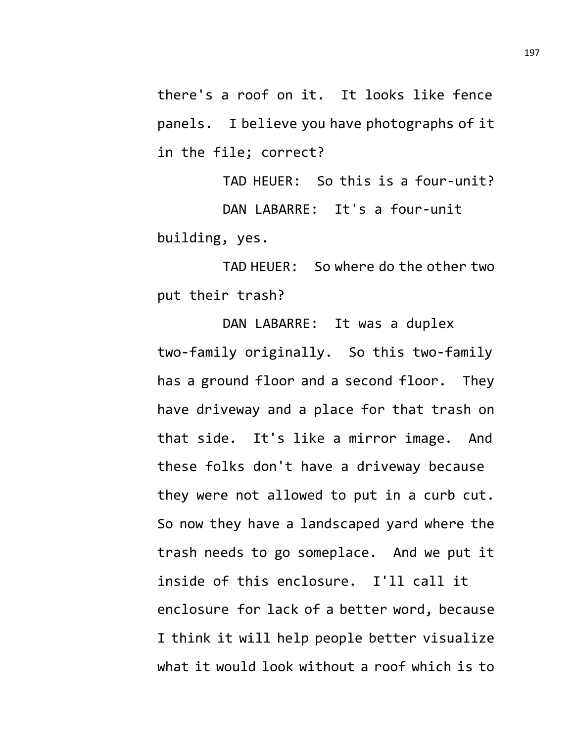there's a roof on it. It looks like fence panels. I believe you have photographs of it in the file; correct?

TAD HEUER: So this is a four-unit? DAN LABARRE: It's a four-unit building, yes.

TAD HEUER: So where do the other two put their trash?

DAN LABARRE: It was a duplex two-family originally. So this two-family has a ground floor and a second floor. They have driveway and a place for that trash on that side. It's like a mirror image. And these folks don't have a driveway because they were not allowed to put in a curb cut. So now they have a landscaped yard where the trash needs to go someplace. And we put it inside of this enclosure. I'll call it enclosure for lack of a better word, because I think it will help people better visualize what it would look without a roof which is to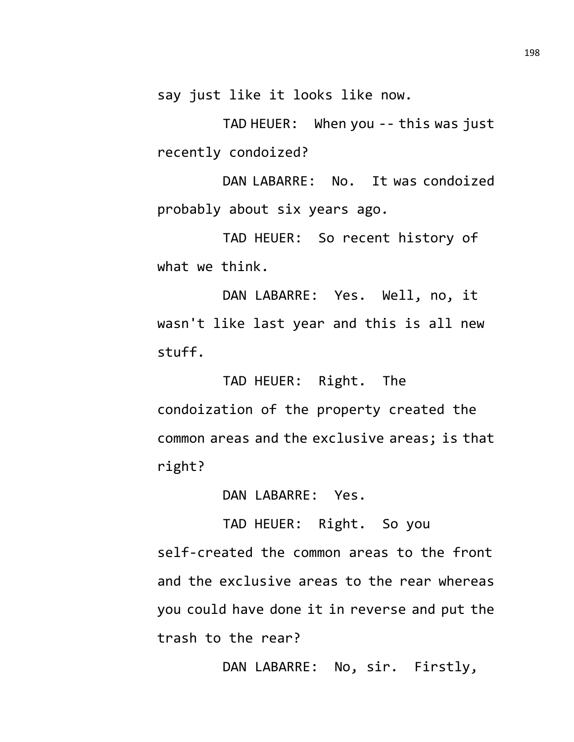say just like it looks like now.

TAD HEUER: When you -- this was just recently condoized?

DAN LABARRE: No. It was condoized probably about six years ago.

TAD HEUER: So recent history of what we think.

DAN LABARRE: Yes. Well, no, it wasn't like last year and this is all new stuff.

TAD HEUER: Right. The condoization of the property created the common areas and the exclusive areas; is that right?

DAN LABARRE: Yes.

TAD HEUER: Right. So you self-created the common areas to the front and the exclusive areas to the rear whereas you could have done it in reverse and put the trash to the rear?

DAN LABARRE: No, sir. Firstly,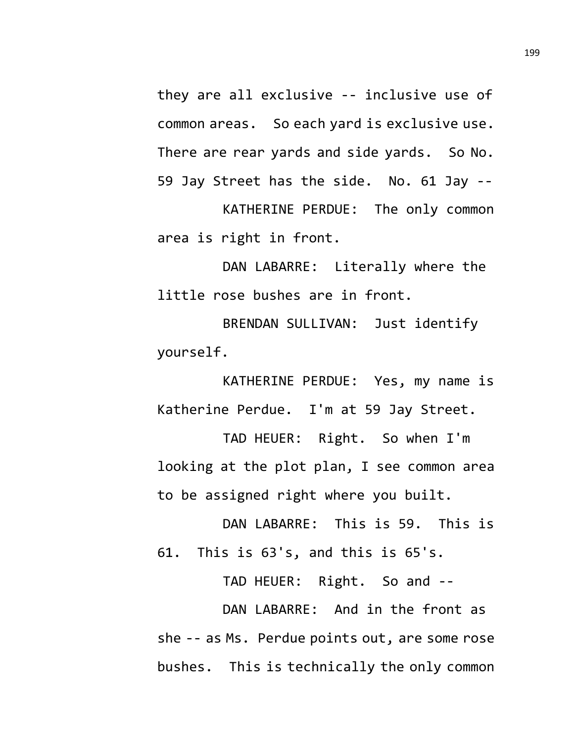they are all exclusive -- inclusive use of common areas. So each yard is exclusive use. There are rear yards and side yards. So No. 59 Jay Street has the side. No. 61 Jay --

KATHERINE PERDUE: The only common area is right in front.

DAN LABARRE: Literally where the little rose bushes are in front.

BRENDAN SULLIVAN: Just identify yourself.

KATHERINE PERDUE: Yes, my name is Katherine Perdue. I'm at 59 Jay Street.

TAD HEUER: Right. So when I'm looking at the plot plan, I see common area to be assigned right where you built.

DAN LABARRE: This is 59. This is 61. This is 63's, and this is 65's.

TAD HEUER: Right. So and --

DAN LABARRE: And in the front as she -- as Ms. Perdue points out, are some rose bushes. This is technically the only common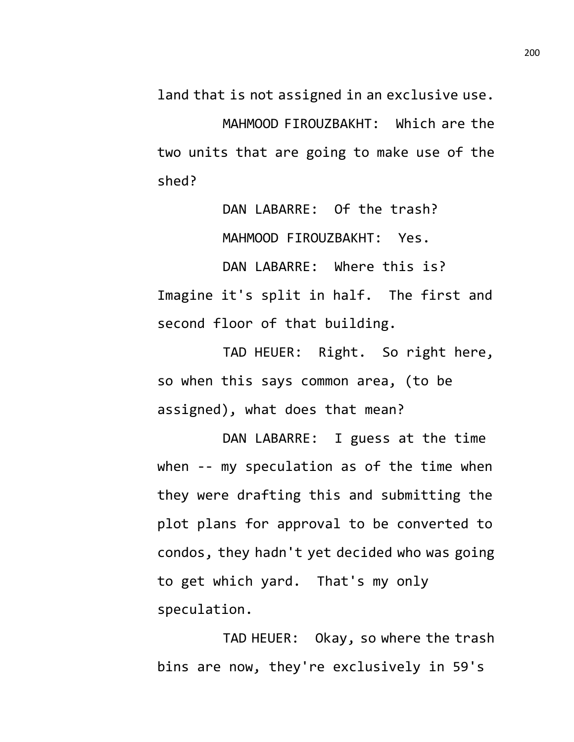land that is not assigned in an exclusive use.

MAHMOOD FIROUZBAKHT: Which are the two units that are going to make use of the shed?

> DAN LABARRE: Of the trash? MAHMOOD FIROUZBAKHT: Yes.

DAN LABARRE: Where this is? Imagine it's split in half. The first and second floor of that building.

TAD HEUER: Right. So right here, so when this says common area, (to be assigned), what does that mean?

DAN LABARRE: I guess at the time when -- my speculation as of the time when they were drafting this and submitting the plot plans for approval to be converted to condos, they hadn't yet decided who was going to get which yard. That's my only speculation.

TAD HEUER: Okay, so where the trash bins are now, they're exclusively in 59's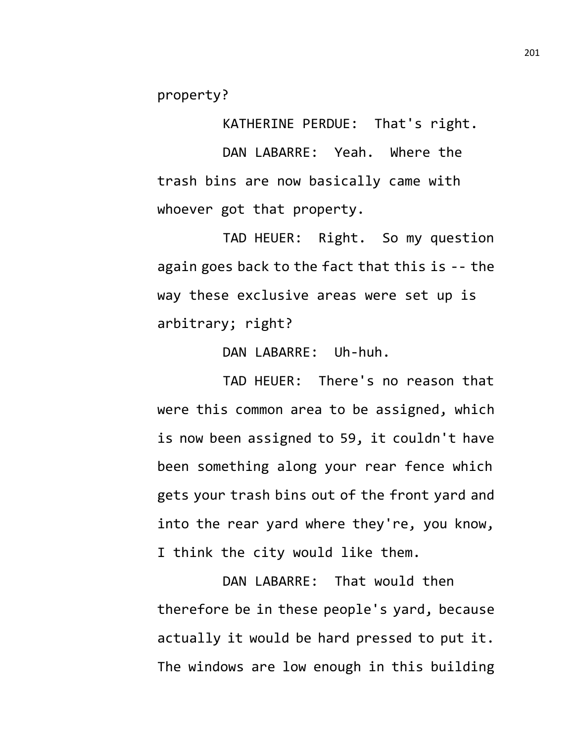property?

KATHERINE PERDUE: That's right. DAN LABARRE: Yeah. Where the trash bins are now basically came with whoever got that property.

TAD HEUER: Right. So my question again goes back to the fact that this is -- the way these exclusive areas were set up is arbitrary; right?

DAN LABARRE: Uh-huh.

TAD HEUER: There's no reason that were this common area to be assigned, which is now been assigned to 59, it couldn't have been something along your rear fence which gets your trash bins out of the front yard and into the rear yard where they're, you know, I think the city would like them.

DAN LABARRE: That would then therefore be in these people's yard, because actually it would be hard pressed to put it. The windows are low enough in this building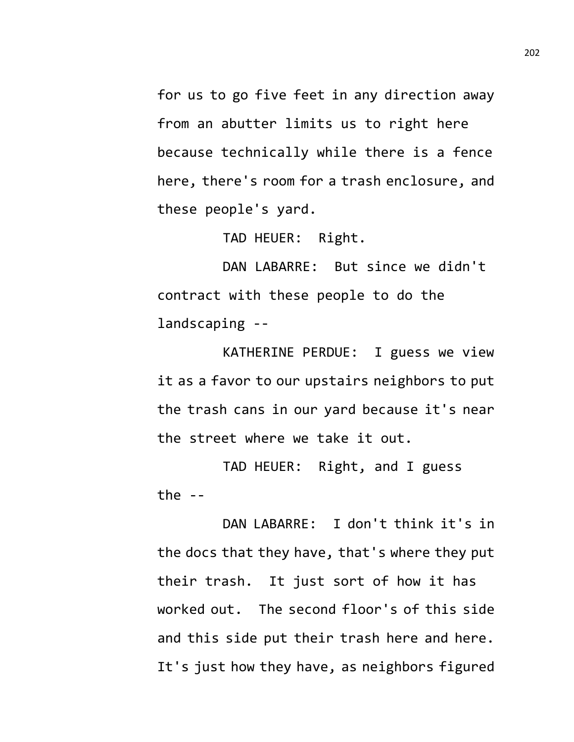for us to go five feet in any direction away from an abutter limits us to right here because technically while there is a fence here, there's room for a trash enclosure, and these people's yard.

TAD HEUER: Right.

DAN LABARRE: But since we didn't contract with these people to do the landscaping --

KATHERINE PERDUE: I guess we view it as a favor to our upstairs neighbors to put the trash cans in our yard because it's near the street where we take it out.

TAD HEUER: Right, and I guess the  $-$ 

DAN LABARRE: I don't think it's in the docs that they have, that's where they put their trash. It just sort of how it has worked out. The second floor's of this side and this side put their trash here and here. It's just how they have, as neighbors figured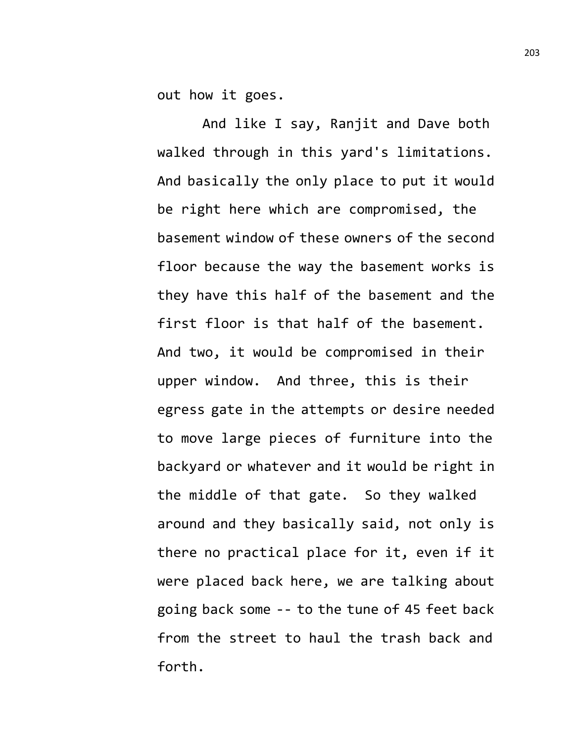out how it goes.

And like I say, Ranjit and Dave both walked through in this yard's limitations. And basically the only place to put it would be right here which are compromised, the basement window of these owners of the second floor because the way the basement works is they have this half of the basement and the first floor is that half of the basement. And two, it would be compromised in their upper window. And three, this is their egress gate in the attempts or desire needed to move large pieces of furniture into the backyard or whatever and it would be right in the middle of that gate. So they walked around and they basically said, not only is there no practical place for it, even if it were placed back here, we are talking about going back some -- to the tune of 45 feet back from the street to haul the trash back and forth.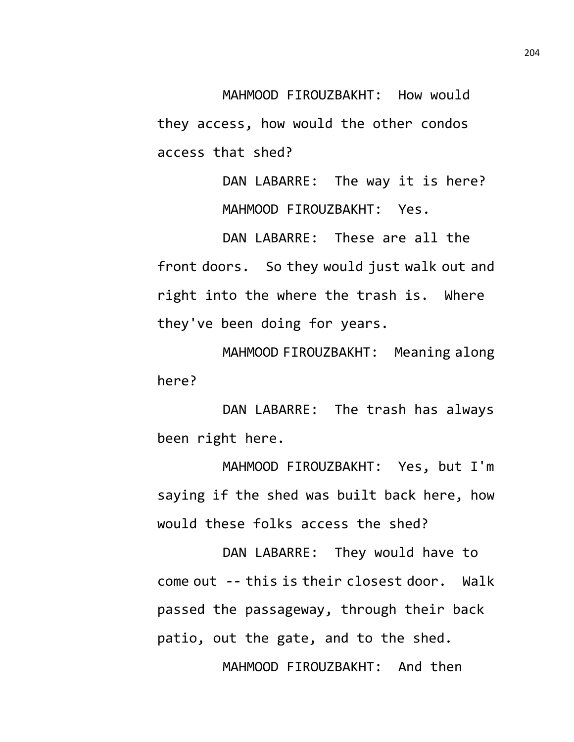MAHMOOD FIROUZBAKHT: How would they access, how would the other condos access that shed?

> DAN LABARRE: The way it is here? MAHMOOD FIROUZBAKHT: Yes.

DAN LABARRE: These are all the front doors. So they would just walk out and right into the where the trash is. Where they've been doing for years.

MAHMOOD FIROUZBAKHT: Meaning along here?

DAN LABARRE: The trash has always been right here.

MAHMOOD FIROUZBAKHT: Yes, but I'm saying if the shed was built back here, how would these folks access the shed?

DAN LABARRE: They would have to come out -- this is their closest door. Walk passed the passageway, through their back patio, out the gate, and to the shed.

MAHMOOD FIROUZBAKHT: And then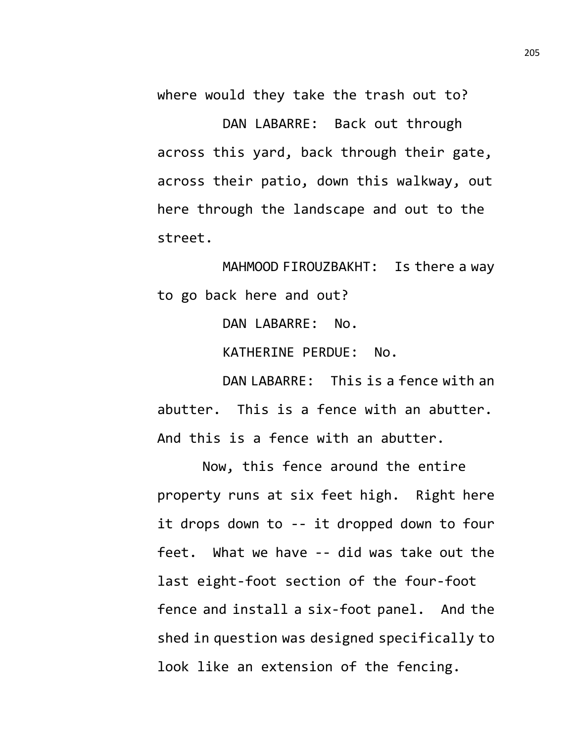where would they take the trash out to?

DAN LABARRE: Back out through across this yard, back through their gate, across their patio, down this walkway, out here through the landscape and out to the street.

MAHMOOD FIROUZBAKHT: Is there a way to go back here and out?

DAN LABARRE: No.

KATHERINE PERDUE: No.

DAN LABARRE: This is a fence with an abutter. This is a fence with an abutter. And this is a fence with an abutter.

Now, this fence around the entire property runs at six feet high. Right here it drops down to -- it dropped down to four feet. What we have -- did was take out the last eight-foot section of the four-foot fence and install a six-foot panel. And the shed in question was designed specifically to look like an extension of the fencing.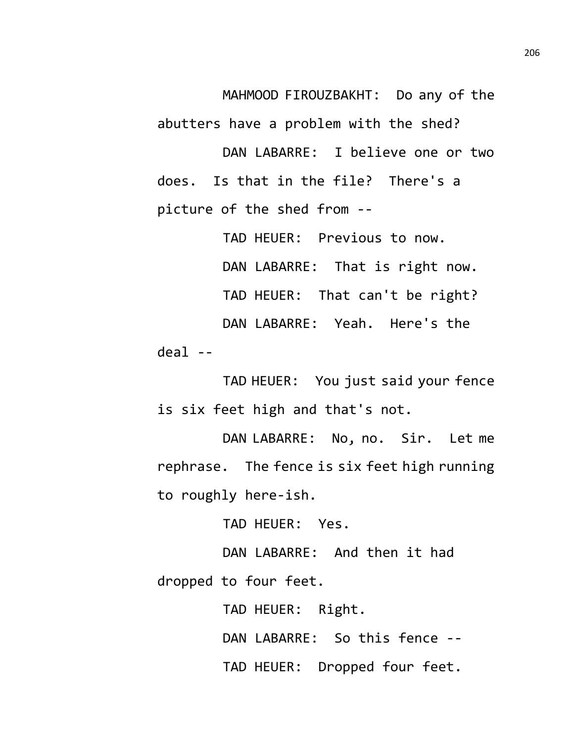MAHMOOD FIROUZBAKHT: Do any of the abutters have a problem with the shed?

DAN LABARRE: I believe one or two does. Is that in the file? There's a picture of the shed from --

TAD HEUER: Previous to now. DAN LABARRE: That is right now. TAD HEUER: That can't be right? DAN LABARRE: Yeah. Here's the  $d$ eal --

TAD HEUER: You just said your fence is six feet high and that's not.

DAN LABARRE: No, no. Sir. Let me rephrase. The fence is six feet high running to roughly here-ish.

TAD HEUER: Yes.

DAN LABARRE: And then it had dropped to four feet.

TAD HEUER: Right.

DAN LABARRE: So this fence --

TAD HEUER: Dropped four feet.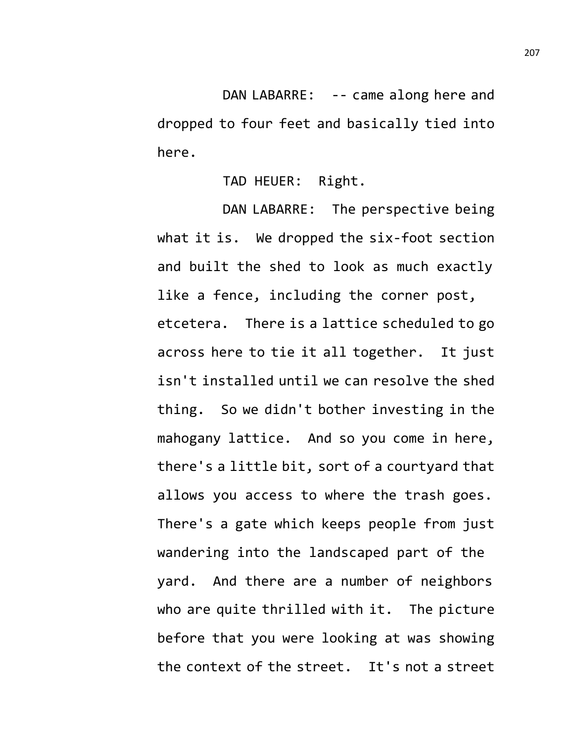DAN LABARRE: -- came along here and dropped to four feet and basically tied into here.

TAD HEUER: Right.

DAN LABARRE: The perspective being what it is. We dropped the six-foot section and built the shed to look as much exactly like a fence, including the corner post, etcetera. There is a lattice scheduled to go across here to tie it all together. It just isn't installed until we can resolve the shed thing. So we didn't bother investing in the mahogany lattice. And so you come in here, there's a little bit, sort of a courtyard that allows you access to where the trash goes. There's a gate which keeps people from just wandering into the landscaped part of the yard. And there are a number of neighbors who are quite thrilled with it. The picture before that you were looking at was showing the context of the street. It's not a street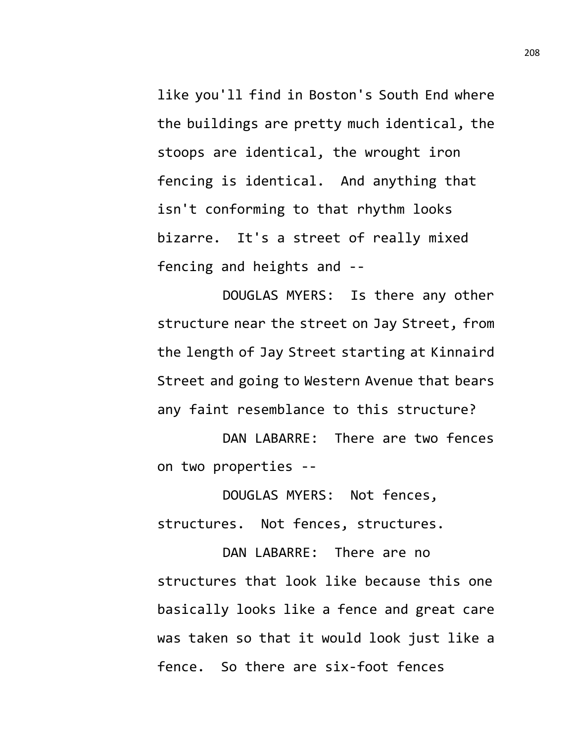like you'll find in Boston's South End where the buildings are pretty much identical, the stoops are identical, the wrought iron fencing is identical. And anything that isn't conforming to that rhythm looks bizarre. It's a street of really mixed fencing and heights and --

DOUGLAS MYERS: Is there any other structure near the street on Jay Street, from the length of Jay Street starting at Kinnaird Street and going to Western Avenue that bears any faint resemblance to this structure?

DAN LABARRE: There are two fences on two properties --

DOUGLAS MYERS: Not fences, structures. Not fences, structures.

DAN LABARRE: There are no structures that look like because this one basically looks like a fence and great care was taken so that it would look just like a fence. So there are six-foot fences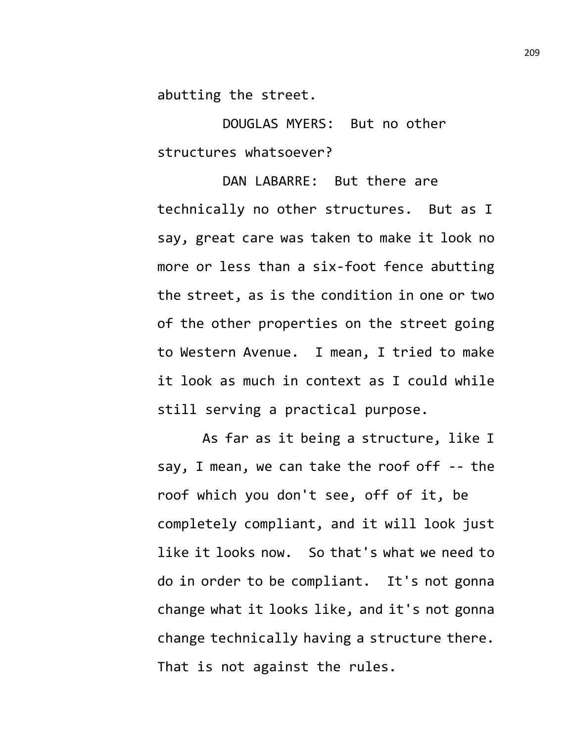abutting the street.

DOUGLAS MYERS: But no other structures whatsoever?

DAN LABARRE: But there are technically no other structures. But as I say, great care was taken to make it look no more or less than a six-foot fence abutting the street, as is the condition in one or two of the other properties on the street going to Western Avenue. I mean, I tried to make it look as much in context as I could while still serving a practical purpose.

As far as it being a structure, like I say, I mean, we can take the roof off -- the roof which you don't see, off of it, be completely compliant, and it will look just like it looks now. So that's what we need to do in order to be compliant. It's not gonna change what it looks like, and it's not gonna change technically having a structure there. That is not against the rules.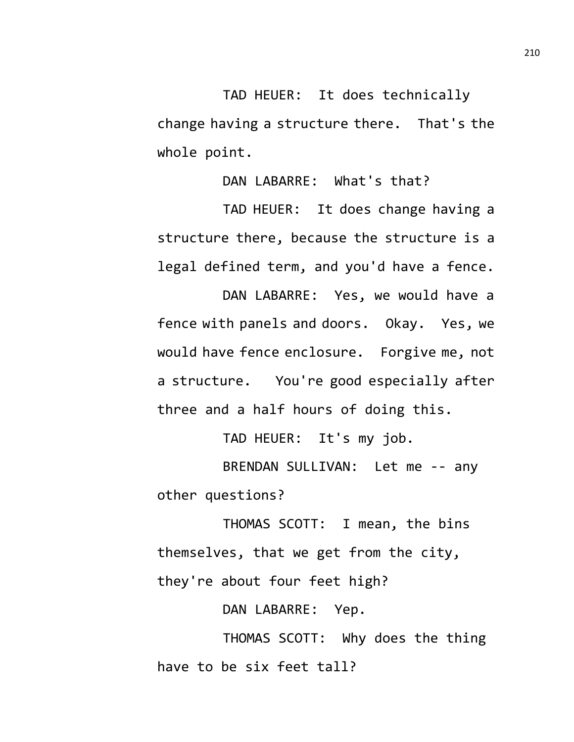TAD HEUER: It does technically change having a structure there. That's the whole point.

DAN LABARRE: What's that?

TAD HEUER: It does change having a structure there, because the structure is a legal defined term, and you'd have a fence.

DAN LABARRE: Yes, we would have a fence with panels and doors. Okay. Yes, we would have fence enclosure. Forgive me, not a structure. You're good especially after three and a half hours of doing this.

TAD HEUER: It's my job.

BRENDAN SULLIVAN: Let me -- any other questions?

THOMAS SCOTT: I mean, the bins themselves, that we get from the city, they're about four feet high?

DAN LABARRE: Yep.

THOMAS SCOTT: Why does the thing have to be six feet tall?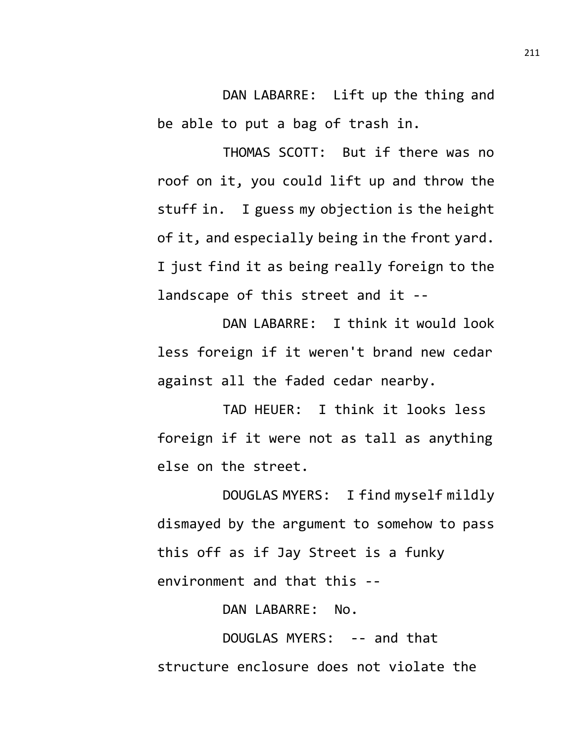DAN LABARRE: Lift up the thing and be able to put a bag of trash in.

THOMAS SCOTT: But if there was no roof on it, you could lift up and throw the stuff in. I guess my objection is the height of it, and especially being in the front yard. I just find it as being really foreign to the landscape of this street and it --

DAN LABARRE: I think it would look less foreign if it weren't brand new cedar against all the faded cedar nearby.

TAD HEUER: I think it looks less foreign if it were not as tall as anything else on the street.

DOUGLAS MYERS: I find myself mildly dismayed by the argument to somehow to pass this off as if Jay Street is a funky environment and that this --

DAN LABARRE: No.

DOUGLAS MYERS: -- and that structure enclosure does not violate the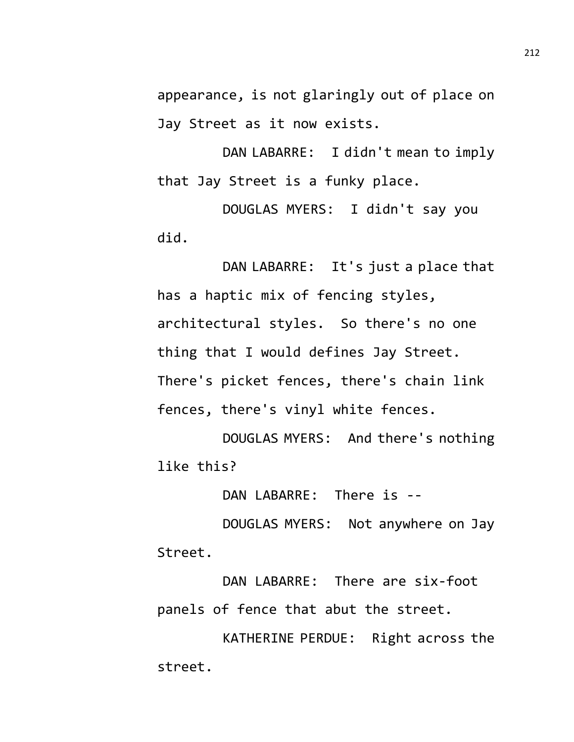appearance, is not glaringly out of place on Jay Street as it now exists.

DAN LABARRE: I didn't mean to imply that Jay Street is a funky place.

DOUGLAS MYERS: I didn't say you did.

DAN LABARRE: It's just a place that has a haptic mix of fencing styles, architectural styles. So there's no one thing that I would defines Jay Street. There's picket fences, there's chain link fences, there's vinyl white fences.

DOUGLAS MYERS: And there's nothing like this?

DAN LABARRE: There is --

DOUGLAS MYERS: Not anywhere on Jay Street.

DAN LABARRE: There are six-foot panels of fence that abut the street.

KATHERINE PERDUE: Right across the street.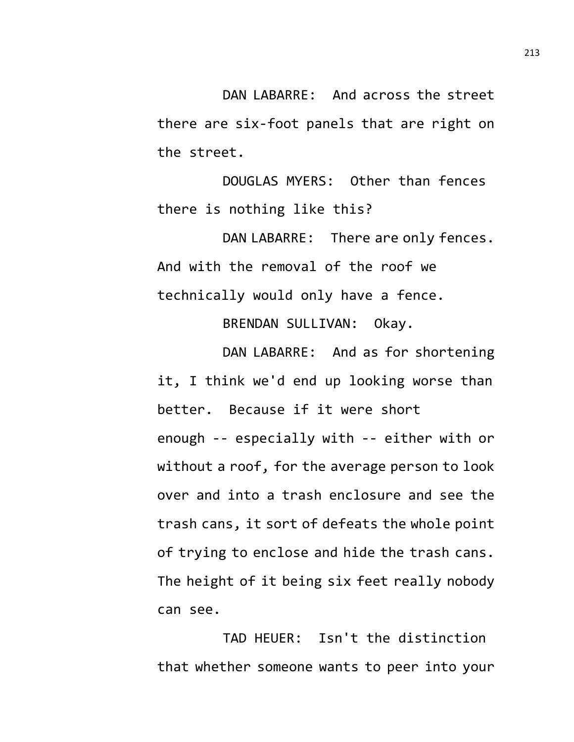DAN LABARRE: And across the street there are six-foot panels that are right on the street.

DOUGLAS MYERS: Other than fences there is nothing like this?

DAN LABARRE: There are only fences. And with the removal of the roof we technically would only have a fence.

BRENDAN SULLIVAN: Okay.

DAN LABARRE: And as for shortening it, I think we'd end up looking worse than better. Because if it were short enough -- especially with -- either with or without a roof, for the average person to look over and into a trash enclosure and see the trash cans, it sort of defeats the whole point of trying to enclose and hide the trash cans. The height of it being six feet really nobody can see.

TAD HEUER: Isn't the distinction that whether someone wants to peer into your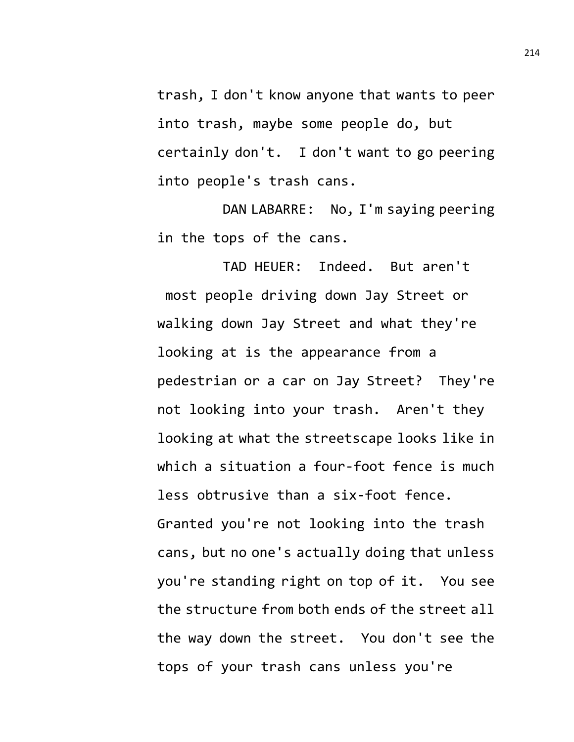trash, I don't know anyone that wants to peer into trash, maybe some people do, but certainly don't. I don't want to go peering into people's trash cans.

DAN LABARRE: No, I'm saying peering in the tops of the cans.

TAD HEUER: Indeed. But aren't most people driving down Jay Street or walking down Jay Street and what they're looking at is the appearance from a pedestrian or a car on Jay Street? They're not looking into your trash. Aren't they looking at what the streetscape looks like in which a situation a four-foot fence is much less obtrusive than a six-foot fence. Granted you're not looking into the trash cans, but no one's actually doing that unless you're standing right on top of it. You see the structure from both ends of the street all the way down the street. You don't see the tops of your trash cans unless you're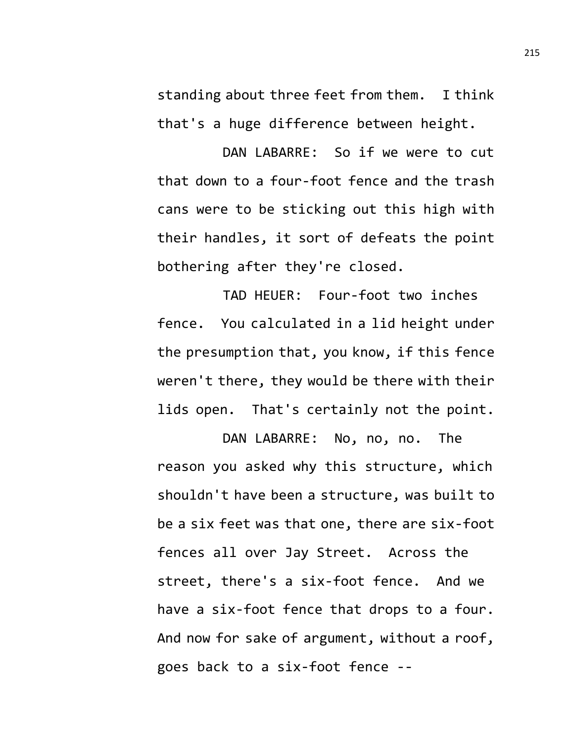standing about three feet from them. I think that's a huge difference between height.

DAN LABARRE: So if we were to cut that down to a four-foot fence and the trash cans were to be sticking out this high with their handles, it sort of defeats the point bothering after they're closed.

TAD HEUER: Four-foot two inches fence. You calculated in a lid height under the presumption that, you know, if this fence weren't there, they would be there with their lids open. That's certainly not the point.

DAN LABARRE: No, no, no. The reason you asked why this structure, which shouldn't have been a structure, was built to be a six feet was that one, there are six-foot fences all over Jay Street. Across the street, there's a six-foot fence. And we have a six-foot fence that drops to a four. And now for sake of argument, without a roof, goes back to a six-foot fence --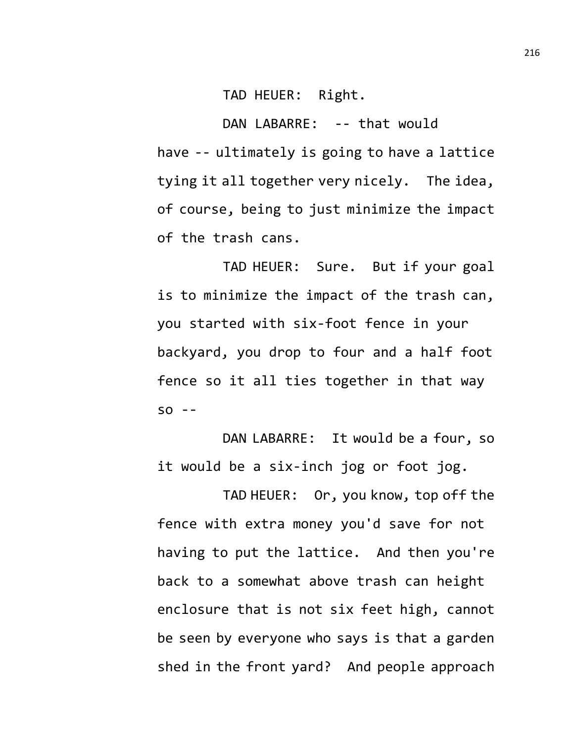TAD HEUER: Right.

DAN LABARRE: -- that would have -- ultimately is going to have a lattice tying it all together very nicely. The idea, of course, being to just minimize the impact of the trash cans.

TAD HEUER: Sure. But if your goal is to minimize the impact of the trash can, you started with six-foot fence in your backyard, you drop to four and a half foot fence so it all ties together in that way  $SO - -$ 

DAN LABARRE: It would be a four, so it would be a six-inch jog or foot jog.

TAD HEUER: Or, you know, top off the fence with extra money you'd save for not having to put the lattice. And then you're back to a somewhat above trash can height enclosure that is not six feet high, cannot be seen by everyone who says is that a garden shed in the front yard? And people approach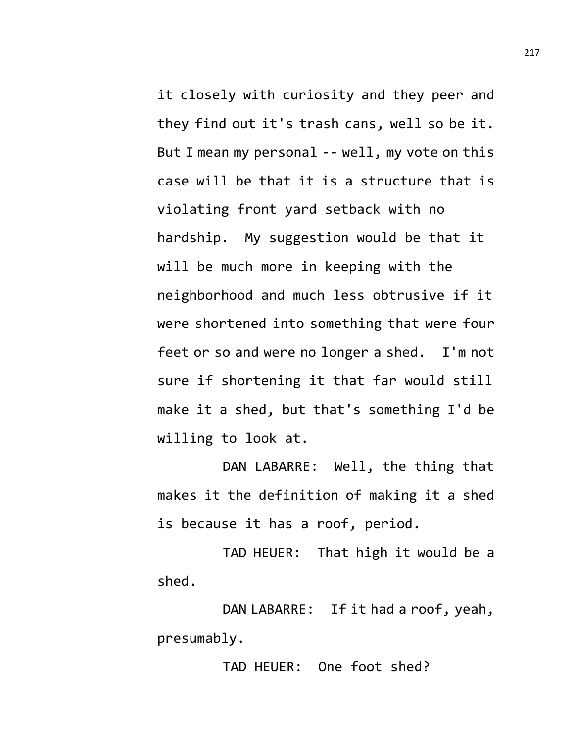it closely with curiosity and they peer and they find out it's trash cans, well so be it. But I mean my personal -- well, my vote on this case will be that it is a structure that is violating front yard setback with no hardship. My suggestion would be that it will be much more in keeping with the neighborhood and much less obtrusive if it were shortened into something that were four feet or so and were no longer a shed. I'm not sure if shortening it that far would still make it a shed, but that's something I'd be willing to look at.

DAN LABARRE: Well, the thing that makes it the definition of making it a shed is because it has a roof, period.

TAD HEUER: That high it would be a shed.

DAN LABARRE: If it had a roof, yeah, presumably.

TAD HEUER: One foot shed?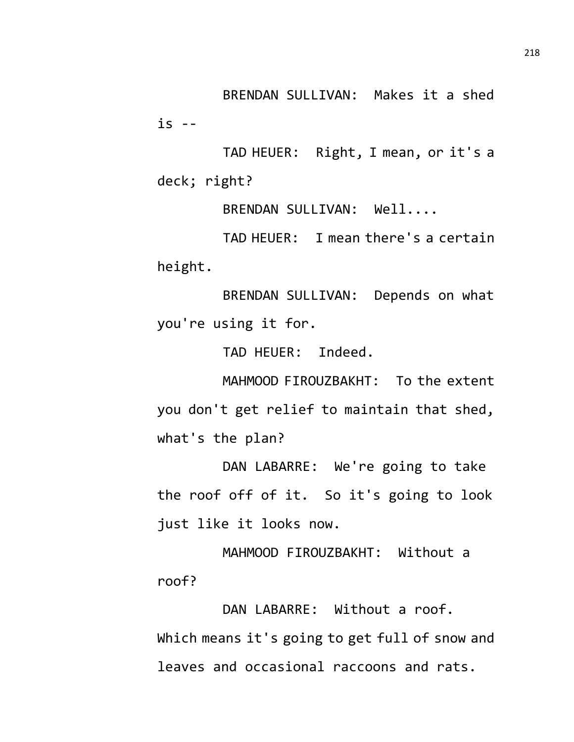BRENDAN SULLIVAN: Makes it a shed is --

TAD HEUER: Right, I mean, or it's a deck; right?

BRENDAN SULLIVAN: Well....

TAD HEUER: I mean there's a certain height.

BRENDAN SULLIVAN: Depends on what you're using it for.

TAD HEUER: Indeed.

MAHMOOD FIROUZBAKHT: To the extent you don't get relief to maintain that shed, what's the plan?

DAN LABARRE: We're going to take the roof off of it. So it's going to look just like it looks now.

MAHMOOD FIROUZBAKHT: Without a roof?

DAN LABARRE: Without a roof. Which means it's going to get full of snow and leaves and occasional raccoons and rats.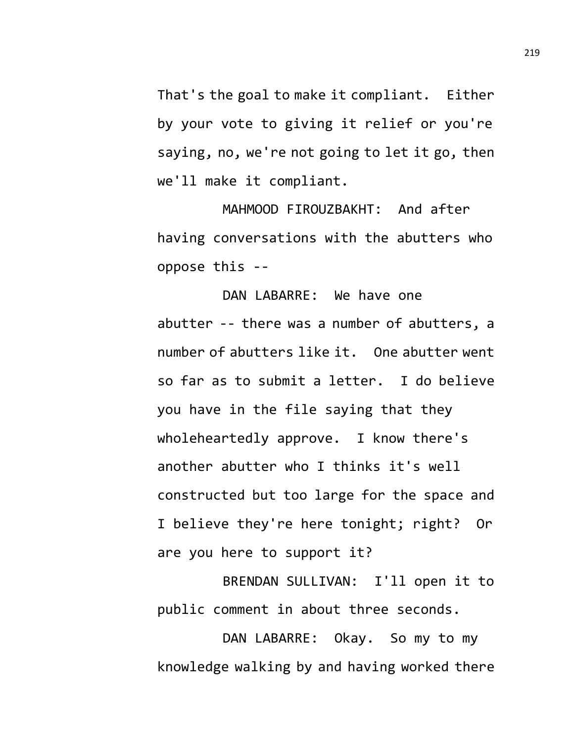That's the goal to make it compliant. Either by your vote to giving it relief or you're saying, no, we're not going to let it go, then we'll make it compliant.

MAHMOOD FIROUZBAKHT: And after having conversations with the abutters who oppose this --

DAN LABARRE: We have one abutter -- there was a number of abutters, a number of abutters like it. One abutter went so far as to submit a letter. I do believe you have in the file saying that they wholeheartedly approve. I know there's another abutter who I thinks it's well constructed but too large for the space and I believe they're here tonight; right? Or are you here to support it?

BRENDAN SULLIVAN: I'll open it to public comment in about three seconds.

DAN LABARRE: Okay. So my to my knowledge walking by and having worked there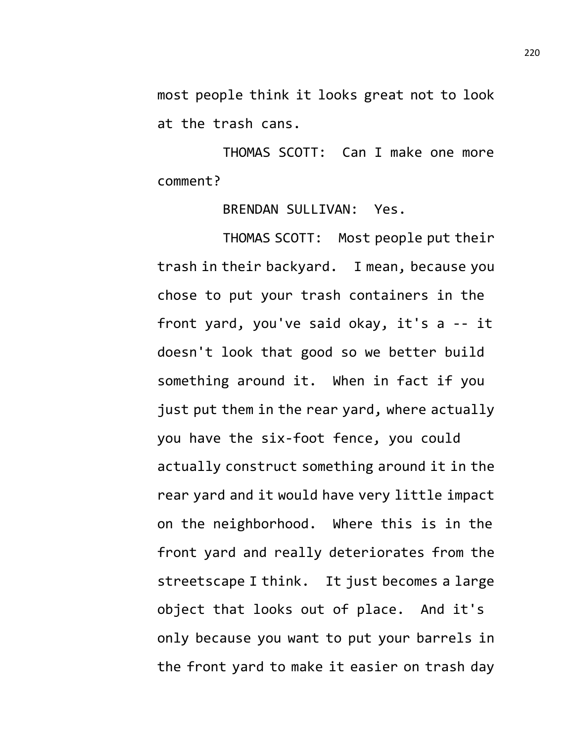most people think it looks great not to look at the trash cans.

THOMAS SCOTT: Can I make one more comment?

BRENDAN SULLIVAN: Yes.

THOMAS SCOTT: Most people put their trash in their backyard. I mean, because you chose to put your trash containers in the front yard, you've said okay, it's a -- it doesn't look that good so we better build something around it. When in fact if you just put them in the rear yard, where actually you have the six-foot fence, you could actually construct something around it in the rear yard and it would have very little impact on the neighborhood. Where this is in the front yard and really deteriorates from the streetscape I think. It just becomes a large object that looks out of place. And it's only because you want to put your barrels in the front yard to make it easier on trash day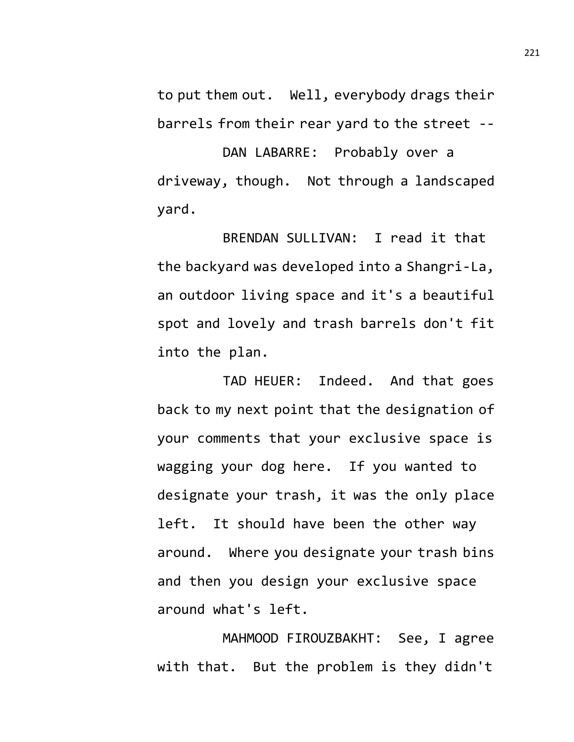to put them out. Well, everybody drags their barrels from their rear yard to the street --

DAN LABARRE: Probably over a driveway, though. Not through a landscaped yard.

BRENDAN SULLIVAN: I read it that the backyard was developed into a Shangri-La, an outdoor living space and it's a beautiful spot and lovely and trash barrels don't fit into the plan.

TAD HEUER: Indeed. And that goes back to my next point that the designation of your comments that your exclusive space is wagging your dog here. If you wanted to designate your trash, it was the only place left. It should have been the other way around. Where you designate your trash bins and then you design your exclusive space around what's left.

MAHMOOD FIROUZBAKHT: See, I agree with that. But the problem is they didn't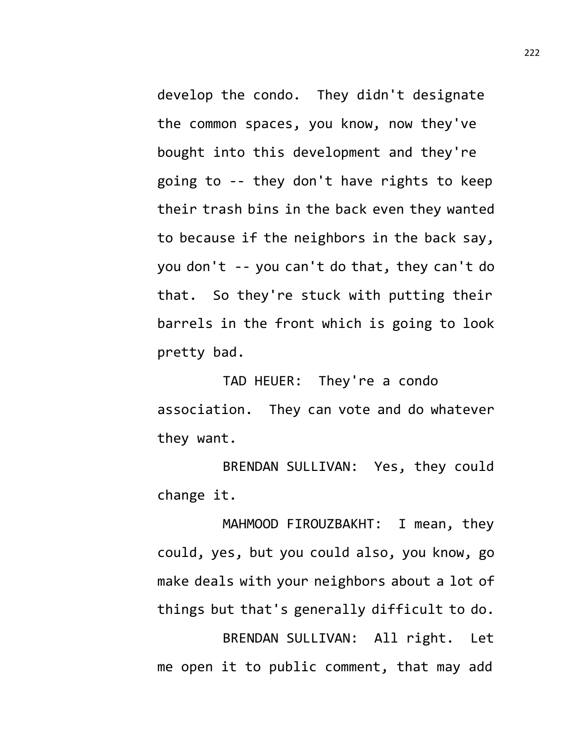develop the condo. They didn't designate the common spaces, you know, now they've bought into this development and they're going to -- they don't have rights to keep their trash bins in the back even they wanted to because if the neighbors in the back say, you don't -- you can't do that, they can't do that. So they're stuck with putting their barrels in the front which is going to look pretty bad.

TAD HEUER: They're a condo association. They can vote and do whatever they want.

BRENDAN SULLIVAN: Yes, they could change it.

MAHMOOD FIROUZBAKHT: I mean, they could, yes, but you could also, you know, go make deals with your neighbors about a lot of things but that's generally difficult to do. BRENDAN SULLIVAN: All right. Let me open it to public comment, that may add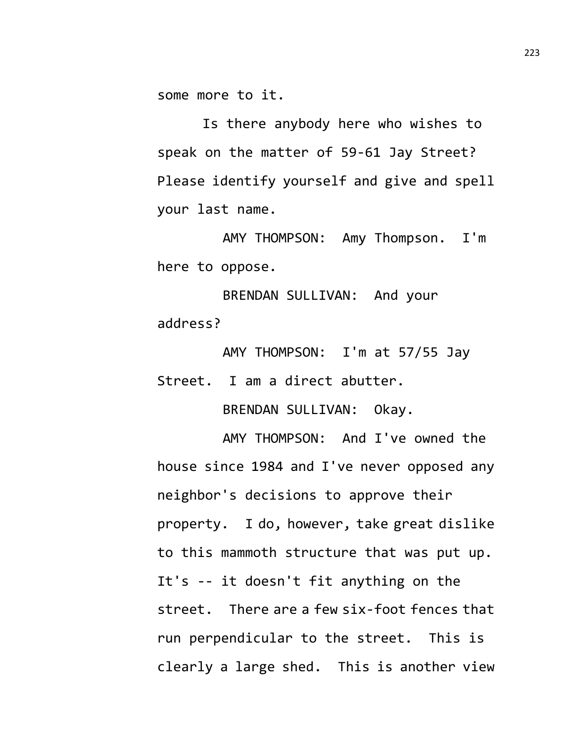some more to it.

Is there anybody here who wishes to speak on the matter of 59-61 Jay Street? Please identify yourself and give and spell your last name.

AMY THOMPSON: Amy Thompson. I'm here to oppose.

BRENDAN SULLIVAN: And your address?

AMY THOMPSON: I'm at 57/55 Jay Street. I am a direct abutter.

BRENDAN SULLIVAN: Okay.

AMY THOMPSON: And I've owned the house since 1984 and I've never opposed any neighbor's decisions to approve their property. I do, however, take great dislike to this mammoth structure that was put up. It's -- it doesn't fit anything on the street. There are a few six-foot fences that run perpendicular to the street. This is clearly a large shed. This is another view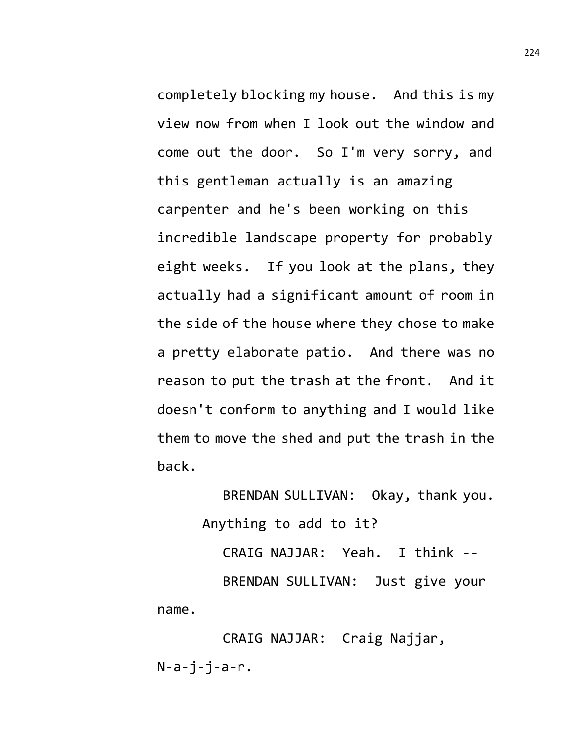completely blocking my house. And this is my view now from when I look out the window and come out the door. So I'm very sorry, and this gentleman actually is an amazing carpenter and he's been working on this incredible landscape property for probably eight weeks. If you look at the plans, they actually had a significant amount of room in the side of the house where they chose to make a pretty elaborate patio. And there was no reason to put the trash at the front. And it doesn't conform to anything and I would like them to move the shed and put the trash in the back.

> BRENDAN SULLIVAN: Okay, thank you. Anything to add to it?

CRAIG NAJJAR: Yeah. I think -- BRENDAN SULLIVAN: Just give your name.

CRAIG NAJJAR: Craig Najjar,  $N-a-i-i-a-r.$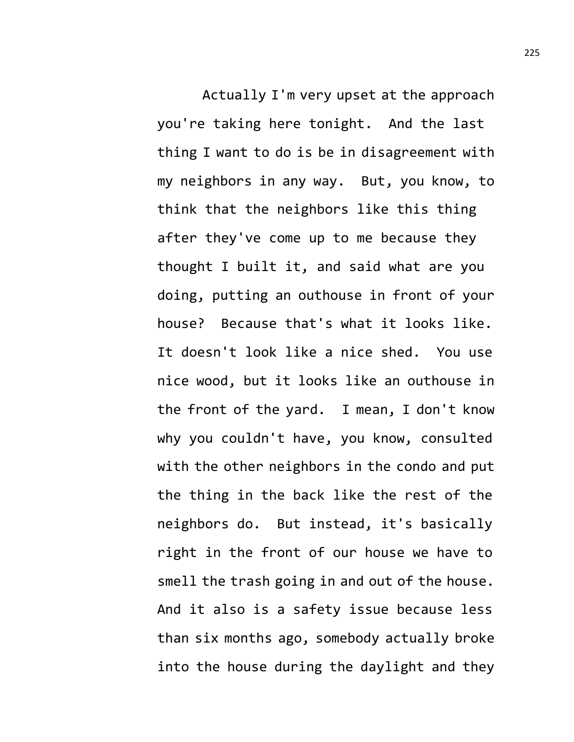Actually I'm very upset at the approach you're taking here tonight. And the last thing I want to do is be in disagreement with my neighbors in any way. But, you know, to think that the neighbors like this thing after they've come up to me because they thought I built it, and said what are you doing, putting an outhouse in front of your house? Because that's what it looks like. It doesn't look like a nice shed. You use nice wood, but it looks like an outhouse in the front of the yard. I mean, I don't know why you couldn't have, you know, consulted with the other neighbors in the condo and put the thing in the back like the rest of the neighbors do. But instead, it's basically right in the front of our house we have to smell the trash going in and out of the house. And it also is a safety issue because less than six months ago, somebody actually broke into the house during the daylight and they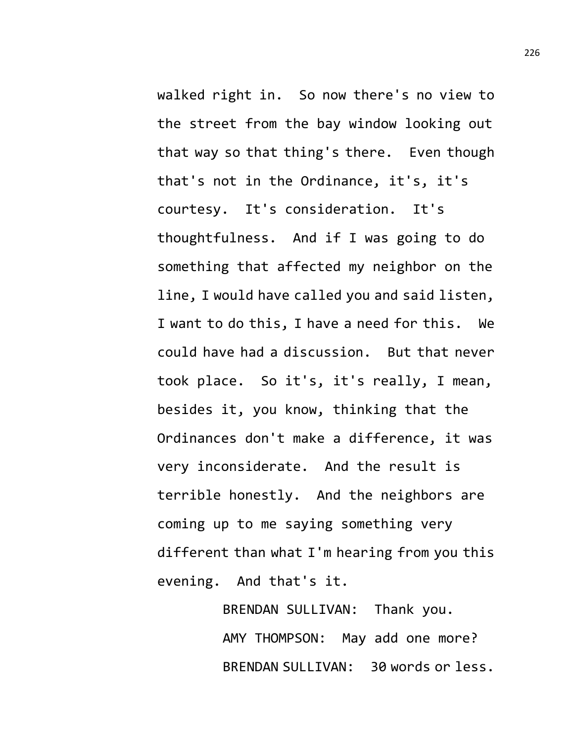walked right in. So now there's no view to the street from the bay window looking out that way so that thing's there. Even though that's not in the Ordinance, it's, it's courtesy. It's consideration. It's thoughtfulness. And if I was going to do something that affected my neighbor on the line, I would have called you and said listen, I want to do this, I have a need for this. We could have had a discussion. But that never took place. So it's, it's really, I mean, besides it, you know, thinking that the Ordinances don't make a difference, it was very inconsiderate. And the result is terrible honestly. And the neighbors are coming up to me saying something very different than what I'm hearing from you this evening. And that's it.

> BRENDAN SULLIVAN: Thank you. AMY THOMPSON: May add one more? BRENDAN SULLIVAN: 30 words or less.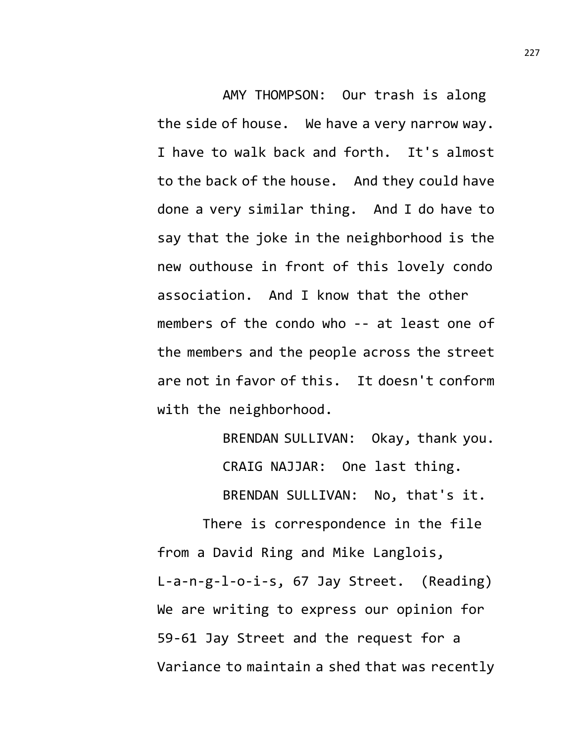AMY THOMPSON: Our trash is along the side of house. We have a very narrow way. I have to walk back and forth. It's almost to the back of the house. And they could have done a very similar thing. And I do have to say that the joke in the neighborhood is the new outhouse in front of this lovely condo association. And I know that the other members of the condo who -- at least one of the members and the people across the street are not in favor of this. It doesn't conform with the neighborhood.

> BRENDAN SULLIVAN: Okay, thank you. CRAIG NAJJAR: One last thing. BRENDAN SULLIVAN: No, that's it.

There is correspondence in the file from a David Ring and Mike Langlois, L-a-n-g-l-o-i-s, 67 Jay Street. (Reading) We are writing to express our opinion for 59-61 Jay Street and the request for a Variance to maintain a shed that was recently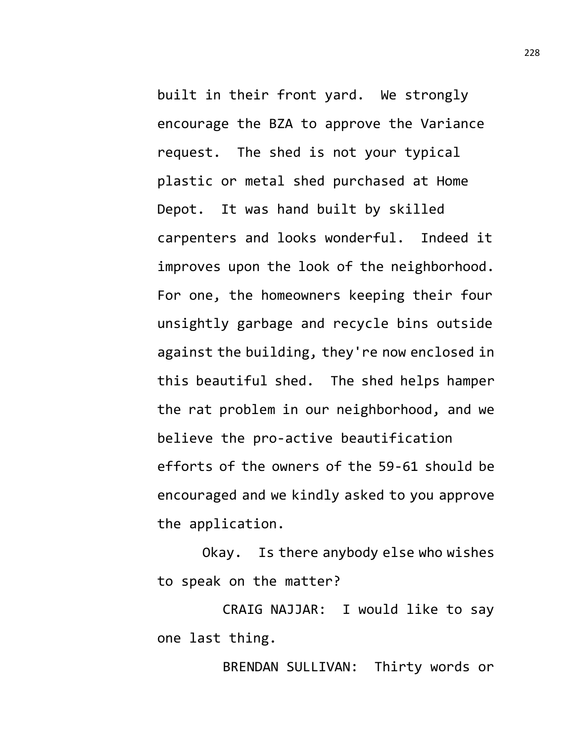built in their front yard. We strongly encourage the BZA to approve the Variance request. The shed is not your typical plastic or metal shed purchased at Home Depot. It was hand built by skilled carpenters and looks wonderful. Indeed it improves upon the look of the neighborhood. For one, the homeowners keeping their four unsightly garbage and recycle bins outside against the building, they're now enclosed in this beautiful shed. The shed helps hamper the rat problem in our neighborhood, and we believe the pro-active beautification efforts of the owners of the 59-61 should be encouraged and we kindly asked to you approve the application.

Okay. Is there anybody else who wishes to speak on the matter?

CRAIG NAJJAR: I would like to say one last thing.

BRENDAN SULLIVAN: Thirty words or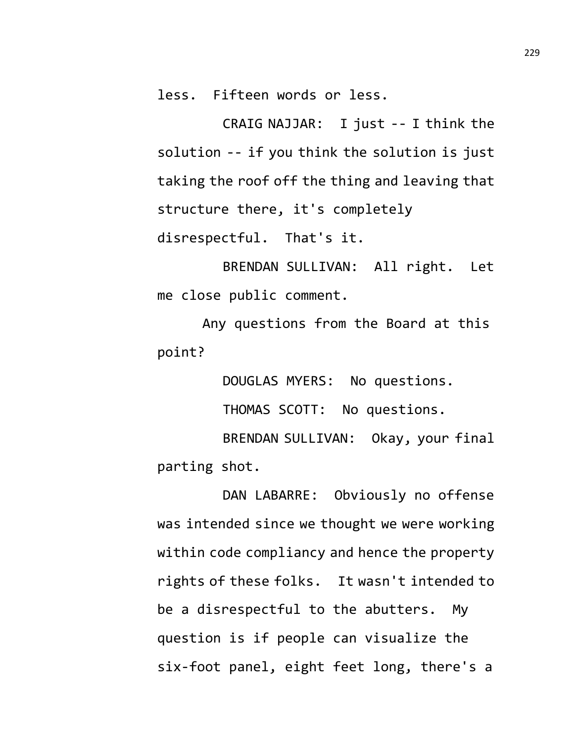less. Fifteen words or less.

CRAIG NAJJAR: I just -- I think the solution -- if you think the solution is just taking the roof off the thing and leaving that structure there, it's completely disrespectful. That's it.

BRENDAN SULLIVAN: All right. Let me close public comment.

Any questions from the Board at this point?

DOUGLAS MYERS: No questions.

THOMAS SCOTT: No questions.

BRENDAN SULLIVAN: Okay, your final parting shot.

DAN LABARRE: Obviously no offense was intended since we thought we were working within code compliancy and hence the property rights of these folks. It wasn't intended to be a disrespectful to the abutters. My question is if people can visualize the six-foot panel, eight feet long, there's a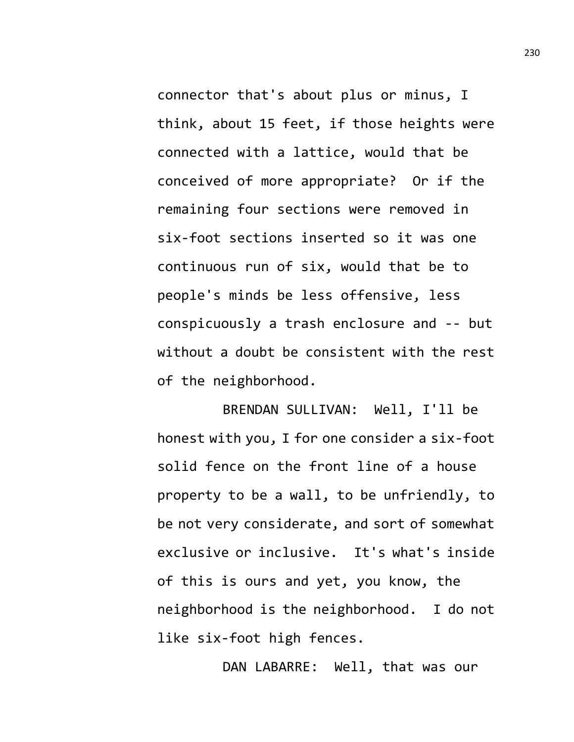connector that's about plus or minus, I think, about 15 feet, if those heights were connected with a lattice, would that be conceived of more appropriate? Or if the remaining four sections were removed in six-foot sections inserted so it was one continuous run of six, would that be to people's minds be less offensive, less conspicuously a trash enclosure and -- but without a doubt be consistent with the rest of the neighborhood.

BRENDAN SULLIVAN: Well, I'll be honest with you, I for one consider a six-foot solid fence on the front line of a house property to be a wall, to be unfriendly, to be not very considerate, and sort of somewhat exclusive or inclusive. It's what's inside of this is ours and yet, you know, the neighborhood is the neighborhood. I do not like six-foot high fences.

DAN LABARRE: Well, that was our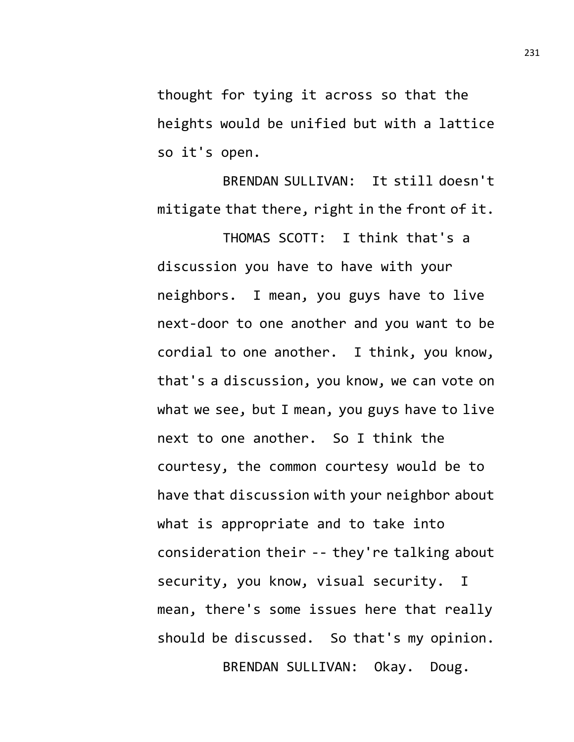thought for tying it across so that the heights would be unified but with a lattice so it's open.

BRENDAN SULLIVAN: It still doesn't mitigate that there, right in the front of it.

THOMAS SCOTT: I think that's a discussion you have to have with your neighbors. I mean, you guys have to live next-door to one another and you want to be cordial to one another. I think, you know, that's a discussion, you know, we can vote on what we see, but I mean, you guys have to live next to one another. So I think the courtesy, the common courtesy would be to have that discussion with your neighbor about what is appropriate and to take into consideration their -- they're talking about security, you know, visual security. I mean, there's some issues here that really should be discussed. So that's my opinion. BRENDAN SULLIVAN: Okay. Doug.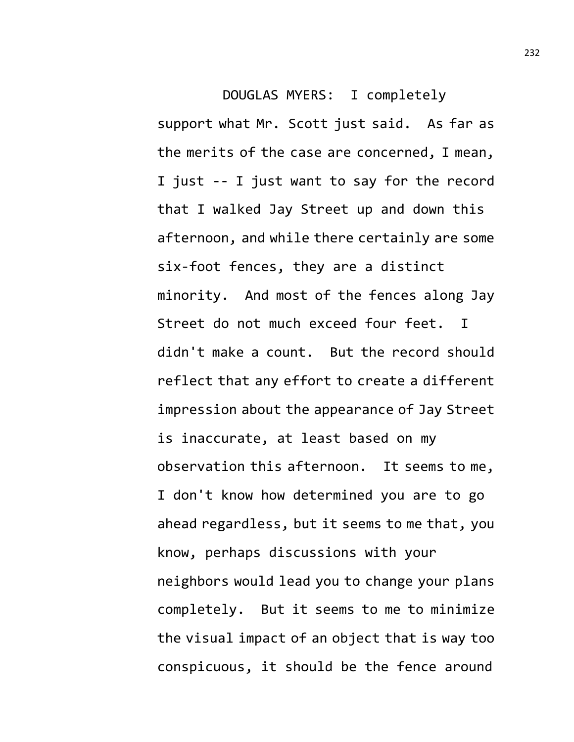DOUGLAS MYERS: I completely support what Mr. Scott just said. As far as the merits of the case are concerned, I mean, I just -- I just want to say for the record that I walked Jay Street up and down this afternoon, and while there certainly are some six-foot fences, they are a distinct minority. And most of the fences along Jay Street do not much exceed four feet. I didn't make a count. But the record should reflect that any effort to create a different impression about the appearance of Jay Street is inaccurate, at least based on my observation this afternoon. It seems to me, I don't know how determined you are to go ahead regardless, but it seems to me that, you know, perhaps discussions with your neighbors would lead you to change your plans completely. But it seems to me to minimize the visual impact of an object that is way too conspicuous, it should be the fence around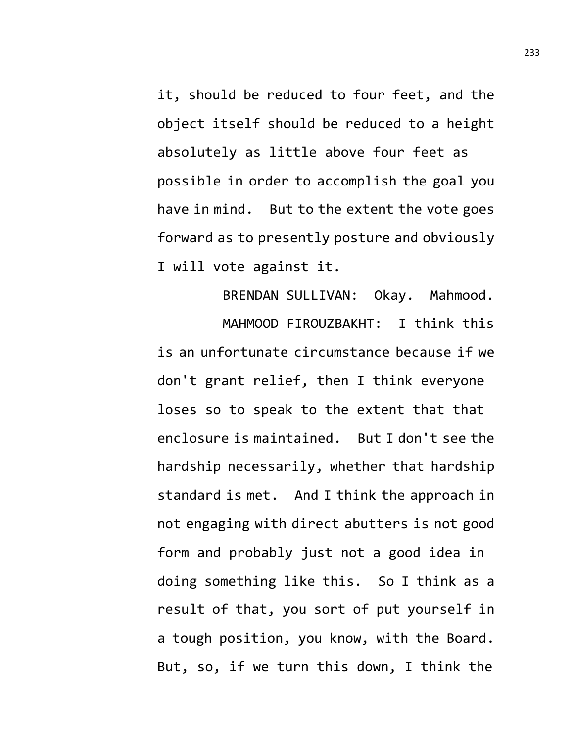it, should be reduced to four feet, and the object itself should be reduced to a height absolutely as little above four feet as possible in order to accomplish the goal you have in mind. But to the extent the vote goes forward as to presently posture and obviously I will vote against it.

BRENDAN SULLIVAN: Okay. Mahmood. MAHMOOD FIROUZBAKHT: I think this is an unfortunate circumstance because if we don't grant relief, then I think everyone loses so to speak to the extent that that enclosure is maintained. But I don't see the hardship necessarily, whether that hardship standard is met. And I think the approach in not engaging with direct abutters is not good form and probably just not a good idea in doing something like this. So I think as a result of that, you sort of put yourself in a tough position, you know, with the Board. But, so, if we turn this down, I think the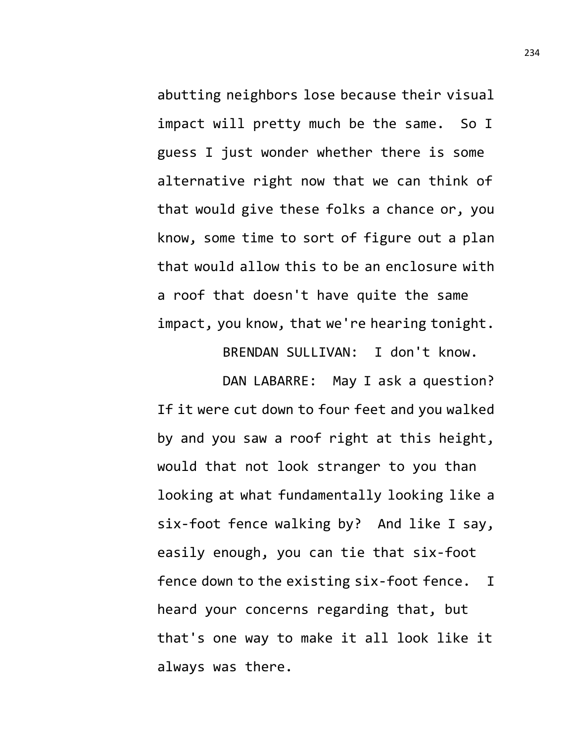abutting neighbors lose because their visual impact will pretty much be the same. So I guess I just wonder whether there is some alternative right now that we can think of that would give these folks a chance or, you know, some time to sort of figure out a plan that would allow this to be an enclosure with a roof that doesn't have quite the same impact, you know, that we're hearing tonight.

BRENDAN SULLIVAN: I don't know.

DAN LABARRE: May I ask a question? If it were cut down to four feet and you walked by and you saw a roof right at this height, would that not look stranger to you than looking at what fundamentally looking like a six-foot fence walking by? And like I say, easily enough, you can tie that six-foot fence down to the existing six-foot fence. I heard your concerns regarding that, but that's one way to make it all look like it always was there.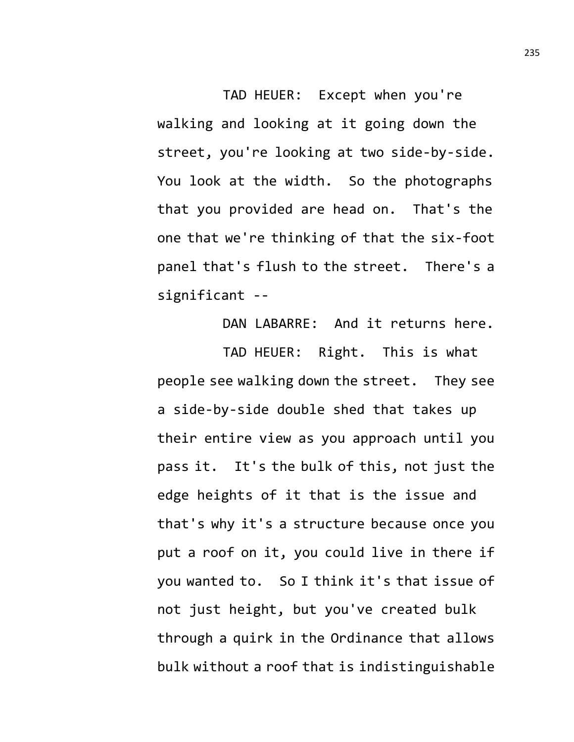TAD HEUER: Except when you're walking and looking at it going down the street, you're looking at two side-by-side. You look at the width. So the photographs that you provided are head on. That's the one that we're thinking of that the six-foot panel that's flush to the street. There's a significant --

DAN LABARRE: And it returns here. TAD HEUER: Right. This is what people see walking down the street. They see a side-by-side double shed that takes up their entire view as you approach until you pass it. It's the bulk of this, not just the edge heights of it that is the issue and that's why it's a structure because once you put a roof on it, you could live in there if you wanted to. So I think it's that issue of not just height, but you've created bulk through a quirk in the Ordinance that allows bulk without a roof that is indistinguishable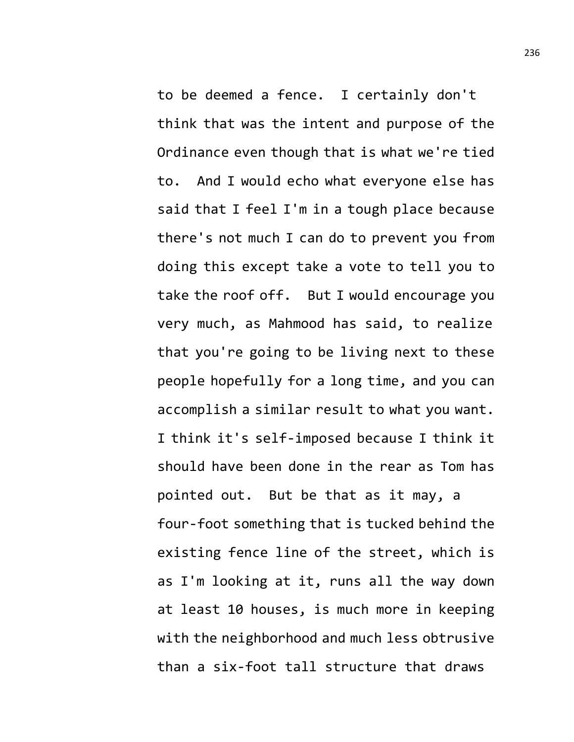to be deemed a fence. I certainly don't think that was the intent and purpose of the Ordinance even though that is what we're tied to. And I would echo what everyone else has said that I feel I'm in a tough place because there's not much I can do to prevent you from doing this except take a vote to tell you to take the roof off. But I would encourage you very much, as Mahmood has said, to realize that you're going to be living next to these people hopefully for a long time, and you can accomplish a similar result to what you want. I think it's self-imposed because I think it should have been done in the rear as Tom has pointed out. But be that as it may, a four-foot something that is tucked behind the existing fence line of the street, which is as I'm looking at it, runs all the way down at least 10 houses, is much more in keeping with the neighborhood and much less obtrusive than a six-foot tall structure that draws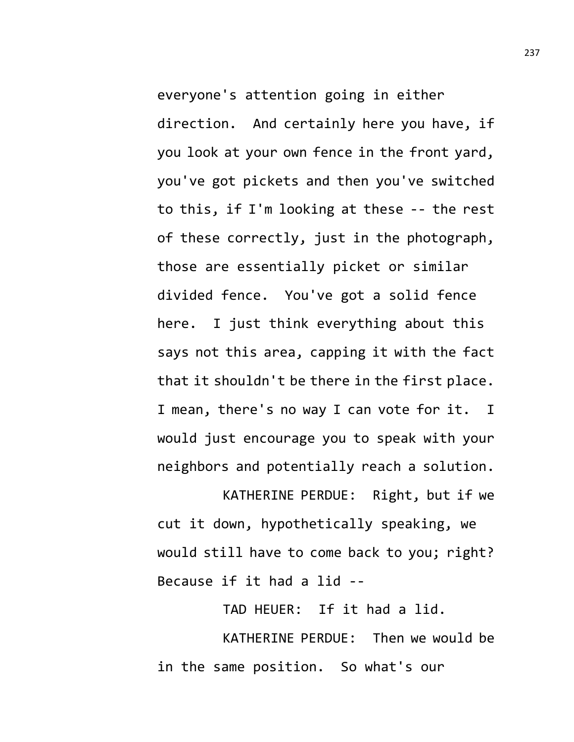everyone's attention going in either direction. And certainly here you have, if you look at your own fence in the front yard, you've got pickets and then you've switched to this, if I'm looking at these -- the rest of these correctly, just in the photograph, those are essentially picket or similar divided fence. You've got a solid fence here. I just think everything about this says not this area, capping it with the fact that it shouldn't be there in the first place. I mean, there's no way I can vote for it. I would just encourage you to speak with your neighbors and potentially reach a solution.

KATHERINE PERDUE: Right, but if we cut it down, hypothetically speaking, we would still have to come back to you; right? Because if it had a lid --

TAD HEUER: If it had a lid.

KATHERINE PERDUE: Then we would be in the same position. So what's our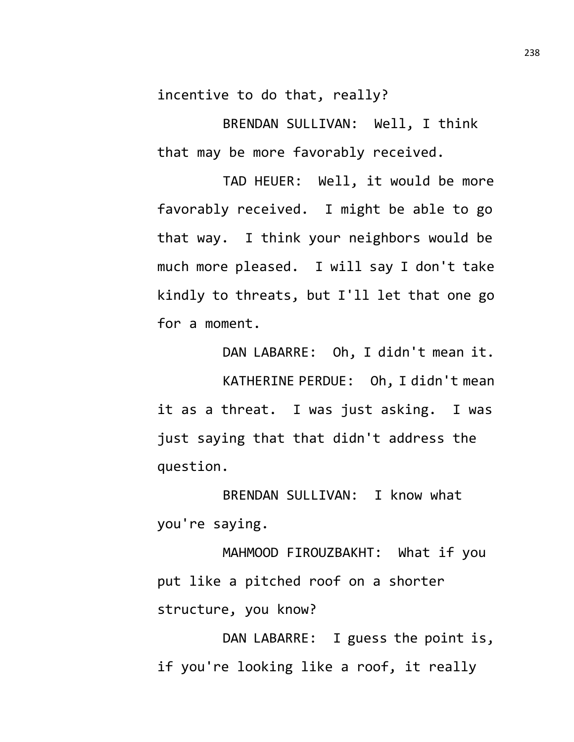incentive to do that, really?

BRENDAN SULLIVAN: Well, I think that may be more favorably received.

TAD HEUER: Well, it would be more favorably received. I might be able to go that way. I think your neighbors would be much more pleased. I will say I don't take kindly to threats, but I'll let that one go for a moment.

DAN LABARRE: Oh, I didn't mean it. KATHERINE PERDUE: Oh, I didn't mean it as a threat. I was just asking. I was just saying that that didn't address the question.

BRENDAN SULLIVAN: I know what you're saying.

MAHMOOD FIROUZBAKHT: What if you put like a pitched roof on a shorter structure, you know?

DAN LABARRE: I guess the point is, if you're looking like a roof, it really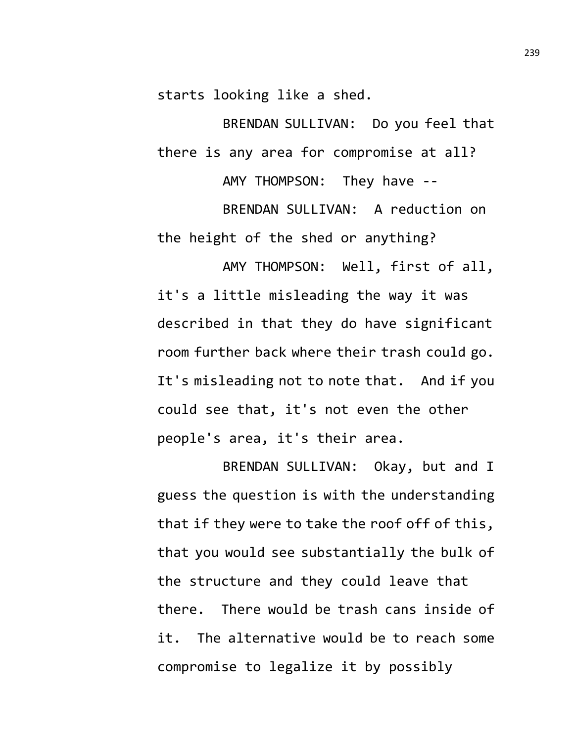starts looking like a shed.

BRENDAN SULLIVAN: Do you feel that there is any area for compromise at all?

AMY THOMPSON: They have --

BRENDAN SULLIVAN: A reduction on the height of the shed or anything?

AMY THOMPSON: Well, first of all, it's a little misleading the way it was described in that they do have significant room further back where their trash could go. It's misleading not to note that. And if you could see that, it's not even the other people's area, it's their area.

BRENDAN SULLIVAN: Okay, but and I guess the question is with the understanding that if they were to take the roof off of this, that you would see substantially the bulk of the structure and they could leave that there. There would be trash cans inside of it. The alternative would be to reach some compromise to legalize it by possibly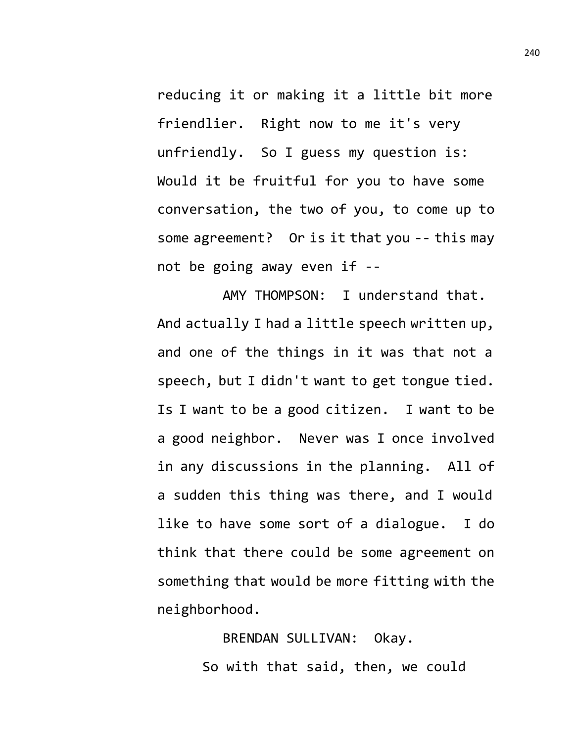reducing it or making it a little bit more friendlier. Right now to me it's very unfriendly. So I guess my question is: Would it be fruitful for you to have some conversation, the two of you, to come up to some agreement? Or is it that you -- this may not be going away even if --

AMY THOMPSON: I understand that. And actually I had a little speech written up, and one of the things in it was that not a speech, but I didn't want to get tongue tied. Is I want to be a good citizen. I want to be a good neighbor. Never was I once involved in any discussions in the planning. All of a sudden this thing was there, and I would like to have some sort of a dialogue. I do think that there could be some agreement on something that would be more fitting with the neighborhood.

> BRENDAN SULLIVAN: Okay. So with that said, then, we could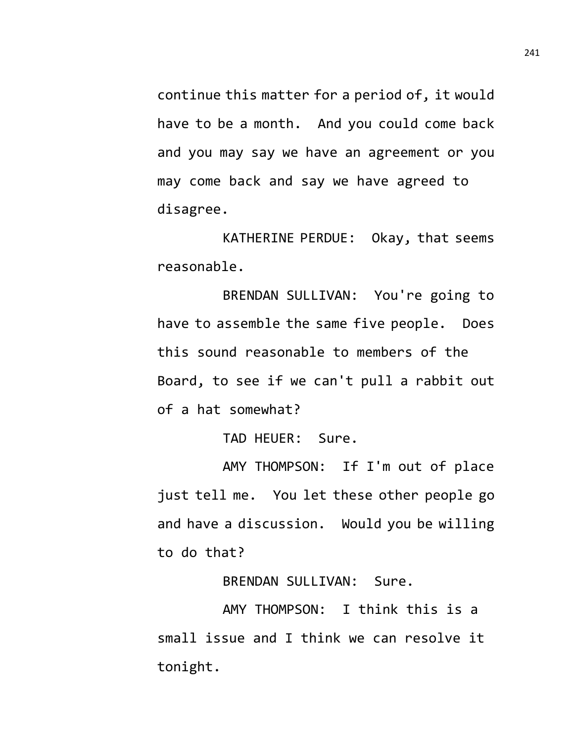continue this matter for a period of, it would have to be a month. And you could come back and you may say we have an agreement or you may come back and say we have agreed to disagree.

KATHERINE PERDUE: Okay, that seems reasonable.

BRENDAN SULLIVAN: You're going to have to assemble the same five people. Does this sound reasonable to members of the Board, to see if we can't pull a rabbit out of a hat somewhat?

TAD HEUER: Sure.

AMY THOMPSON: If I'm out of place just tell me. You let these other people go and have a discussion. Would you be willing to do that?

BRENDAN SULLIVAN: Sure.

AMY THOMPSON: I think this is a small issue and I think we can resolve it tonight.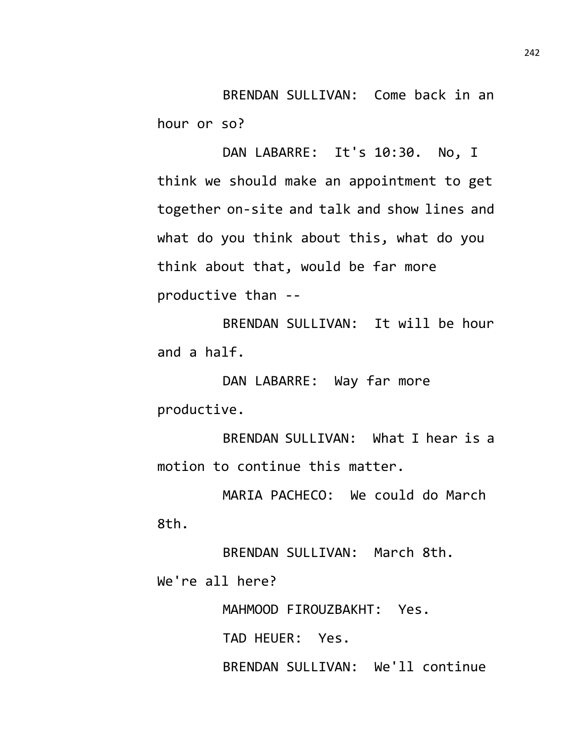BRENDAN SULLIVAN: Come back in an hour or so?

DAN LABARRE: It's 10:30. No, I think we should make an appointment to get together on-site and talk and show lines and what do you think about this, what do you think about that, would be far more productive than --

BRENDAN SULLIVAN: It will be hour and a half.

DAN LABARRE: Way far more productive.

BRENDAN SULLIVAN: What I hear is a motion to continue this matter.

MARIA PACHECO: We could do March 8th.

BRENDAN SULLIVAN: March 8th. We're all here?

MAHMOOD FIROUZBAKHT: Yes.

TAD HEUER: Yes.

BRENDAN SULLIVAN: We'll continue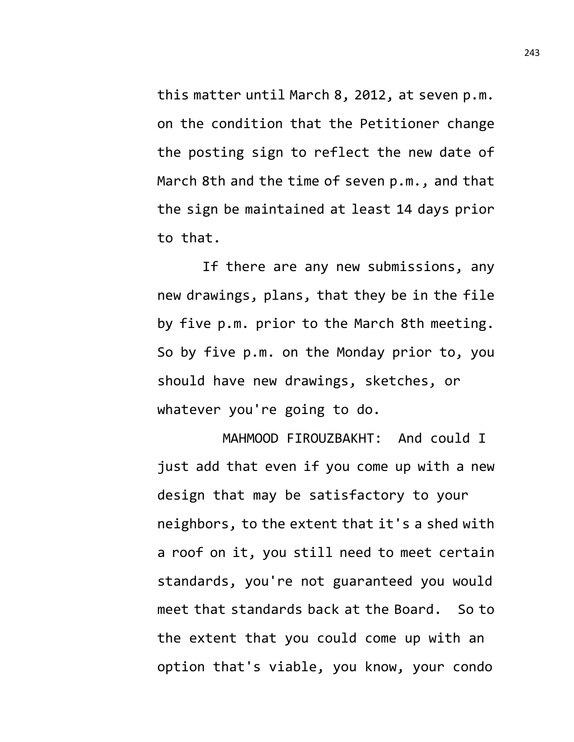this matter until March 8, 2012, at seven p.m. on the condition that the Petitioner change the posting sign to reflect the new date of March 8th and the time of seven p.m., and that the sign be maintained at least 14 days prior to that.

If there are any new submissions, any new drawings, plans, that they be in the file by five p.m. prior to the March 8th meeting. So by five p.m. on the Monday prior to, you should have new drawings, sketches, or whatever you're going to do.

MAHMOOD FIROUZBAKHT: And could I just add that even if you come up with a new design that may be satisfactory to your neighbors, to the extent that it's a shed with a roof on it, you still need to meet certain standards, you're not guaranteed you would meet that standards back at the Board. So to the extent that you could come up with an option that's viable, you know, your condo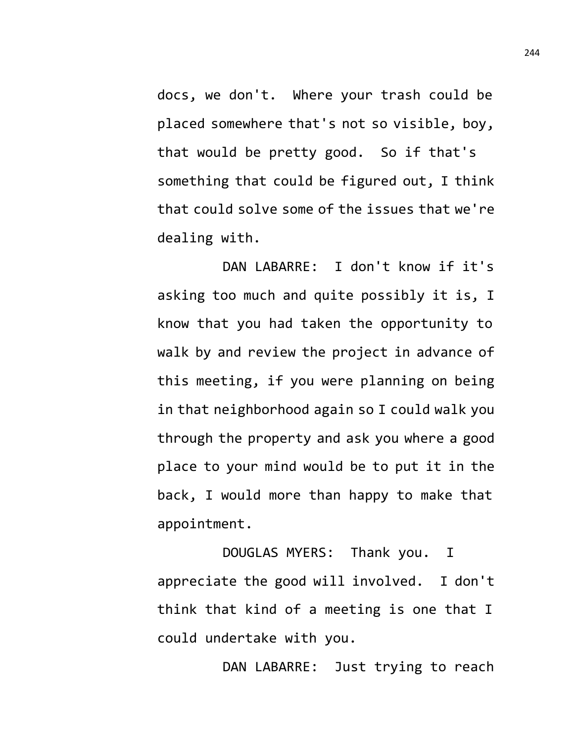docs, we don't. Where your trash could be placed somewhere that's not so visible, boy, that would be pretty good. So if that's something that could be figured out, I think that could solve some of the issues that we're dealing with.

DAN LABARRE: I don't know if it's asking too much and quite possibly it is, I know that you had taken the opportunity to walk by and review the project in advance of this meeting, if you were planning on being in that neighborhood again so I could walk you through the property and ask you where a good place to your mind would be to put it in the back, I would more than happy to make that appointment.

DOUGLAS MYERS: Thank you. I appreciate the good will involved. I don't think that kind of a meeting is one that I could undertake with you.

DAN LABARRE: Just trying to reach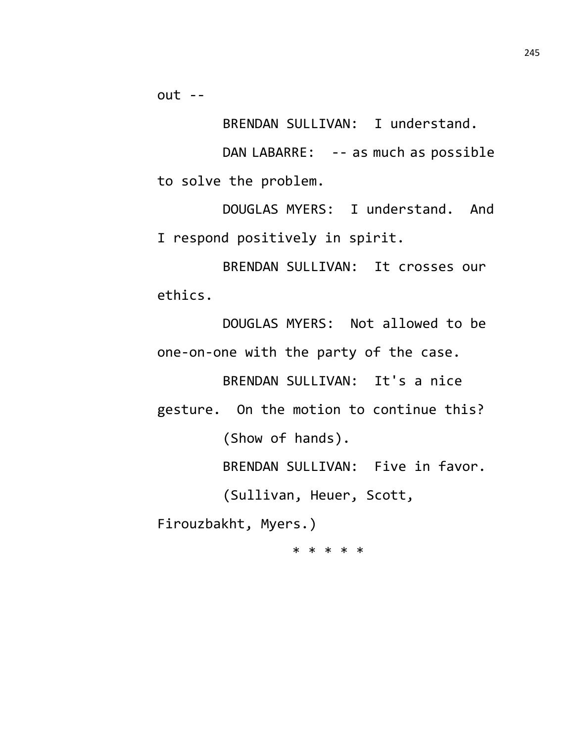$out - -$ 

BRENDAN SULLIVAN: I understand.

DAN LABARRE: -- as much as possible to solve the problem.

DOUGLAS MYERS: I understand. And I respond positively in spirit.

BRENDAN SULLIVAN: It crosses our ethics.

DOUGLAS MYERS: Not allowed to be one-on-one with the party of the case.

BRENDAN SULLIVAN: It's a nice

gesture. On the motion to continue this? (Show of hands).

BRENDAN SULLIVAN: Five in favor.

(Sullivan, Heuer, Scott,

Firouzbakht, Myers.)

\* \* \* \* \*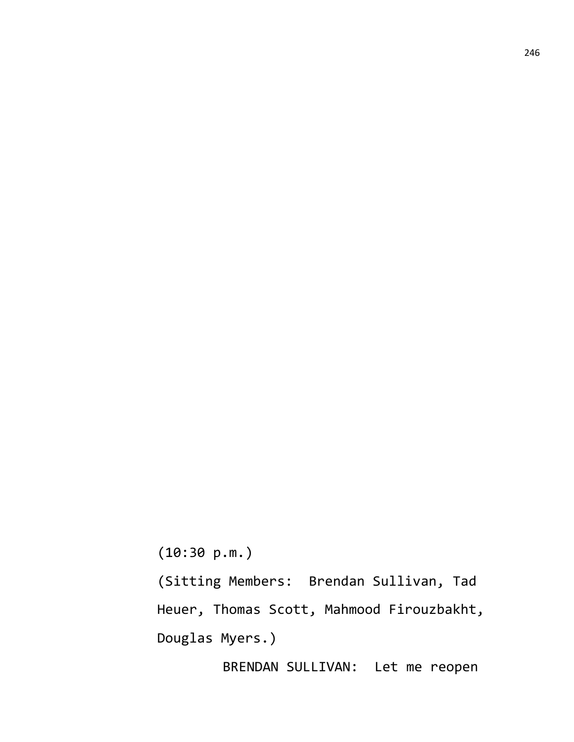(10:30 p.m.)

(Sitting Members: Brendan Sullivan, Tad Heuer, Thomas Scott, Mahmood Firouzbakht, Douglas Myers.)

BRENDAN SULLIVAN: Let me reopen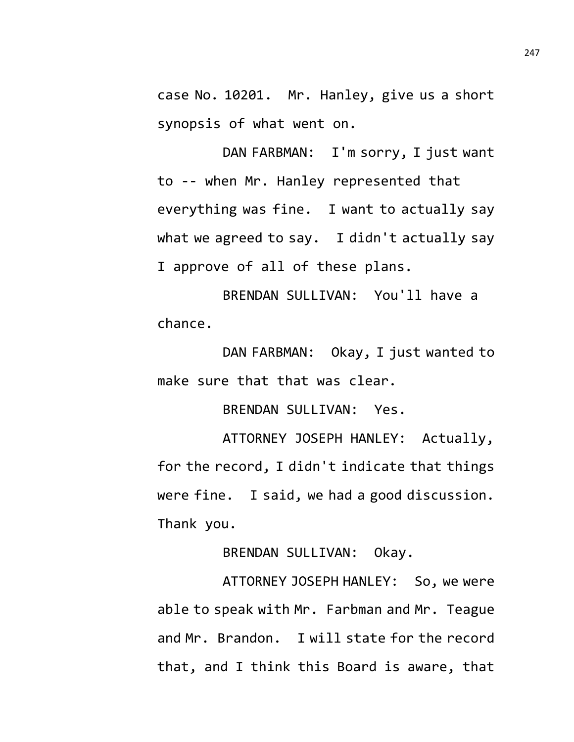case No. 10201. Mr. Hanley, give us a short synopsis of what went on.

DAN FARBMAN: I'm sorry, I just want to -- when Mr. Hanley represented that everything was fine. I want to actually say what we agreed to say. I didn't actually say I approve of all of these plans.

BRENDAN SULLIVAN: You'll have a chance.

DAN FARBMAN: Okay, I just wanted to make sure that that was clear.

BRENDAN SULLIVAN: Yes.

ATTORNEY JOSEPH HANLEY: Actually, for the record, I didn't indicate that things were fine. I said, we had a good discussion. Thank you.

BRENDAN SULLIVAN: Okay.

ATTORNEY JOSEPH HANLEY: So, we were able to speak with Mr. Farbman and Mr. Teague and Mr. Brandon. I will state for the record that, and I think this Board is aware, that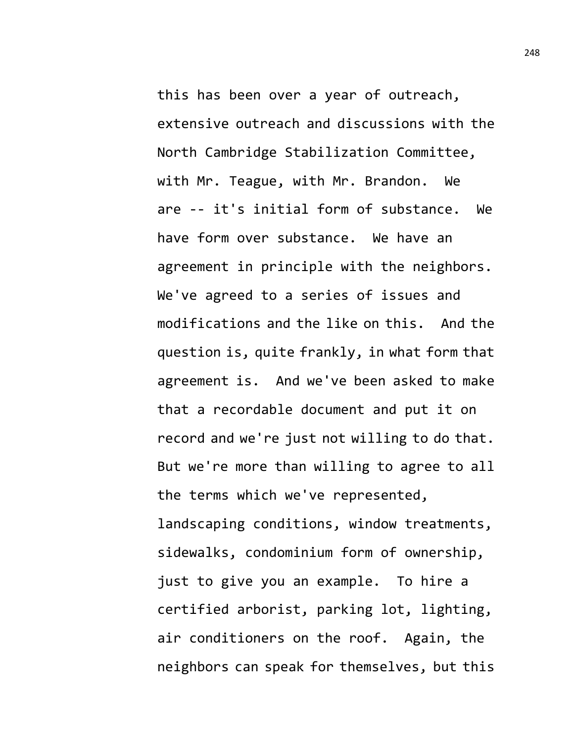this has been over a year of outreach, extensive outreach and discussions with the North Cambridge Stabilization Committee, with Mr. Teague, with Mr. Brandon. We are -- it's initial form of substance. We have form over substance. We have an agreement in principle with the neighbors. We've agreed to a series of issues and modifications and the like on this. And the question is, quite frankly, in what form that agreement is. And we've been asked to make that a recordable document and put it on record and we're just not willing to do that. But we're more than willing to agree to all the terms which we've represented, landscaping conditions, window treatments, sidewalks, condominium form of ownership, just to give you an example. To hire a certified arborist, parking lot, lighting, air conditioners on the roof. Again, the neighbors can speak for themselves, but this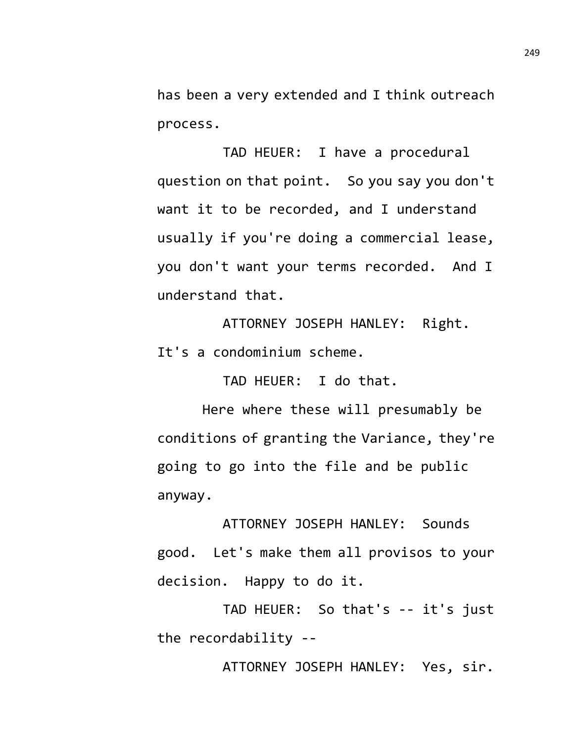has been a very extended and I think outreach process.

TAD HEUER: I have a procedural question on that point. So you say you don't want it to be recorded, and I understand usually if you're doing a commercial lease, you don't want your terms recorded. And I understand that.

ATTORNEY JOSEPH HANLEY: Right. It's a condominium scheme.

TAD HEUER: I do that.

Here where these will presumably be conditions of granting the Variance, they're going to go into the file and be public anyway.

ATTORNEY JOSEPH HANLEY: Sounds good. Let's make them all provisos to your decision. Happy to do it.

TAD HEUER: So that's -- it's just the recordability --

ATTORNEY JOSEPH HANLEY: Yes, sir.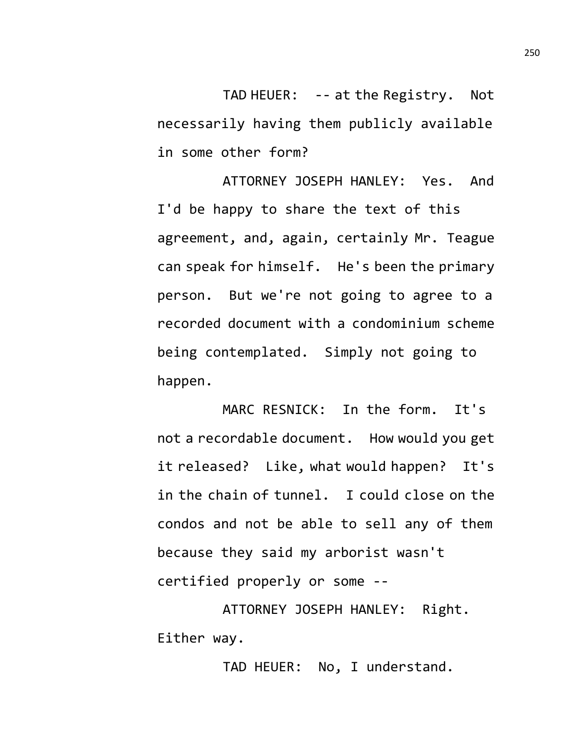TAD HEUER: -- at the Registry. Not necessarily having them publicly available in some other form?

ATTORNEY JOSEPH HANLEY: Yes. And I'd be happy to share the text of this agreement, and, again, certainly Mr. Teague can speak for himself. He's been the primary person. But we're not going to agree to a recorded document with a condominium scheme being contemplated. Simply not going to happen.

MARC RESNICK: In the form. It's not a recordable document. How would you get it released? Like, what would happen? It's in the chain of tunnel. I could close on the condos and not be able to sell any of them because they said my arborist wasn't certified properly or some --

ATTORNEY JOSEPH HANLEY: Right. Either way.

TAD HEUER: No, I understand.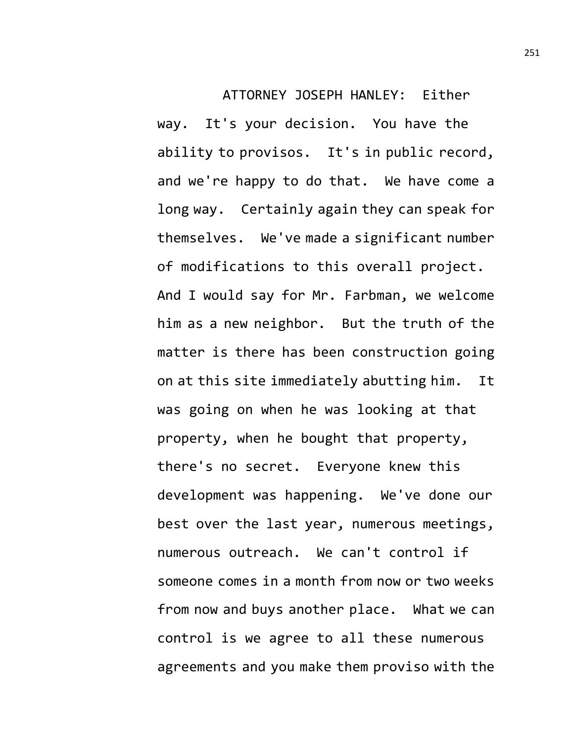ATTORNEY JOSEPH HANLEY: Either way. It's your decision. You have the ability to provisos. It's in public record, and we're happy to do that. We have come a long way. Certainly again they can speak for themselves. We've made a significant number of modifications to this overall project. And I would say for Mr. Farbman, we welcome him as a new neighbor. But the truth of the matter is there has been construction going on at this site immediately abutting him. It was going on when he was looking at that property, when he bought that property, there's no secret. Everyone knew this development was happening. We've done our best over the last year, numerous meetings, numerous outreach. We can't control if someone comes in a month from now or two weeks from now and buys another place. What we can control is we agree to all these numerous agreements and you make them proviso with the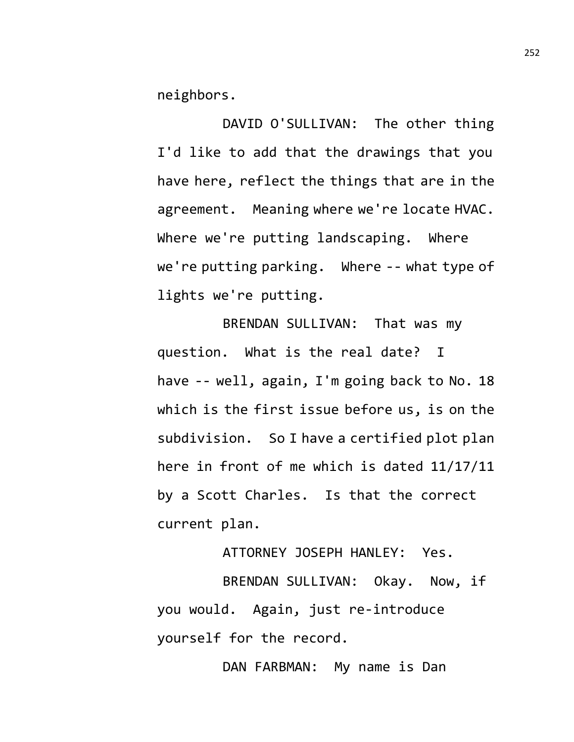neighbors.

DAVID O'SULLIVAN: The other thing I'd like to add that the drawings that you have here, reflect the things that are in the agreement. Meaning where we're locate HVAC. Where we're putting landscaping. Where we're putting parking. Where -- what type of lights we're putting.

BRENDAN SULLIVAN: That was my question. What is the real date? I have -- well, again, I'm going back to No. 18 which is the first issue before us, is on the subdivision. So I have a certified plot plan here in front of me which is dated 11/17/11 by a Scott Charles. Is that the correct current plan.

ATTORNEY JOSEPH HANLEY: Yes.

BRENDAN SULLIVAN: Okay. Now, if you would. Again, just re-introduce yourself for the record.

DAN FARBMAN: My name is Dan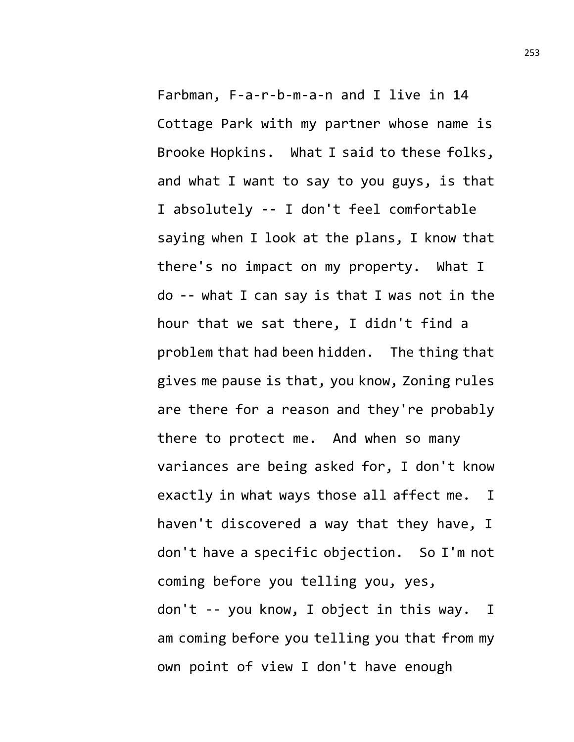Farbman, F-a-r-b-m-a-n and I live in 14 Cottage Park with my partner whose name is Brooke Hopkins. What I said to these folks, and what I want to say to you guys, is that I absolutely -- I don't feel comfortable saying when I look at the plans, I know that there's no impact on my property. What I do -- what I can say is that I was not in the hour that we sat there, I didn't find a problem that had been hidden. The thing that gives me pause is that, you know, Zoning rules are there for a reason and they're probably there to protect me. And when so many variances are being asked for, I don't know exactly in what ways those all affect me. I haven't discovered a way that they have, I don't have a specific objection. So I'm not coming before you telling you, yes, don't -- you know, I object in this way. I am coming before you telling you that from my own point of view I don't have enough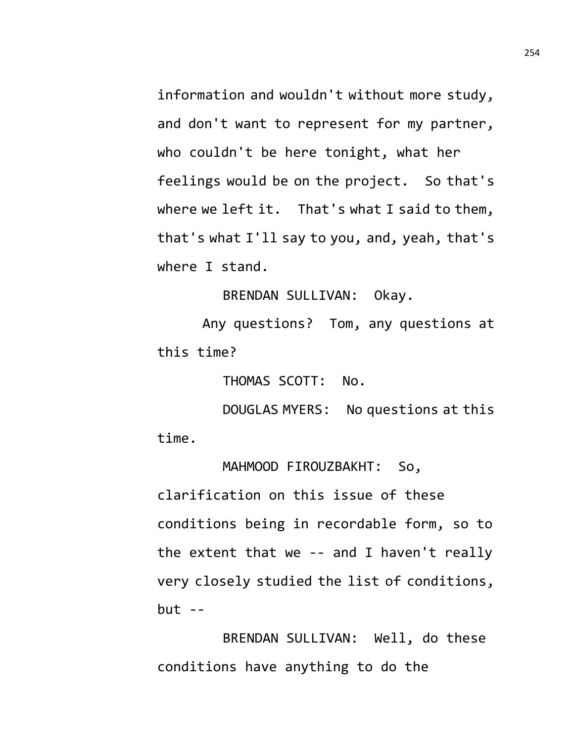information and wouldn't without more study, and don't want to represent for my partner, who couldn't be here tonight, what her feelings would be on the project. So that's where we left it. That's what I said to them, that's what I'll say to you, and, yeah, that's where I stand.

BRENDAN SULLIVAN: Okay.

Any questions? Tom, any questions at this time?

THOMAS SCOTT: No.

DOUGLAS MYERS: No questions at this time.

MAHMOOD FIROUZBAKHT: So, clarification on this issue of these conditions being in recordable form, so to the extent that we -- and I haven't really very closely studied the list of conditions,  $but --$ 

BRENDAN SULLIVAN: Well, do these conditions have anything to do the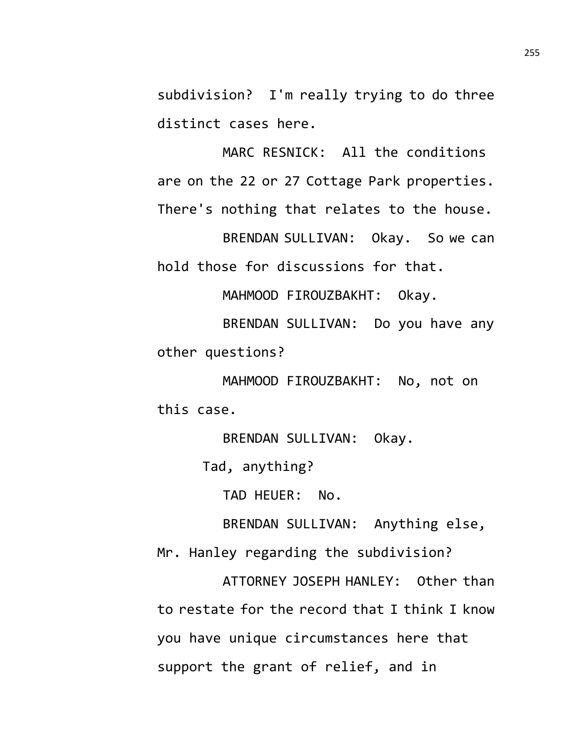subdivision? I'm really trying to do three distinct cases here.

MARC RESNICK: All the conditions are on the 22 or 27 Cottage Park properties. There's nothing that relates to the house.

BRENDAN SULLIVAN: Okay. So we can hold those for discussions for that.

MAHMOOD FIROUZBAKHT: Okay.

BRENDAN SULLIVAN: Do you have any other questions?

MAHMOOD FIROUZBAKHT: No, not on this case.

BRENDAN SULLIVAN: Okay.

Tad, anything?

TAD HEUER: No.

BRENDAN SULLIVAN: Anything else,

Mr. Hanley regarding the subdivision?

ATTORNEY JOSEPH HANLEY: Other than to restate for the record that I think I know you have unique circumstances here that support the grant of relief, and in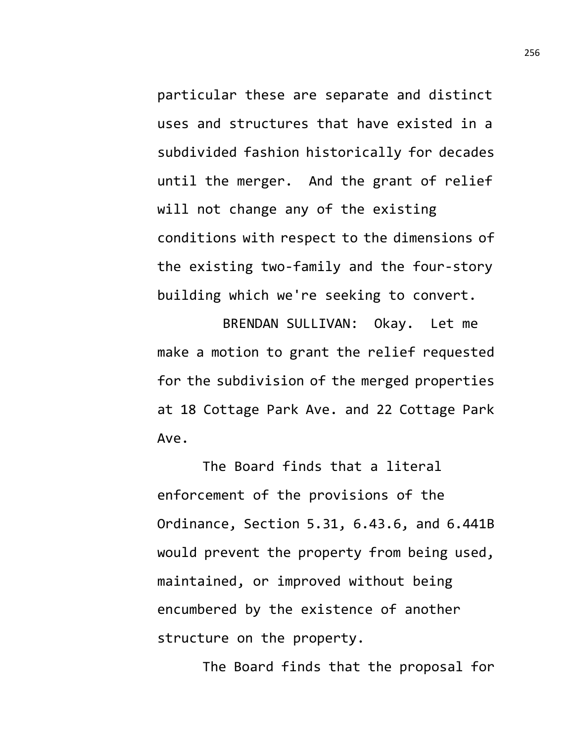particular these are separate and distinct uses and structures that have existed in a subdivided fashion historically for decades until the merger. And the grant of relief will not change any of the existing conditions with respect to the dimensions of the existing two-family and the four-story building which we're seeking to convert.

BRENDAN SULLIVAN: Okay. Let me make a motion to grant the relief requested for the subdivision of the merged properties at 18 Cottage Park Ave. and 22 Cottage Park Ave.

The Board finds that a literal enforcement of the provisions of the Ordinance, Section 5.31, 6.43.6, and 6.441B would prevent the property from being used, maintained, or improved without being encumbered by the existence of another structure on the property.

The Board finds that the proposal for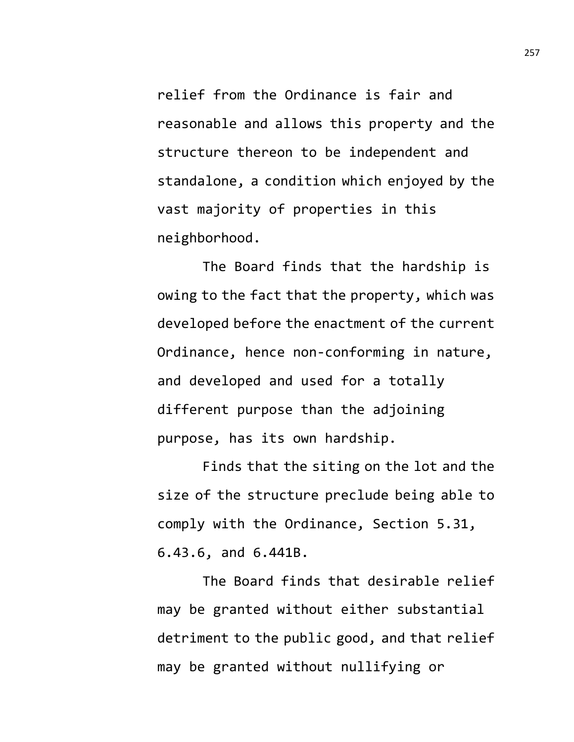relief from the Ordinance is fair and reasonable and allows this property and the structure thereon to be independent and standalone, a condition which enjoyed by the vast majority of properties in this neighborhood.

The Board finds that the hardship is owing to the fact that the property, which was developed before the enactment of the current Ordinance, hence non-conforming in nature, and developed and used for a totally different purpose than the adjoining purpose, has its own hardship.

Finds that the siting on the lot and the size of the structure preclude being able to comply with the Ordinance, Section 5.31, 6.43.6, and 6.441B.

The Board finds that desirable relief may be granted without either substantial detriment to the public good, and that relief may be granted without nullifying or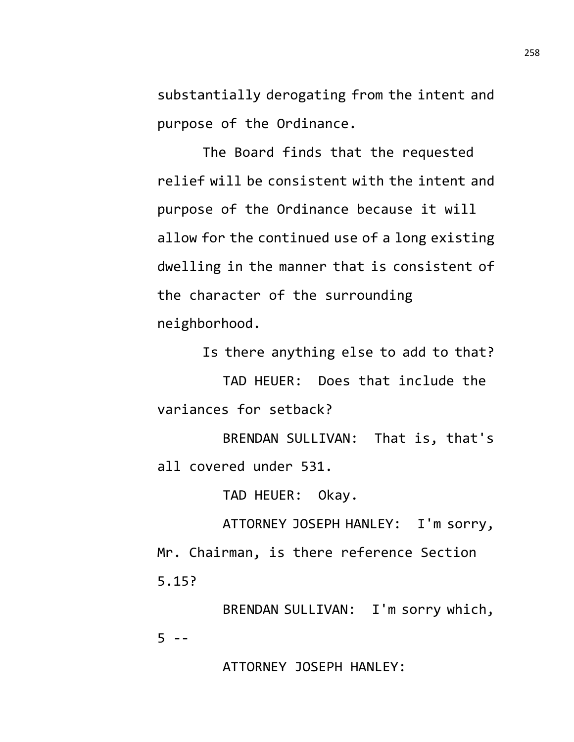substantially derogating from the intent and purpose of the Ordinance.

The Board finds that the requested relief will be consistent with the intent and purpose of the Ordinance because it will allow for the continued use of a long existing dwelling in the manner that is consistent of the character of the surrounding neighborhood.

Is there anything else to add to that?

TAD HEUER: Does that include the variances for setback?

BRENDAN SULLIVAN: That is, that's all covered under 531.

TAD HEUER: Okay.

ATTORNEY JOSEPH HANLEY: I'm sorry, Mr. Chairman, is there reference Section 5.15?

BRENDAN SULLIVAN: I'm sorry which,  $5 - -$ 

ATTORNEY JOSEPH HANLEY: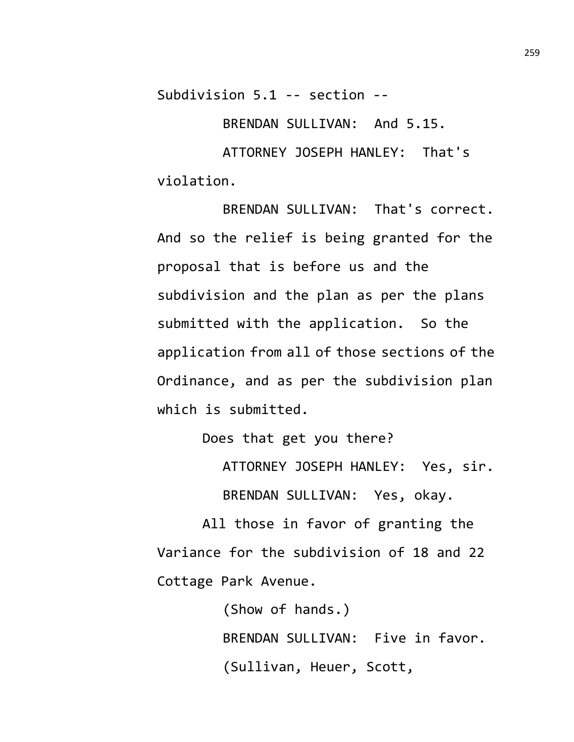Subdivision 5.1 -- section --

BRENDAN SULLIVAN: And 5.15.

ATTORNEY JOSEPH HANLEY: That's violation.

BRENDAN SULLIVAN: That's correct. And so the relief is being granted for the proposal that is before us and the subdivision and the plan as per the plans submitted with the application. So the application from all of those sections of the Ordinance, and as per the subdivision plan which is submitted.

Does that get you there?

ATTORNEY JOSEPH HANLEY: Yes, sir. BRENDAN SULLIVAN: Yes, okay.

All those in favor of granting the Variance for the subdivision of 18 and 22 Cottage Park Avenue.

> (Show of hands.) BRENDAN SULLIVAN: Five in favor. (Sullivan, Heuer, Scott,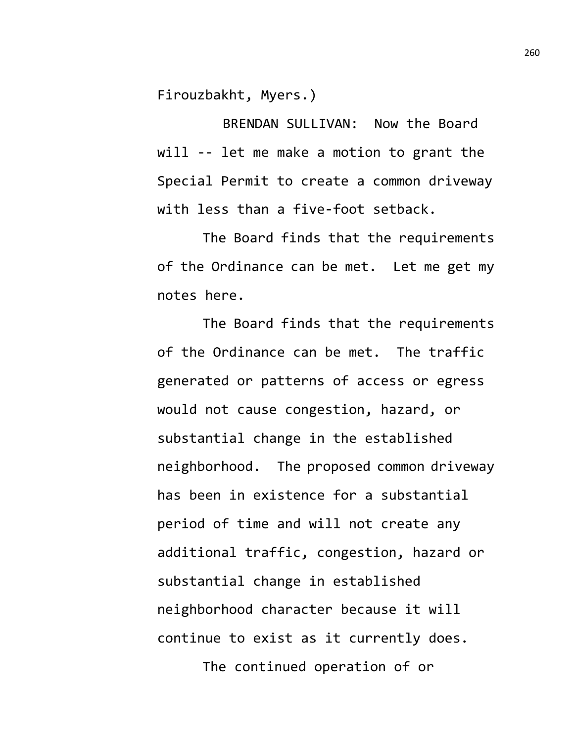Firouzbakht, Myers.)

BRENDAN SULLIVAN: Now the Board will -- let me make a motion to grant the Special Permit to create a common driveway with less than a five-foot setback.

The Board finds that the requirements of the Ordinance can be met. Let me get my notes here.

The Board finds that the requirements of the Ordinance can be met. The traffic generated or patterns of access or egress would not cause congestion, hazard, or substantial change in the established neighborhood. The proposed common driveway has been in existence for a substantial period of time and will not create any additional traffic, congestion, hazard or substantial change in established neighborhood character because it will continue to exist as it currently does. The continued operation of or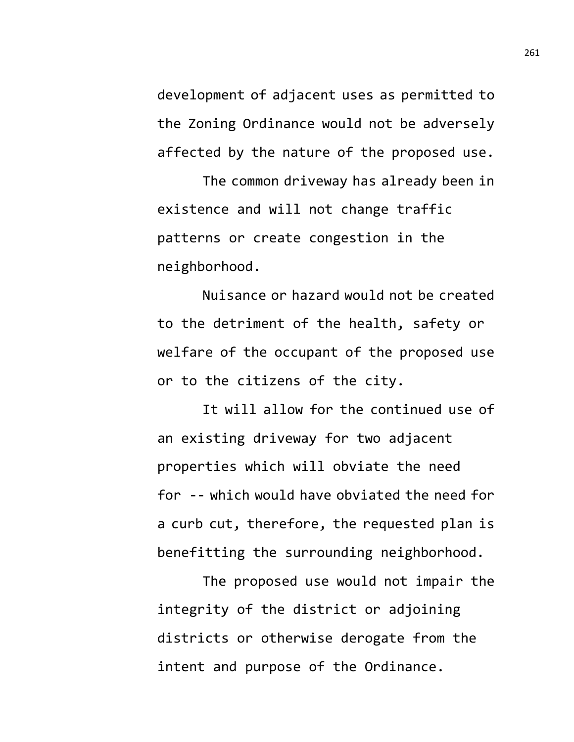development of adjacent uses as permitted to the Zoning Ordinance would not be adversely affected by the nature of the proposed use.

The common driveway has already been in existence and will not change traffic patterns or create congestion in the neighborhood.

Nuisance or hazard would not be created to the detriment of the health, safety or welfare of the occupant of the proposed use or to the citizens of the city.

It will allow for the continued use of an existing driveway for two adjacent properties which will obviate the need for -- which would have obviated the need for a curb cut, therefore, the requested plan is benefitting the surrounding neighborhood.

The proposed use would not impair the integrity of the district or adjoining districts or otherwise derogate from the intent and purpose of the Ordinance.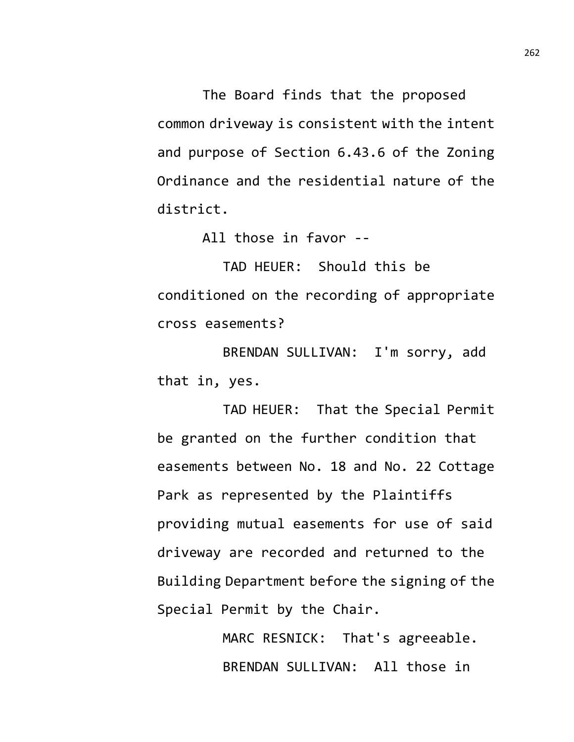The Board finds that the proposed common driveway is consistent with the intent and purpose of Section 6.43.6 of the Zoning Ordinance and the residential nature of the district.

All those in favor --

TAD HEUER: Should this be conditioned on the recording of appropriate cross easements?

BRENDAN SULLIVAN: I'm sorry, add that in, yes.

TAD HEUER: That the Special Permit be granted on the further condition that easements between No. 18 and No. 22 Cottage Park as represented by the Plaintiffs providing mutual easements for use of said driveway are recorded and returned to the Building Department before the signing of the Special Permit by the Chair.

> MARC RESNICK: That's agreeable. BRENDAN SULLIVAN: All those in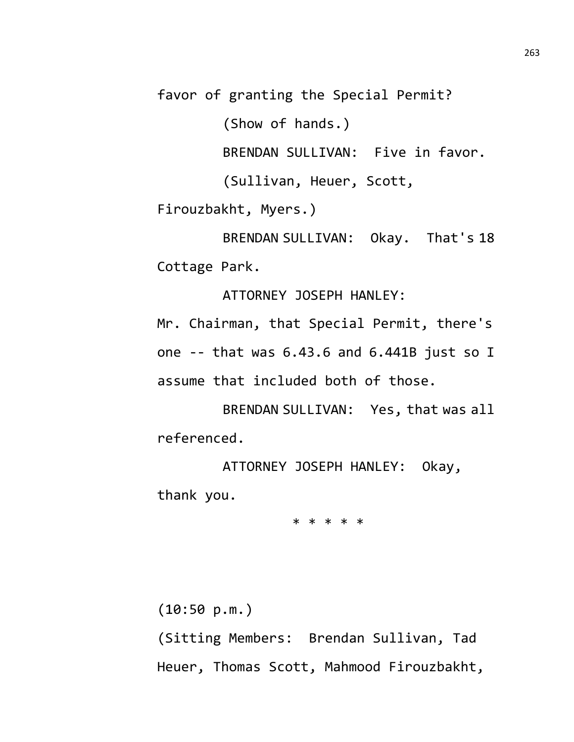favor of granting the Special Permit?

(Show of hands.)

BRENDAN SULLIVAN: Five in favor.

(Sullivan, Heuer, Scott,

Firouzbakht, Myers.)

BRENDAN SULLIVAN: Okay. That's 18 Cottage Park.

ATTORNEY JOSEPH HANLEY:

Mr. Chairman, that Special Permit, there's one -- that was 6.43.6 and 6.441B just so I assume that included both of those.

BRENDAN SULLIVAN: Yes, that was all referenced.

ATTORNEY JOSEPH HANLEY: Okay, thank you.

\* \* \* \* \*

(10:50 p.m.)

(Sitting Members: Brendan Sullivan, Tad Heuer, Thomas Scott, Mahmood Firouzbakht,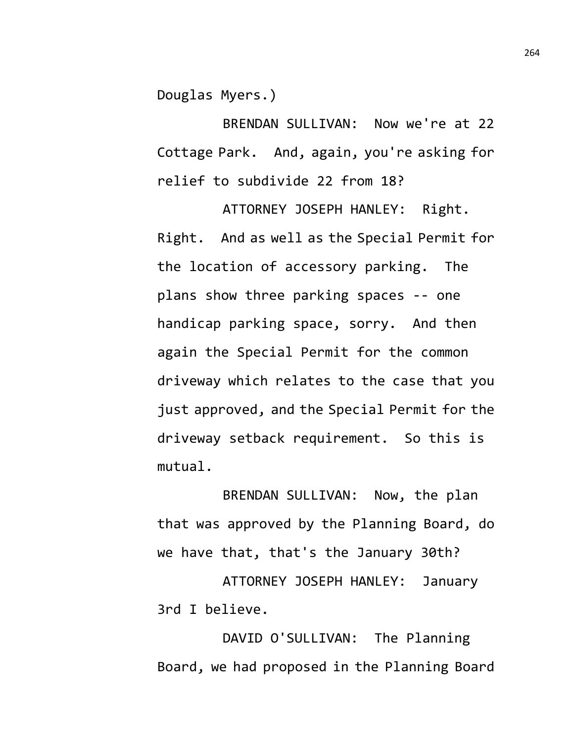Douglas Myers.)

BRENDAN SULLIVAN: Now we're at 22 Cottage Park. And, again, you're asking for relief to subdivide 22 from 18?

ATTORNEY JOSEPH HANLEY: Right. Right. And as well as the Special Permit for the location of accessory parking. The plans show three parking spaces -- one handicap parking space, sorry. And then again the Special Permit for the common driveway which relates to the case that you just approved, and the Special Permit for the driveway setback requirement. So this is mutual.

BRENDAN SULLIVAN: Now, the plan that was approved by the Planning Board, do we have that, that's the January 30th?

ATTORNEY JOSEPH HANLEY: January 3rd I believe.

DAVID O'SULLIVAN: The Planning Board, we had proposed in the Planning Board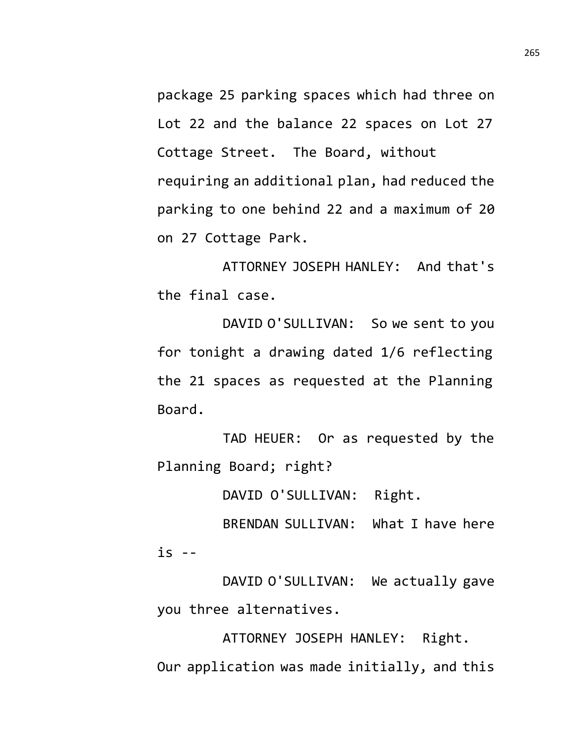package 25 parking spaces which had three on Lot 22 and the balance 22 spaces on Lot 27 Cottage Street. The Board, without requiring an additional plan, had reduced the parking to one behind 22 and a maximum of 20 on 27 Cottage Park.

ATTORNEY JOSEPH HANLEY: And that's the final case.

DAVID O'SULLIVAN: So we sent to you for tonight a drawing dated 1/6 reflecting the 21 spaces as requested at the Planning Board.

TAD HEUER: Or as requested by the Planning Board; right?

DAVID O'SULLIVAN: Right.

BRENDAN SULLIVAN: What I have here  $is$  --

DAVID O'SULLIVAN: We actually gave you three alternatives.

ATTORNEY JOSEPH HANLEY: Right. Our application was made initially, and this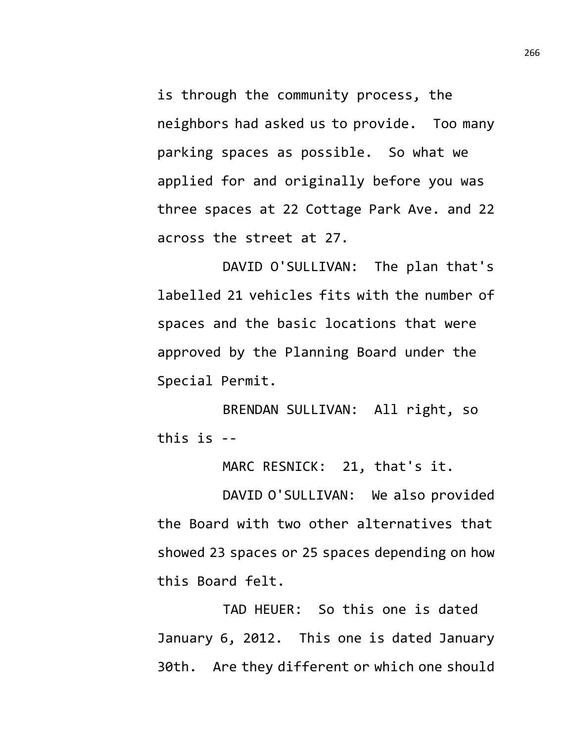is through the community process, the neighbors had asked us to provide. Too many parking spaces as possible. So what we applied for and originally before you was three spaces at 22 Cottage Park Ave. and 22 across the street at 27.

DAVID O'SULLIVAN: The plan that's labelled 21 vehicles fits with the number of spaces and the basic locations that were approved by the Planning Board under the Special Permit.

BRENDAN SULLIVAN: All right, so this is --

MARC RESNICK: 21, that's it.

DAVID O'SULLIVAN: We also provided the Board with two other alternatives that showed 23 spaces or 25 spaces depending on how this Board felt.

TAD HEUER: So this one is dated January 6, 2012. This one is dated January 30th. Are they different or which one should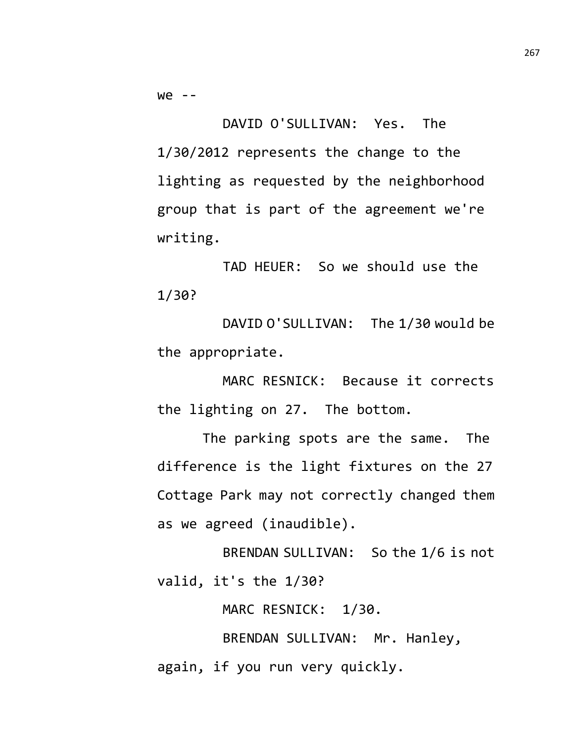we --

DAVID O'SULLIVAN: Yes. The 1/30/2012 represents the change to the lighting as requested by the neighborhood group that is part of the agreement we're writing.

TAD HEUER: So we should use the 1/30?

DAVID O'SULLIVAN: The 1/30 would be the appropriate.

MARC RESNICK: Because it corrects the lighting on 27. The bottom.

The parking spots are the same. The difference is the light fixtures on the 27 Cottage Park may not correctly changed them as we agreed (inaudible).

BRENDAN SULLIVAN: So the 1/6 is not valid, it's the 1/30?

MARC RESNICK: 1/30.

BRENDAN SULLIVAN: Mr. Hanley, again, if you run very quickly.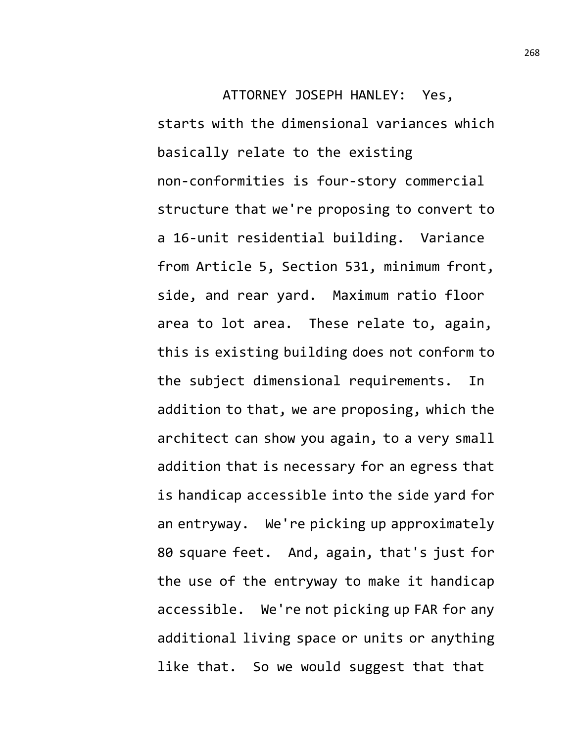ATTORNEY JOSEPH HANLEY: Yes, starts with the dimensional variances which basically relate to the existing non-conformities is four-story commercial structure that we're proposing to convert to a 16-unit residential building. Variance from Article 5, Section 531, minimum front, side, and rear yard. Maximum ratio floor area to lot area. These relate to, again, this is existing building does not conform to the subject dimensional requirements. In addition to that, we are proposing, which the architect can show you again, to a very small addition that is necessary for an egress that is handicap accessible into the side yard for an entryway. We're picking up approximately 80 square feet. And, again, that's just for the use of the entryway to make it handicap accessible. We're not picking up FAR for any additional living space or units or anything like that. So we would suggest that that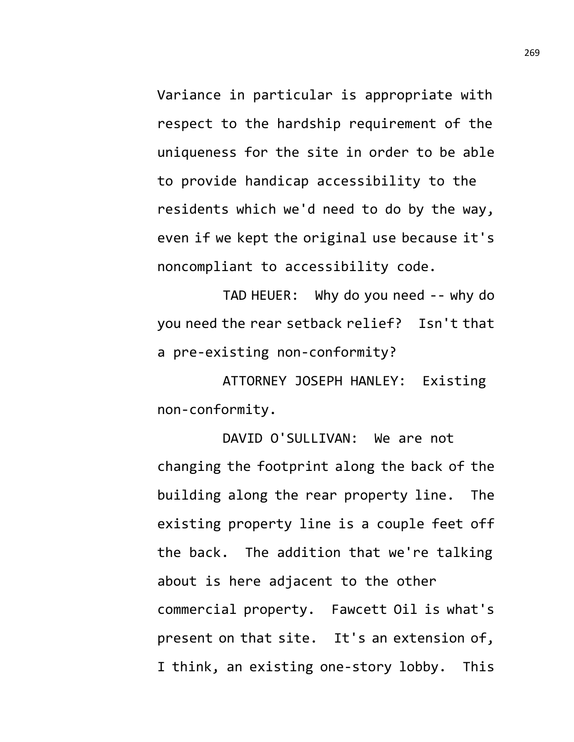Variance in particular is appropriate with respect to the hardship requirement of the uniqueness for the site in order to be able to provide handicap accessibility to the residents which we'd need to do by the way, even if we kept the original use because it's noncompliant to accessibility code.

TAD HEUER: Why do you need -- why do you need the rear setback relief? Isn't that a pre-existing non-conformity?

ATTORNEY JOSEPH HANLEY: Existing non-conformity.

DAVID O'SULLIVAN: We are not changing the footprint along the back of the building along the rear property line. The existing property line is a couple feet off the back. The addition that we're talking about is here adjacent to the other commercial property. Fawcett Oil is what's present on that site. It's an extension of, I think, an existing one-story lobby. This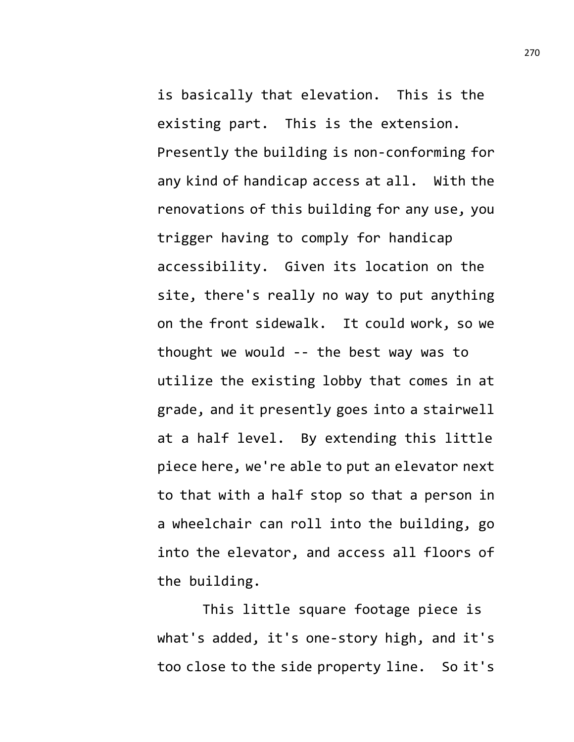is basically that elevation. This is the existing part. This is the extension. Presently the building is non-conforming for any kind of handicap access at all. With the renovations of this building for any use, you trigger having to comply for handicap accessibility. Given its location on the site, there's really no way to put anything on the front sidewalk. It could work, so we thought we would -- the best way was to utilize the existing lobby that comes in at grade, and it presently goes into a stairwell at a half level. By extending this little piece here, we're able to put an elevator next to that with a half stop so that a person in a wheelchair can roll into the building, go into the elevator, and access all floors of the building.

This little square footage piece is what's added, it's one-story high, and it's too close to the side property line. So it's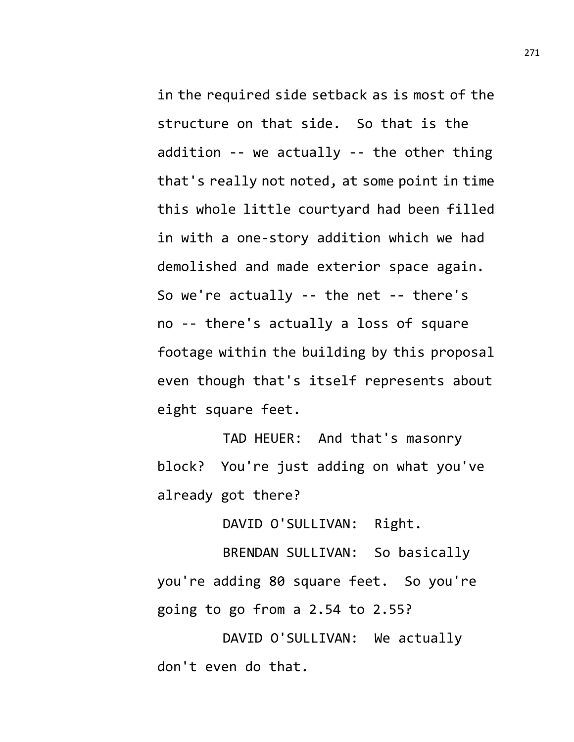in the required side setback as is most of the structure on that side. So that is the addition -- we actually -- the other thing that's really not noted, at some point in time this whole little courtyard had been filled in with a one-story addition which we had demolished and made exterior space again. So we're actually -- the net -- there's no -- there's actually a loss of square footage within the building by this proposal even though that's itself represents about eight square feet.

TAD HEUER: And that's masonry block? You're just adding on what you've already got there?

DAVID O'SULLIVAN: Right.

BRENDAN SULLIVAN: So basically you're adding 80 square feet. So you're going to go from a 2.54 to 2.55?

DAVID O'SULLIVAN: We actually don't even do that.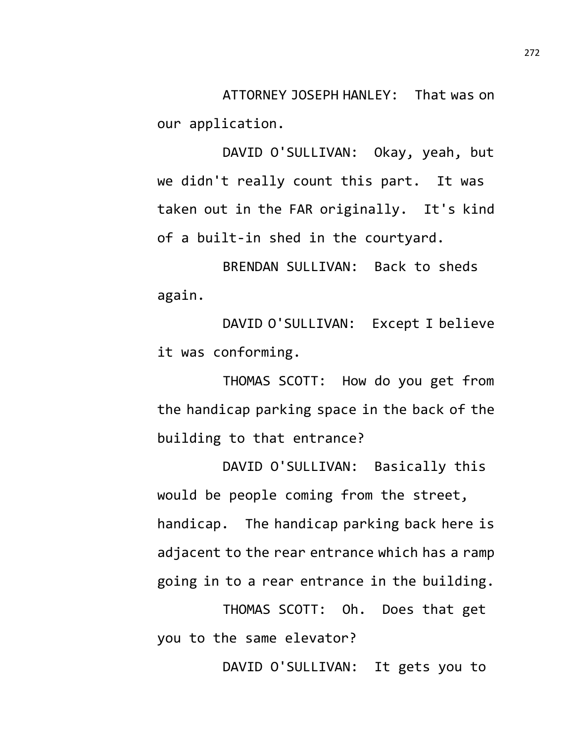ATTORNEY JOSEPH HANLEY: That was on our application.

DAVID O'SULLIVAN: Okay, yeah, but we didn't really count this part. It was taken out in the FAR originally. It's kind of a built-in shed in the courtyard.

BRENDAN SULLIVAN: Back to sheds again.

DAVID O'SULLIVAN: Except I believe it was conforming.

THOMAS SCOTT: How do you get from the handicap parking space in the back of the building to that entrance?

DAVID O'SULLIVAN: Basically this would be people coming from the street, handicap. The handicap parking back here is adjacent to the rear entrance which has a ramp going in to a rear entrance in the building.

THOMAS SCOTT: Oh. Does that get you to the same elevator?

DAVID O'SULLIVAN: It gets you to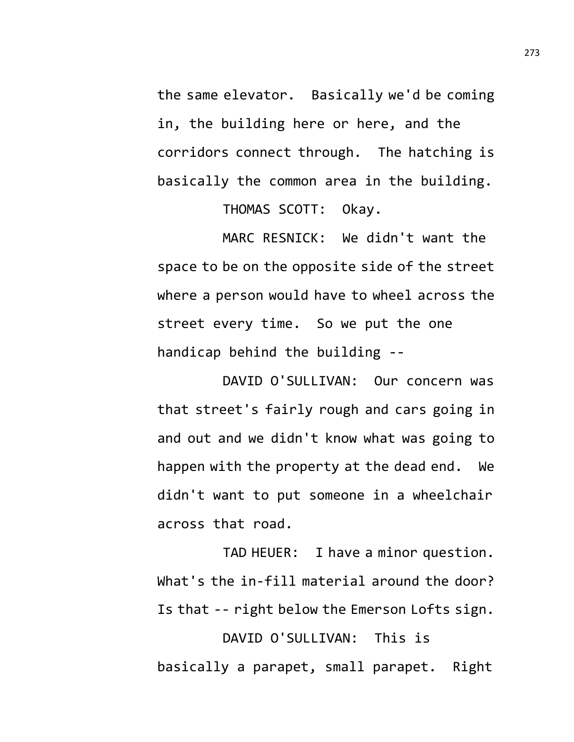the same elevator. Basically we'd be coming in, the building here or here, and the corridors connect through. The hatching is basically the common area in the building.

THOMAS SCOTT: Okay.

MARC RESNICK: We didn't want the space to be on the opposite side of the street where a person would have to wheel across the street every time. So we put the one handicap behind the building --

DAVID O'SULLIVAN: Our concern was that street's fairly rough and cars going in and out and we didn't know what was going to happen with the property at the dead end. We didn't want to put someone in a wheelchair across that road.

TAD HEUER: I have a minor question. What's the in-fill material around the door? Is that -- right below the Emerson Lofts sign.

DAVID O'SULLIVAN: This is basically a parapet, small parapet. Right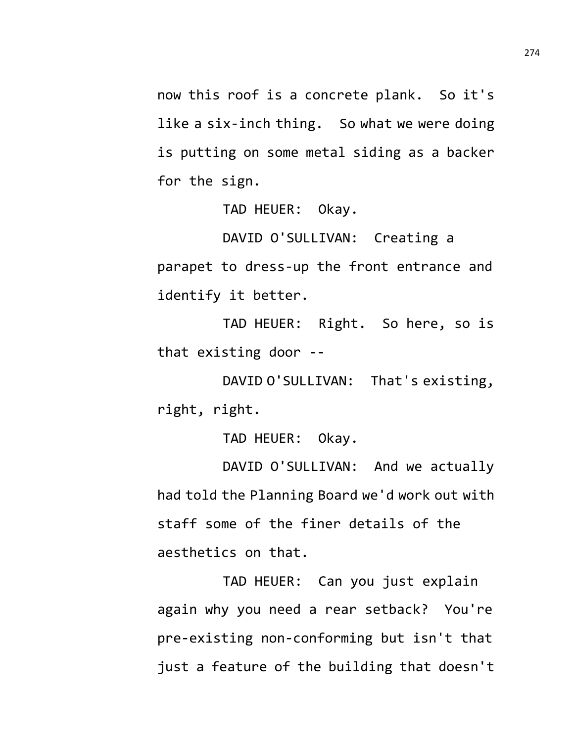now this roof is a concrete plank. So it's like a six-inch thing. So what we were doing is putting on some metal siding as a backer for the sign.

TAD HEUER: Okay.

DAVID O'SULLIVAN: Creating a parapet to dress-up the front entrance and identify it better.

TAD HEUER: Right. So here, so is that existing door --

DAVID O'SULLIVAN: That's existing, right, right.

TAD HEUER: Okay.

DAVID O'SULLIVAN: And we actually had told the Planning Board we'd work out with staff some of the finer details of the aesthetics on that.

TAD HEUER: Can you just explain again why you need a rear setback? You're pre-existing non-conforming but isn't that just a feature of the building that doesn't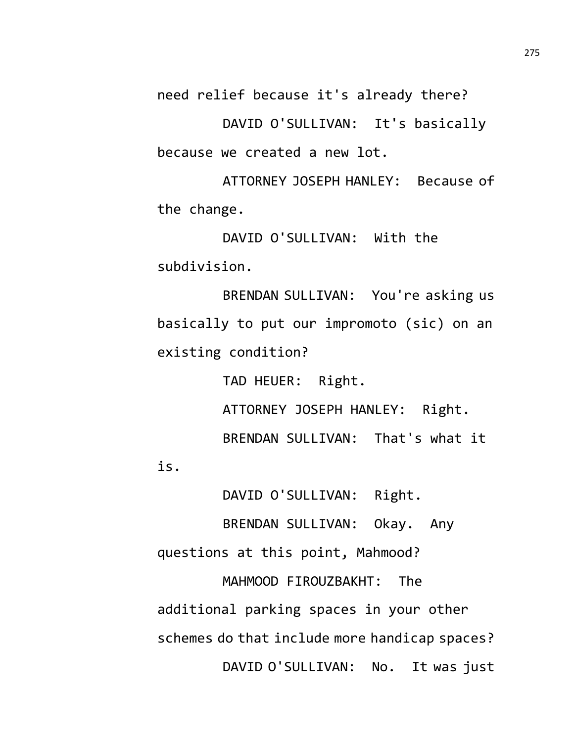need relief because it's already there?

DAVID O'SULLIVAN: It's basically because we created a new lot.

ATTORNEY JOSEPH HANLEY: Because of the change.

DAVID O'SULLIVAN: With the subdivision.

BRENDAN SULLIVAN: You're asking us basically to put our impromoto (sic) on an existing condition?

TAD HEUER: Right. ATTORNEY JOSEPH HANLEY: Right. BRENDAN SULLIVAN: That's what it

DAVID O'SULLIVAN: Right.

BRENDAN SULLIVAN: Okay. Any

questions at this point, Mahmood?

is.

MAHMOOD FIROUZBAKHT: The additional parking spaces in your other schemes do that include more handicap spaces? DAVID O'SULLIVAN: No. It was just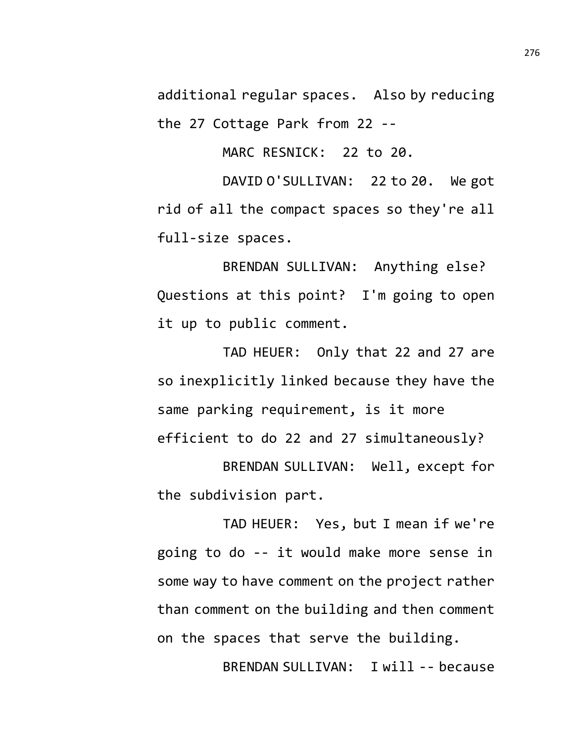additional regular spaces. Also by reducing the 27 Cottage Park from 22 --

MARC RESNICK: 22 to 20.

DAVID O'SULLIVAN: 22 to 20. We got rid of all the compact spaces so they're all full-size spaces.

BRENDAN SULLIVAN: Anything else? Questions at this point? I'm going to open it up to public comment.

TAD HEUER: Only that 22 and 27 are so inexplicitly linked because they have the same parking requirement, is it more efficient to do 22 and 27 simultaneously?

BRENDAN SULLIVAN: Well, except for the subdivision part.

TAD HEUER: Yes, but I mean if we're going to do -- it would make more sense in some way to have comment on the project rather than comment on the building and then comment on the spaces that serve the building.

BRENDAN SULLIVAN: I will -- because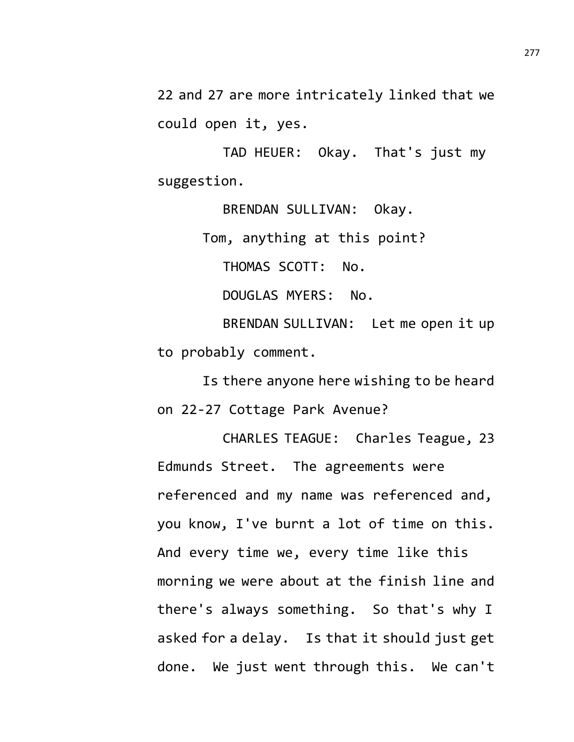22 and 27 are more intricately linked that we could open it, yes.

TAD HEUER: Okay. That's just my suggestion.

BRENDAN SULLIVAN: Okay. Tom, anything at this point? THOMAS SCOTT: No. DOUGLAS MYERS: No. BRENDAN SULLIVAN: Let me open it up to probably comment.

Is there anyone here wishing to be heard on 22-27 Cottage Park Avenue?

CHARLES TEAGUE: Charles Teague, 23 Edmunds Street. The agreements were referenced and my name was referenced and, you know, I've burnt a lot of time on this. And every time we, every time like this morning we were about at the finish line and there's always something. So that's why I asked for a delay. Is that it should just get done. We just went through this. We can't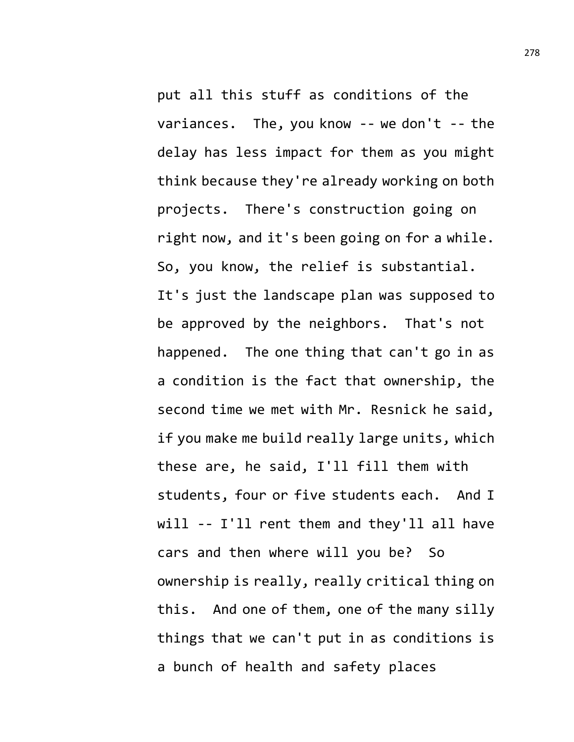put all this stuff as conditions of the variances. The, you know  $-$ - we don't  $-$ - the delay has less impact for them as you might think because they're already working on both projects. There's construction going on right now, and it's been going on for a while. So, you know, the relief is substantial. It's just the landscape plan was supposed to be approved by the neighbors. That's not happened. The one thing that can't go in as a condition is the fact that ownership, the second time we met with Mr. Resnick he said, if you make me build really large units, which these are, he said, I'll fill them with students, four or five students each. And I will -- I'll rent them and they'll all have cars and then where will you be? So ownership is really, really critical thing on this. And one of them, one of the many silly things that we can't put in as conditions is a bunch of health and safety places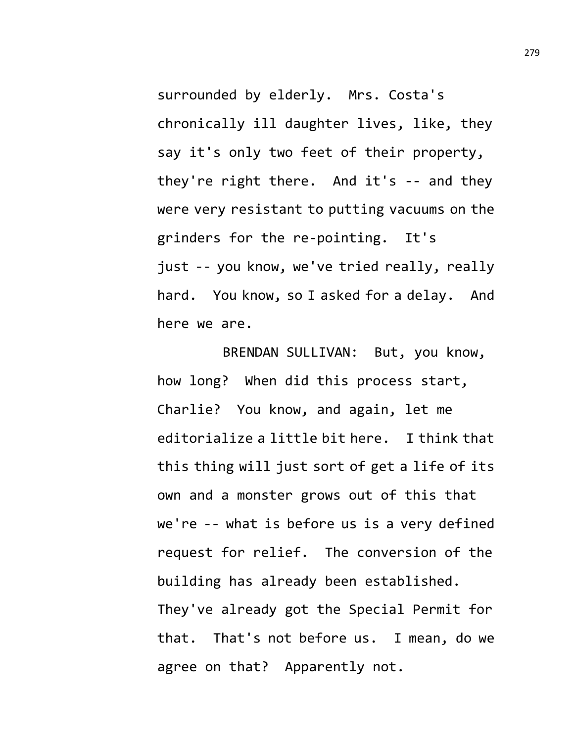surrounded by elderly. Mrs. Costa's chronically ill daughter lives, like, they say it's only two feet of their property, they're right there. And it's -- and they were very resistant to putting vacuums on the grinders for the re-pointing. It's just -- you know, we've tried really, really hard. You know, so I asked for a delay. And here we are.

BRENDAN SULLIVAN: But, you know, how long? When did this process start, Charlie? You know, and again, let me editorialize a little bit here. I think that this thing will just sort of get a life of its own and a monster grows out of this that we're -- what is before us is a very defined request for relief. The conversion of the building has already been established. They've already got the Special Permit for that. That's not before us. I mean, do we agree on that? Apparently not.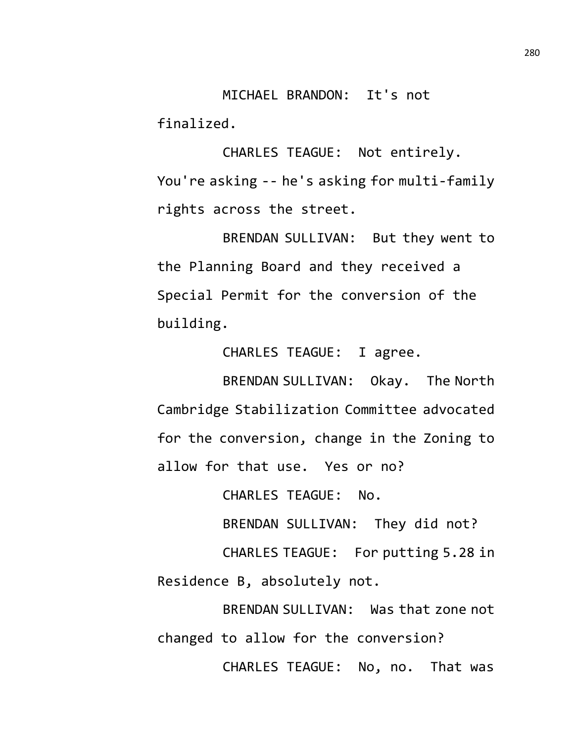MICHAEL BRANDON: It's not finalized.

CHARLES TEAGUE: Not entirely. You're asking -- he's asking for multi-family rights across the street.

BRENDAN SULLIVAN: But they went to the Planning Board and they received a Special Permit for the conversion of the building.

CHARLES TEAGUE: I agree.

BRENDAN SULLIVAN: Okay. The North Cambridge Stabilization Committee advocated for the conversion, change in the Zoning to allow for that use. Yes or no?

CHARLES TEAGUE: No.

BRENDAN SULLIVAN: They did not?

CHARLES TEAGUE: For putting 5.28 in Residence B, absolutely not.

BRENDAN SULLIVAN: Was that zone not changed to allow for the conversion? CHARLES TEAGUE: No, no. That was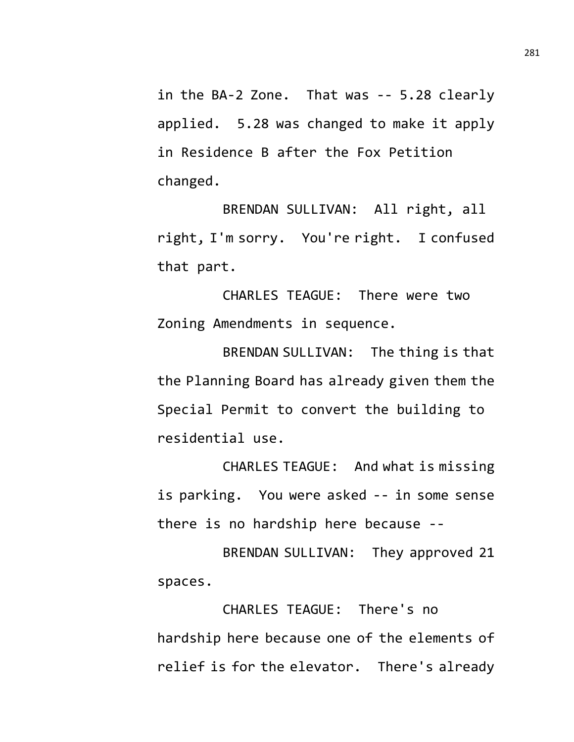in the BA-2 Zone. That was -- 5.28 clearly applied. 5.28 was changed to make it apply in Residence B after the Fox Petition changed.

BRENDAN SULLIVAN: All right, all right, I'm sorry. You're right. I confused that part.

CHARLES TEAGUE: There were two Zoning Amendments in sequence.

BRENDAN SULLIVAN: The thing is that the Planning Board has already given them the Special Permit to convert the building to residential use.

CHARLES TEAGUE: And what is missing is parking. You were asked -- in some sense there is no hardship here because --

BRENDAN SULLIVAN: They approved 21 spaces.

CHARLES TEAGUE: There's no hardship here because one of the elements of relief is for the elevator. There's already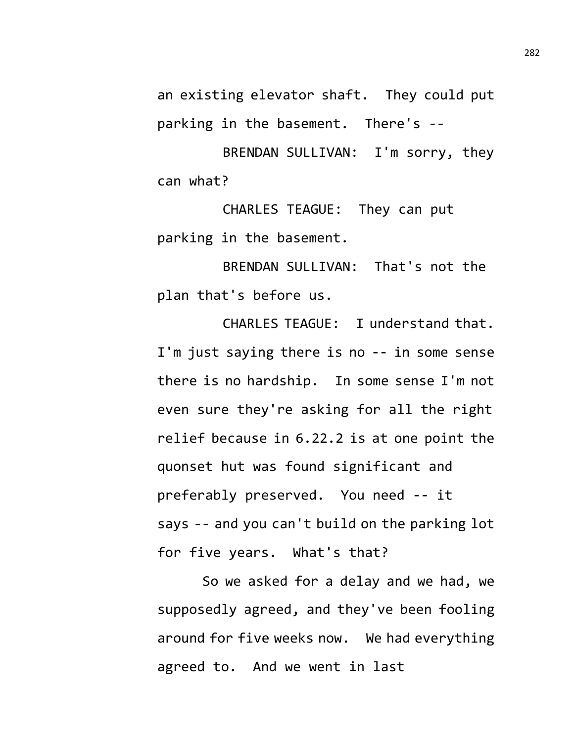an existing elevator shaft. They could put parking in the basement. There's --

BRENDAN SULLIVAN: I'm sorry, they can what?

CHARLES TEAGUE: They can put parking in the basement.

BRENDAN SULLIVAN: That's not the plan that's before us.

CHARLES TEAGUE: I understand that. I'm just saying there is no -- in some sense there is no hardship. In some sense I'm not even sure they're asking for all the right relief because in 6.22.2 is at one point the quonset hut was found significant and preferably preserved. You need -- it says -- and you can't build on the parking lot for five years. What's that?

So we asked for a delay and we had, we supposedly agreed, and they've been fooling around for five weeks now. We had everything agreed to. And we went in last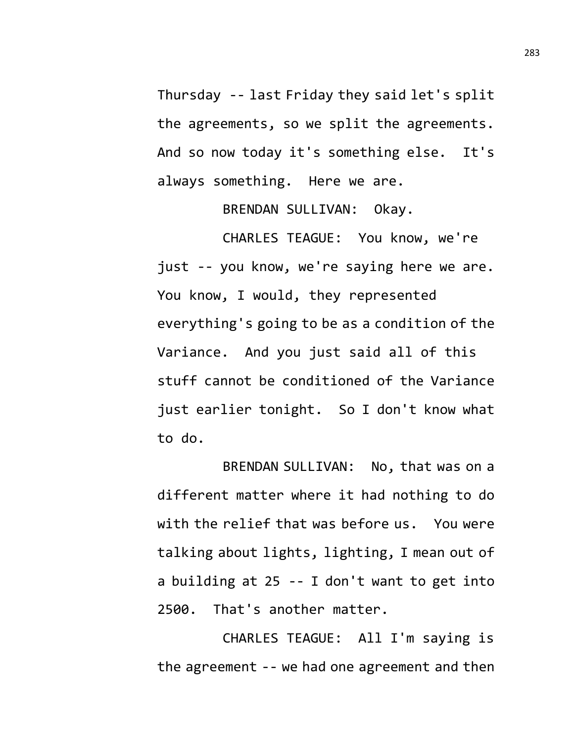Thursday -- last Friday they said let's split the agreements, so we split the agreements. And so now today it's something else. It's always something. Here we are.

BRENDAN SULLIVAN: Okay.

CHARLES TEAGUE: You know, we're just -- you know, we're saying here we are. You know, I would, they represented everything's going to be as a condition of the Variance. And you just said all of this stuff cannot be conditioned of the Variance just earlier tonight. So I don't know what to do.

BRENDAN SULLIVAN: No, that was on a different matter where it had nothing to do with the relief that was before us. You were talking about lights, lighting, I mean out of a building at 25 -- I don't want to get into 2500. That's another matter.

CHARLES TEAGUE: All I'm saying is the agreement -- we had one agreement and then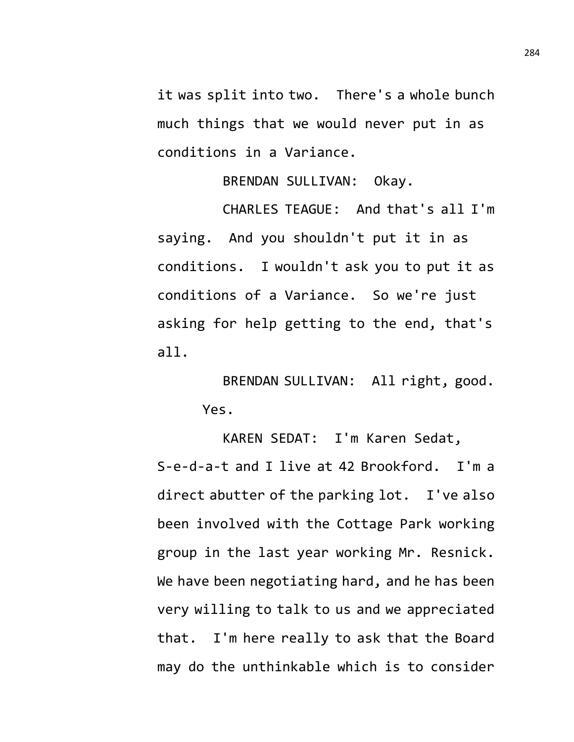it was split into two. There's a whole bunch much things that we would never put in as conditions in a Variance.

BRENDAN SULLIVAN: Okay.

CHARLES TEAGUE: And that's all I'm saying. And you shouldn't put it in as conditions. I wouldn't ask you to put it as conditions of a Variance. So we're just asking for help getting to the end, that's all.

> BRENDAN SULLIVAN: All right, good. Yes.

KAREN SEDAT: I'm Karen Sedat, S-e-d-a-t and I live at 42 Brookford. I'm a direct abutter of the parking lot. I've also been involved with the Cottage Park working group in the last year working Mr. Resnick. We have been negotiating hard, and he has been very willing to talk to us and we appreciated that. I'm here really to ask that the Board may do the unthinkable which is to consider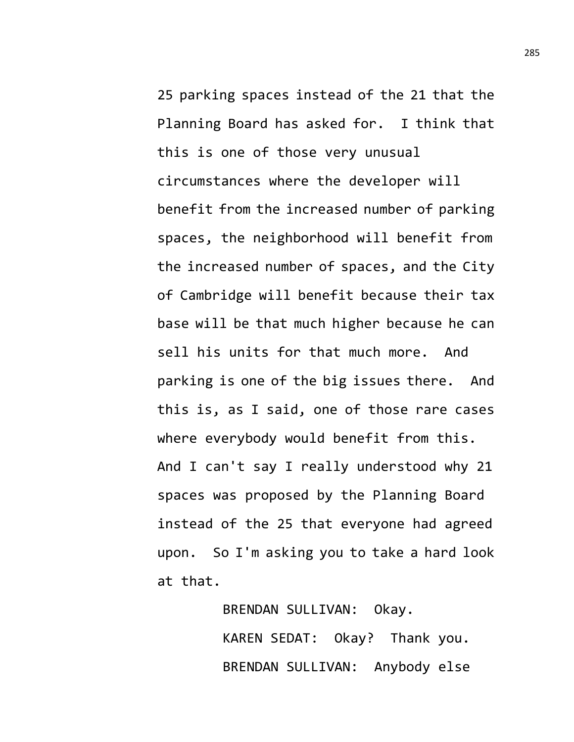25 parking spaces instead of the 21 that the Planning Board has asked for. I think that this is one of those very unusual circumstances where the developer will benefit from the increased number of parking spaces, the neighborhood will benefit from the increased number of spaces, and the City of Cambridge will benefit because their tax base will be that much higher because he can sell his units for that much more. And parking is one of the big issues there. And this is, as I said, one of those rare cases where everybody would benefit from this. And I can't say I really understood why 21 spaces was proposed by the Planning Board instead of the 25 that everyone had agreed upon. So I'm asking you to take a hard look at that.

> BRENDAN SULLIVAN: Okay. KAREN SEDAT: Okay? Thank you. BRENDAN SULLIVAN: Anybody else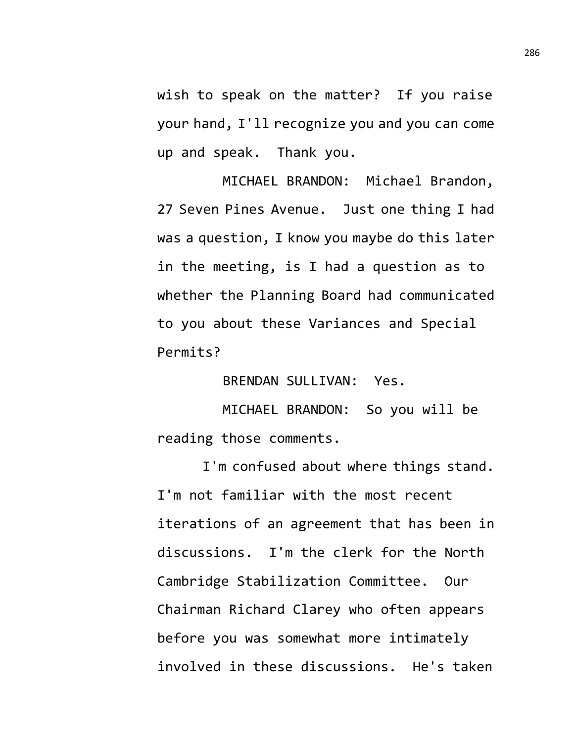wish to speak on the matter? If you raise your hand, I'll recognize you and you can come up and speak. Thank you.

MICHAEL BRANDON: Michael Brandon, 27 Seven Pines Avenue. Just one thing I had was a question, I know you maybe do this later in the meeting, is I had a question as to whether the Planning Board had communicated to you about these Variances and Special Permits?

BRENDAN SULLIVAN: Yes.

MICHAEL BRANDON: So you will be reading those comments.

I'm confused about where things stand. I'm not familiar with the most recent iterations of an agreement that has been in discussions. I'm the clerk for the North Cambridge Stabilization Committee. Our Chairman Richard Clarey who often appears before you was somewhat more intimately involved in these discussions. He's taken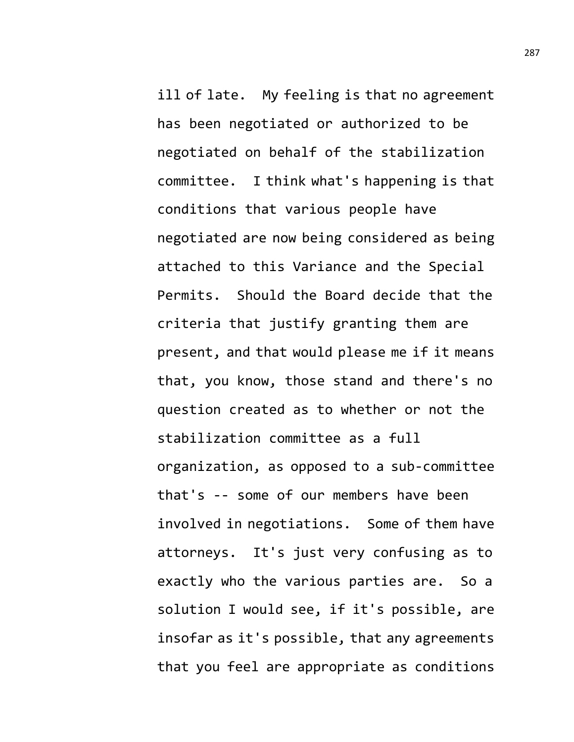ill of late. My feeling is that no agreement has been negotiated or authorized to be negotiated on behalf of the stabilization committee. I think what's happening is that conditions that various people have negotiated are now being considered as being attached to this Variance and the Special Permits. Should the Board decide that the criteria that justify granting them are present, and that would please me if it means that, you know, those stand and there's no question created as to whether or not the stabilization committee as a full organization, as opposed to a sub-committee that's -- some of our members have been involved in negotiations. Some of them have attorneys. It's just very confusing as to exactly who the various parties are. So a solution I would see, if it's possible, are insofar as it's possible, that any agreements that you feel are appropriate as conditions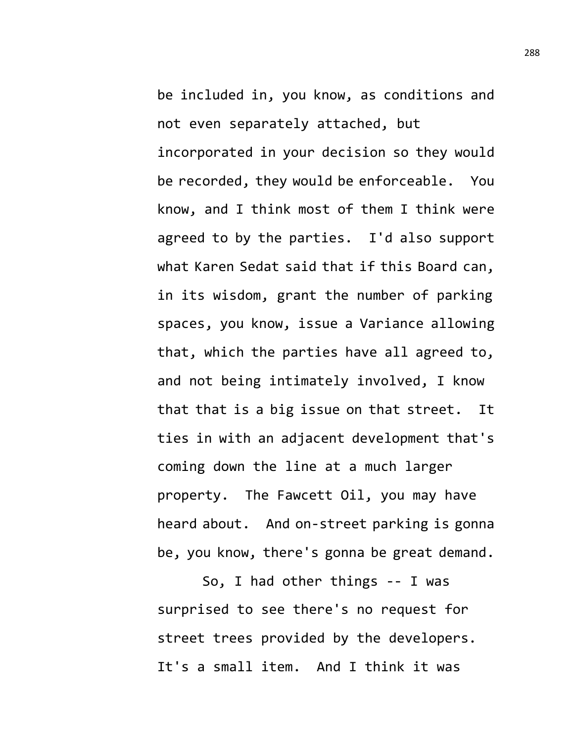be included in, you know, as conditions and not even separately attached, but incorporated in your decision so they would be recorded, they would be enforceable. You know, and I think most of them I think were agreed to by the parties. I'd also support what Karen Sedat said that if this Board can, in its wisdom, grant the number of parking spaces, you know, issue a Variance allowing that, which the parties have all agreed to, and not being intimately involved, I know that that is a big issue on that street. It ties in with an adjacent development that's coming down the line at a much larger property. The Fawcett Oil, you may have heard about. And on-street parking is gonna be, you know, there's gonna be great demand.

So, I had other things -- I was surprised to see there's no request for street trees provided by the developers. It's a small item. And I think it was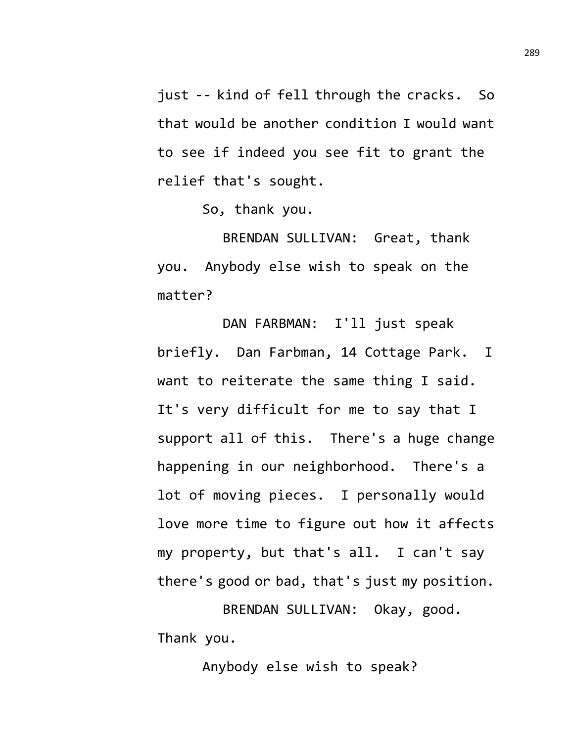just -- kind of fell through the cracks. So that would be another condition I would want to see if indeed you see fit to grant the relief that's sought.

So, thank you.

BRENDAN SULLIVAN: Great, thank you. Anybody else wish to speak on the matter?

DAN FARBMAN: I'll just speak briefly. Dan Farbman, 14 Cottage Park. I want to reiterate the same thing I said. It's very difficult for me to say that I support all of this. There's a huge change happening in our neighborhood. There's a lot of moving pieces. I personally would love more time to figure out how it affects my property, but that's all. I can't say there's good or bad, that's just my position.

BRENDAN SULLIVAN: Okay, good. Thank you.

Anybody else wish to speak?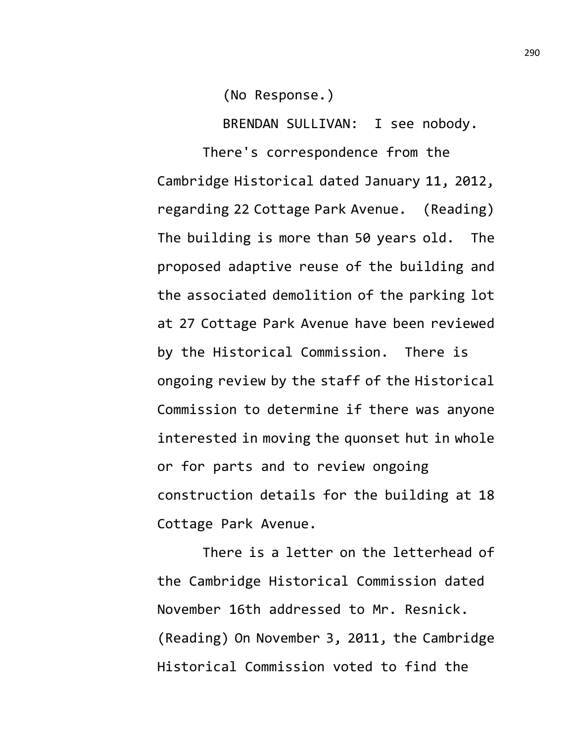(No Response.)

BRENDAN SULLIVAN: I see nobody.

There's correspondence from the Cambridge Historical dated January 11, 2012, regarding 22 Cottage Park Avenue. (Reading) The building is more than 50 years old. The proposed adaptive reuse of the building and the associated demolition of the parking lot at 27 Cottage Park Avenue have been reviewed by the Historical Commission. There is ongoing review by the staff of the Historical Commission to determine if there was anyone interested in moving the quonset hut in whole or for parts and to review ongoing construction details for the building at 18 Cottage Park Avenue.

There is a letter on the letterhead of the Cambridge Historical Commission dated November 16th addressed to Mr. Resnick. (Reading) On November 3, 2011, the Cambridge Historical Commission voted to find the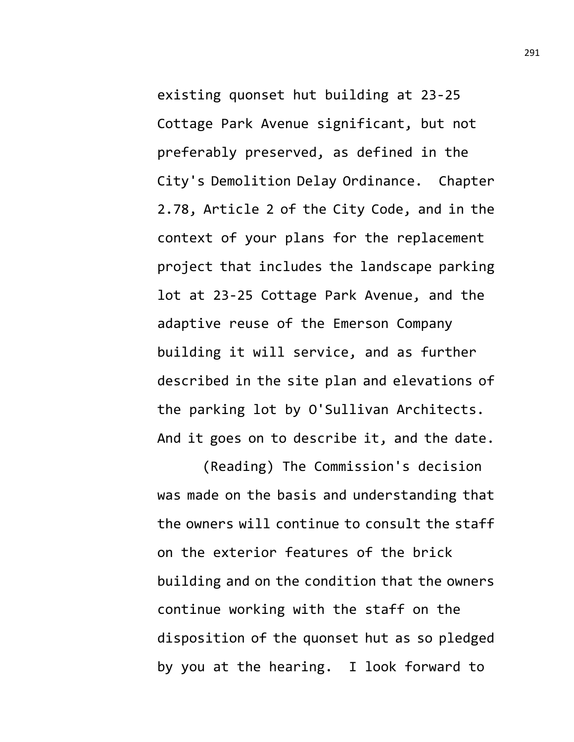existing quonset hut building at 23-25 Cottage Park Avenue significant, but not preferably preserved, as defined in the City's Demolition Delay Ordinance. Chapter 2.78, Article 2 of the City Code, and in the context of your plans for the replacement project that includes the landscape parking lot at 23-25 Cottage Park Avenue, and the adaptive reuse of the Emerson Company building it will service, and as further described in the site plan and elevations of the parking lot by O'Sullivan Architects. And it goes on to describe it, and the date.

(Reading) The Commission's decision was made on the basis and understanding that the owners will continue to consult the staff on the exterior features of the brick building and on the condition that the owners continue working with the staff on the disposition of the quonset hut as so pledged by you at the hearing. I look forward to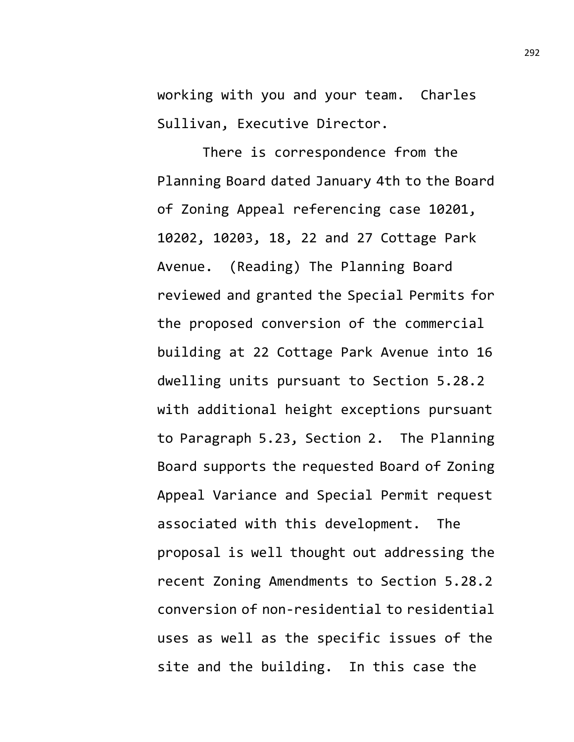working with you and your team. Charles Sullivan, Executive Director.

There is correspondence from the Planning Board dated January 4th to the Board of Zoning Appeal referencing case 10201, 10202, 10203, 18, 22 and 27 Cottage Park Avenue. (Reading) The Planning Board reviewed and granted the Special Permits for the proposed conversion of the commercial building at 22 Cottage Park Avenue into 16 dwelling units pursuant to Section 5.28.2 with additional height exceptions pursuant to Paragraph 5.23, Section 2. The Planning Board supports the requested Board of Zoning Appeal Variance and Special Permit request associated with this development. The proposal is well thought out addressing the recent Zoning Amendments to Section 5.28.2 conversion of non-residential to residential uses as well as the specific issues of the site and the building. In this case the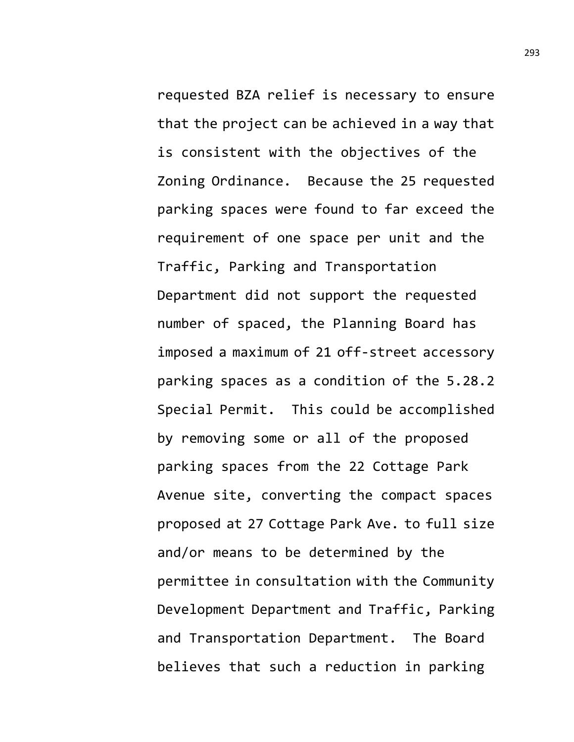requested BZA relief is necessary to ensure that the project can be achieved in a way that is consistent with the objectives of the Zoning Ordinance. Because the 25 requested parking spaces were found to far exceed the requirement of one space per unit and the Traffic, Parking and Transportation Department did not support the requested number of spaced, the Planning Board has imposed a maximum of 21 off-street accessory parking spaces as a condition of the 5.28.2 Special Permit. This could be accomplished by removing some or all of the proposed parking spaces from the 22 Cottage Park Avenue site, converting the compact spaces proposed at 27 Cottage Park Ave. to full size and/or means to be determined by the permittee in consultation with the Community Development Department and Traffic, Parking and Transportation Department. The Board believes that such a reduction in parking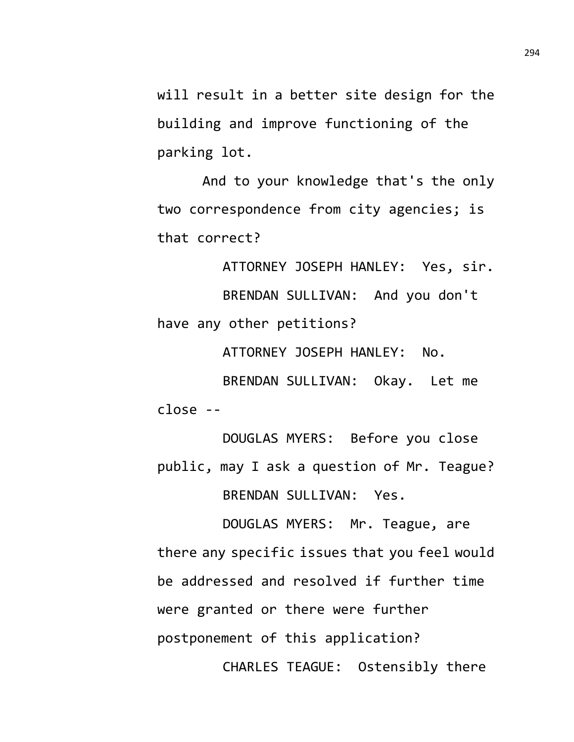will result in a better site design for the building and improve functioning of the parking lot.

And to your knowledge that's the only two correspondence from city agencies; is that correct?

ATTORNEY JOSEPH HANLEY: Yes, sir. BRENDAN SULLIVAN: And you don't have any other petitions?

ATTORNEY JOSEPH HANLEY: No.

BRENDAN SULLIVAN: Okay. Let me close --

DOUGLAS MYERS: Before you close public, may I ask a question of Mr. Teague? BRENDAN SULLIVAN: Yes.

DOUGLAS MYERS: Mr. Teague, are there any specific issues that you feel would be addressed and resolved if further time were granted or there were further postponement of this application? CHARLES TEAGUE: Ostensibly there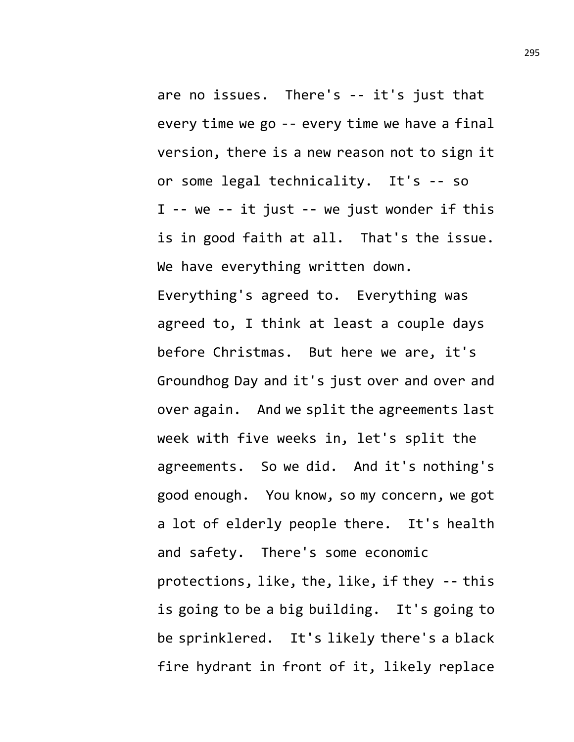are no issues. There's -- it's just that every time we go -- every time we have a final version, there is a new reason not to sign it or some legal technicality. It's -- so I -- we -- it just -- we just wonder if this is in good faith at all. That's the issue. We have everything written down. Everything's agreed to. Everything was agreed to, I think at least a couple days before Christmas. But here we are, it's Groundhog Day and it's just over and over and over again. And we split the agreements last week with five weeks in, let's split the agreements. So we did. And it's nothing's good enough. You know, so my concern, we got a lot of elderly people there. It's health and safety. There's some economic protections, like, the, like, if they -- this is going to be a big building. It's going to be sprinklered. It's likely there's a black fire hydrant in front of it, likely replace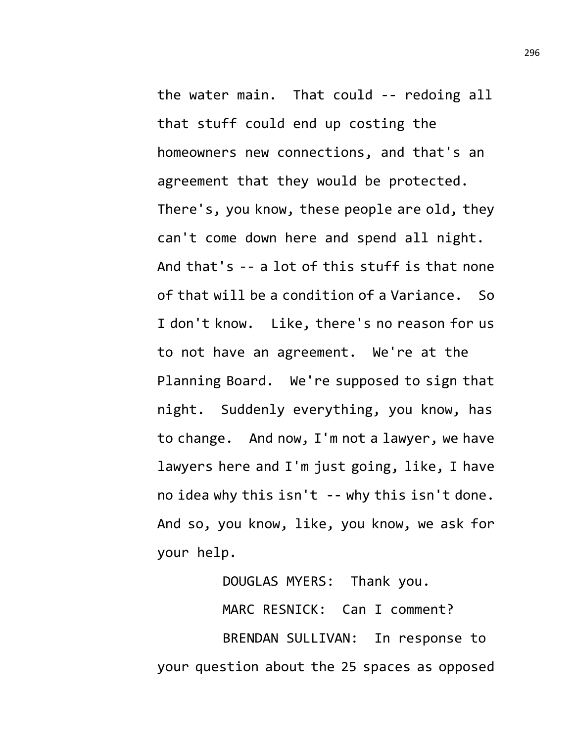the water main. That could -- redoing all that stuff could end up costing the homeowners new connections, and that's an agreement that they would be protected. There's, you know, these people are old, they can't come down here and spend all night. And that's -- a lot of this stuff is that none of that will be a condition of a Variance. So I don't know. Like, there's no reason for us to not have an agreement. We're at the Planning Board. We're supposed to sign that night. Suddenly everything, you know, has to change. And now, I'm not a lawyer, we have lawyers here and I'm just going, like, I have no idea why this isn't -- why this isn't done. And so, you know, like, you know, we ask for your help.

DOUGLAS MYERS: Thank you.

MARC RESNICK: Can I comment?

BRENDAN SULLIVAN: In response to your question about the 25 spaces as opposed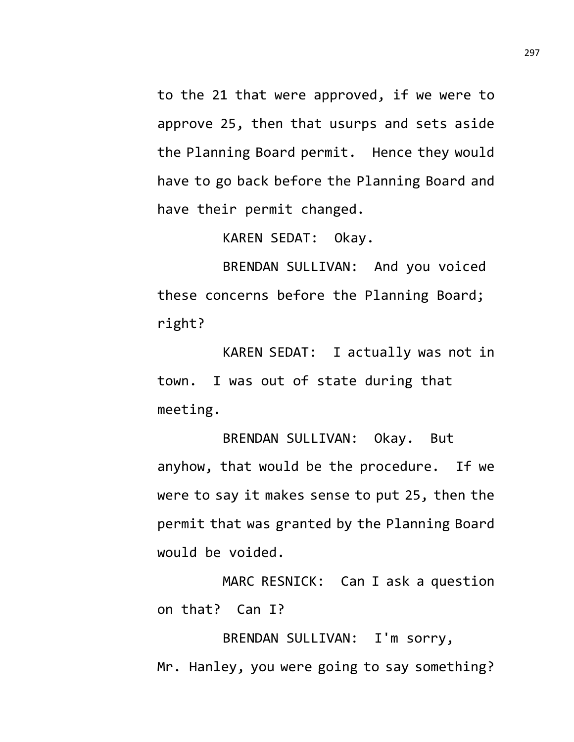to the 21 that were approved, if we were to approve 25, then that usurps and sets aside the Planning Board permit. Hence they would have to go back before the Planning Board and have their permit changed.

KAREN SEDAT: Okay.

BRENDAN SULLIVAN: And you voiced these concerns before the Planning Board; right?

KAREN SEDAT: I actually was not in town. I was out of state during that meeting.

BRENDAN SULLIVAN: Okay. But anyhow, that would be the procedure. If we were to say it makes sense to put 25, then the permit that was granted by the Planning Board would be voided.

MARC RESNICK: Can I ask a question on that? Can I?

BRENDAN SULLIVAN: I'm sorry, Mr. Hanley, you were going to say something?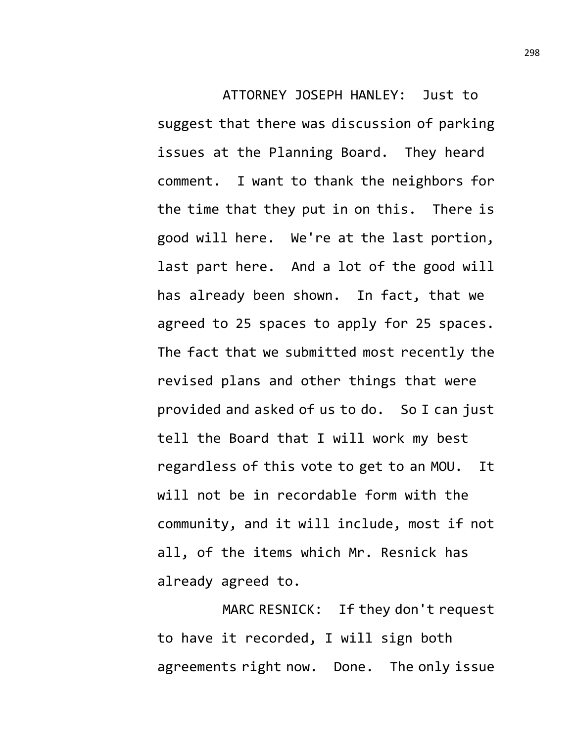ATTORNEY JOSEPH HANLEY: Just to suggest that there was discussion of parking issues at the Planning Board. They heard comment. I want to thank the neighbors for the time that they put in on this. There is good will here. We're at the last portion, last part here. And a lot of the good will has already been shown. In fact, that we agreed to 25 spaces to apply for 25 spaces. The fact that we submitted most recently the revised plans and other things that were provided and asked of us to do. So I can just tell the Board that I will work my best regardless of this vote to get to an MOU. It will not be in recordable form with the community, and it will include, most if not all, of the items which Mr. Resnick has already agreed to.

MARC RESNICK: If they don't request to have it recorded, I will sign both agreements right now. Done. The only issue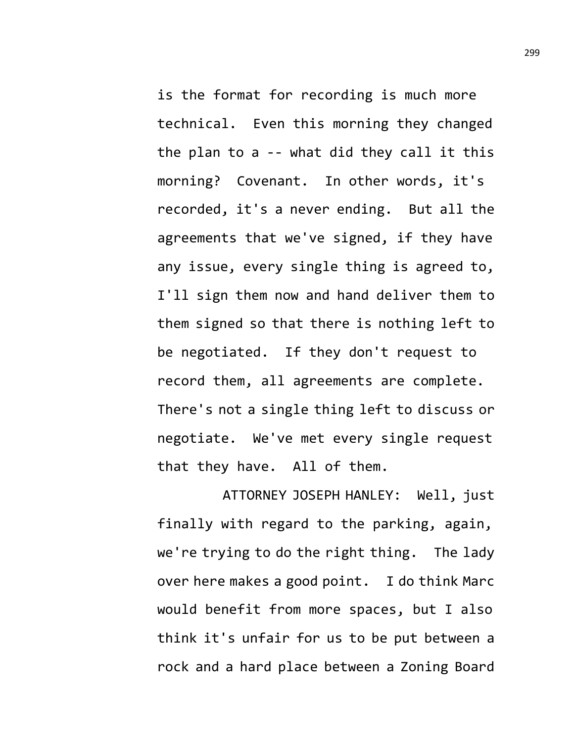is the format for recording is much more technical. Even this morning they changed the plan to a -- what did they call it this morning? Covenant. In other words, it's recorded, it's a never ending. But all the agreements that we've signed, if they have any issue, every single thing is agreed to, I'll sign them now and hand deliver them to them signed so that there is nothing left to be negotiated. If they don't request to record them, all agreements are complete. There's not a single thing left to discuss or negotiate. We've met every single request that they have. All of them.

ATTORNEY JOSEPH HANLEY: Well, just finally with regard to the parking, again, we're trying to do the right thing. The lady over here makes a good point. I do think Marc would benefit from more spaces, but I also think it's unfair for us to be put between a rock and a hard place between a Zoning Board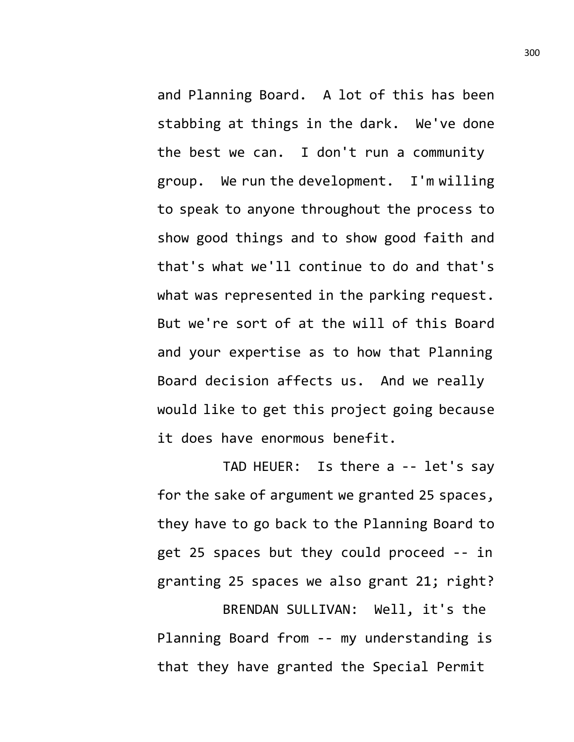and Planning Board. A lot of this has been stabbing at things in the dark. We've done the best we can. I don't run a community group. We run the development. I'm willing to speak to anyone throughout the process to show good things and to show good faith and that's what we'll continue to do and that's what was represented in the parking request. But we're sort of at the will of this Board and your expertise as to how that Planning Board decision affects us. And we really would like to get this project going because it does have enormous benefit.

TAD HEUER: Is there a -- let's say for the sake of argument we granted 25 spaces, they have to go back to the Planning Board to get 25 spaces but they could proceed -- in granting 25 spaces we also grant 21; right? BRENDAN SULLIVAN: Well, it's the Planning Board from -- my understanding is that they have granted the Special Permit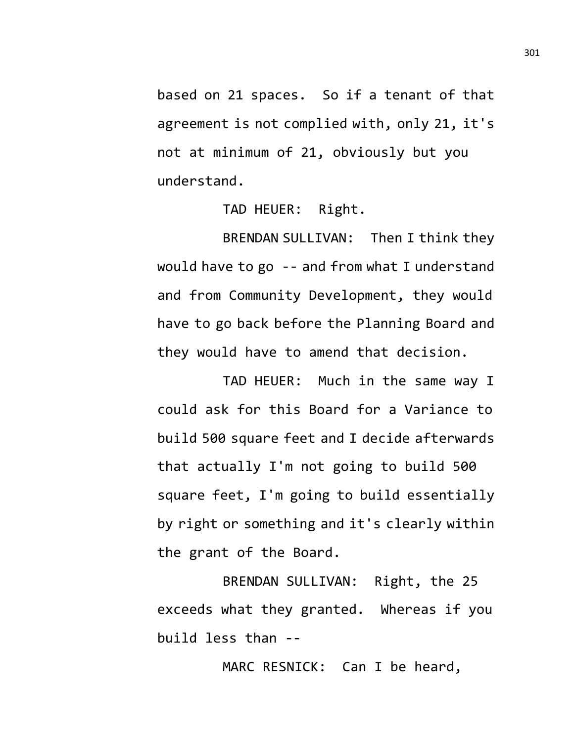based on 21 spaces. So if a tenant of that agreement is not complied with, only 21, it's not at minimum of 21, obviously but you understand.

TAD HEUER: Right.

BRENDAN SULLIVAN: Then I think they would have to go -- and from what I understand and from Community Development, they would have to go back before the Planning Board and they would have to amend that decision.

TAD HEUER: Much in the same way I could ask for this Board for a Variance to build 500 square feet and I decide afterwards that actually I'm not going to build 500 square feet, I'm going to build essentially by right or something and it's clearly within the grant of the Board.

BRENDAN SULLIVAN: Right, the 25 exceeds what they granted. Whereas if you build less than --

MARC RESNICK: Can I be heard,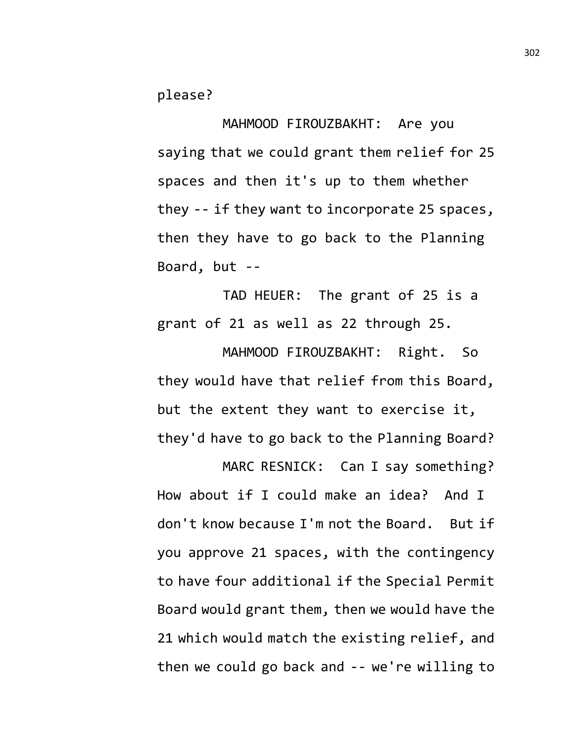please?

MAHMOOD FIROUZBAKHT: Are you saying that we could grant them relief for 25 spaces and then it's up to them whether they -- if they want to incorporate 25 spaces, then they have to go back to the Planning Board, but --

TAD HEUER: The grant of 25 is a grant of 21 as well as 22 through 25.

MAHMOOD FIROUZBAKHT: Right. So they would have that relief from this Board, but the extent they want to exercise it, they'd have to go back to the Planning Board?

MARC RESNICK: Can I say something? How about if I could make an idea? And I don't know because I'm not the Board. But if you approve 21 spaces, with the contingency to have four additional if the Special Permit Board would grant them, then we would have the 21 which would match the existing relief, and then we could go back and -- we're willing to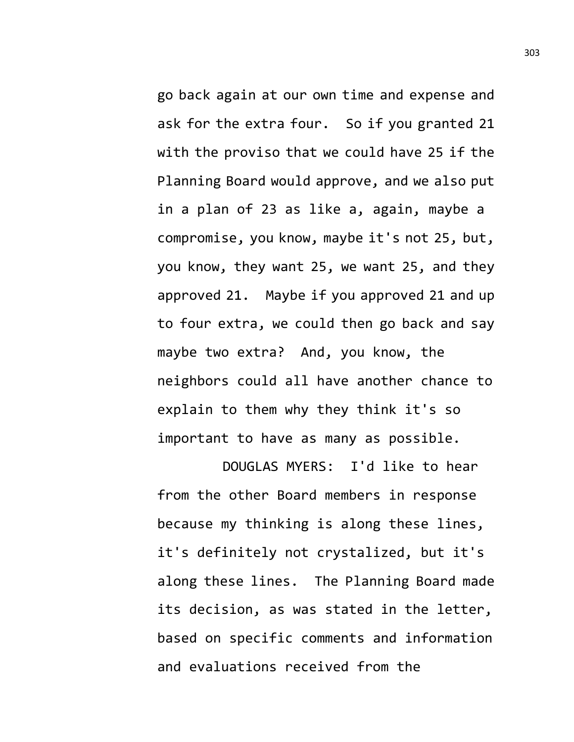go back again at our own time and expense and ask for the extra four. So if you granted 21 with the proviso that we could have 25 if the Planning Board would approve, and we also put in a plan of 23 as like a, again, maybe a compromise, you know, maybe it's not 25, but, you know, they want 25, we want 25, and they approved 21. Maybe if you approved 21 and up to four extra, we could then go back and say maybe two extra? And, you know, the neighbors could all have another chance to explain to them why they think it's so important to have as many as possible.

DOUGLAS MYERS: I'd like to hear from the other Board members in response because my thinking is along these lines, it's definitely not crystalized, but it's along these lines. The Planning Board made its decision, as was stated in the letter, based on specific comments and information and evaluations received from the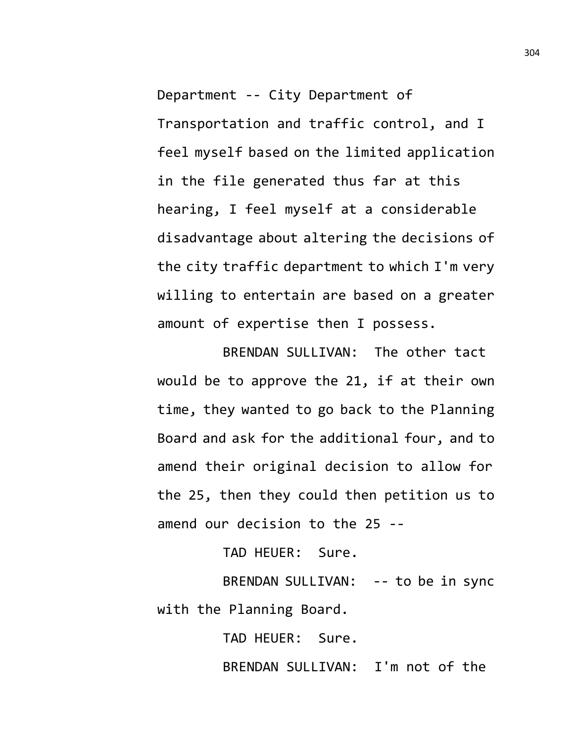Department -- City Department of Transportation and traffic control, and I feel myself based on the limited application in the file generated thus far at this hearing, I feel myself at a considerable disadvantage about altering the decisions of the city traffic department to which I'm very willing to entertain are based on a greater amount of expertise then I possess.

BRENDAN SULLIVAN: The other tact would be to approve the 21, if at their own time, they wanted to go back to the Planning Board and ask for the additional four, and to amend their original decision to allow for the 25, then they could then petition us to amend our decision to the 25 --

TAD HEUER: Sure.

BRENDAN SULLIVAN: -- to be in sync with the Planning Board.

TAD HEUER: Sure.

BRENDAN SULLIVAN: I'm not of the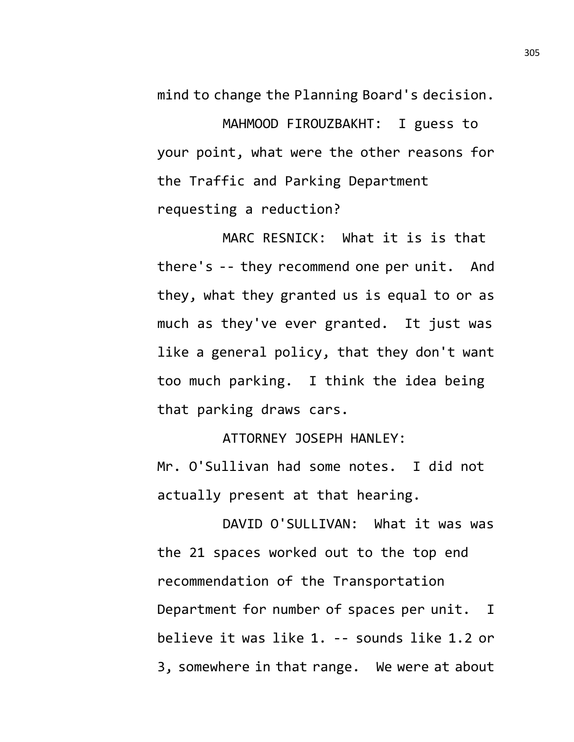mind to change the Planning Board's decision.

MAHMOOD FIROUZBAKHT: I guess to your point, what were the other reasons for the Traffic and Parking Department requesting a reduction?

MARC RESNICK: What it is is that there's -- they recommend one per unit. And they, what they granted us is equal to or as much as they've ever granted. It just was like a general policy, that they don't want too much parking. I think the idea being that parking draws cars.

ATTORNEY JOSEPH HANLEY:

Mr. O'Sullivan had some notes. I did not actually present at that hearing.

DAVID O'SULLIVAN: What it was was the 21 spaces worked out to the top end recommendation of the Transportation Department for number of spaces per unit. I believe it was like 1. -- sounds like 1.2 or 3, somewhere in that range. We were at about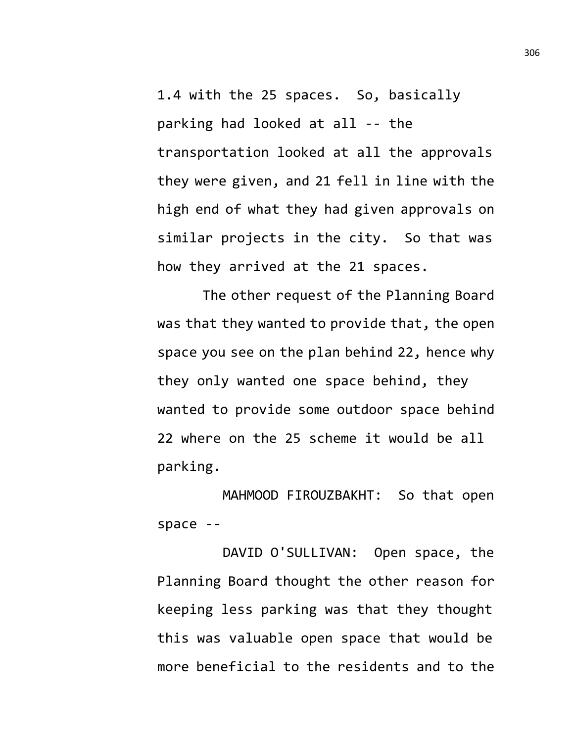1.4 with the 25 spaces. So, basically parking had looked at all -- the transportation looked at all the approvals they were given, and 21 fell in line with the high end of what they had given approvals on similar projects in the city. So that was how they arrived at the 21 spaces.

The other request of the Planning Board was that they wanted to provide that, the open space you see on the plan behind 22, hence why they only wanted one space behind, they wanted to provide some outdoor space behind 22 where on the 25 scheme it would be all parking.

MAHMOOD FIROUZBAKHT: So that open space --

DAVID O'SULLIVAN: Open space, the Planning Board thought the other reason for keeping less parking was that they thought this was valuable open space that would be more beneficial to the residents and to the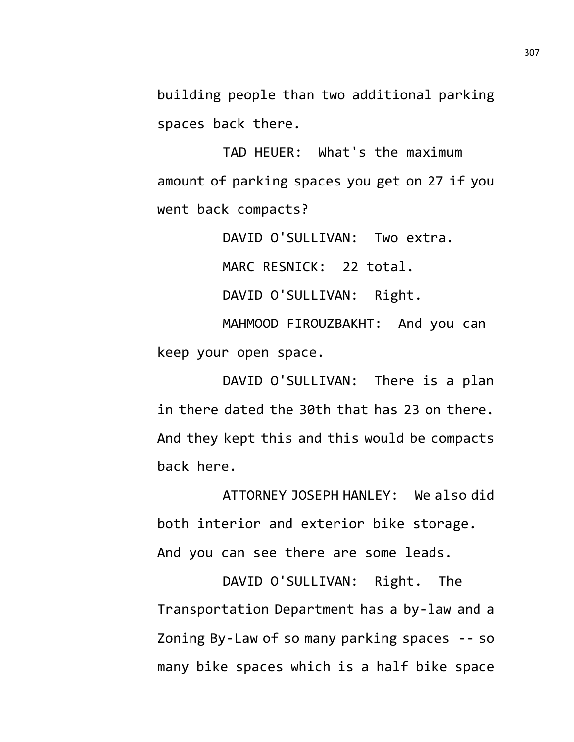building people than two additional parking spaces back there.

TAD HEUER: What's the maximum amount of parking spaces you get on 27 if you went back compacts?

DAVID O'SULLIVAN: Two extra.

MARC RESNICK: 22 total.

DAVID O'SULLIVAN: Right.

MAHMOOD FIROUZBAKHT: And you can keep your open space.

DAVID O'SULLIVAN: There is a plan in there dated the 30th that has 23 on there. And they kept this and this would be compacts back here.

ATTORNEY JOSEPH HANLEY: We also did both interior and exterior bike storage. And you can see there are some leads.

DAVID O'SULLIVAN: Right. The Transportation Department has a by-law and a Zoning By-Law of so many parking spaces -- so many bike spaces which is a half bike space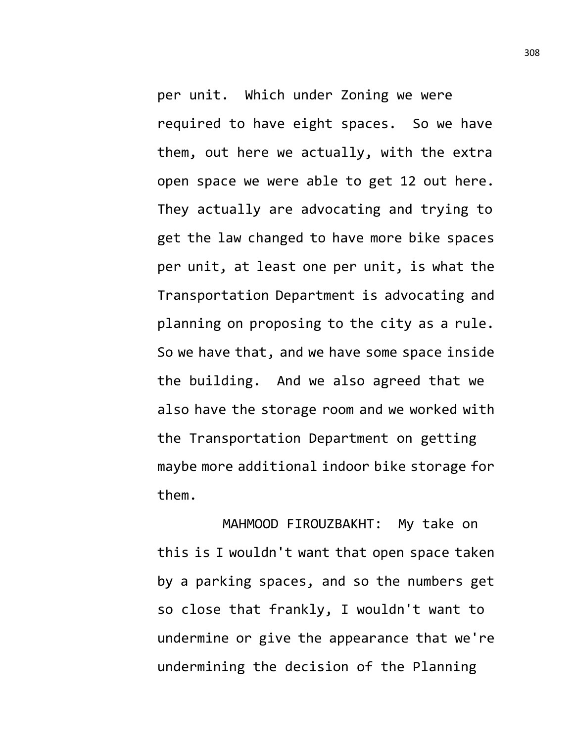per unit. Which under Zoning we were required to have eight spaces. So we have them, out here we actually, with the extra open space we were able to get 12 out here. They actually are advocating and trying to get the law changed to have more bike spaces per unit, at least one per unit, is what the Transportation Department is advocating and planning on proposing to the city as a rule. So we have that, and we have some space inside the building. And we also agreed that we also have the storage room and we worked with the Transportation Department on getting maybe more additional indoor bike storage for them.

MAHMOOD FIROUZBAKHT: My take on this is I wouldn't want that open space taken by a parking spaces, and so the numbers get so close that frankly, I wouldn't want to undermine or give the appearance that we're undermining the decision of the Planning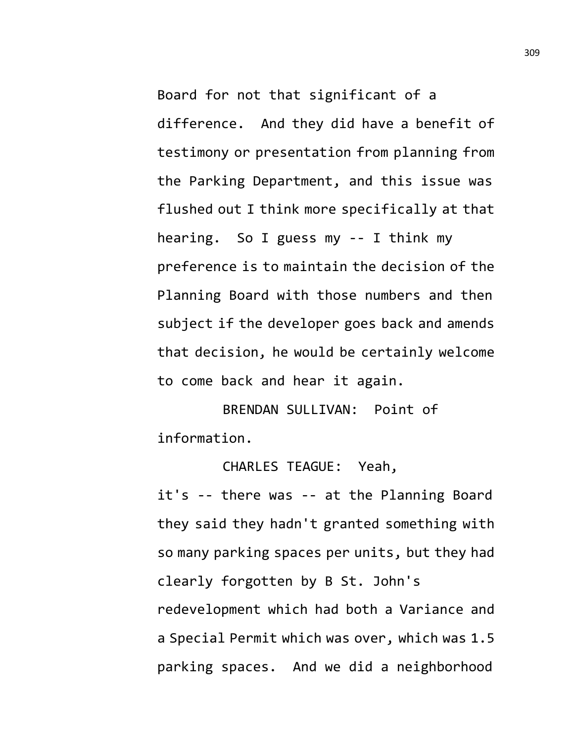Board for not that significant of a difference. And they did have a benefit of testimony or presentation from planning from the Parking Department, and this issue was flushed out I think more specifically at that hearing. So I guess my -- I think my preference is to maintain the decision of the Planning Board with those numbers and then subject if the developer goes back and amends that decision, he would be certainly welcome to come back and hear it again.

BRENDAN SULLIVAN: Point of information.

CHARLES TEAGUE: Yeah, it's -- there was -- at the Planning Board they said they hadn't granted something with so many parking spaces per units, but they had clearly forgotten by B St. John's redevelopment which had both a Variance and a Special Permit which was over, which was 1.5 parking spaces. And we did a neighborhood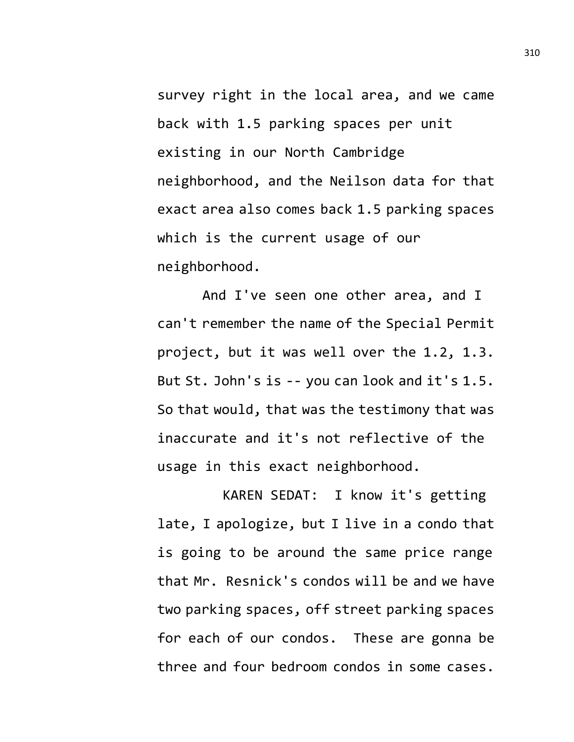survey right in the local area, and we came back with 1.5 parking spaces per unit existing in our North Cambridge neighborhood, and the Neilson data for that exact area also comes back 1.5 parking spaces which is the current usage of our neighborhood.

And I've seen one other area, and I can't remember the name of the Special Permit project, but it was well over the 1.2, 1.3. But St. John's is -- you can look and it's 1.5. So that would, that was the testimony that was inaccurate and it's not reflective of the usage in this exact neighborhood.

KAREN SEDAT: I know it's getting late, I apologize, but I live in a condo that is going to be around the same price range that Mr. Resnick's condos will be and we have two parking spaces, off street parking spaces for each of our condos. These are gonna be three and four bedroom condos in some cases.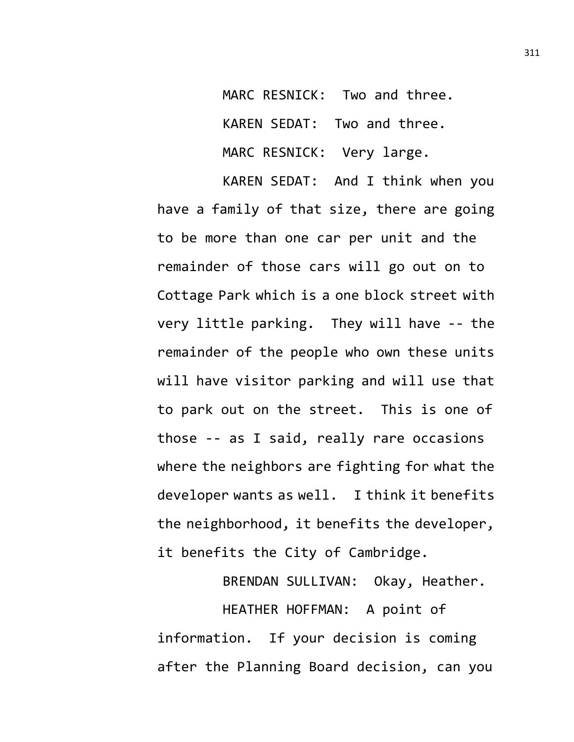MARC RESNICK: Two and three. KAREN SEDAT: Two and three. MARC RESNICK: Very large.

KAREN SEDAT: And I think when you have a family of that size, there are going to be more than one car per unit and the remainder of those cars will go out on to Cottage Park which is a one block street with very little parking. They will have -- the remainder of the people who own these units will have visitor parking and will use that to park out on the street. This is one of those -- as I said, really rare occasions where the neighbors are fighting for what the developer wants as well. I think it benefits the neighborhood, it benefits the developer, it benefits the City of Cambridge.

BRENDAN SULLIVAN: Okay, Heather. HEATHER HOFFMAN: A point of information. If your decision is coming after the Planning Board decision, can you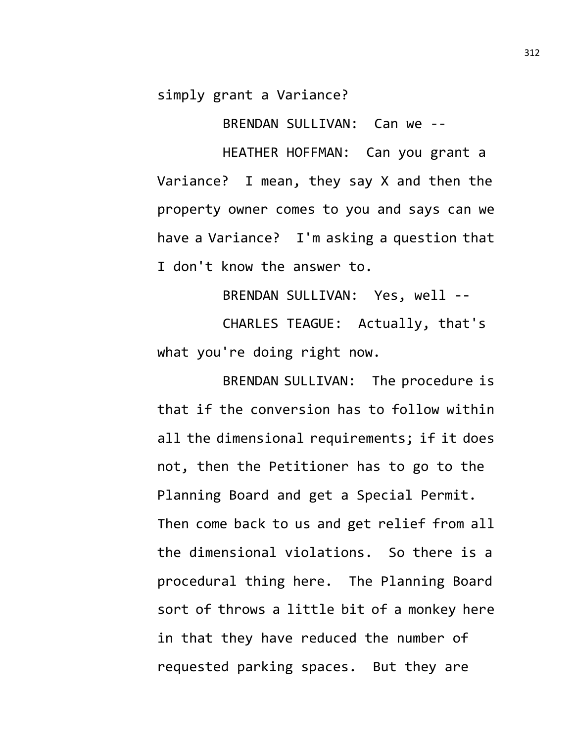simply grant a Variance?

BRENDAN SULLIVAN: Can we --

HEATHER HOFFMAN: Can you grant a Variance? I mean, they say X and then the property owner comes to you and says can we have a Variance? I'm asking a question that I don't know the answer to.

BRENDAN SULLIVAN: Yes, well -- CHARLES TEAGUE: Actually, that's what you're doing right now.

BRENDAN SULLIVAN: The procedure is that if the conversion has to follow within all the dimensional requirements; if it does not, then the Petitioner has to go to the Planning Board and get a Special Permit. Then come back to us and get relief from all the dimensional violations. So there is a procedural thing here. The Planning Board sort of throws a little bit of a monkey here in that they have reduced the number of requested parking spaces. But they are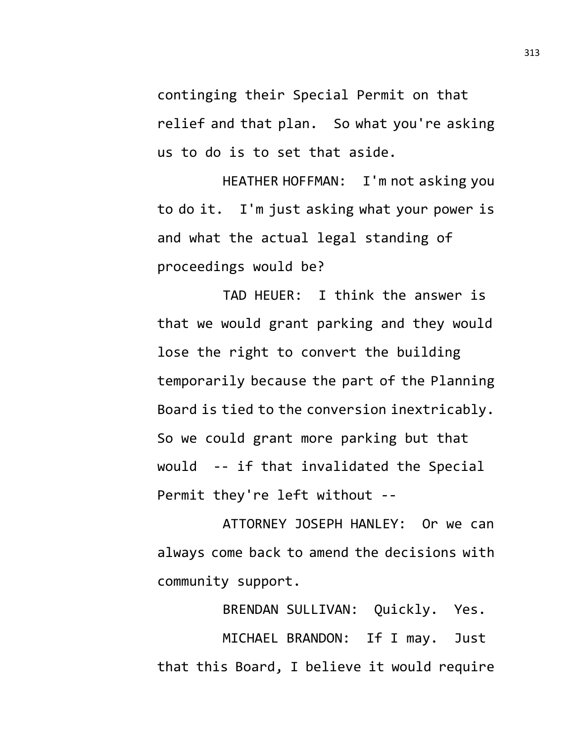continging their Special Permit on that relief and that plan. So what you're asking us to do is to set that aside.

HEATHER HOFFMAN: I'm not asking you to do it. I'm just asking what your power is and what the actual legal standing of proceedings would be?

TAD HEUER: I think the answer is that we would grant parking and they would lose the right to convert the building temporarily because the part of the Planning Board is tied to the conversion inextricably. So we could grant more parking but that would -- if that invalidated the Special Permit they're left without --

ATTORNEY JOSEPH HANLEY: Or we can always come back to amend the decisions with community support.

BRENDAN SULLIVAN: Quickly. Yes. MICHAEL BRANDON: If I may. Just that this Board, I believe it would require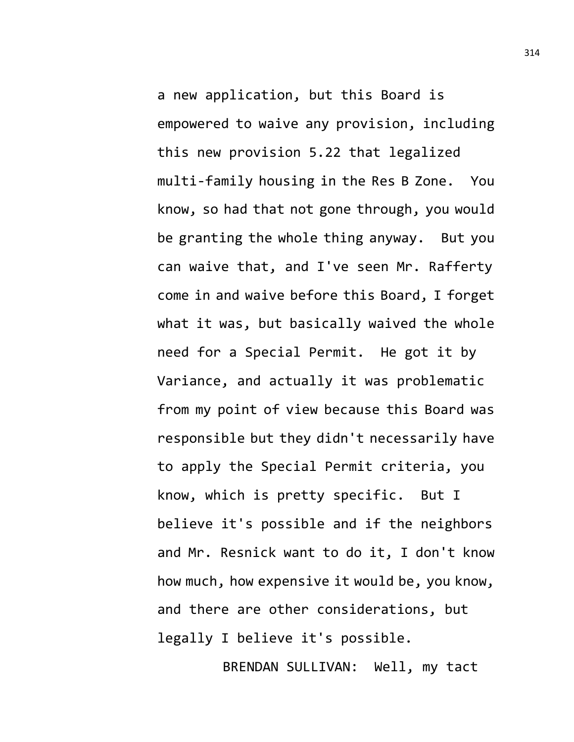a new application, but this Board is empowered to waive any provision, including this new provision 5.22 that legalized multi-family housing in the Res B Zone. You know, so had that not gone through, you would be granting the whole thing anyway. But you can waive that, and I've seen Mr. Rafferty come in and waive before this Board, I forget what it was, but basically waived the whole need for a Special Permit. He got it by Variance, and actually it was problematic from my point of view because this Board was responsible but they didn't necessarily have to apply the Special Permit criteria, you know, which is pretty specific. But I believe it's possible and if the neighbors and Mr. Resnick want to do it, I don't know how much, how expensive it would be, you know, and there are other considerations, but legally I believe it's possible.

BRENDAN SULLIVAN: Well, my tact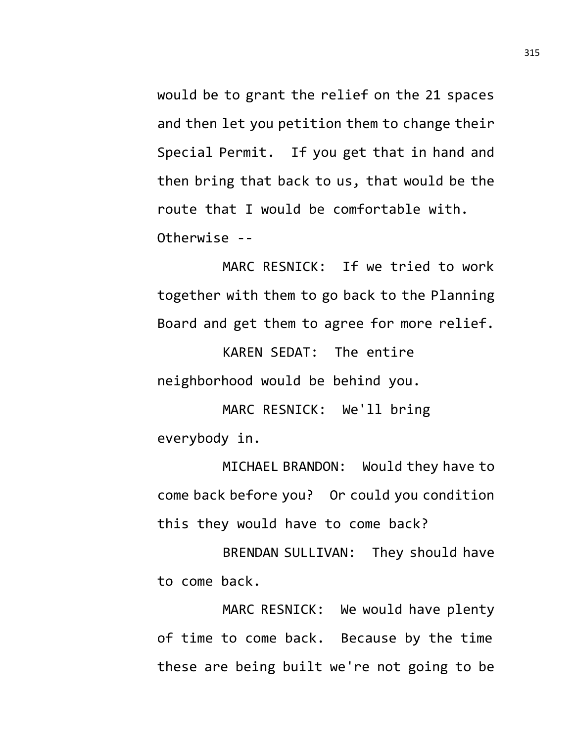would be to grant the relief on the 21 spaces and then let you petition them to change their Special Permit. If you get that in hand and then bring that back to us, that would be the route that I would be comfortable with. Otherwise --

MARC RESNICK: If we tried to work together with them to go back to the Planning Board and get them to agree for more relief.

KAREN SEDAT: The entire neighborhood would be behind you.

MARC RESNICK: We'll bring everybody in.

MICHAEL BRANDON: Would they have to come back before you? Or could you condition this they would have to come back?

BRENDAN SULLIVAN: They should have to come back.

MARC RESNICK: We would have plenty of time to come back. Because by the time these are being built we're not going to be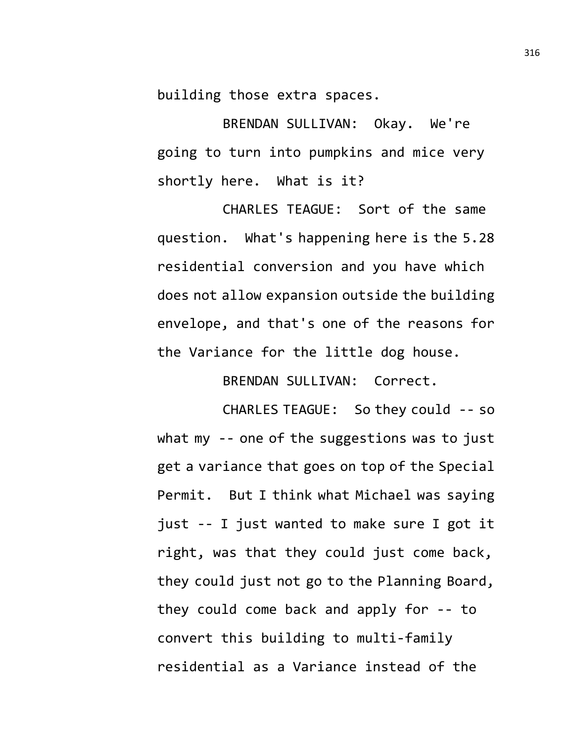building those extra spaces.

BRENDAN SULLIVAN: Okay. We're going to turn into pumpkins and mice very shortly here. What is it?

CHARLES TEAGUE: Sort of the same question. What's happening here is the 5.28 residential conversion and you have which does not allow expansion outside the building envelope, and that's one of the reasons for the Variance for the little dog house.

BRENDAN SULLIVAN: Correct.

CHARLES TEAGUE: So they could -- so what my -- one of the suggestions was to just get a variance that goes on top of the Special Permit. But I think what Michael was saying just -- I just wanted to make sure I got it right, was that they could just come back, they could just not go to the Planning Board, they could come back and apply for -- to convert this building to multi-family residential as a Variance instead of the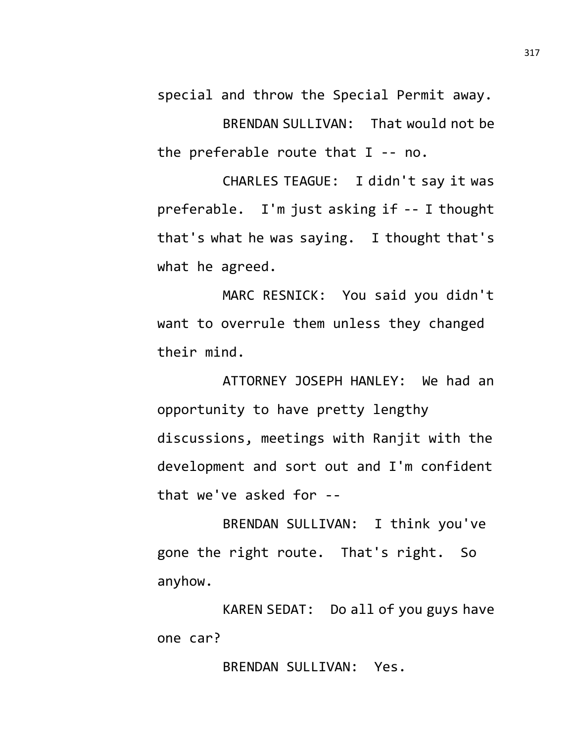special and throw the Special Permit away. BRENDAN SULLIVAN: That would not be the preferable route that I -- no.

CHARLES TEAGUE: I didn't say it was preferable. I'm just asking if -- I thought that's what he was saying. I thought that's what he agreed.

MARC RESNICK: You said you didn't want to overrule them unless they changed their mind.

ATTORNEY JOSEPH HANLEY: We had an opportunity to have pretty lengthy discussions, meetings with Ranjit with the development and sort out and I'm confident that we've asked for --

BRENDAN SULLIVAN: I think you've gone the right route. That's right. So anyhow.

KAREN SEDAT: Do all of you guys have one car?

BRENDAN SULLIVAN: Yes.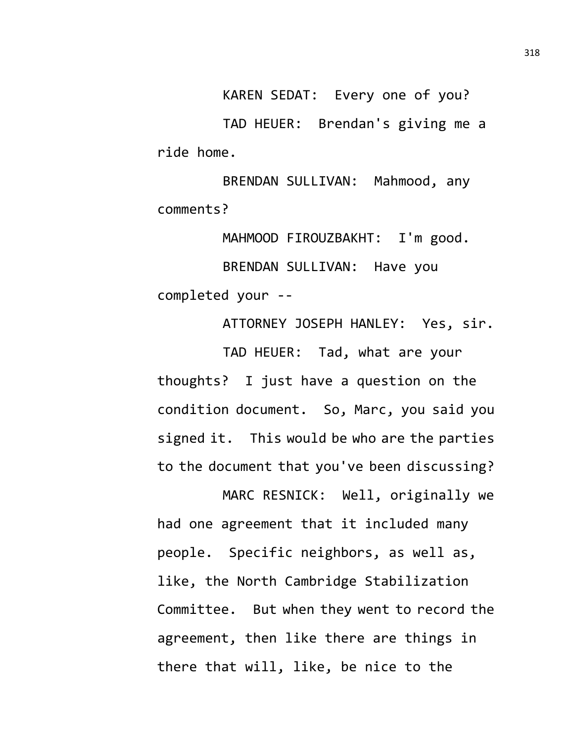KAREN SEDAT: Every one of you?

TAD HEUER: Brendan's giving me a ride home.

BRENDAN SULLIVAN: Mahmood, any comments?

MAHMOOD FIROUZBAKHT: I'm good. BRENDAN SULLIVAN: Have you completed your --

ATTORNEY JOSEPH HANLEY: Yes, sir. TAD HEUER: Tad, what are your thoughts? I just have a question on the condition document. So, Marc, you said you signed it. This would be who are the parties to the document that you've been discussing?

MARC RESNICK: Well, originally we had one agreement that it included many people. Specific neighbors, as well as, like, the North Cambridge Stabilization Committee. But when they went to record the agreement, then like there are things in there that will, like, be nice to the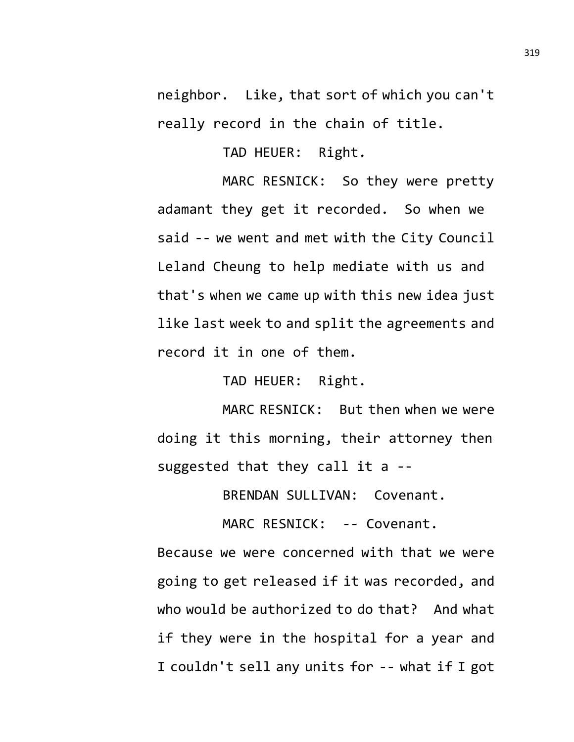neighbor. Like, that sort of which you can't really record in the chain of title.

TAD HEUER: Right.

MARC RESNICK: So they were pretty adamant they get it recorded. So when we said -- we went and met with the City Council Leland Cheung to help mediate with us and that's when we came up with this new idea just like last week to and split the agreements and record it in one of them.

TAD HEUER: Right.

MARC RESNICK: But then when we were doing it this morning, their attorney then suggested that they call it a --

BRENDAN SULLIVAN: Covenant.

MARC RESNICK: -- Covenant.

Because we were concerned with that we were going to get released if it was recorded, and who would be authorized to do that? And what if they were in the hospital for a year and I couldn't sell any units for -- what if I got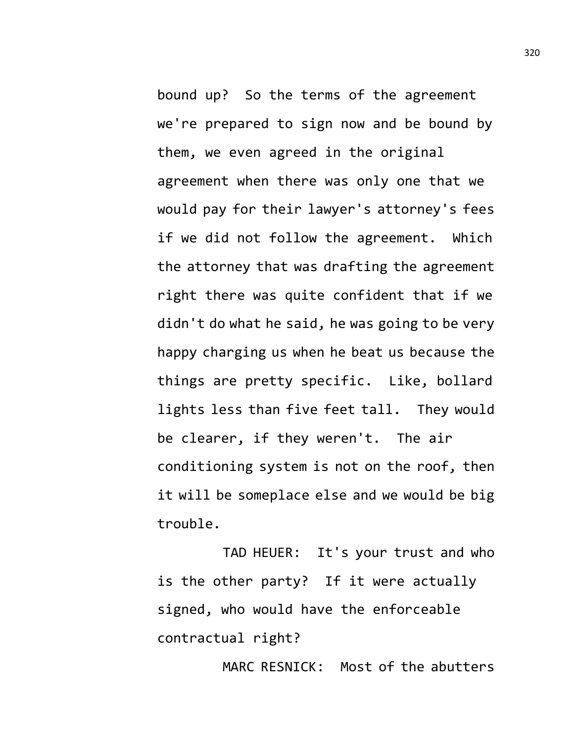bound up? So the terms of the agreement we're prepared to sign now and be bound by them, we even agreed in the original agreement when there was only one that we would pay for their lawyer's attorney's fees if we did not follow the agreement. Which the attorney that was drafting the agreement right there was quite confident that if we didn't do what he said, he was going to be very happy charging us when he beat us because the things are pretty specific. Like, bollard lights less than five feet tall. They would be clearer, if they weren't. The air conditioning system is not on the roof, then it will be someplace else and we would be big trouble.

TAD HEUER: It's your trust and who is the other party? If it were actually signed, who would have the enforceable contractual right?

MARC RESNICK: Most of the abutters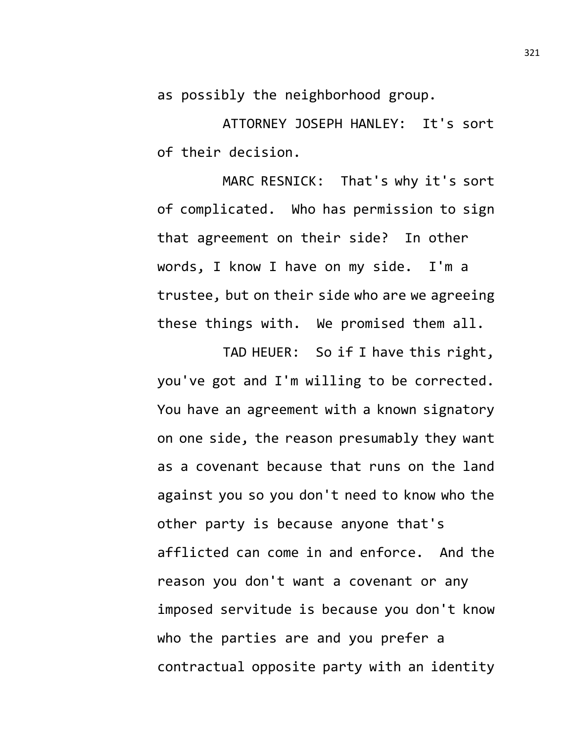as possibly the neighborhood group.

ATTORNEY JOSEPH HANLEY: It's sort of their decision.

MARC RESNICK: That's why it's sort of complicated. Who has permission to sign that agreement on their side? In other words, I know I have on my side. I'm a trustee, but on their side who are we agreeing these things with. We promised them all.

TAD HEUER: So if I have this right, you've got and I'm willing to be corrected. You have an agreement with a known signatory on one side, the reason presumably they want as a covenant because that runs on the land against you so you don't need to know who the other party is because anyone that's afflicted can come in and enforce. And the reason you don't want a covenant or any imposed servitude is because you don't know who the parties are and you prefer a contractual opposite party with an identity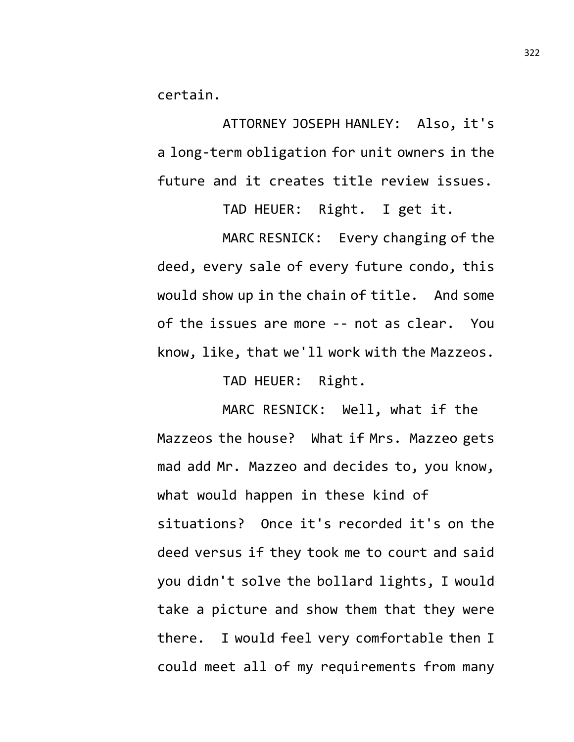certain.

ATTORNEY JOSEPH HANLEY: Also, it's a long-term obligation for unit owners in the future and it creates title review issues.

TAD HEUER: Right. I get it.

MARC RESNICK: Every changing of the deed, every sale of every future condo, this would show up in the chain of title. And some of the issues are more -- not as clear. You know, like, that we'll work with the Mazzeos.

TAD HEUER: Right.

MARC RESNICK: Well, what if the Mazzeos the house? What if Mrs. Mazzeo gets mad add Mr. Mazzeo and decides to, you know, what would happen in these kind of situations? Once it's recorded it's on the deed versus if they took me to court and said you didn't solve the bollard lights, I would take a picture and show them that they were there. I would feel very comfortable then I could meet all of my requirements from many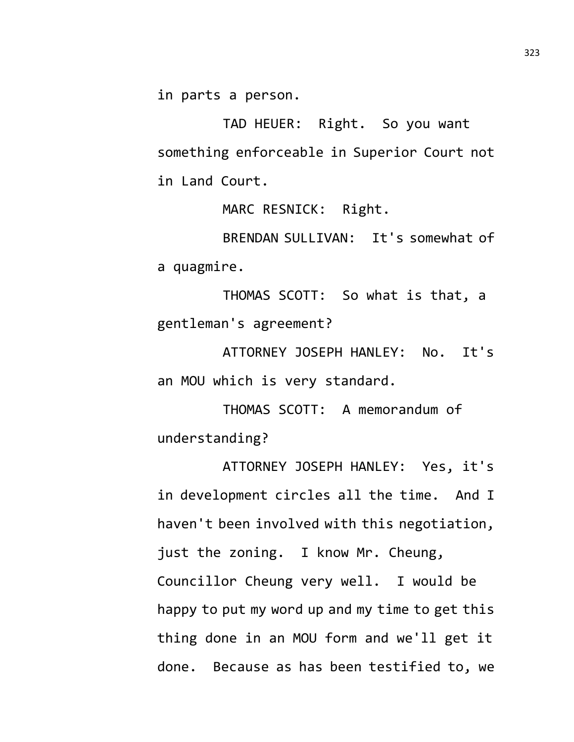in parts a person.

TAD HEUER: Right. So you want something enforceable in Superior Court not in Land Court.

MARC RESNICK: Right.

BRENDAN SULLIVAN: It's somewhat of a quagmire.

THOMAS SCOTT: So what is that, a gentleman's agreement?

ATTORNEY JOSEPH HANLEY: No. It's an MOU which is very standard.

THOMAS SCOTT: A memorandum of understanding?

ATTORNEY JOSEPH HANLEY: Yes, it's in development circles all the time. And I haven't been involved with this negotiation, just the zoning. I know Mr. Cheung, Councillor Cheung very well. I would be happy to put my word up and my time to get this thing done in an MOU form and we'll get it done. Because as has been testified to, we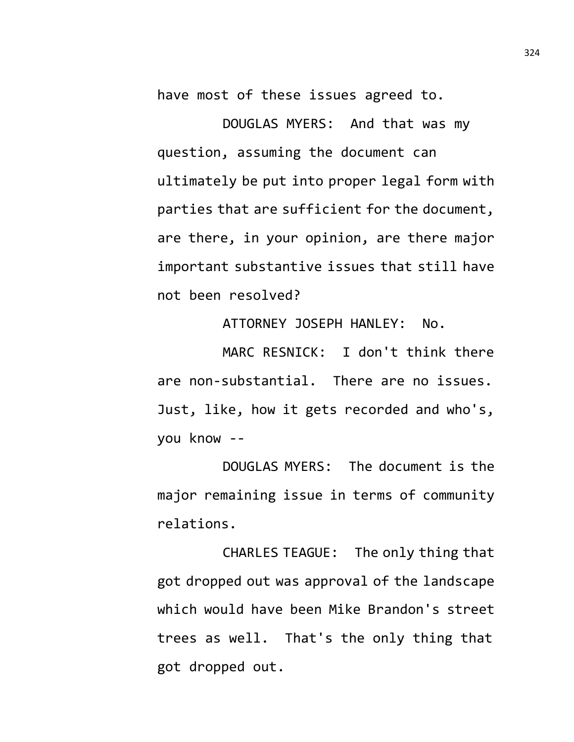have most of these issues agreed to.

DOUGLAS MYERS: And that was my question, assuming the document can ultimately be put into proper legal form with parties that are sufficient for the document, are there, in your opinion, are there major important substantive issues that still have not been resolved?

ATTORNEY JOSEPH HANLEY: No.

MARC RESNICK: I don't think there are non-substantial. There are no issues. Just, like, how it gets recorded and who's, you know --

DOUGLAS MYERS: The document is the major remaining issue in terms of community relations.

CHARLES TEAGUE: The only thing that got dropped out was approval of the landscape which would have been Mike Brandon's street trees as well. That's the only thing that got dropped out.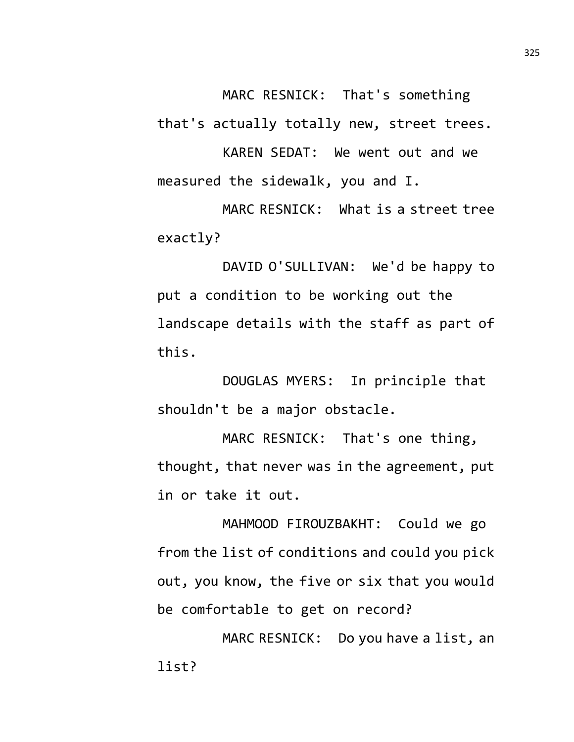MARC RESNICK: That's something that's actually totally new, street trees.

KAREN SEDAT: We went out and we measured the sidewalk, you and I.

MARC RESNICK: What is a street tree exactly?

DAVID O'SULLIVAN: We'd be happy to put a condition to be working out the landscape details with the staff as part of this.

DOUGLAS MYERS: In principle that shouldn't be a major obstacle.

MARC RESNICK: That's one thing, thought, that never was in the agreement, put in or take it out.

MAHMOOD FIROUZBAKHT: Could we go from the list of conditions and could you pick out, you know, the five or six that you would be comfortable to get on record?

MARC RESNICK: Do you have a list, an list?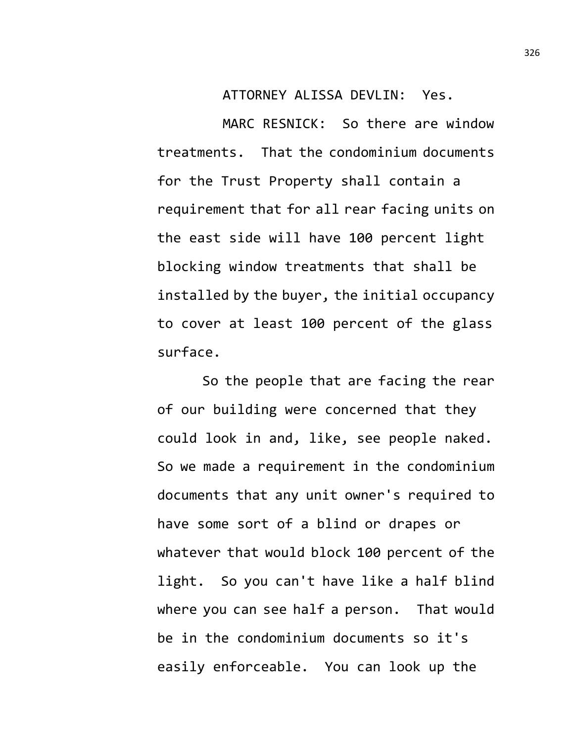ATTORNEY ALISSA DEVLIN: Yes.

MARC RESNICK: So there are window treatments. That the condominium documents for the Trust Property shall contain a requirement that for all rear facing units on the east side will have 100 percent light blocking window treatments that shall be installed by the buyer, the initial occupancy to cover at least 100 percent of the glass surface.

So the people that are facing the rear of our building were concerned that they could look in and, like, see people naked. So we made a requirement in the condominium documents that any unit owner's required to have some sort of a blind or drapes or whatever that would block 100 percent of the light. So you can't have like a half blind where you can see half a person. That would be in the condominium documents so it's easily enforceable. You can look up the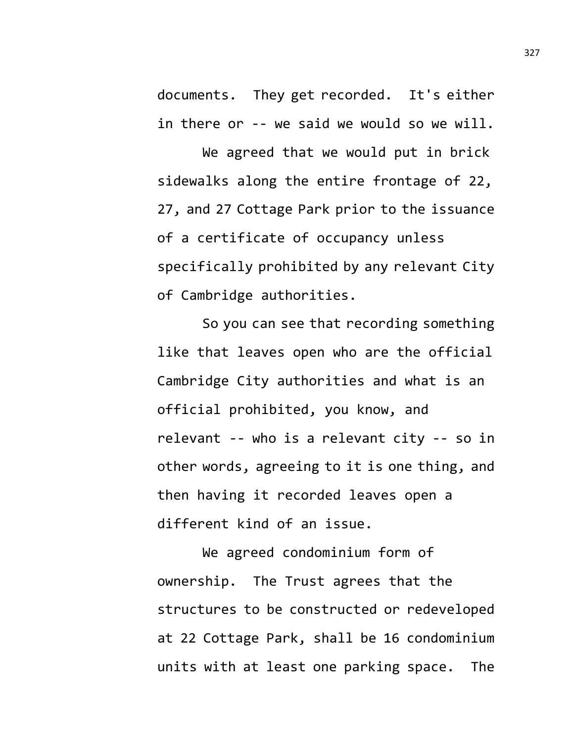documents. They get recorded. It's either in there or -- we said we would so we will.

We agreed that we would put in brick sidewalks along the entire frontage of 22, 27, and 27 Cottage Park prior to the issuance of a certificate of occupancy unless specifically prohibited by any relevant City of Cambridge authorities.

So you can see that recording something like that leaves open who are the official Cambridge City authorities and what is an official prohibited, you know, and relevant -- who is a relevant city -- so in other words, agreeing to it is one thing, and then having it recorded leaves open a different kind of an issue.

We agreed condominium form of ownership. The Trust agrees that the structures to be constructed or redeveloped at 22 Cottage Park, shall be 16 condominium units with at least one parking space. The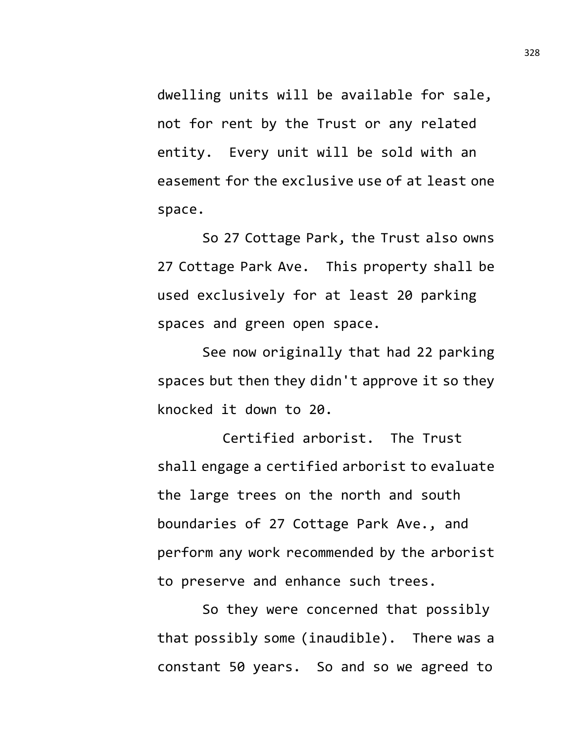dwelling units will be available for sale, not for rent by the Trust or any related entity. Every unit will be sold with an easement for the exclusive use of at least one space.

So 27 Cottage Park, the Trust also owns 27 Cottage Park Ave. This property shall be used exclusively for at least 20 parking spaces and green open space.

See now originally that had 22 parking spaces but then they didn't approve it so they knocked it down to 20.

Certified arborist. The Trust shall engage a certified arborist to evaluate the large trees on the north and south boundaries of 27 Cottage Park Ave., and perform any work recommended by the arborist to preserve and enhance such trees.

So they were concerned that possibly that possibly some (inaudible). There was a constant 50 years. So and so we agreed to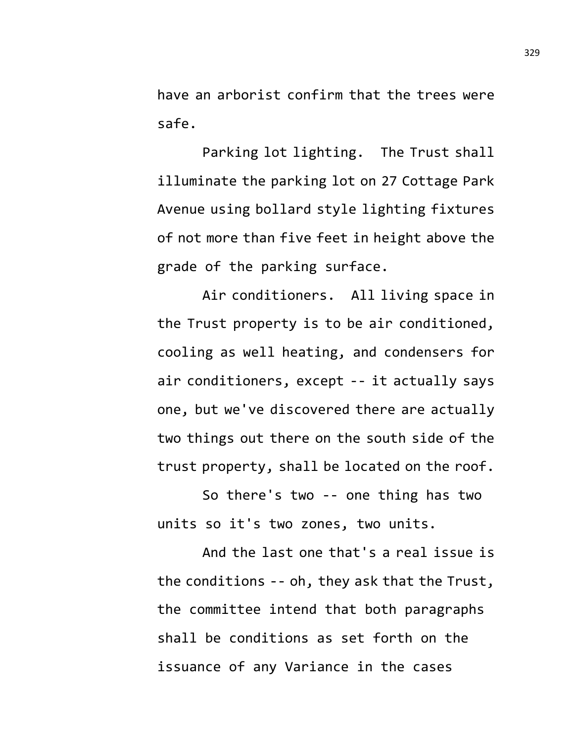have an arborist confirm that the trees were safe.

Parking lot lighting. The Trust shall illuminate the parking lot on 27 Cottage Park Avenue using bollard style lighting fixtures of not more than five feet in height above the grade of the parking surface.

Air conditioners. All living space in the Trust property is to be air conditioned, cooling as well heating, and condensers for air conditioners, except -- it actually says one, but we've discovered there are actually two things out there on the south side of the trust property, shall be located on the roof.

So there's two -- one thing has two units so it's two zones, two units.

And the last one that's a real issue is the conditions -- oh, they ask that the Trust, the committee intend that both paragraphs shall be conditions as set forth on the issuance of any Variance in the cases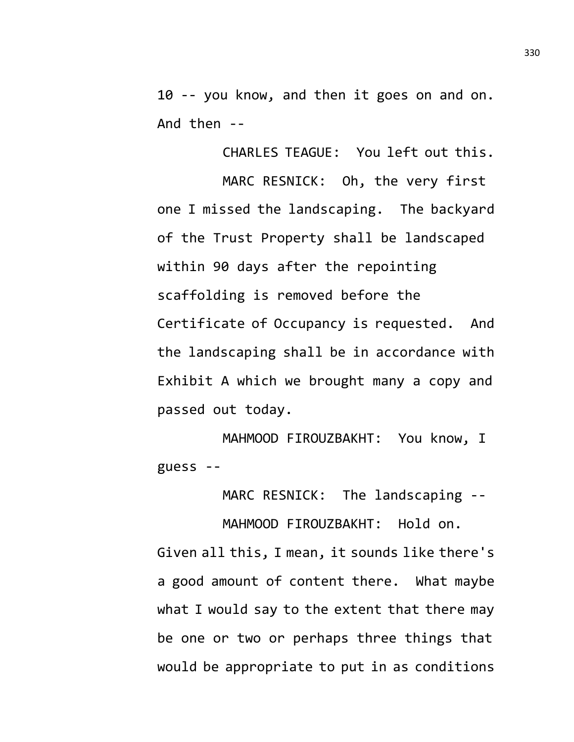10 -- you know, and then it goes on and on. And then --

CHARLES TEAGUE: You left out this. MARC RESNICK: Oh, the very first one I missed the landscaping. The backyard of the Trust Property shall be landscaped within 90 days after the repointing scaffolding is removed before the Certificate of Occupancy is requested. And the landscaping shall be in accordance with Exhibit A which we brought many a copy and passed out today.

MAHMOOD FIROUZBAKHT: You know, I guess --

MARC RESNICK: The landscaping --

MAHMOOD FIROUZBAKHT: Hold on. Given all this, I mean, it sounds like there's a good amount of content there. What maybe what I would say to the extent that there may be one or two or perhaps three things that would be appropriate to put in as conditions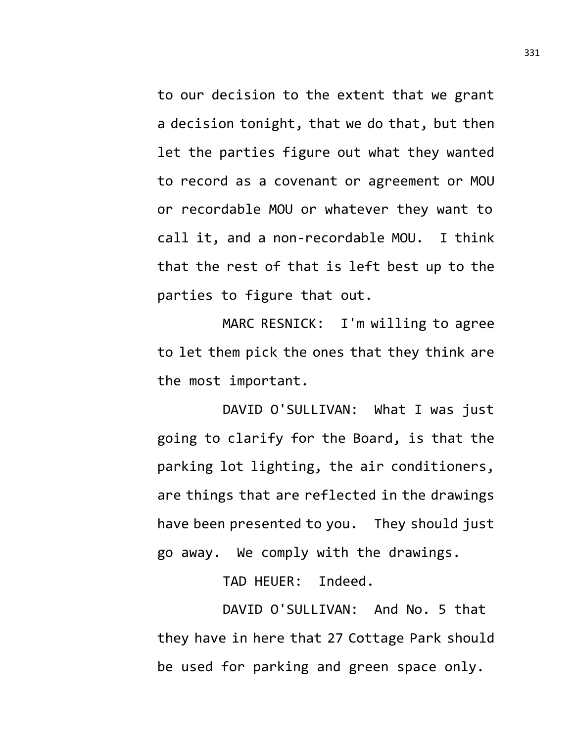to our decision to the extent that we grant a decision tonight, that we do that, but then let the parties figure out what they wanted to record as a covenant or agreement or MOU or recordable MOU or whatever they want to call it, and a non-recordable MOU. I think that the rest of that is left best up to the parties to figure that out.

MARC RESNICK: I'm willing to agree to let them pick the ones that they think are the most important.

DAVID O'SULLIVAN: What I was just going to clarify for the Board, is that the parking lot lighting, the air conditioners, are things that are reflected in the drawings have been presented to you. They should just go away. We comply with the drawings.

TAD HEUER: Indeed.

DAVID O'SULLIVAN: And No. 5 that they have in here that 27 Cottage Park should be used for parking and green space only.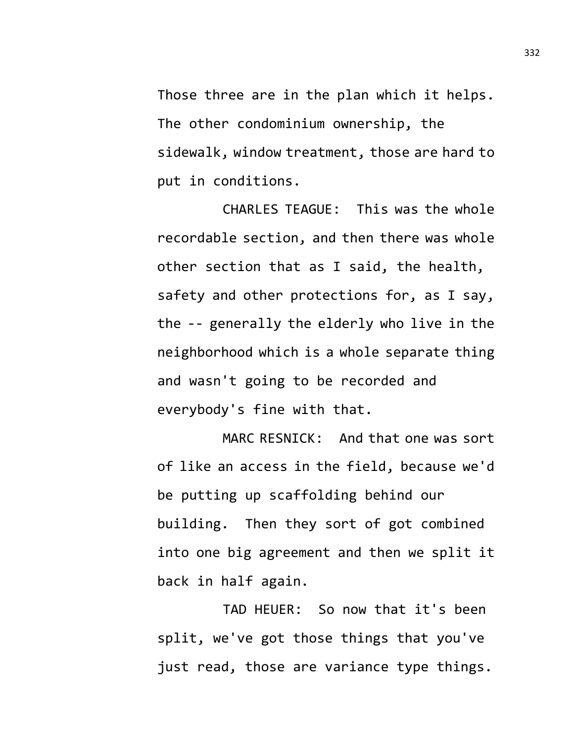Those three are in the plan which it helps. The other condominium ownership, the sidewalk, window treatment, those are hard to put in conditions.

CHARLES TEAGUE: This was the whole recordable section, and then there was whole other section that as I said, the health, safety and other protections for, as I say, the -- generally the elderly who live in the neighborhood which is a whole separate thing and wasn't going to be recorded and everybody's fine with that.

MARC RESNICK: And that one was sort of like an access in the field, because we'd be putting up scaffolding behind our building. Then they sort of got combined into one big agreement and then we split it back in half again.

TAD HEUER: So now that it's been split, we've got those things that you've just read, those are variance type things.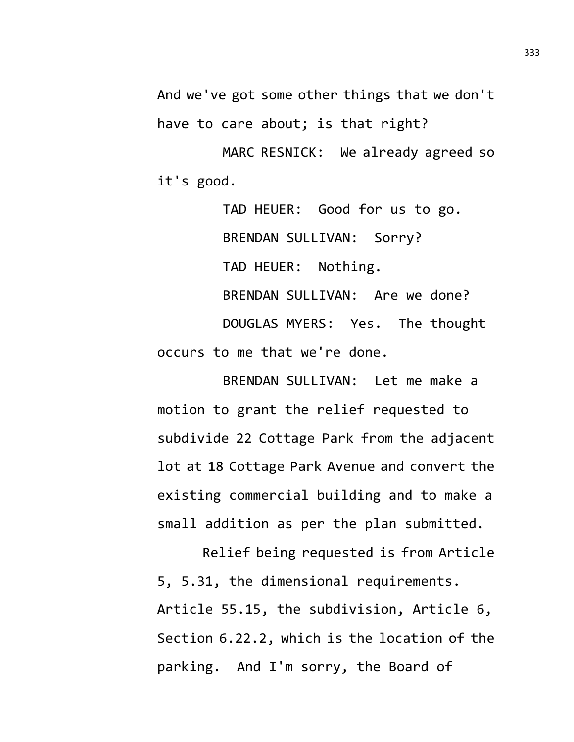And we've got some other things that we don't have to care about; is that right?

MARC RESNICK: We already agreed so it's good.

TAD HEUER: Good for us to go. BRENDAN SULLIVAN: Sorry? TAD HEUER: Nothing. BRENDAN SULLIVAN: Are we done? DOUGLAS MYERS: Yes. The thought occurs to me that we're done.

BRENDAN SULLIVAN: Let me make a motion to grant the relief requested to subdivide 22 Cottage Park from the adjacent lot at 18 Cottage Park Avenue and convert the existing commercial building and to make a small addition as per the plan submitted.

Relief being requested is from Article 5, 5.31, the dimensional requirements. Article 55.15, the subdivision, Article 6, Section 6.22.2, which is the location of the parking. And I'm sorry, the Board of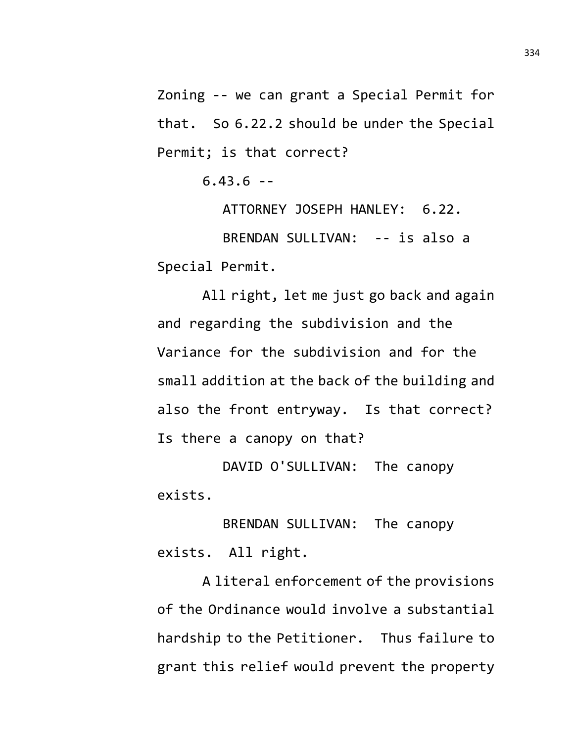Zoning -- we can grant a Special Permit for that. So 6.22.2 should be under the Special Permit; is that correct?

 $6.43.6 -$ 

ATTORNEY JOSEPH HANLEY: 6.22. BRENDAN SULLIVAN: -- is also a Special Permit.

All right, let me just go back and again and regarding the subdivision and the Variance for the subdivision and for the small addition at the back of the building and also the front entryway. Is that correct? Is there a canopy on that?

DAVID O'SULLIVAN: The canopy exists.

BRENDAN SULLIVAN: The canopy exists. All right.

A literal enforcement of the provisions of the Ordinance would involve a substantial hardship to the Petitioner. Thus failure to grant this relief would prevent the property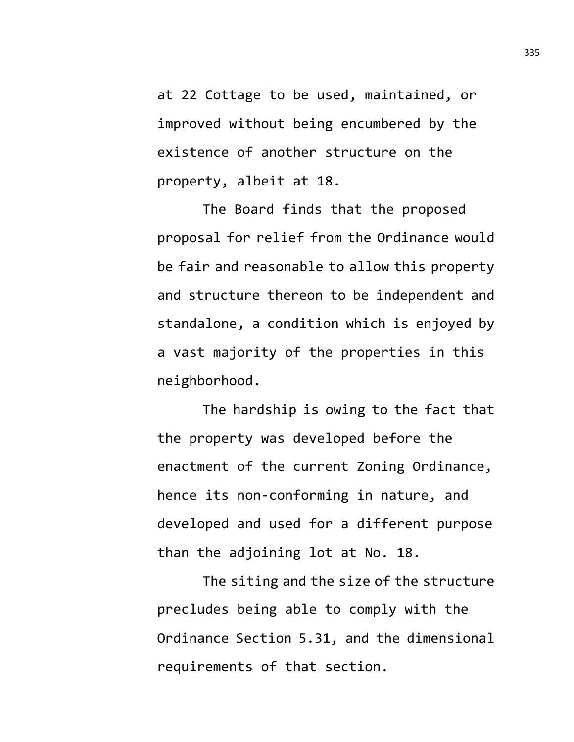at 22 Cottage to be used, maintained, or improved without being encumbered by the existence of another structure on the property, albeit at 18.

The Board finds that the proposed proposal for relief from the Ordinance would be fair and reasonable to allow this property and structure thereon to be independent and standalone, a condition which is enjoyed by a vast majority of the properties in this neighborhood.

The hardship is owing to the fact that the property was developed before the enactment of the current Zoning Ordinance, hence its non-conforming in nature, and developed and used for a different purpose than the adjoining lot at No. 18.

The siting and the size of the structure precludes being able to comply with the Ordinance Section 5.31, and the dimensional requirements of that section.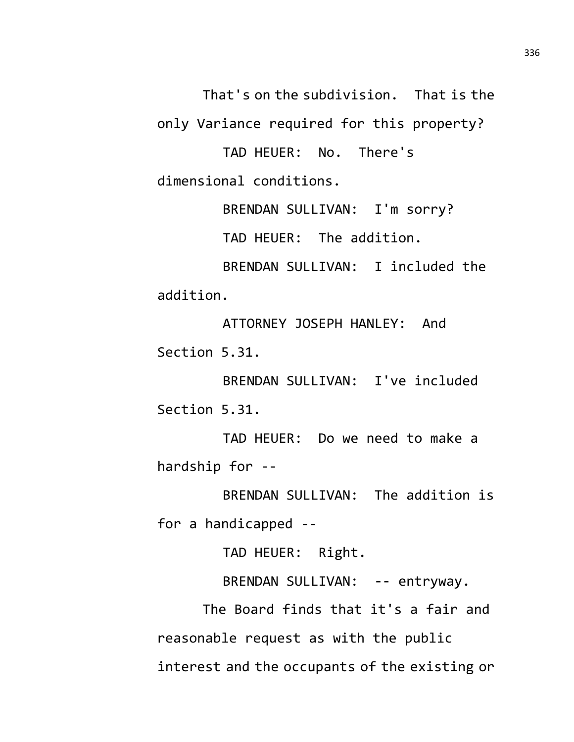That's on the subdivision. That is the

only Variance required for this property?

TAD HEUER: No. There's dimensional conditions.

BRENDAN SULLIVAN: I'm sorry?

TAD HEUER: The addition.

BRENDAN SULLIVAN: I included the addition.

ATTORNEY JOSEPH HANLEY: And Section 5.31.

BRENDAN SULLIVAN: I've included Section 5.31.

TAD HEUER: Do we need to make a hardship for --

BRENDAN SULLIVAN: The addition is for a handicapped --

TAD HEUER: Right.

BRENDAN SULLIVAN: -- entryway.

The Board finds that it's a fair and reasonable request as with the public interest and the occupants of the existing or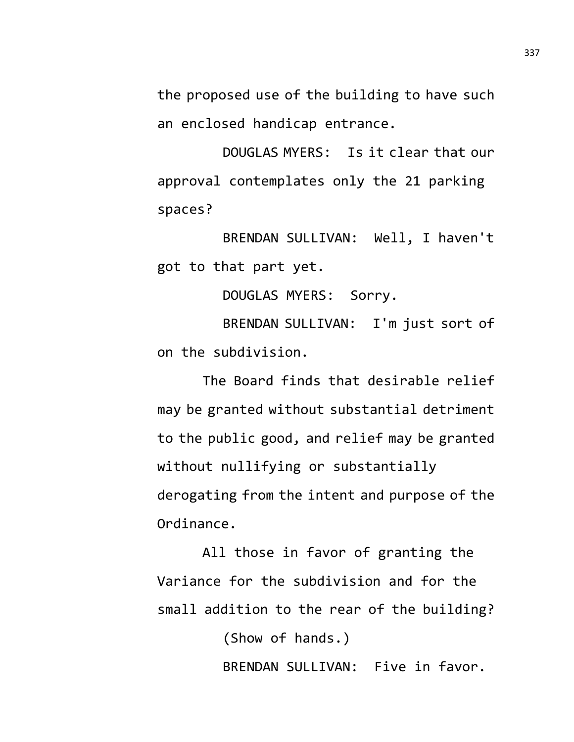the proposed use of the building to have such an enclosed handicap entrance.

DOUGLAS MYERS: Is it clear that our approval contemplates only the 21 parking spaces?

BRENDAN SULLIVAN: Well, I haven't got to that part yet.

DOUGLAS MYERS: Sorry.

BRENDAN SULLIVAN: I'm just sort of on the subdivision.

The Board finds that desirable relief may be granted without substantial detriment to the public good, and relief may be granted without nullifying or substantially derogating from the intent and purpose of the Ordinance.

All those in favor of granting the Variance for the subdivision and for the small addition to the rear of the building?

(Show of hands.)

BRENDAN SULLIVAN: Five in favor.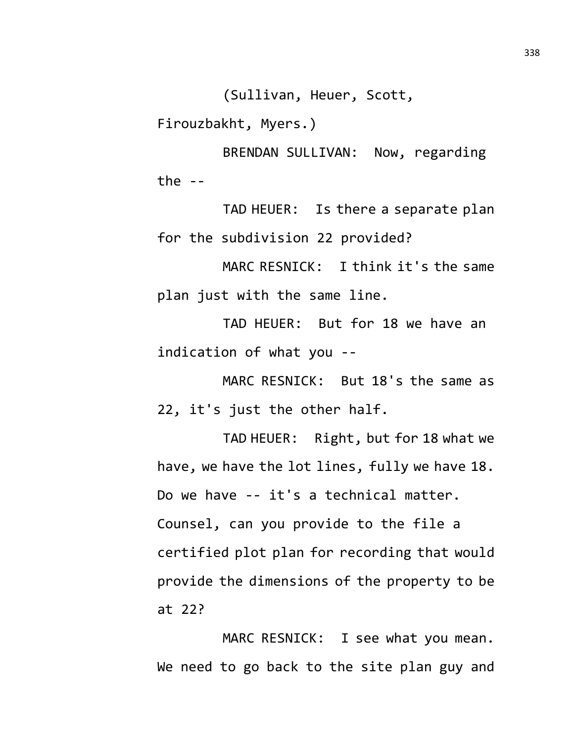(Sullivan, Heuer, Scott,

Firouzbakht, Myers.)

BRENDAN SULLIVAN: Now, regarding the  $-$ 

TAD HEUER: Is there a separate plan for the subdivision 22 provided?

MARC RESNICK: I think it's the same plan just with the same line.

TAD HEUER: But for 18 we have an indication of what you --

MARC RESNICK: But 18's the same as 22, it's just the other half.

TAD HEUER: Right, but for 18 what we have, we have the lot lines, fully we have 18. Do we have -- it's a technical matter. Counsel, can you provide to the file a certified plot plan for recording that would provide the dimensions of the property to be at 22?

MARC RESNICK: I see what you mean. We need to go back to the site plan guy and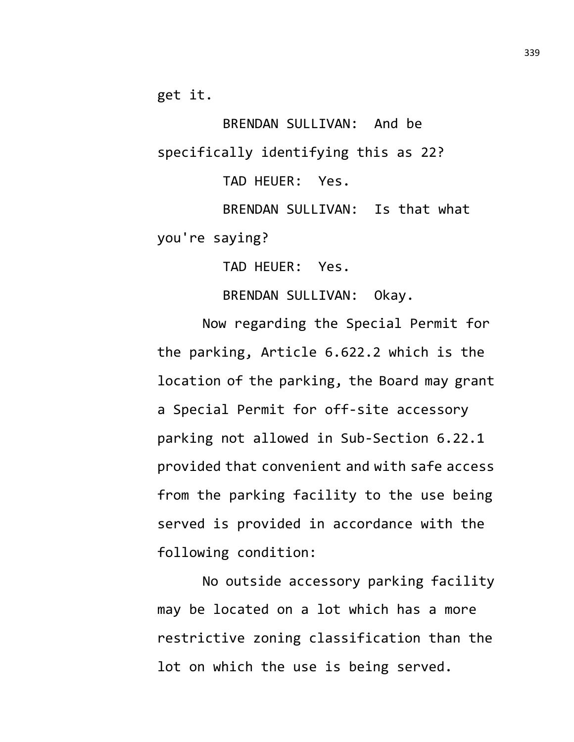get it.

BRENDAN SULLIVAN: And be specifically identifying this as 22? TAD HEUER: Yes. BRENDAN SULLIVAN: Is that what

you're saying?

TAD HEUER: Yes.

BRENDAN SULLIVAN: Okay.

Now regarding the Special Permit for the parking, Article 6.622.2 which is the location of the parking, the Board may grant a Special Permit for off-site accessory parking not allowed in Sub-Section 6.22.1 provided that convenient and with safe access from the parking facility to the use being served is provided in accordance with the following condition:

No outside accessory parking facility may be located on a lot which has a more restrictive zoning classification than the lot on which the use is being served.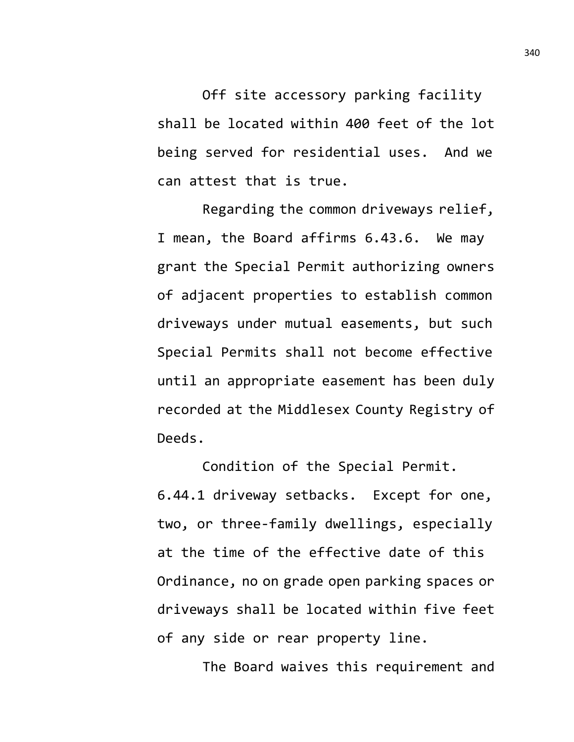Off site accessory parking facility shall be located within 400 feet of the lot being served for residential uses. And we can attest that is true.

Regarding the common driveways relief, I mean, the Board affirms 6.43.6. We may grant the Special Permit authorizing owners of adjacent properties to establish common driveways under mutual easements, but such Special Permits shall not become effective until an appropriate easement has been duly recorded at the Middlesex County Registry of Deeds.

Condition of the Special Permit. 6.44.1 driveway setbacks. Except for one, two, or three-family dwellings, especially at the time of the effective date of this Ordinance, no on grade open parking spaces or driveways shall be located within five feet of any side or rear property line.

The Board waives this requirement and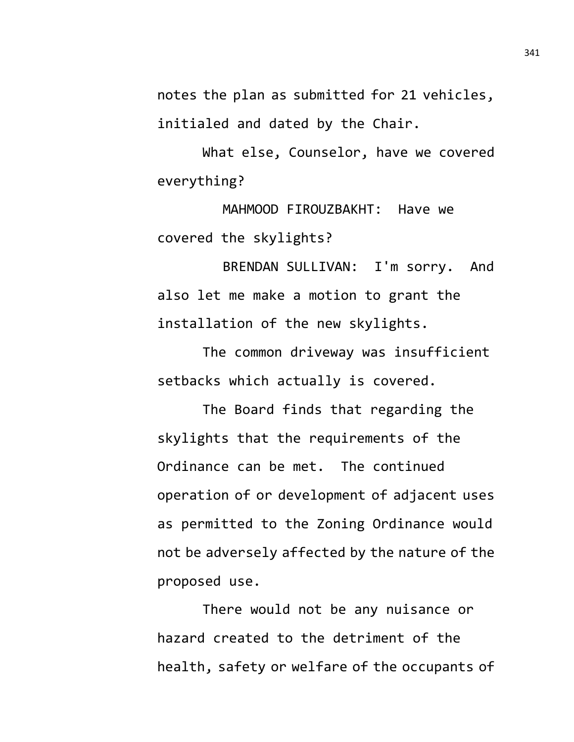notes the plan as submitted for 21 vehicles, initialed and dated by the Chair.

What else, Counselor, have we covered everything?

MAHMOOD FIROUZBAKHT: Have we covered the skylights?

BRENDAN SULLIVAN: I'm sorry. And also let me make a motion to grant the installation of the new skylights.

The common driveway was insufficient setbacks which actually is covered.

The Board finds that regarding the skylights that the requirements of the Ordinance can be met. The continued operation of or development of adjacent uses as permitted to the Zoning Ordinance would not be adversely affected by the nature of the proposed use.

There would not be any nuisance or hazard created to the detriment of the health, safety or welfare of the occupants of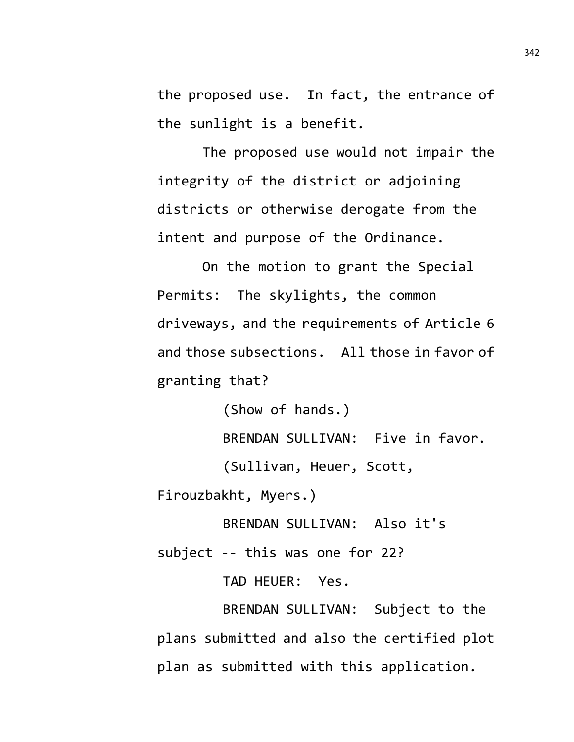the proposed use. In fact, the entrance of the sunlight is a benefit.

The proposed use would not impair the integrity of the district or adjoining districts or otherwise derogate from the intent and purpose of the Ordinance.

On the motion to grant the Special Permits: The skylights, the common driveways, and the requirements of Article 6 and those subsections. All those in favor of granting that?

(Show of hands.) BRENDAN SULLIVAN: Five in favor. (Sullivan, Heuer, Scott, Firouzbakht, Myers.)

BRENDAN SULLIVAN: Also it's

subject -- this was one for 22?

TAD HEUER: Yes.

BRENDAN SULLIVAN: Subject to the plans submitted and also the certified plot plan as submitted with this application.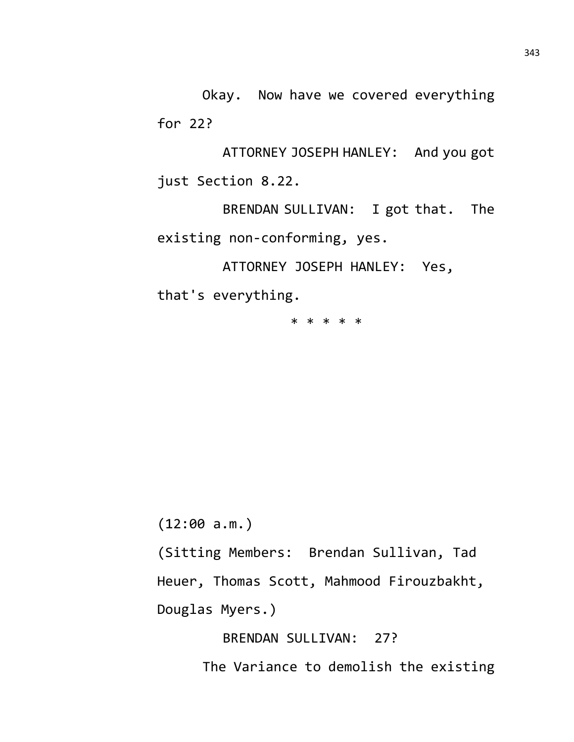Okay. Now have we covered everything for 22?

ATTORNEY JOSEPH HANLEY: And you got just Section 8.22.

BRENDAN SULLIVAN: I got that. The existing non-conforming, yes.

ATTORNEY JOSEPH HANLEY: Yes,

that's everything.

\* \* \* \* \*

(12:00 a.m.)

(Sitting Members: Brendan Sullivan, Tad Heuer, Thomas Scott, Mahmood Firouzbakht, Douglas Myers.)

BRENDAN SULLIVAN: 27?

The Variance to demolish the existing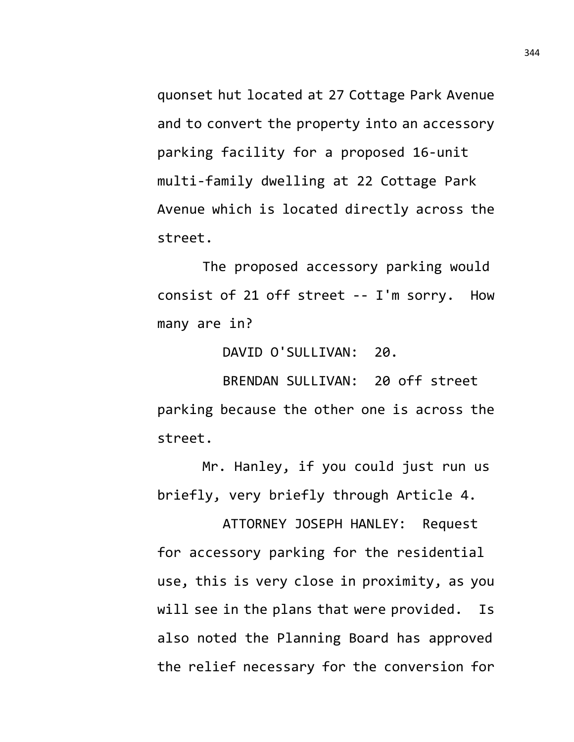quonset hut located at 27 Cottage Park Avenue and to convert the property into an accessory parking facility for a proposed 16-unit multi-family dwelling at 22 Cottage Park Avenue which is located directly across the street.

The proposed accessory parking would consist of 21 off street -- I'm sorry. How many are in?

DAVID O'SULLIVAN: 20.

BRENDAN SULLIVAN: 20 off street parking because the other one is across the street.

Mr. Hanley, if you could just run us briefly, very briefly through Article 4.

ATTORNEY JOSEPH HANLEY: Request for accessory parking for the residential use, this is very close in proximity, as you will see in the plans that were provided. Is also noted the Planning Board has approved the relief necessary for the conversion for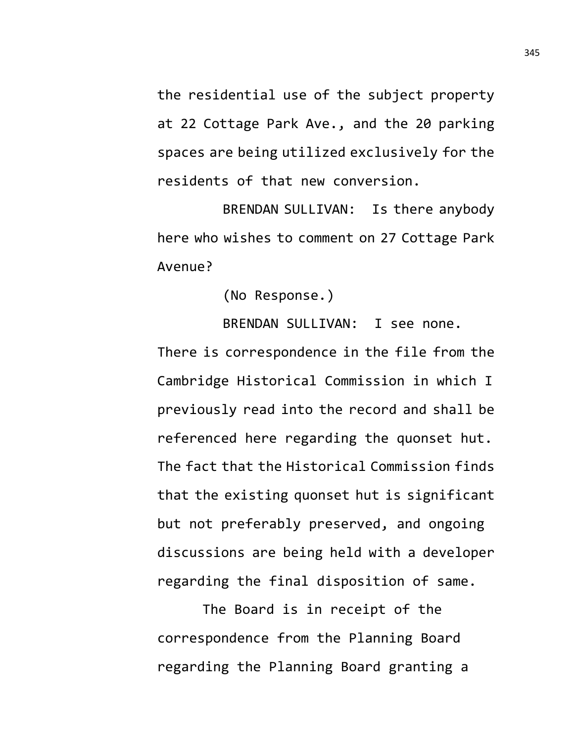the residential use of the subject property at 22 Cottage Park Ave., and the 20 parking spaces are being utilized exclusively for the residents of that new conversion.

BRENDAN SULLIVAN: Is there anybody here who wishes to comment on 27 Cottage Park Avenue?

(No Response.)

BRENDAN SULLIVAN: I see none.

There is correspondence in the file from the Cambridge Historical Commission in which I previously read into the record and shall be referenced here regarding the quonset hut. The fact that the Historical Commission finds that the existing quonset hut is significant but not preferably preserved, and ongoing discussions are being held with a developer regarding the final disposition of same.

The Board is in receipt of the correspondence from the Planning Board regarding the Planning Board granting a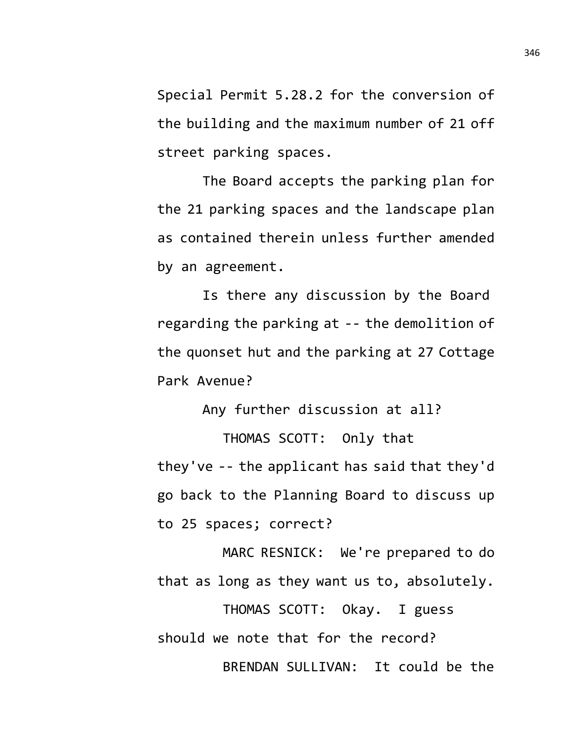Special Permit 5.28.2 for the conversion of the building and the maximum number of 21 off street parking spaces.

The Board accepts the parking plan for the 21 parking spaces and the landscape plan as contained therein unless further amended by an agreement.

Is there any discussion by the Board regarding the parking at -- the demolition of the quonset hut and the parking at 27 Cottage Park Avenue?

Any further discussion at all? THOMAS SCOTT: Only that they've -- the applicant has said that they'd go back to the Planning Board to discuss up to 25 spaces; correct?

MARC RESNICK: We're prepared to do that as long as they want us to, absolutely.

THOMAS SCOTT: Okay. I guess should we note that for the record? BRENDAN SULLIVAN: It could be the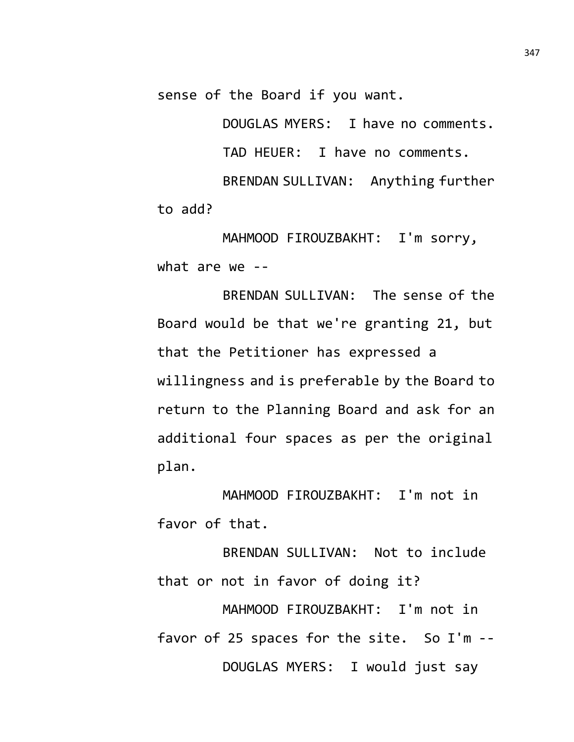sense of the Board if you want.

DOUGLAS MYERS: I have no comments. TAD HEUER: I have no comments. BRENDAN SULLIVAN: Anything further to add?

MAHMOOD FIROUZBAKHT: I'm sorry, what are we --

BRENDAN SULLIVAN: The sense of the Board would be that we're granting 21, but that the Petitioner has expressed a willingness and is preferable by the Board to return to the Planning Board and ask for an additional four spaces as per the original plan.

MAHMOOD FIROUZBAKHT: I'm not in favor of that.

BRENDAN SULLIVAN: Not to include that or not in favor of doing it? MAHMOOD FIROUZBAKHT: I'm not in favor of 25 spaces for the site. So I'm -- DOUGLAS MYERS: I would just say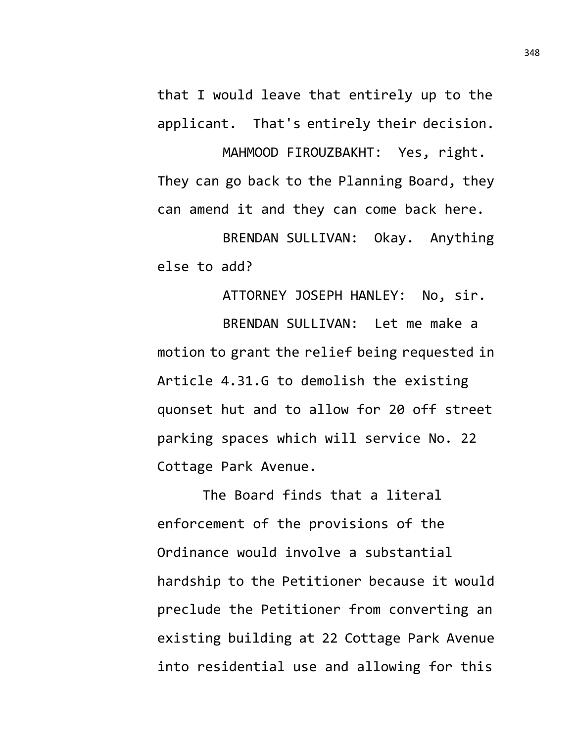that I would leave that entirely up to the applicant. That's entirely their decision.

MAHMOOD FIROUZBAKHT: Yes, right. They can go back to the Planning Board, they can amend it and they can come back here.

BRENDAN SULLIVAN: Okay. Anything else to add?

ATTORNEY JOSEPH HANLEY: No, sir. BRENDAN SULLIVAN: Let me make a motion to grant the relief being requested in Article 4.31.G to demolish the existing quonset hut and to allow for 20 off street parking spaces which will service No. 22 Cottage Park Avenue.

The Board finds that a literal enforcement of the provisions of the Ordinance would involve a substantial hardship to the Petitioner because it would preclude the Petitioner from converting an existing building at 22 Cottage Park Avenue into residential use and allowing for this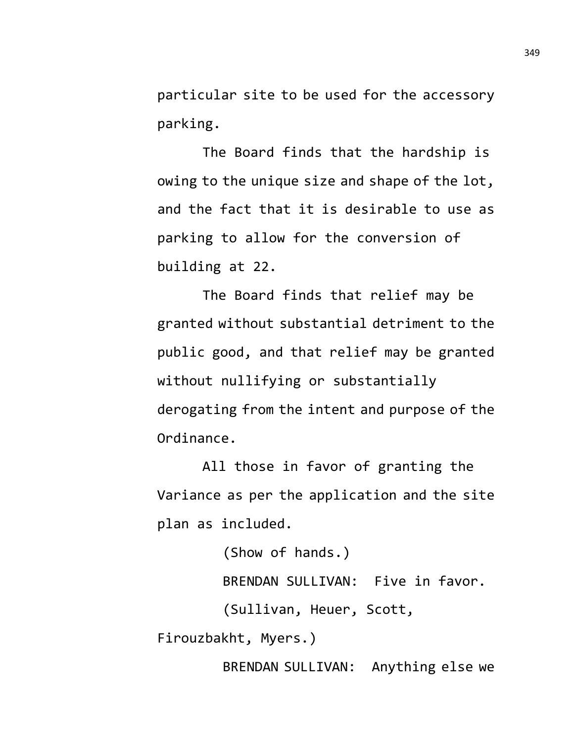particular site to be used for the accessory parking.

The Board finds that the hardship is owing to the unique size and shape of the lot, and the fact that it is desirable to use as parking to allow for the conversion of building at 22.

The Board finds that relief may be granted without substantial detriment to the public good, and that relief may be granted without nullifying or substantially derogating from the intent and purpose of the Ordinance.

All those in favor of granting the Variance as per the application and the site plan as included.

(Show of hands.) BRENDAN SULLIVAN: Five in favor. (Sullivan, Heuer, Scott, Firouzbakht, Myers.)

BRENDAN SULLIVAN: Anything else we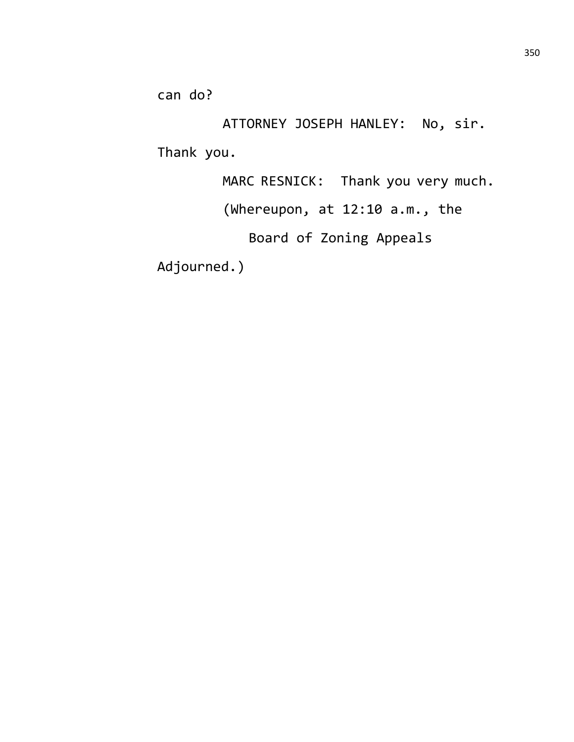can do?

ATTORNEY JOSEPH HANLEY: No, sir. Thank you.

MARC RESNICK: Thank you very much.

(Whereupon, at 12:10 a.m., the

Board of Zoning Appeals

Adjourned.)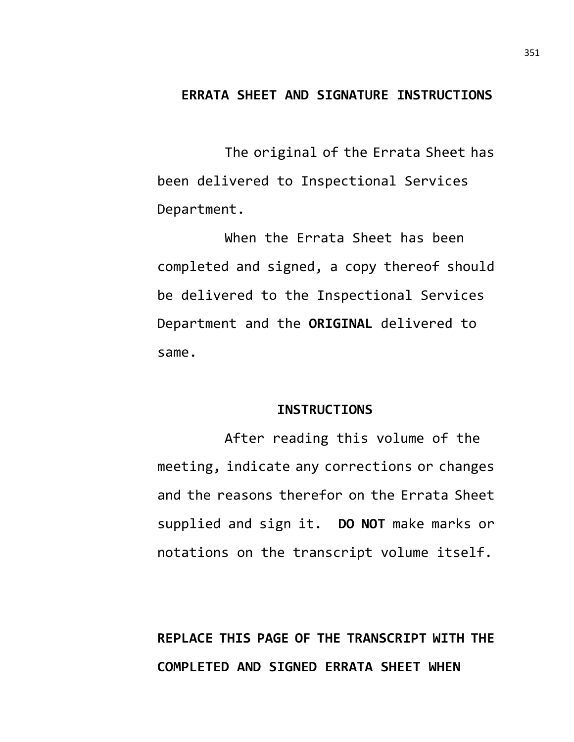## **ERRATA SHEET AND SIGNATURE INSTRUCTIONS**

The original of the Errata Sheet has been delivered to Inspectional Services Department.

When the Errata Sheet has been completed and signed, a copy thereof should be delivered to the Inspectional Services Department and the **ORIGINAL** delivered to same.

#### **INSTRUCTIONS**

After reading this volume of the meeting, indicate any corrections or changes and the reasons therefor on the Errata Sheet supplied and sign it. **DO NOT** make marks or notations on the transcript volume itself.

**REPLACE THIS PAGE OF THE TRANSCRIPT WITH THE COMPLETED AND SIGNED ERRATA SHEET WHEN**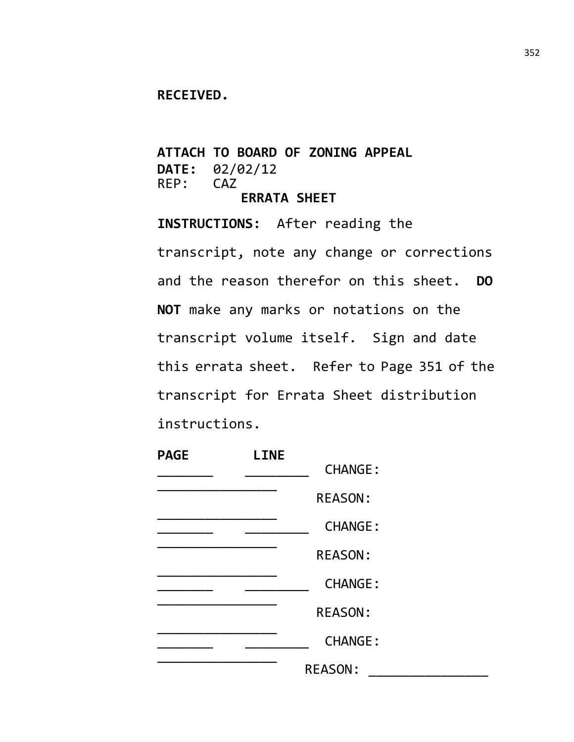### **RECEIVED.**

**ATTACH TO BOARD OF ZONING APPEAL DATE:** 02/02/12  $REP:$ **ERRATA SHEET**

**INSTRUCTIONS:** After reading the transcript, note any change or corrections and the reason therefor on this sheet. **DO NOT** make any marks or notations on the transcript volume itself. Sign and date this errata sheet. Refer to Page 351 of the transcript for Errata Sheet distribution instructions.

| <b>PAGE</b> | <b>LINE</b> |                |  |
|-------------|-------------|----------------|--|
|             |             | <b>CHANGE:</b> |  |
|             |             | <b>REASON:</b> |  |
|             |             | <b>CHANGE:</b> |  |
|             |             | <b>REASON:</b> |  |
|             |             | <b>CHANGE:</b> |  |
|             |             | <b>REASON:</b> |  |
|             |             | <b>CHANGE:</b> |  |
|             |             | <b>REASON:</b> |  |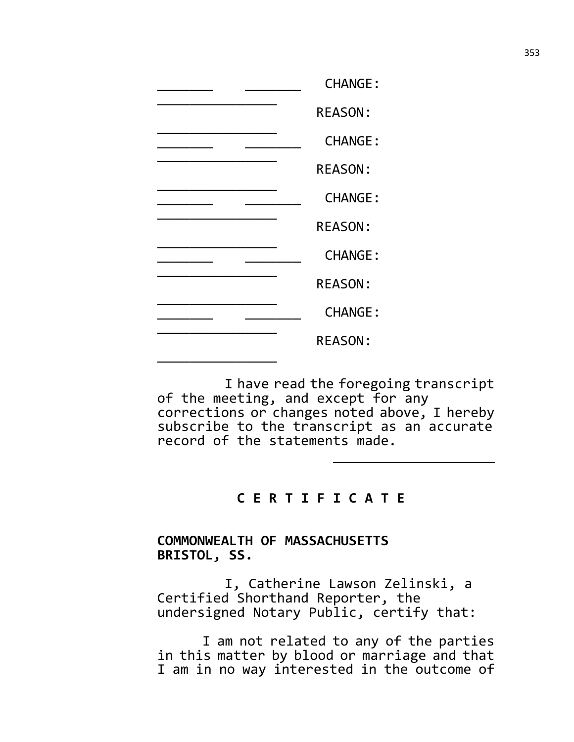|  | <b>CHANGE:</b> |
|--|----------------|
|  | <b>REASON:</b> |
|  | <b>CHANGE:</b> |
|  | <b>REASON:</b> |
|  | <b>CHANGE:</b> |
|  | <b>REASON:</b> |
|  | <b>CHANGE:</b> |
|  | <b>REASON:</b> |
|  | <b>CHANGE:</b> |
|  | <b>REASON:</b> |
|  |                |

I have read the foregoing transcript of the meeting, and except for any corrections or changes noted above, I hereby subscribe to the transcript as an accurate record of the statements made.

# **C E R T I F I C A T E**

## **COMMONWEALTH OF MASSACHUSETTS BRISTOL, SS.**

I, Catherine Lawson Zelinski, a Certified Shorthand Reporter, the undersigned Notary Public, certify that:

I am not related to any of the parties in this matter by blood or marriage and that I am in no way interested in the outcome of